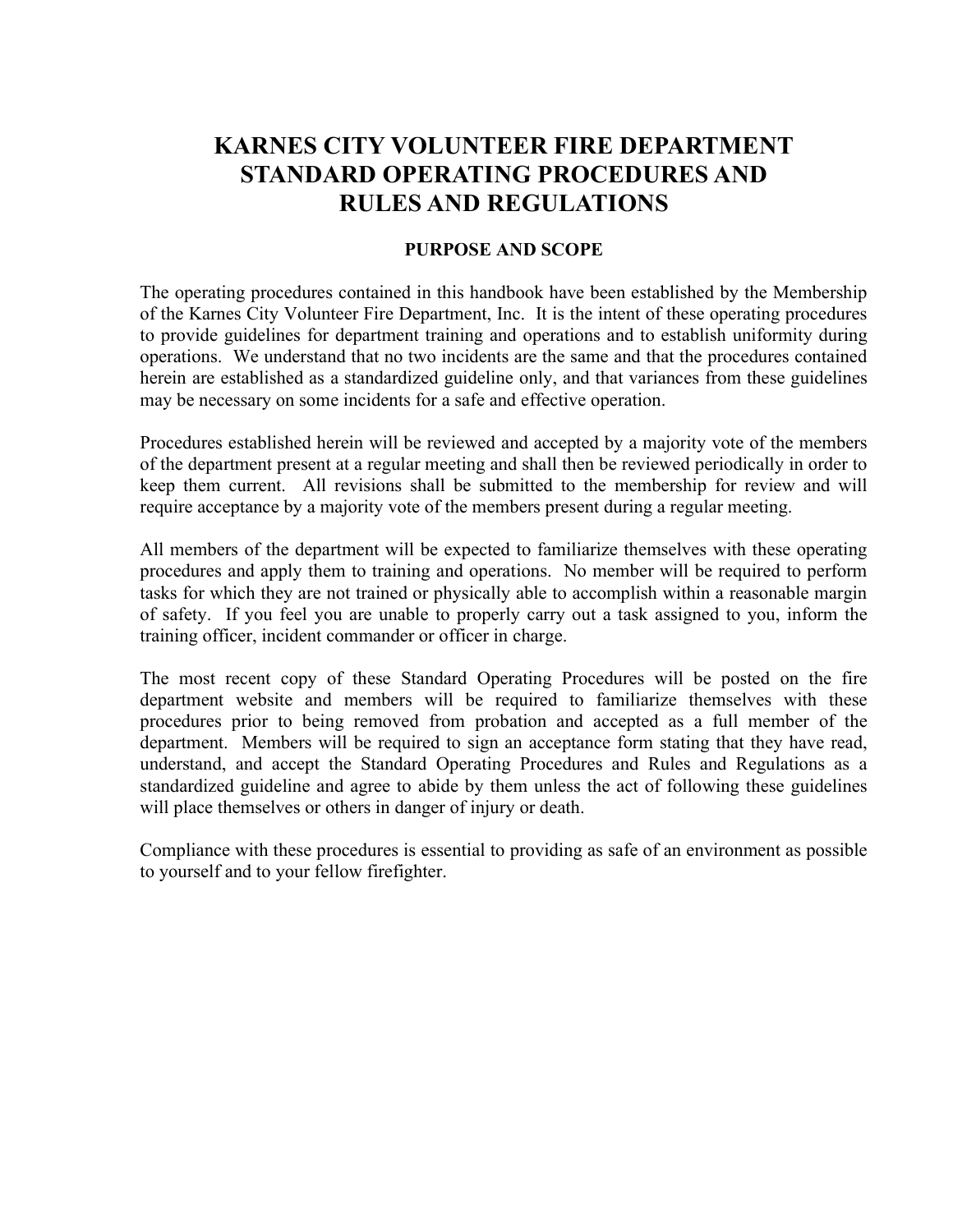# KARNES CITY VOLUNTEER FIRE DEPARTMENT STANDARD OPERATING PROCEDURES AND RULES AND REGULATIONS

#### PURPOSE AND SCOPE

The operating procedures contained in this handbook have been established by the Membership of the Karnes City Volunteer Fire Department, Inc. It is the intent of these operating procedures to provide guidelines for department training and operations and to establish uniformity during operations. We understand that no two incidents are the same and that the procedures contained herein are established as a standardized guideline only, and that variances from these guidelines may be necessary on some incidents for a safe and effective operation.

Procedures established herein will be reviewed and accepted by a majority vote of the members of the department present at a regular meeting and shall then be reviewed periodically in order to keep them current. All revisions shall be submitted to the membership for review and will require acceptance by a majority vote of the members present during a regular meeting.

All members of the department will be expected to familiarize themselves with these operating procedures and apply them to training and operations. No member will be required to perform tasks for which they are not trained or physically able to accomplish within a reasonable margin of safety. If you feel you are unable to properly carry out a task assigned to you, inform the training officer, incident commander or officer in charge.

The most recent copy of these Standard Operating Procedures will be posted on the fire department website and members will be required to familiarize themselves with these procedures prior to being removed from probation and accepted as a full member of the department. Members will be required to sign an acceptance form stating that they have read, understand, and accept the Standard Operating Procedures and Rules and Regulations as a standardized guideline and agree to abide by them unless the act of following these guidelines will place themselves or others in danger of injury or death.

Compliance with these procedures is essential to providing as safe of an environment as possible to yourself and to your fellow firefighter.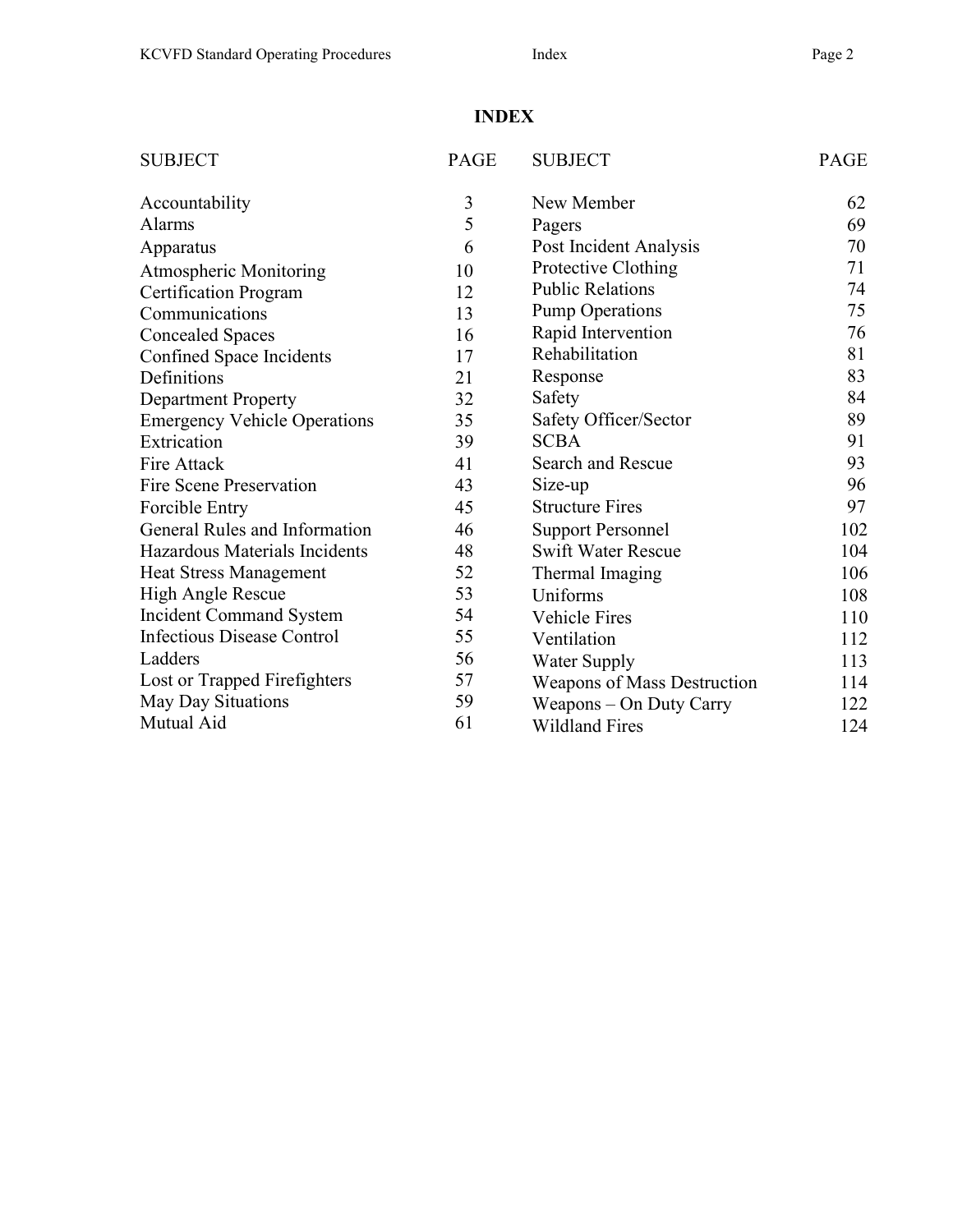# INDEX

| <b>SUBJECT</b>                      | <b>PAGE</b> | <b>SUBJECT</b>              | PAGE |
|-------------------------------------|-------------|-----------------------------|------|
| Accountability                      | 3           | New Member                  | 62   |
| <b>Alarms</b>                       | 5           | Pagers                      | 69   |
| Apparatus                           | 6           | Post Incident Analysis      | 70   |
| <b>Atmospheric Monitoring</b>       | 10          | Protective Clothing         | 71   |
| <b>Certification Program</b>        | 12          | <b>Public Relations</b>     | 74   |
| Communications                      | 13          | <b>Pump Operations</b>      | 75   |
| <b>Concealed Spaces</b>             | 16          | Rapid Intervention          | 76   |
| Confined Space Incidents            | 17          | Rehabilitation              | 81   |
| Definitions                         | 21          | Response                    | 83   |
| <b>Department Property</b>          | 32          | Safety                      | 84   |
| <b>Emergency Vehicle Operations</b> | 35          | Safety Officer/Sector       | 89   |
| Extrication                         | 39          | <b>SCBA</b>                 | 91   |
| <b>Fire Attack</b>                  | 41          | Search and Rescue           | 93   |
| <b>Fire Scene Preservation</b>      | 43          | Size-up                     | 96   |
| Forcible Entry                      | 45          | <b>Structure Fires</b>      | 97   |
| General Rules and Information       | 46          | <b>Support Personnel</b>    | 102  |
| Hazardous Materials Incidents       | 48          | <b>Swift Water Rescue</b>   | 104  |
| <b>Heat Stress Management</b>       | 52          | Thermal Imaging             | 106  |
| High Angle Rescue                   | 53          | Uniforms                    | 108  |
| <b>Incident Command System</b>      | 54          | <b>Vehicle Fires</b>        | 110  |
| <b>Infectious Disease Control</b>   | 55          | Ventilation                 | 112  |
| Ladders                             | 56          | <b>Water Supply</b>         | 113  |
| Lost or Trapped Firefighters        | 57          | Weapons of Mass Destruction | 114  |
| May Day Situations                  | 59          | Weapons - On Duty Carry     | 122  |
| Mutual Aid                          | 61          | <b>Wildland Fires</b>       | 124  |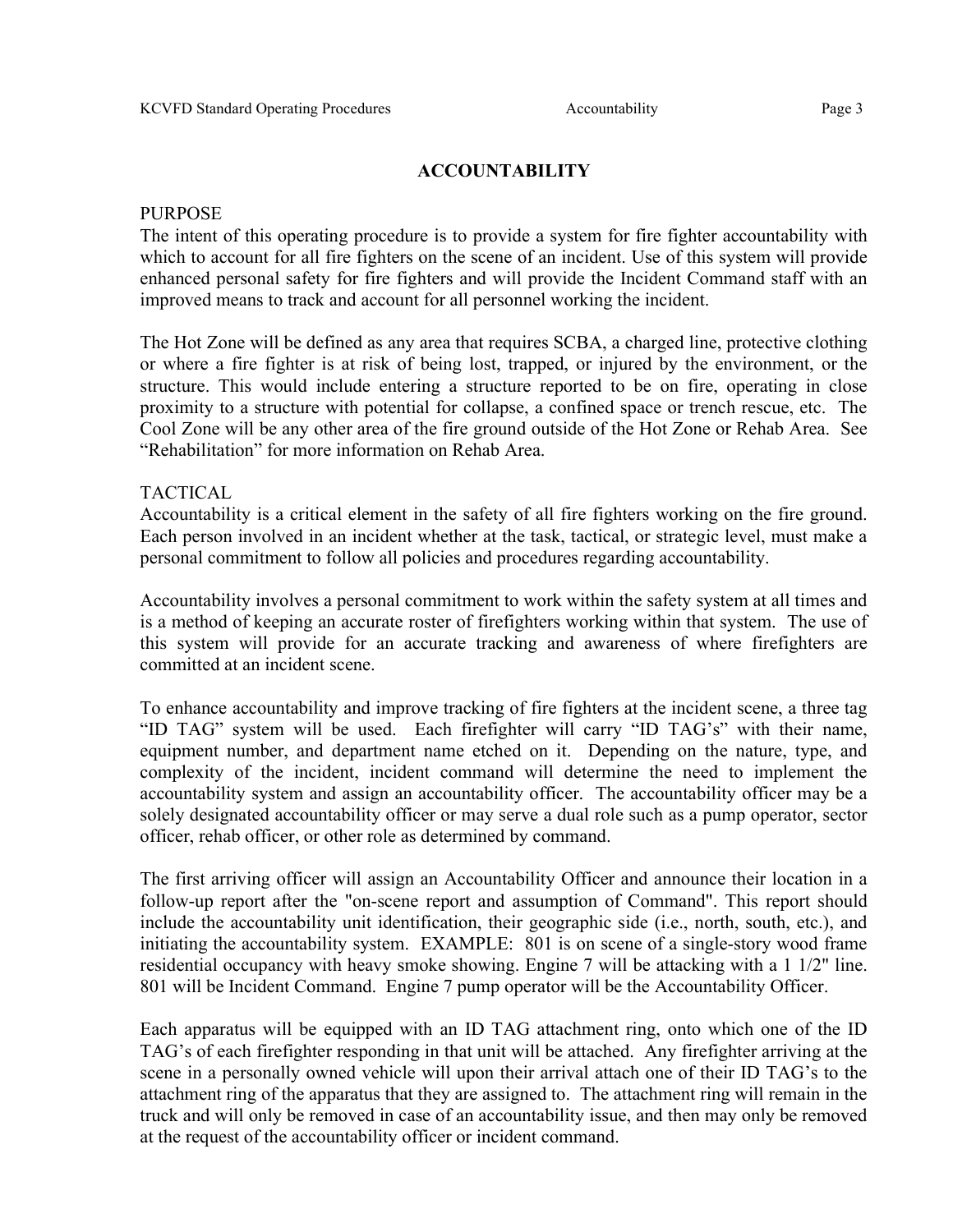#### ACCOUNTABILITY

#### PURPOSE

The intent of this operating procedure is to provide a system for fire fighter accountability with which to account for all fire fighters on the scene of an incident. Use of this system will provide enhanced personal safety for fire fighters and will provide the Incident Command staff with an improved means to track and account for all personnel working the incident.

The Hot Zone will be defined as any area that requires SCBA, a charged line, protective clothing or where a fire fighter is at risk of being lost, trapped, or injured by the environment, or the structure. This would include entering a structure reported to be on fire, operating in close proximity to a structure with potential for collapse, a confined space or trench rescue, etc. The Cool Zone will be any other area of the fire ground outside of the Hot Zone or Rehab Area. See "Rehabilitation" for more information on Rehab Area.

#### TACTICAL

Accountability is a critical element in the safety of all fire fighters working on the fire ground. Each person involved in an incident whether at the task, tactical, or strategic level, must make a personal commitment to follow all policies and procedures regarding accountability.

Accountability involves a personal commitment to work within the safety system at all times and is a method of keeping an accurate roster of firefighters working within that system. The use of this system will provide for an accurate tracking and awareness of where firefighters are committed at an incident scene.

To enhance accountability and improve tracking of fire fighters at the incident scene, a three tag "ID TAG" system will be used. Each firefighter will carry "ID TAG's" with their name, equipment number, and department name etched on it. Depending on the nature, type, and complexity of the incident, incident command will determine the need to implement the accountability system and assign an accountability officer. The accountability officer may be a solely designated accountability officer or may serve a dual role such as a pump operator, sector officer, rehab officer, or other role as determined by command.

The first arriving officer will assign an Accountability Officer and announce their location in a follow-up report after the "on-scene report and assumption of Command". This report should include the accountability unit identification, their geographic side (i.e., north, south, etc.), and initiating the accountability system. EXAMPLE: 801 is on scene of a single-story wood frame residential occupancy with heavy smoke showing. Engine 7 will be attacking with a 1 1/2" line. 801 will be Incident Command. Engine 7 pump operator will be the Accountability Officer.

Each apparatus will be equipped with an ID TAG attachment ring, onto which one of the ID TAG's of each firefighter responding in that unit will be attached. Any firefighter arriving at the scene in a personally owned vehicle will upon their arrival attach one of their ID TAG's to the attachment ring of the apparatus that they are assigned to. The attachment ring will remain in the truck and will only be removed in case of an accountability issue, and then may only be removed at the request of the accountability officer or incident command.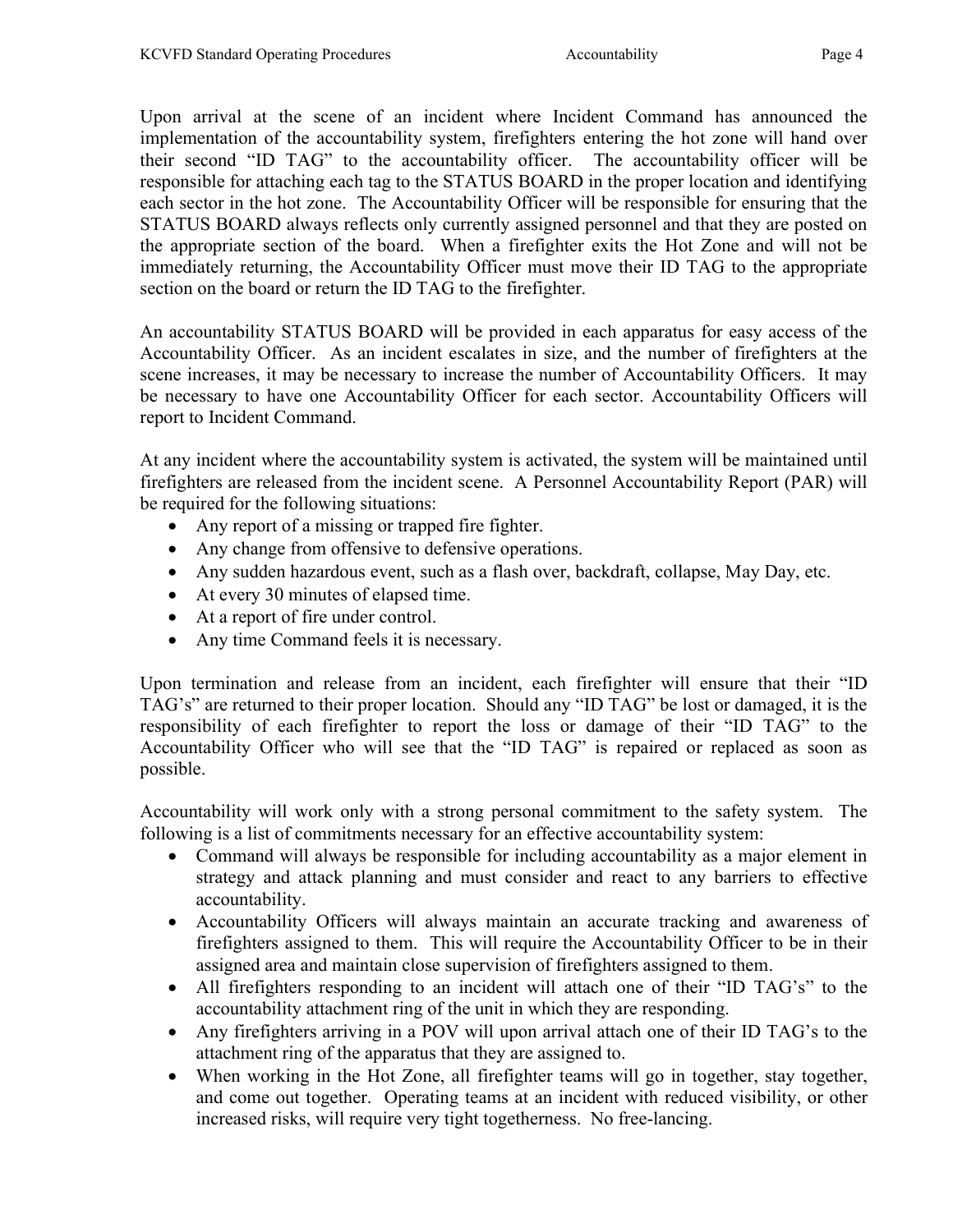Upon arrival at the scene of an incident where Incident Command has announced the implementation of the accountability system, firefighters entering the hot zone will hand over their second "ID TAG" to the accountability officer. The accountability officer will be responsible for attaching each tag to the STATUS BOARD in the proper location and identifying each sector in the hot zone. The Accountability Officer will be responsible for ensuring that the STATUS BOARD always reflects only currently assigned personnel and that they are posted on the appropriate section of the board. When a firefighter exits the Hot Zone and will not be immediately returning, the Accountability Officer must move their ID TAG to the appropriate section on the board or return the ID TAG to the firefighter.

An accountability STATUS BOARD will be provided in each apparatus for easy access of the Accountability Officer. As an incident escalates in size, and the number of firefighters at the scene increases, it may be necessary to increase the number of Accountability Officers. It may be necessary to have one Accountability Officer for each sector. Accountability Officers will report to Incident Command.

At any incident where the accountability system is activated, the system will be maintained until firefighters are released from the incident scene. A Personnel Accountability Report (PAR) will be required for the following situations:

- Any report of a missing or trapped fire fighter.
- Any change from offensive to defensive operations.
- Any sudden hazardous event, such as a flash over, backdraft, collapse, May Day, etc.
- At every 30 minutes of elapsed time.
- At a report of fire under control.
- Any time Command feels it is necessary.

Upon termination and release from an incident, each firefighter will ensure that their "ID TAG's" are returned to their proper location. Should any "ID TAG" be lost or damaged, it is the responsibility of each firefighter to report the loss or damage of their "ID TAG" to the Accountability Officer who will see that the "ID TAG" is repaired or replaced as soon as possible.

Accountability will work only with a strong personal commitment to the safety system. The following is a list of commitments necessary for an effective accountability system:

- Command will always be responsible for including accountability as a major element in strategy and attack planning and must consider and react to any barriers to effective accountability.
- Accountability Officers will always maintain an accurate tracking and awareness of firefighters assigned to them. This will require the Accountability Officer to be in their assigned area and maintain close supervision of firefighters assigned to them.
- All firefighters responding to an incident will attach one of their "ID TAG's" to the accountability attachment ring of the unit in which they are responding.
- Any firefighters arriving in a POV will upon arrival attach one of their ID TAG's to the attachment ring of the apparatus that they are assigned to.
- When working in the Hot Zone, all firefighter teams will go in together, stay together, and come out together. Operating teams at an incident with reduced visibility, or other increased risks, will require very tight togetherness. No free-lancing.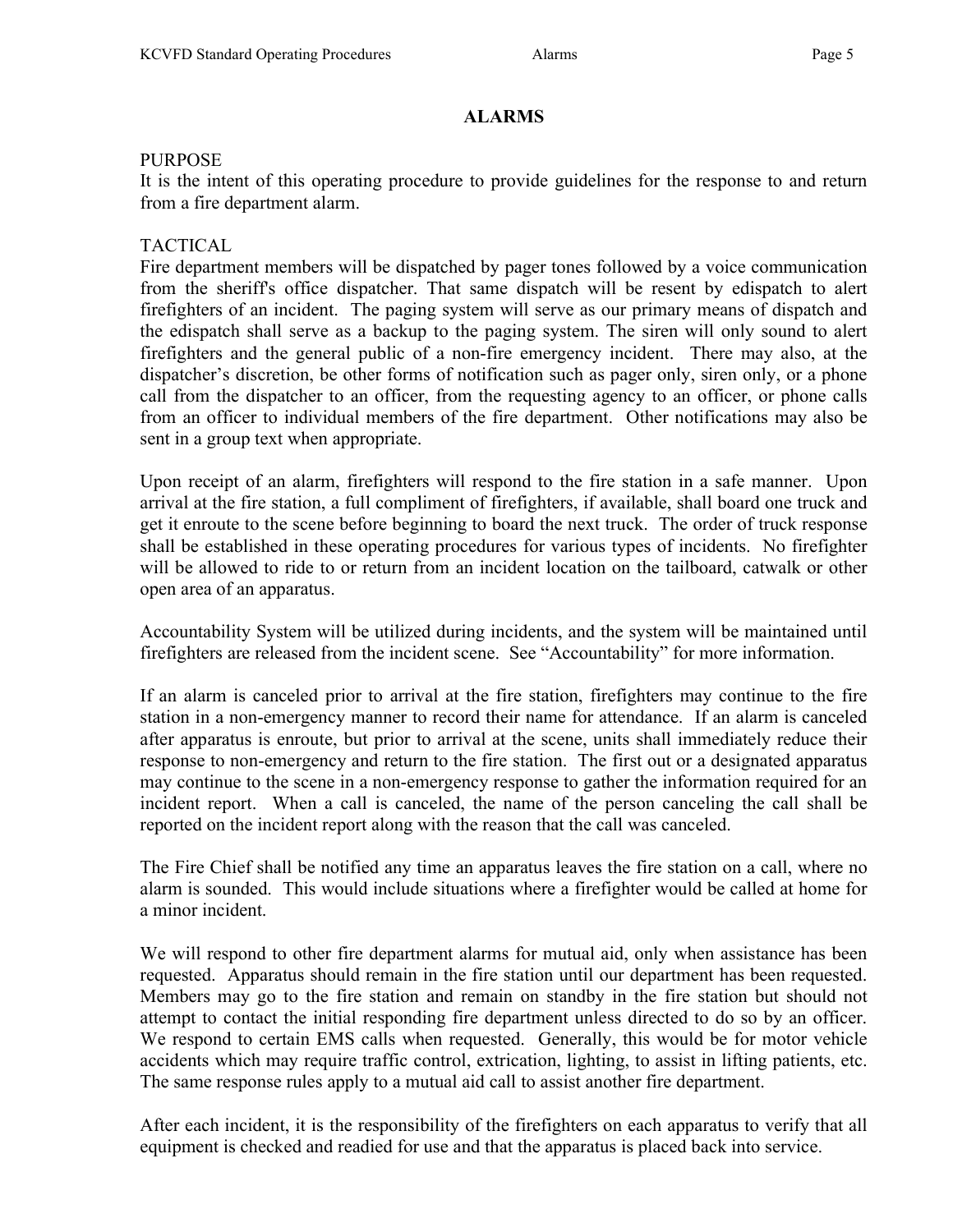### ALARMS

#### PURPOSE

It is the intent of this operating procedure to provide guidelines for the response to and return from a fire department alarm.

### TACTICAL

Fire department members will be dispatched by pager tones followed by a voice communication from the sheriff's office dispatcher. That same dispatch will be resent by edispatch to alert firefighters of an incident. The paging system will serve as our primary means of dispatch and the edispatch shall serve as a backup to the paging system. The siren will only sound to alert firefighters and the general public of a non-fire emergency incident. There may also, at the dispatcher's discretion, be other forms of notification such as pager only, siren only, or a phone call from the dispatcher to an officer, from the requesting agency to an officer, or phone calls from an officer to individual members of the fire department. Other notifications may also be sent in a group text when appropriate.

Upon receipt of an alarm, firefighters will respond to the fire station in a safe manner. Upon arrival at the fire station, a full compliment of firefighters, if available, shall board one truck and get it enroute to the scene before beginning to board the next truck. The order of truck response shall be established in these operating procedures for various types of incidents. No firefighter will be allowed to ride to or return from an incident location on the tailboard, catwalk or other open area of an apparatus.

Accountability System will be utilized during incidents, and the system will be maintained until firefighters are released from the incident scene. See "Accountability" for more information.

If an alarm is canceled prior to arrival at the fire station, firefighters may continue to the fire station in a non-emergency manner to record their name for attendance. If an alarm is canceled after apparatus is enroute, but prior to arrival at the scene, units shall immediately reduce their response to non-emergency and return to the fire station. The first out or a designated apparatus may continue to the scene in a non-emergency response to gather the information required for an incident report. When a call is canceled, the name of the person canceling the call shall be reported on the incident report along with the reason that the call was canceled.

The Fire Chief shall be notified any time an apparatus leaves the fire station on a call, where no alarm is sounded. This would include situations where a firefighter would be called at home for a minor incident.

We will respond to other fire department alarms for mutual aid, only when assistance has been requested. Apparatus should remain in the fire station until our department has been requested. Members may go to the fire station and remain on standby in the fire station but should not attempt to contact the initial responding fire department unless directed to do so by an officer. We respond to certain EMS calls when requested. Generally, this would be for motor vehicle accidents which may require traffic control, extrication, lighting, to assist in lifting patients, etc. The same response rules apply to a mutual aid call to assist another fire department.

After each incident, it is the responsibility of the firefighters on each apparatus to verify that all equipment is checked and readied for use and that the apparatus is placed back into service.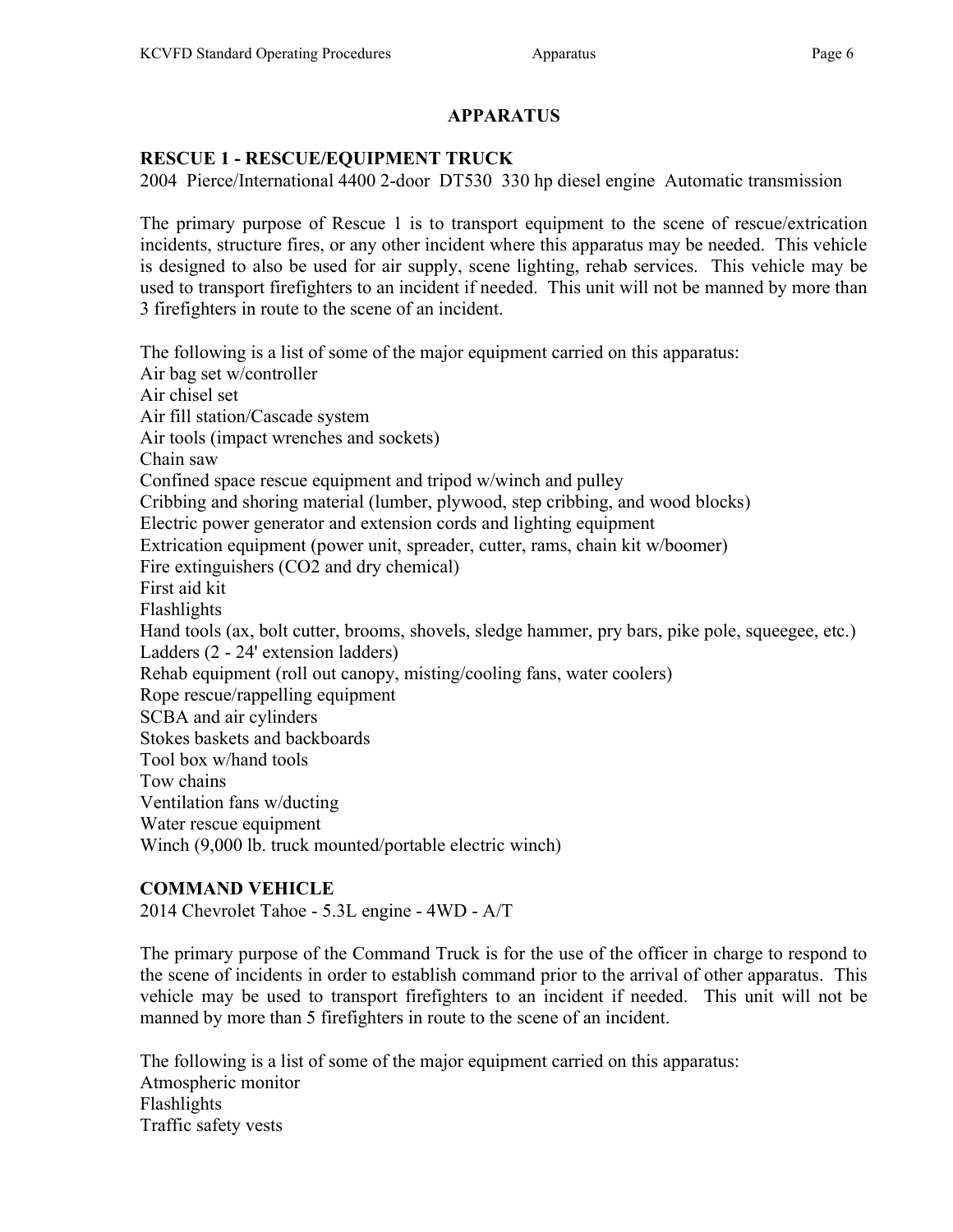### APPARATUS

### RESCUE 1 - RESCUE/EQUIPMENT TRUCK

2004 Pierce/International 4400 2-door DT530 330 hp diesel engine Automatic transmission

The primary purpose of Rescue 1 is to transport equipment to the scene of rescue/extrication incidents, structure fires, or any other incident where this apparatus may be needed. This vehicle is designed to also be used for air supply, scene lighting, rehab services. This vehicle may be used to transport firefighters to an incident if needed. This unit will not be manned by more than 3 firefighters in route to the scene of an incident.

The following is a list of some of the major equipment carried on this apparatus: Air bag set w/controller Air chisel set Air fill station/Cascade system Air tools (impact wrenches and sockets) Chain saw Confined space rescue equipment and tripod w/winch and pulley Cribbing and shoring material (lumber, plywood, step cribbing, and wood blocks) Electric power generator and extension cords and lighting equipment Extrication equipment (power unit, spreader, cutter, rams, chain kit w/boomer) Fire extinguishers (CO2 and dry chemical) First aid kit Flashlights Hand tools (ax, bolt cutter, brooms, shovels, sledge hammer, pry bars, pike pole, squeegee, etc.) Ladders (2 - 24' extension ladders) Rehab equipment (roll out canopy, misting/cooling fans, water coolers) Rope rescue/rappelling equipment SCBA and air cylinders Stokes baskets and backboards Tool box w/hand tools Tow chains Ventilation fans w/ducting Water rescue equipment Winch (9,000 lb. truck mounted/portable electric winch)

### COMMAND VEHICLE

2014 Chevrolet Tahoe - 5.3L engine - 4WD - A/T

The primary purpose of the Command Truck is for the use of the officer in charge to respond to the scene of incidents in order to establish command prior to the arrival of other apparatus. This vehicle may be used to transport firefighters to an incident if needed. This unit will not be manned by more than 5 firefighters in route to the scene of an incident.

The following is a list of some of the major equipment carried on this apparatus: Atmospheric monitor Flashlights Traffic safety vests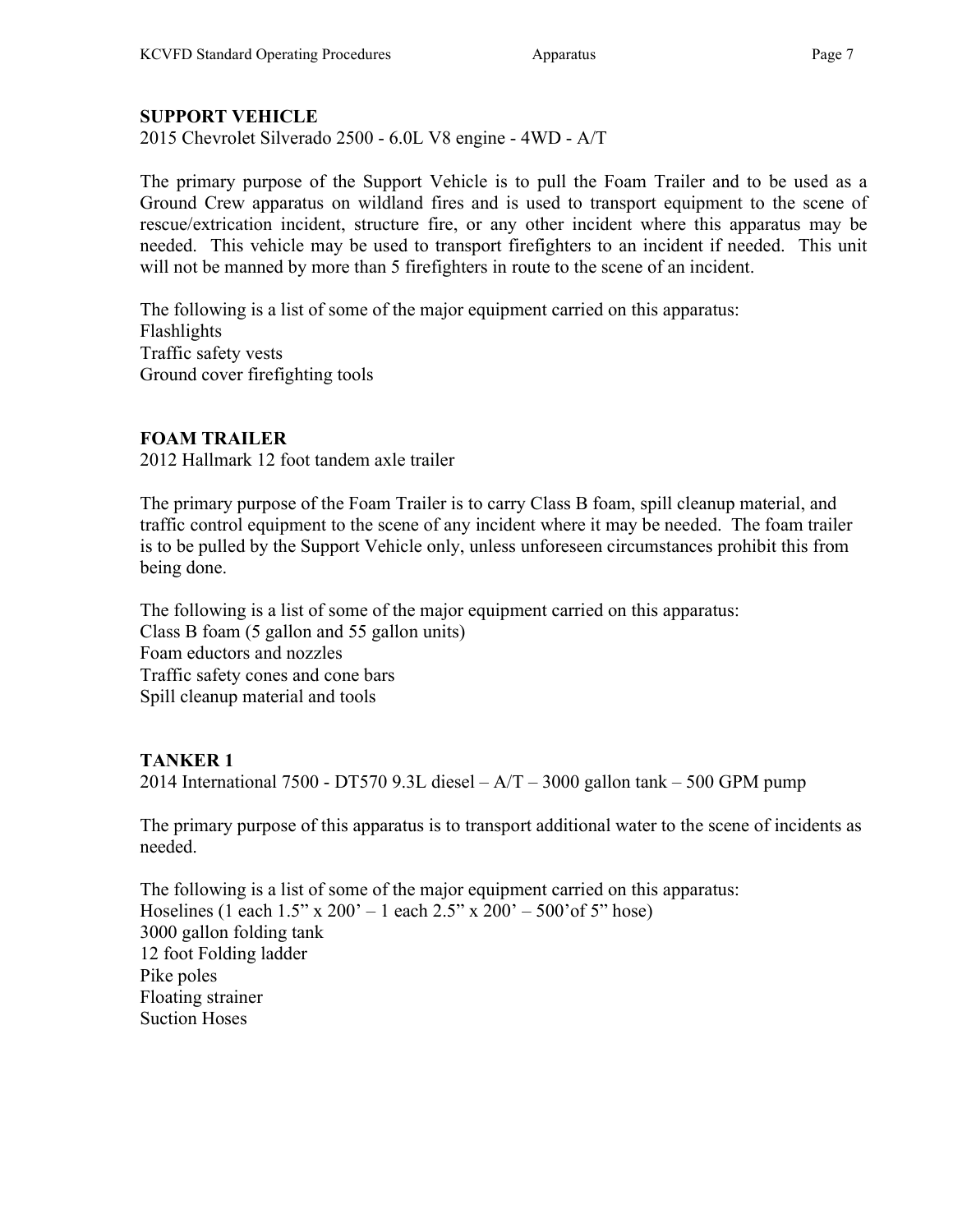## SUPPORT VEHICLE

2015 Chevrolet Silverado 2500 - 6.0L V8 engine - 4WD - A/T

The primary purpose of the Support Vehicle is to pull the Foam Trailer and to be used as a Ground Crew apparatus on wildland fires and is used to transport equipment to the scene of rescue/extrication incident, structure fire, or any other incident where this apparatus may be needed. This vehicle may be used to transport firefighters to an incident if needed. This unit will not be manned by more than 5 firefighters in route to the scene of an incident.

The following is a list of some of the major equipment carried on this apparatus: Flashlights Traffic safety vests Ground cover firefighting tools

### FOAM TRAILER

2012 Hallmark 12 foot tandem axle trailer

The primary purpose of the Foam Trailer is to carry Class B foam, spill cleanup material, and traffic control equipment to the scene of any incident where it may be needed. The foam trailer is to be pulled by the Support Vehicle only, unless unforeseen circumstances prohibit this from being done.

The following is a list of some of the major equipment carried on this apparatus: Class B foam (5 gallon and 55 gallon units) Foam eductors and nozzles Traffic safety cones and cone bars Spill cleanup material and tools

## TANKER 1

2014 International 7500 - DT570 9.3L diesel –  $A/T - 3000$  gallon tank – 500 GPM pump

The primary purpose of this apparatus is to transport additional water to the scene of incidents as needed.

The following is a list of some of the major equipment carried on this apparatus: Hoselines (1 each  $1.5$ " x  $200' - 1$  each  $2.5$ " x  $200' - 500'$  of  $5$ " hose) 3000 gallon folding tank 12 foot Folding ladder Pike poles Floating strainer Suction Hoses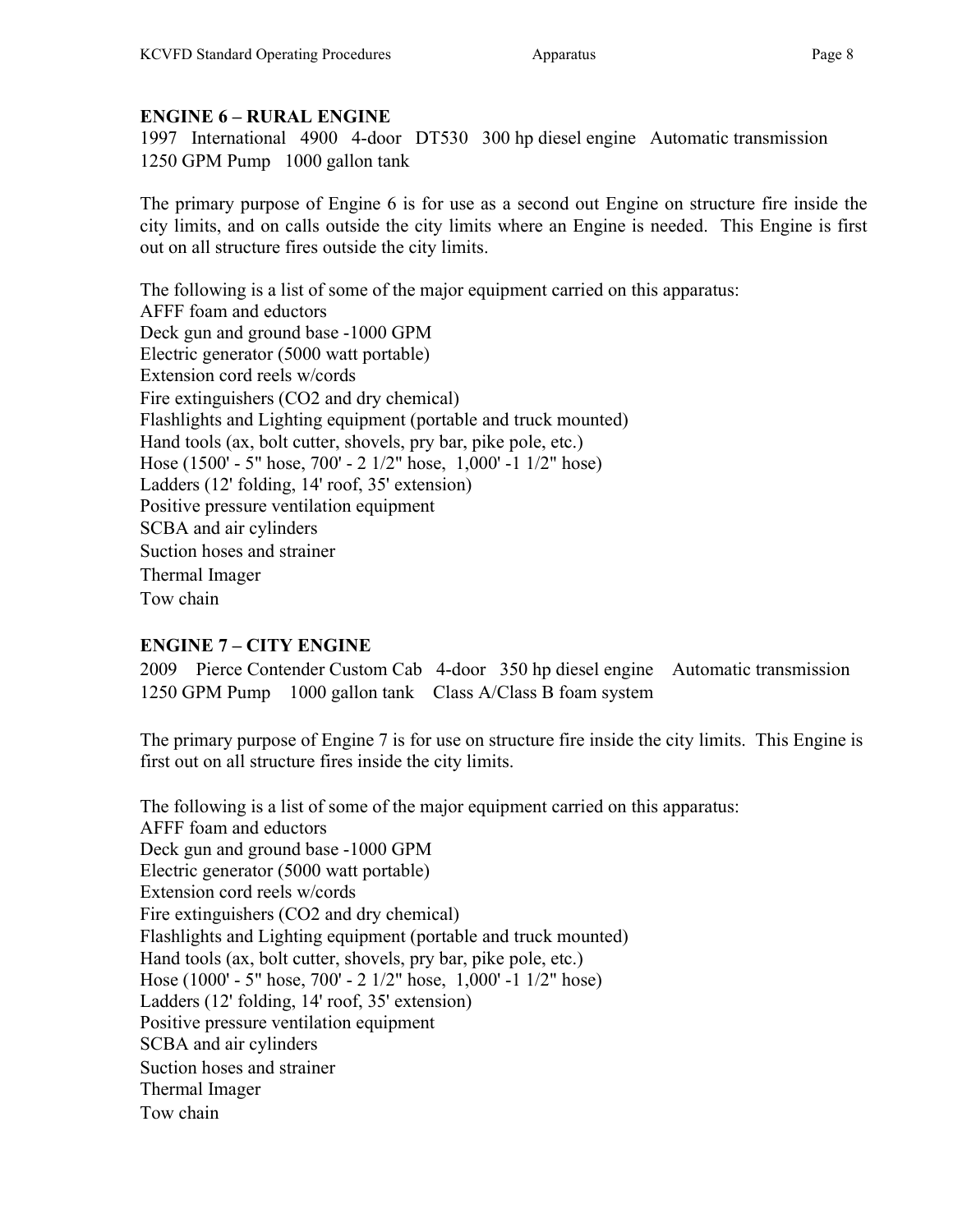### ENGINE 6 – RURAL ENGINE

1997 International 4900 4-door DT530 300 hp diesel engine Automatic transmission 1250 GPM Pump 1000 gallon tank

The primary purpose of Engine 6 is for use as a second out Engine on structure fire inside the city limits, and on calls outside the city limits where an Engine is needed. This Engine is first out on all structure fires outside the city limits.

The following is a list of some of the major equipment carried on this apparatus: AFFF foam and eductors Deck gun and ground base -1000 GPM Electric generator (5000 watt portable) Extension cord reels w/cords Fire extinguishers (CO2 and dry chemical) Flashlights and Lighting equipment (portable and truck mounted) Hand tools (ax, bolt cutter, shovels, pry bar, pike pole, etc.) Hose (1500' - 5" hose, 700' - 2 1/2" hose, 1,000' -1 1/2" hose) Ladders (12' folding, 14' roof, 35' extension) Positive pressure ventilation equipment SCBA and air cylinders Suction hoses and strainer Thermal Imager Tow chain

## ENGINE 7 – CITY ENGINE

2009 Pierce Contender Custom Cab 4-door 350 hp diesel engine Automatic transmission 1250 GPM Pump 1000 gallon tank Class A/Class B foam system

The primary purpose of Engine 7 is for use on structure fire inside the city limits. This Engine is first out on all structure fires inside the city limits.

The following is a list of some of the major equipment carried on this apparatus: AFFF foam and eductors Deck gun and ground base -1000 GPM Electric generator (5000 watt portable) Extension cord reels w/cords Fire extinguishers (CO2 and dry chemical) Flashlights and Lighting equipment (portable and truck mounted) Hand tools (ax, bolt cutter, shovels, pry bar, pike pole, etc.) Hose (1000' - 5" hose, 700' - 2 1/2" hose, 1,000' -1 1/2" hose) Ladders (12' folding, 14' roof, 35' extension) Positive pressure ventilation equipment SCBA and air cylinders Suction hoses and strainer Thermal Imager Tow chain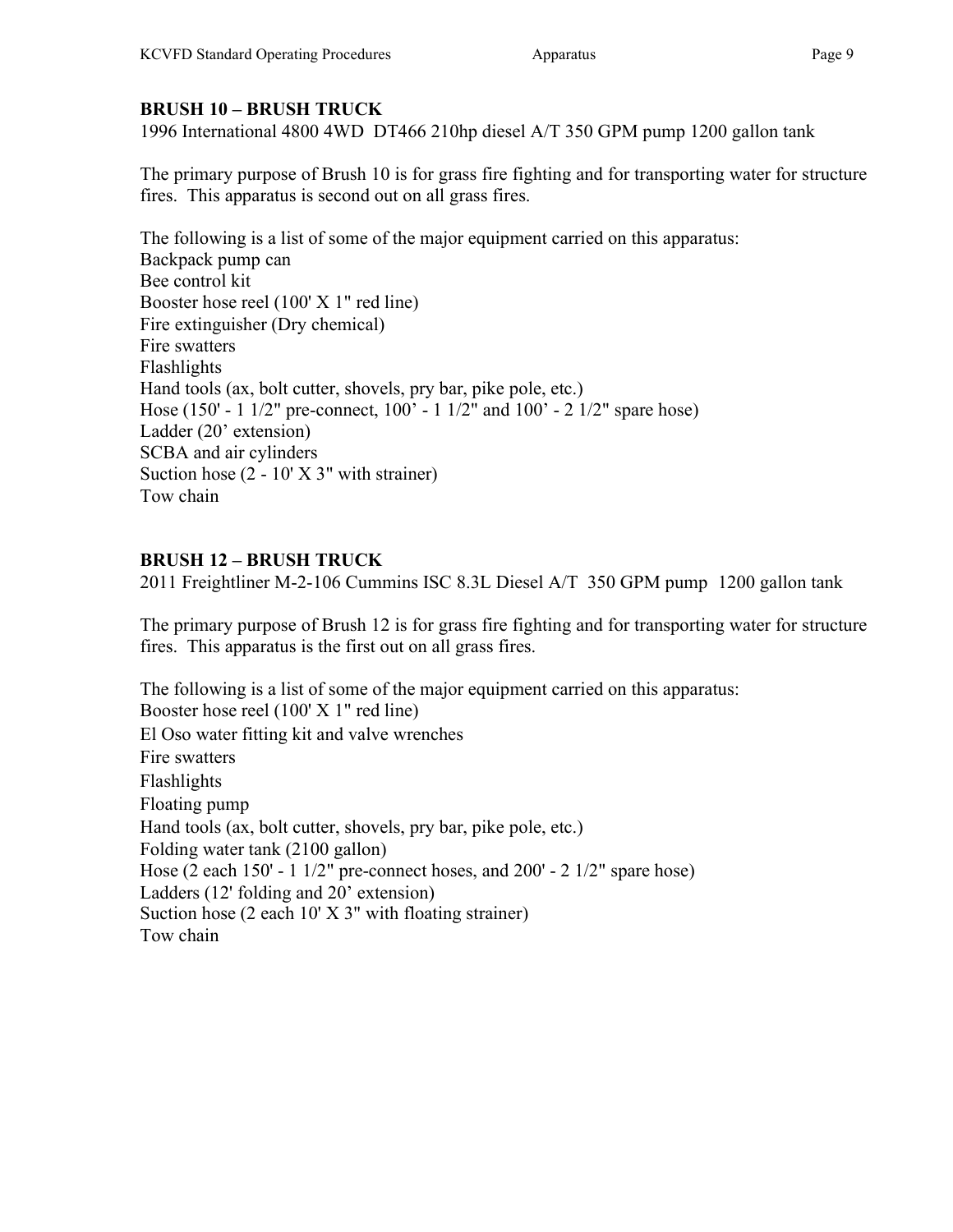## BRUSH 10 – BRUSH TRUCK

1996 International 4800 4WD DT466 210hp diesel A/T 350 GPM pump 1200 gallon tank

The primary purpose of Brush 10 is for grass fire fighting and for transporting water for structure fires. This apparatus is second out on all grass fires.

The following is a list of some of the major equipment carried on this apparatus: Backpack pump can Bee control kit Booster hose reel (100' X 1" red line) Fire extinguisher (Dry chemical) Fire swatters Flashlights Hand tools (ax, bolt cutter, shovels, pry bar, pike pole, etc.) Hose (150' - 1 1/2" pre-connect, 100' - 1 1/2" and 100' - 2 1/2" spare hose) Ladder (20' extension) SCBA and air cylinders Suction hose (2 - 10' X 3" with strainer) Tow chain

# BRUSH 12 – BRUSH TRUCK

2011 Freightliner M-2-106 Cummins ISC 8.3L Diesel A/T 350 GPM pump 1200 gallon tank

The primary purpose of Brush 12 is for grass fire fighting and for transporting water for structure fires. This apparatus is the first out on all grass fires.

The following is a list of some of the major equipment carried on this apparatus: Booster hose reel (100' X 1" red line) El Oso water fitting kit and valve wrenches Fire swatters Flashlights Floating pump Hand tools (ax, bolt cutter, shovels, pry bar, pike pole, etc.) Folding water tank (2100 gallon) Hose (2 each 150' - 1 1/2" pre-connect hoses, and 200' - 2 1/2" spare hose) Ladders (12' folding and 20' extension) Suction hose  $(2 \text{ each } 10' \text{ X } 3''$  with floating strainer) Tow chain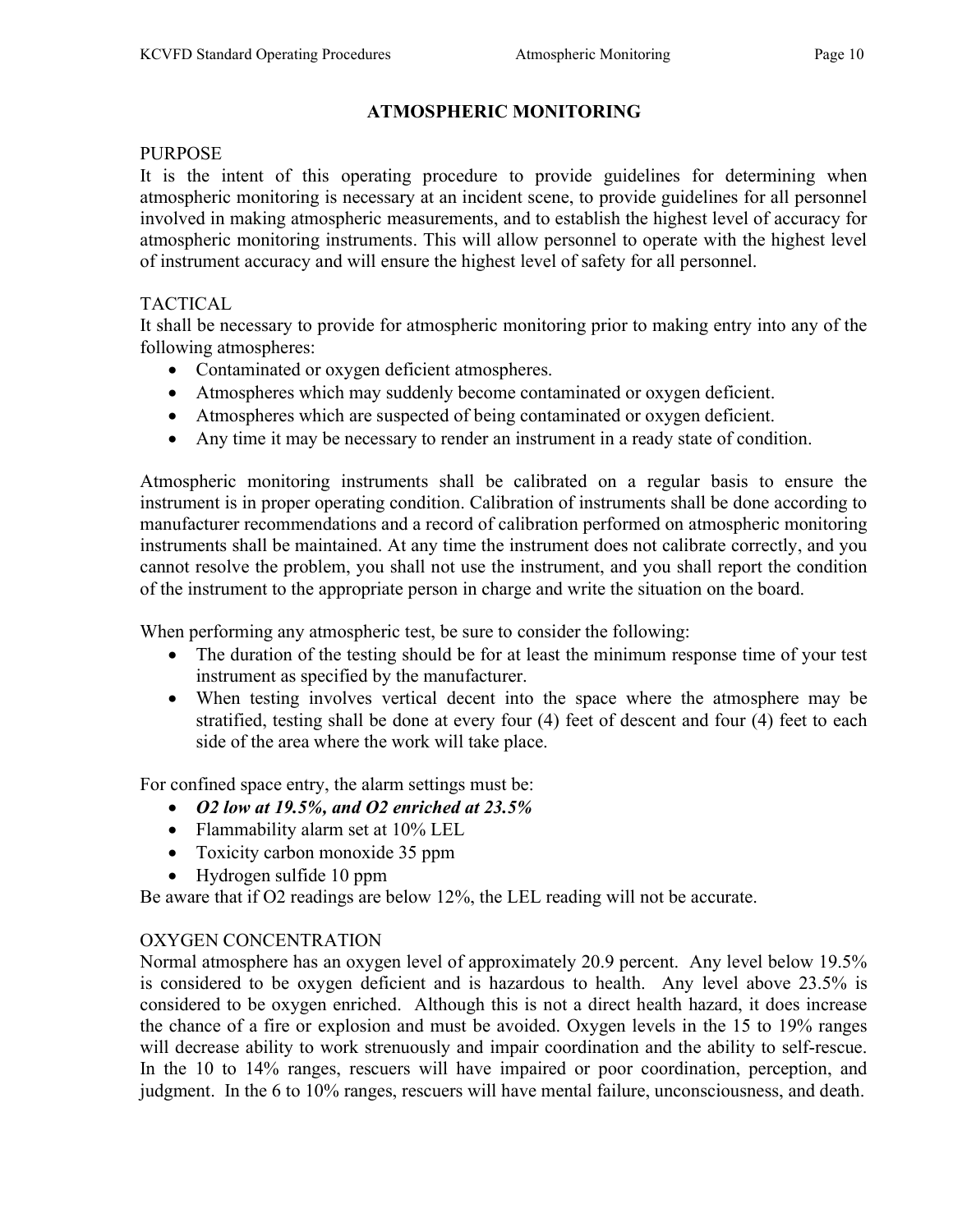### ATMOSPHERIC MONITORING

#### PURPOSE

It is the intent of this operating procedure to provide guidelines for determining when atmospheric monitoring is necessary at an incident scene, to provide guidelines for all personnel involved in making atmospheric measurements, and to establish the highest level of accuracy for atmospheric monitoring instruments. This will allow personnel to operate with the highest level of instrument accuracy and will ensure the highest level of safety for all personnel.

### TACTICAL

It shall be necessary to provide for atmospheric monitoring prior to making entry into any of the following atmospheres:

- Contaminated or oxygen deficient atmospheres.
- Atmospheres which may suddenly become contaminated or oxygen deficient.
- Atmospheres which are suspected of being contaminated or oxygen deficient.
- Any time it may be necessary to render an instrument in a ready state of condition.

Atmospheric monitoring instruments shall be calibrated on a regular basis to ensure the instrument is in proper operating condition. Calibration of instruments shall be done according to manufacturer recommendations and a record of calibration performed on atmospheric monitoring instruments shall be maintained. At any time the instrument does not calibrate correctly, and you cannot resolve the problem, you shall not use the instrument, and you shall report the condition of the instrument to the appropriate person in charge and write the situation on the board.

When performing any atmospheric test, be sure to consider the following:

- The duration of the testing should be for at least the minimum response time of your test instrument as specified by the manufacturer.
- When testing involves vertical decent into the space where the atmosphere may be stratified, testing shall be done at every four (4) feet of descent and four (4) feet to each side of the area where the work will take place.

For confined space entry, the alarm settings must be:

- $\bullet$  O2 low at 19.5%, and O2 enriched at 23.5%
- Flammability alarm set at 10% LEL
- Toxicity carbon monoxide 35 ppm
- Hydrogen sulfide 10 ppm

Be aware that if O2 readings are below 12%, the LEL reading will not be accurate.

### OXYGEN CONCENTRATION

Normal atmosphere has an oxygen level of approximately 20.9 percent. Any level below 19.5% is considered to be oxygen deficient and is hazardous to health. Any level above 23.5% is considered to be oxygen enriched. Although this is not a direct health hazard, it does increase the chance of a fire or explosion and must be avoided. Oxygen levels in the 15 to 19% ranges will decrease ability to work strenuously and impair coordination and the ability to self-rescue. In the 10 to 14% ranges, rescuers will have impaired or poor coordination, perception, and judgment. In the 6 to 10% ranges, rescuers will have mental failure, unconsciousness, and death.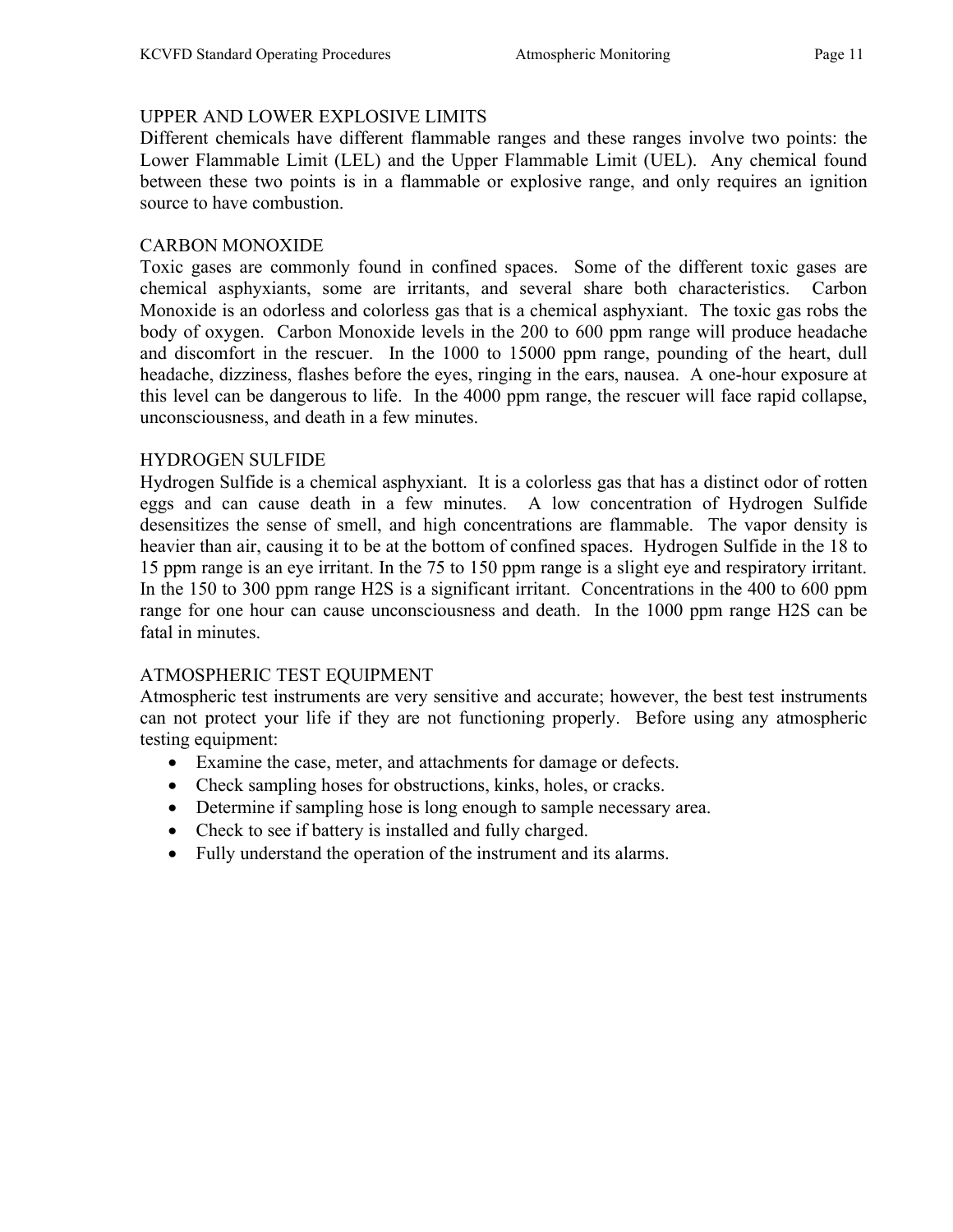#### UPPER AND LOWER EXPLOSIVE LIMITS

Different chemicals have different flammable ranges and these ranges involve two points: the Lower Flammable Limit (LEL) and the Upper Flammable Limit (UEL). Any chemical found between these two points is in a flammable or explosive range, and only requires an ignition source to have combustion.

#### CARBON MONOXIDE

Toxic gases are commonly found in confined spaces. Some of the different toxic gases are chemical asphyxiants, some are irritants, and several share both characteristics. Carbon Monoxide is an odorless and colorless gas that is a chemical asphyxiant. The toxic gas robs the body of oxygen. Carbon Monoxide levels in the 200 to 600 ppm range will produce headache and discomfort in the rescuer. In the 1000 to 15000 ppm range, pounding of the heart, dull headache, dizziness, flashes before the eyes, ringing in the ears, nausea. A one-hour exposure at this level can be dangerous to life. In the 4000 ppm range, the rescuer will face rapid collapse, unconsciousness, and death in a few minutes.

#### HYDROGEN SULFIDE

Hydrogen Sulfide is a chemical asphyxiant. It is a colorless gas that has a distinct odor of rotten eggs and can cause death in a few minutes. A low concentration of Hydrogen Sulfide desensitizes the sense of smell, and high concentrations are flammable. The vapor density is heavier than air, causing it to be at the bottom of confined spaces. Hydrogen Sulfide in the 18 to 15 ppm range is an eye irritant. In the 75 to 150 ppm range is a slight eye and respiratory irritant. In the 150 to 300 ppm range H2S is a significant irritant. Concentrations in the 400 to 600 ppm range for one hour can cause unconsciousness and death. In the 1000 ppm range H2S can be fatal in minutes.

### ATMOSPHERIC TEST EQUIPMENT

Atmospheric test instruments are very sensitive and accurate; however, the best test instruments can not protect your life if they are not functioning properly. Before using any atmospheric testing equipment:

- Examine the case, meter, and attachments for damage or defects.
- Check sampling hoses for obstructions, kinks, holes, or cracks.
- Determine if sampling hose is long enough to sample necessary area.
- Check to see if battery is installed and fully charged.
- Fully understand the operation of the instrument and its alarms.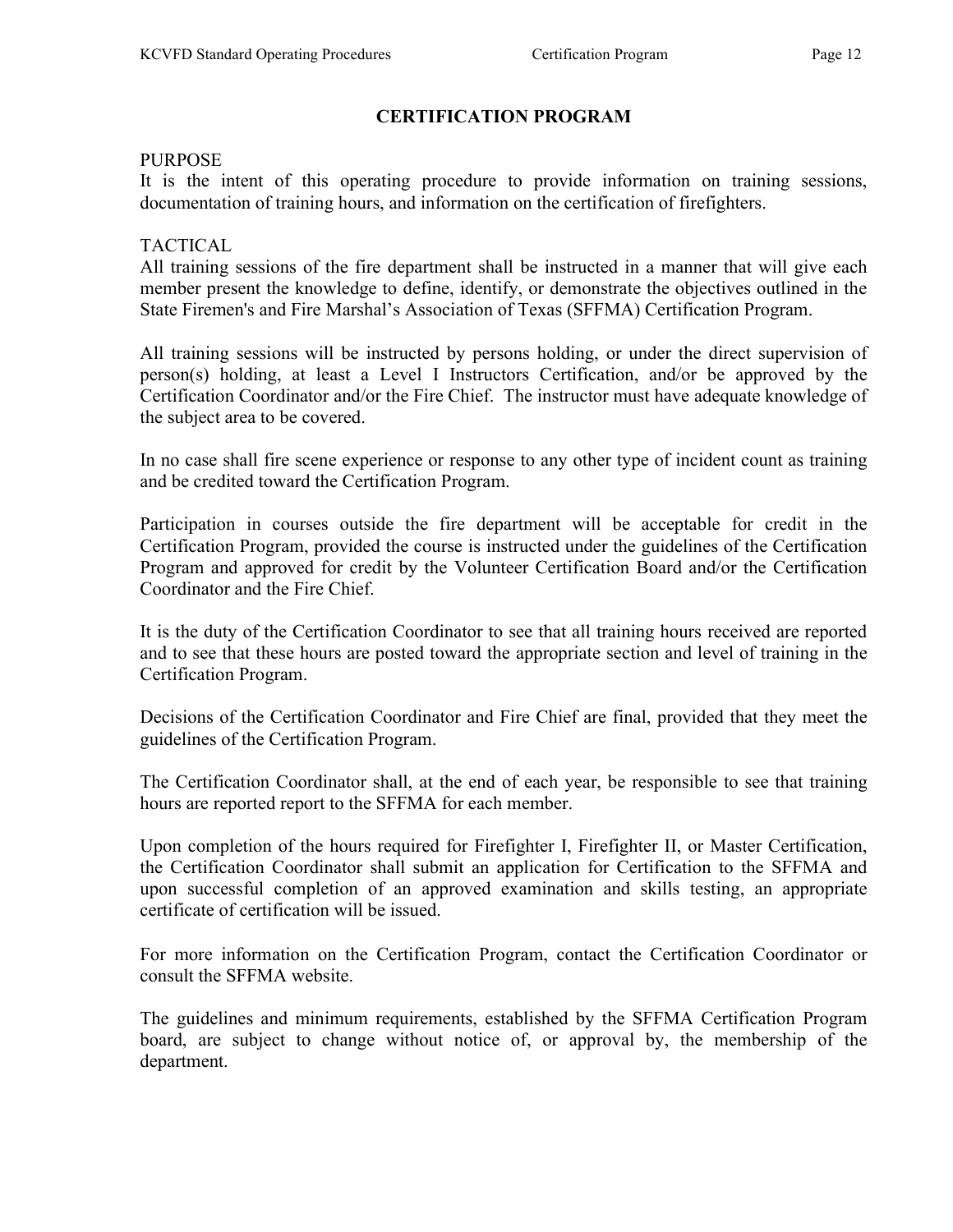# CERTIFICATION PROGRAM

#### PURPOSE

It is the intent of this operating procedure to provide information on training sessions, documentation of training hours, and information on the certification of firefighters.

### TACTICAL

All training sessions of the fire department shall be instructed in a manner that will give each member present the knowledge to define, identify, or demonstrate the objectives outlined in the State Firemen's and Fire Marshal's Association of Texas (SFFMA) Certification Program.

All training sessions will be instructed by persons holding, or under the direct supervision of person(s) holding, at least a Level I Instructors Certification, and/or be approved by the Certification Coordinator and/or the Fire Chief. The instructor must have adequate knowledge of the subject area to be covered.

In no case shall fire scene experience or response to any other type of incident count as training and be credited toward the Certification Program.

Participation in courses outside the fire department will be acceptable for credit in the Certification Program, provided the course is instructed under the guidelines of the Certification Program and approved for credit by the Volunteer Certification Board and/or the Certification Coordinator and the Fire Chief.

It is the duty of the Certification Coordinator to see that all training hours received are reported and to see that these hours are posted toward the appropriate section and level of training in the Certification Program.

Decisions of the Certification Coordinator and Fire Chief are final, provided that they meet the guidelines of the Certification Program.

The Certification Coordinator shall, at the end of each year, be responsible to see that training hours are reported report to the SFFMA for each member.

Upon completion of the hours required for Firefighter I, Firefighter II, or Master Certification, the Certification Coordinator shall submit an application for Certification to the SFFMA and upon successful completion of an approved examination and skills testing, an appropriate certificate of certification will be issued.

For more information on the Certification Program, contact the Certification Coordinator or consult the SFFMA website.

The guidelines and minimum requirements, established by the SFFMA Certification Program board, are subject to change without notice of, or approval by, the membership of the department.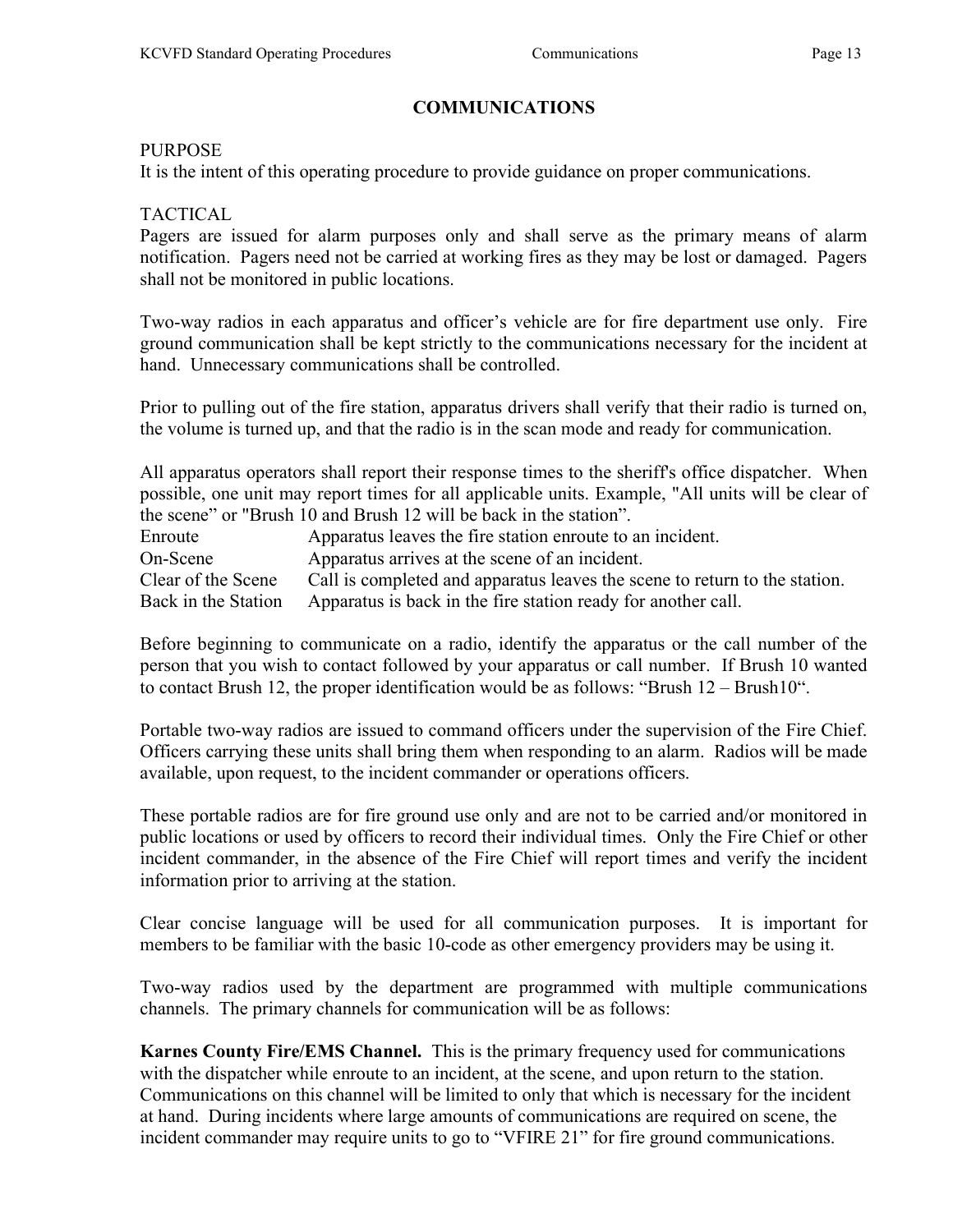### COMMUNICATIONS

#### PURPOSE

It is the intent of this operating procedure to provide guidance on proper communications.

#### TACTICAL

Pagers are issued for alarm purposes only and shall serve as the primary means of alarm notification. Pagers need not be carried at working fires as they may be lost or damaged. Pagers shall not be monitored in public locations.

Two-way radios in each apparatus and officer's vehicle are for fire department use only. Fire ground communication shall be kept strictly to the communications necessary for the incident at hand. Unnecessary communications shall be controlled.

Prior to pulling out of the fire station, apparatus drivers shall verify that their radio is turned on, the volume is turned up, and that the radio is in the scan mode and ready for communication.

All apparatus operators shall report their response times to the sheriff's office dispatcher. When possible, one unit may report times for all applicable units. Example, "All units will be clear of the scene" or "Brush 10 and Brush 12 will be back in the station".

Enroute **Apparatus leaves the fire station enroute to an incident.** On-Scene Apparatus arrives at the scene of an incident. Clear of the Scene Call is completed and apparatus leaves the scene to return to the station. Back in the Station Apparatus is back in the fire station ready for another call.

Before beginning to communicate on a radio, identify the apparatus or the call number of the person that you wish to contact followed by your apparatus or call number. If Brush 10 wanted to contact Brush 12, the proper identification would be as follows: "Brush 12 – Brush10".

Portable two-way radios are issued to command officers under the supervision of the Fire Chief. Officers carrying these units shall bring them when responding to an alarm. Radios will be made available, upon request, to the incident commander or operations officers.

These portable radios are for fire ground use only and are not to be carried and/or monitored in public locations or used by officers to record their individual times. Only the Fire Chief or other incident commander, in the absence of the Fire Chief will report times and verify the incident information prior to arriving at the station.

Clear concise language will be used for all communication purposes. It is important for members to be familiar with the basic 10-code as other emergency providers may be using it.

Two-way radios used by the department are programmed with multiple communications channels. The primary channels for communication will be as follows:

Karnes County Fire/EMS Channel. This is the primary frequency used for communications with the dispatcher while enroute to an incident, at the scene, and upon return to the station. Communications on this channel will be limited to only that which is necessary for the incident at hand. During incidents where large amounts of communications are required on scene, the incident commander may require units to go to "VFIRE 21" for fire ground communications.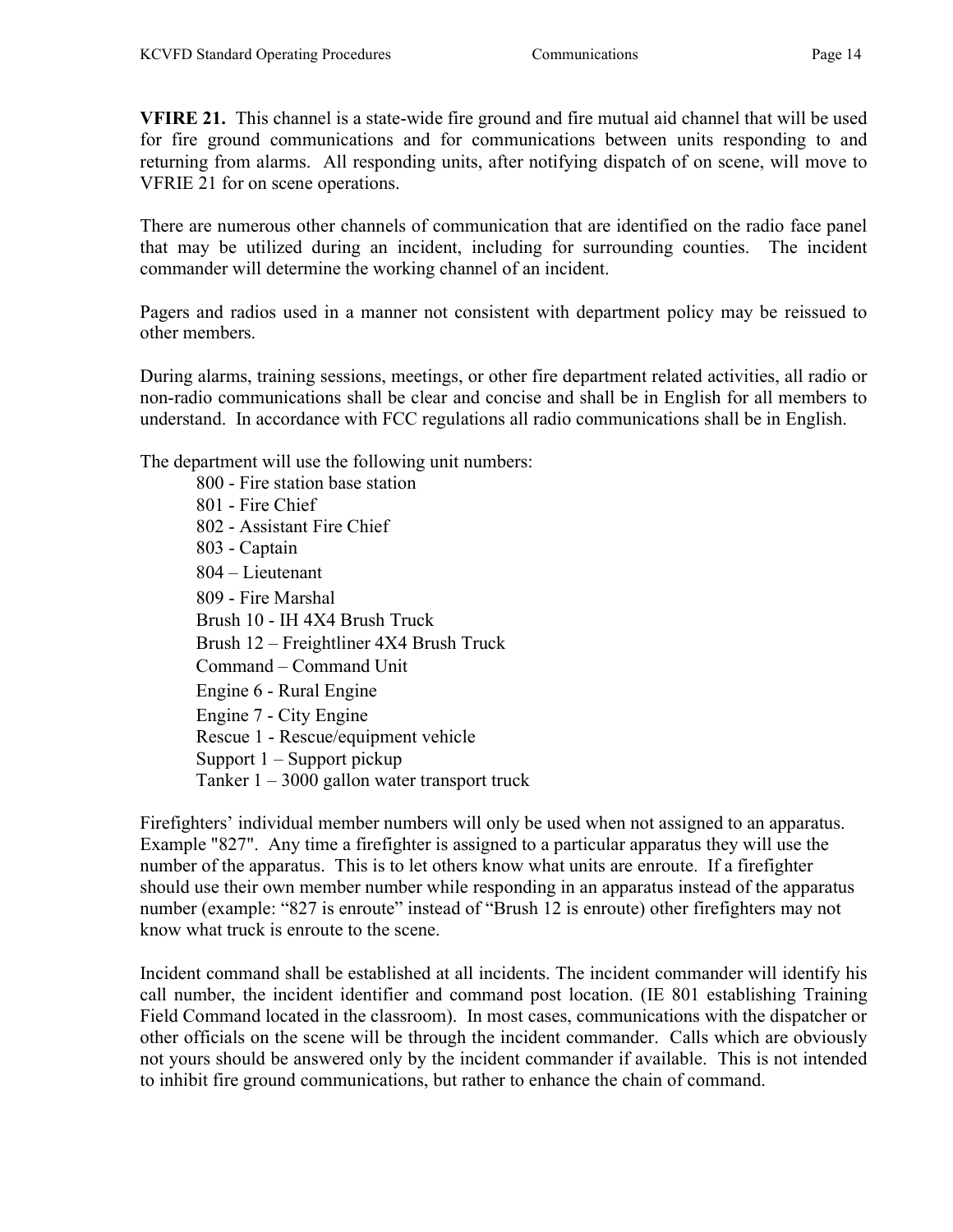VFIRE 21. This channel is a state-wide fire ground and fire mutual aid channel that will be used for fire ground communications and for communications between units responding to and returning from alarms. All responding units, after notifying dispatch of on scene, will move to VFRIE 21 for on scene operations.

There are numerous other channels of communication that are identified on the radio face panel that may be utilized during an incident, including for surrounding counties. The incident commander will determine the working channel of an incident.

Pagers and radios used in a manner not consistent with department policy may be reissued to other members.

During alarms, training sessions, meetings, or other fire department related activities, all radio or non-radio communications shall be clear and concise and shall be in English for all members to understand. In accordance with FCC regulations all radio communications shall be in English.

The department will use the following unit numbers:

 800 - Fire station base station 801 - Fire Chief 802 - Assistant Fire Chief 803 - Captain 804 – Lieutenant 809 - Fire Marshal Brush 10 - IH 4X4 Brush Truck Brush 12 – Freightliner 4X4 Brush Truck Command – Command Unit Engine 6 - Rural Engine Engine 7 - City Engine Rescue 1 - Rescue/equipment vehicle Support 1 – Support pickup Tanker  $1 - 3000$  gallon water transport truck

Firefighters' individual member numbers will only be used when not assigned to an apparatus. Example "827". Any time a firefighter is assigned to a particular apparatus they will use the number of the apparatus. This is to let others know what units are enroute. If a firefighter should use their own member number while responding in an apparatus instead of the apparatus number (example: "827 is enroute" instead of "Brush 12 is enroute) other firefighters may not know what truck is enroute to the scene.

Incident command shall be established at all incidents. The incident commander will identify his call number, the incident identifier and command post location. (IE 801 establishing Training Field Command located in the classroom). In most cases, communications with the dispatcher or other officials on the scene will be through the incident commander. Calls which are obviously not yours should be answered only by the incident commander if available. This is not intended to inhibit fire ground communications, but rather to enhance the chain of command.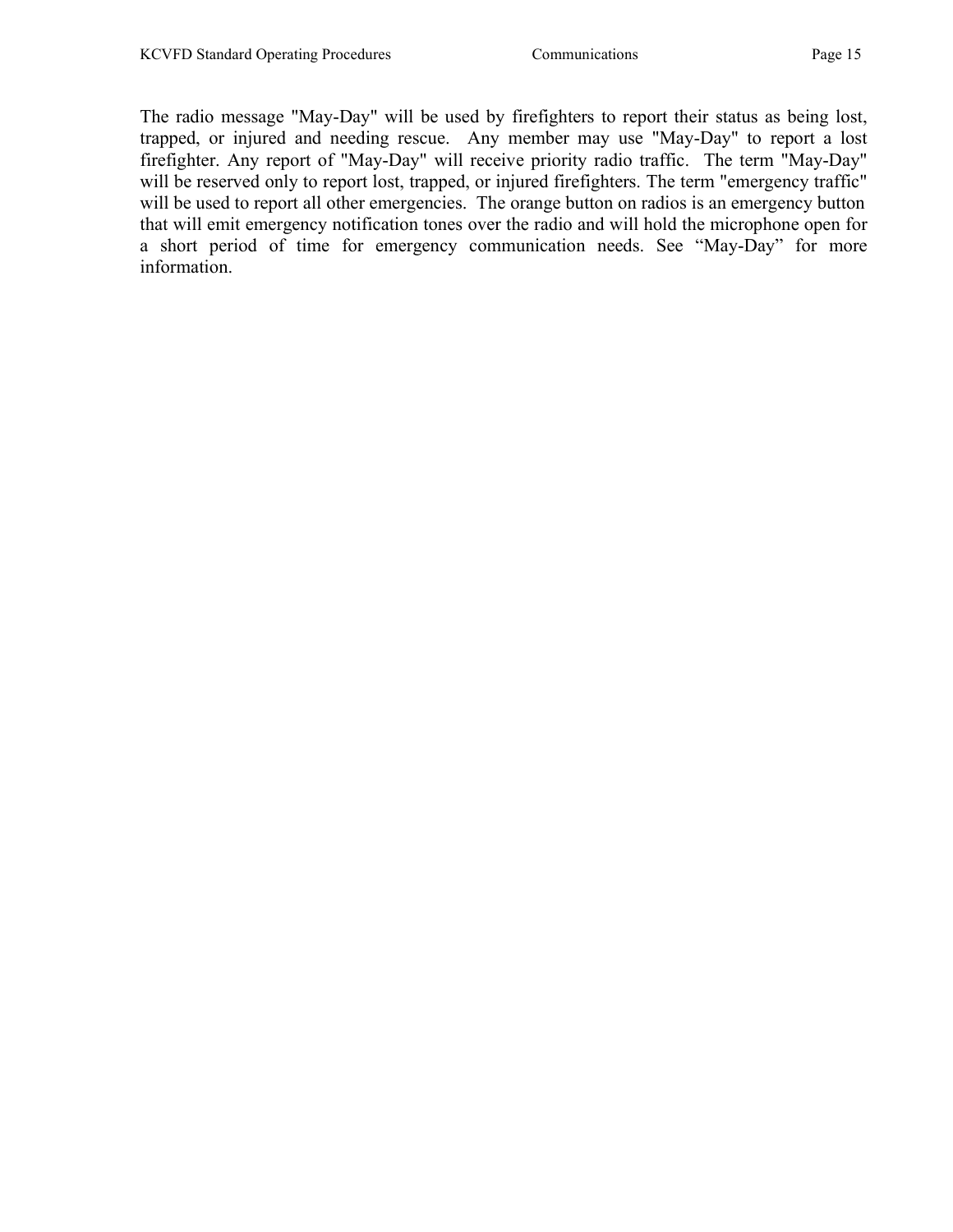The radio message "May-Day" will be used by firefighters to report their status as being lost, trapped, or injured and needing rescue. Any member may use "May-Day" to report a lost firefighter. Any report of "May-Day" will receive priority radio traffic. The term "May-Day" will be reserved only to report lost, trapped, or injured firefighters. The term "emergency traffic" will be used to report all other emergencies. The orange button on radios is an emergency button that will emit emergency notification tones over the radio and will hold the microphone open for a short period of time for emergency communication needs. See "May-Day" for more information.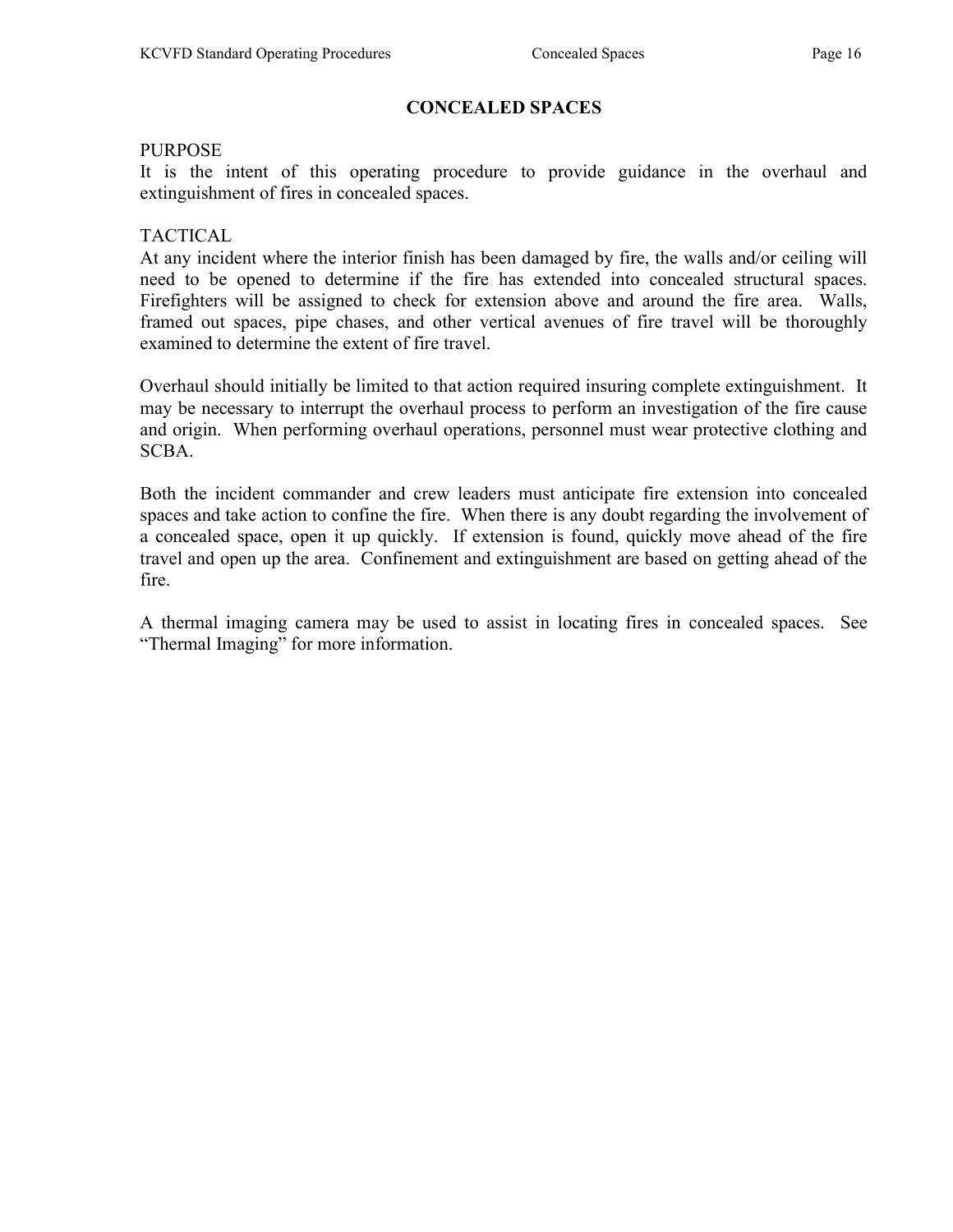#### CONCEALED SPACES

#### PURPOSE

It is the intent of this operating procedure to provide guidance in the overhaul and extinguishment of fires in concealed spaces.

#### TACTICAL

At any incident where the interior finish has been damaged by fire, the walls and/or ceiling will need to be opened to determine if the fire has extended into concealed structural spaces. Firefighters will be assigned to check for extension above and around the fire area. Walls, framed out spaces, pipe chases, and other vertical avenues of fire travel will be thoroughly examined to determine the extent of fire travel.

Overhaul should initially be limited to that action required insuring complete extinguishment. It may be necessary to interrupt the overhaul process to perform an investigation of the fire cause and origin. When performing overhaul operations, personnel must wear protective clothing and SCBA.

Both the incident commander and crew leaders must anticipate fire extension into concealed spaces and take action to confine the fire. When there is any doubt regarding the involvement of a concealed space, open it up quickly. If extension is found, quickly move ahead of the fire travel and open up the area. Confinement and extinguishment are based on getting ahead of the fire.

A thermal imaging camera may be used to assist in locating fires in concealed spaces. See "Thermal Imaging" for more information.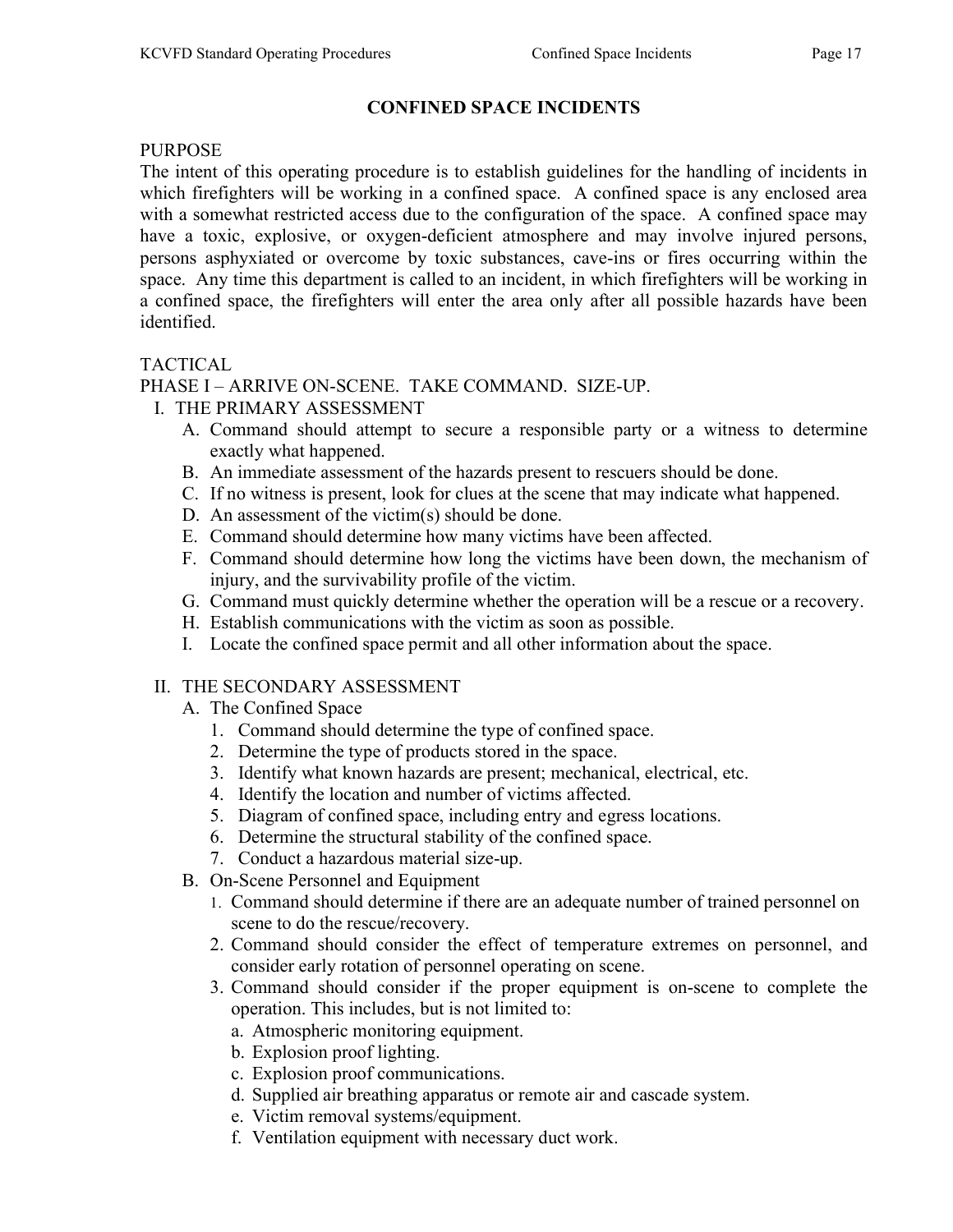### CONFINED SPACE INCIDENTS

#### PURPOSE

The intent of this operating procedure is to establish guidelines for the handling of incidents in which firefighters will be working in a confined space. A confined space is any enclosed area with a somewhat restricted access due to the configuration of the space. A confined space may have a toxic, explosive, or oxygen-deficient atmosphere and may involve injured persons, persons asphyxiated or overcome by toxic substances, cave-ins or fires occurring within the space. Any time this department is called to an incident, in which firefighters will be working in a confined space, the firefighters will enter the area only after all possible hazards have been identified.

#### TACTICAL

### PHASE I – ARRIVE ON-SCENE. TAKE COMMAND. SIZE-UP.

- I. THE PRIMARY ASSESSMENT
	- A. Command should attempt to secure a responsible party or a witness to determine exactly what happened.
	- B. An immediate assessment of the hazards present to rescuers should be done.
	- C. If no witness is present, look for clues at the scene that may indicate what happened.
	- D. An assessment of the victim(s) should be done.
	- E. Command should determine how many victims have been affected.
	- F. Command should determine how long the victims have been down, the mechanism of injury, and the survivability profile of the victim.
	- G. Command must quickly determine whether the operation will be a rescue or a recovery.
	- H. Establish communications with the victim as soon as possible.
	- I. Locate the confined space permit and all other information about the space.

### II. THE SECONDARY ASSESSMENT

- A. The Confined Space
	- 1. Command should determine the type of confined space.
	- 2. Determine the type of products stored in the space.
	- 3. Identify what known hazards are present; mechanical, electrical, etc.
	- 4. Identify the location and number of victims affected.
	- 5. Diagram of confined space, including entry and egress locations.
	- 6. Determine the structural stability of the confined space.
	- 7. Conduct a hazardous material size-up.
- B. On-Scene Personnel and Equipment
	- 1. Command should determine if there are an adequate number of trained personnel on scene to do the rescue/recovery.
	- 2. Command should consider the effect of temperature extremes on personnel, and consider early rotation of personnel operating on scene.
	- 3. Command should consider if the proper equipment is on-scene to complete the operation. This includes, but is not limited to:
		- a. Atmospheric monitoring equipment.
		- b. Explosion proof lighting.
		- c. Explosion proof communications.
		- d. Supplied air breathing apparatus or remote air and cascade system.
		- e. Victim removal systems/equipment.
		- f. Ventilation equipment with necessary duct work.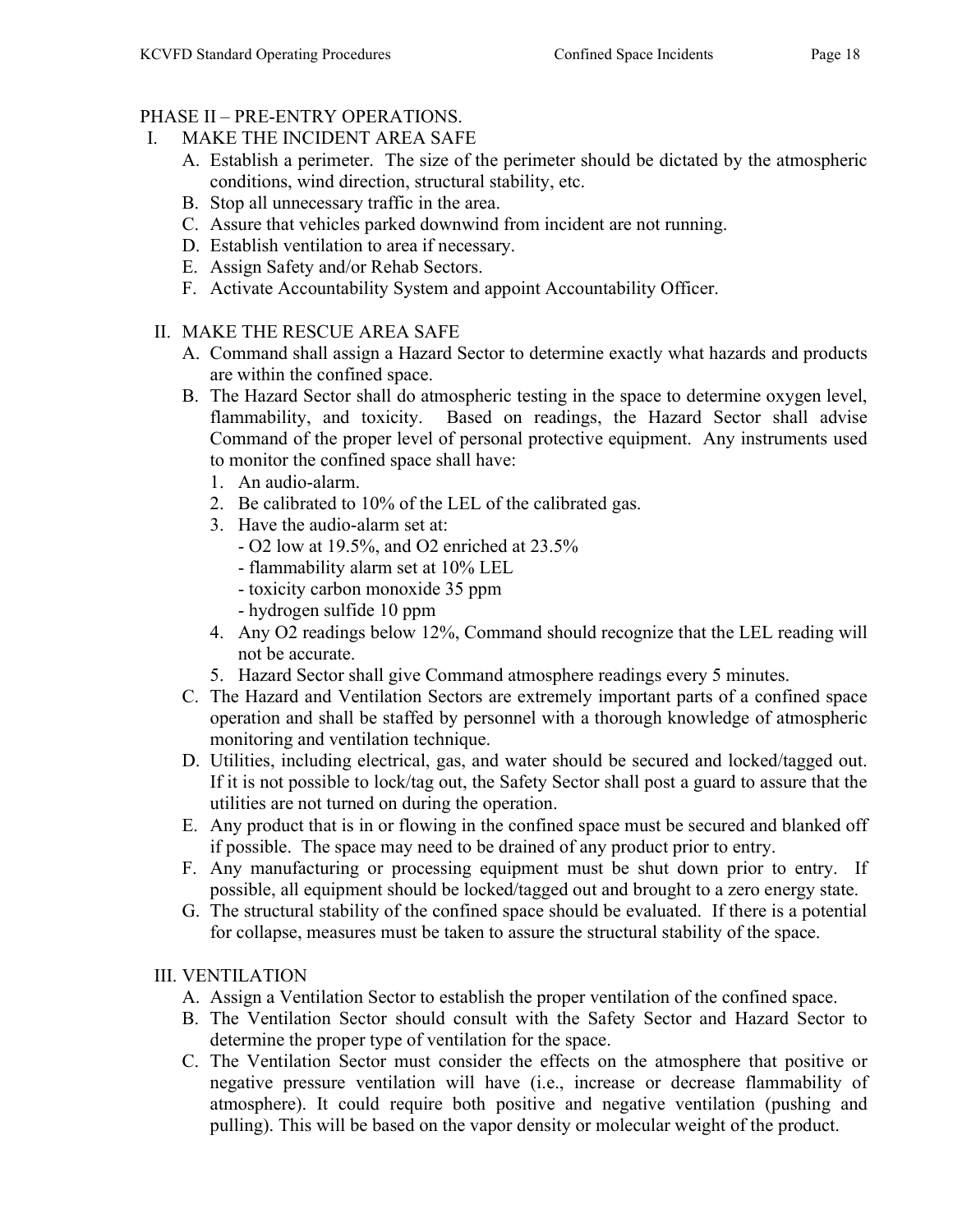# PHASE II – PRE-ENTRY OPERATIONS.

- I. MAKE THE INCIDENT AREA SAFE
	- A. Establish a perimeter. The size of the perimeter should be dictated by the atmospheric conditions, wind direction, structural stability, etc.
	- B. Stop all unnecessary traffic in the area.
	- C. Assure that vehicles parked downwind from incident are not running.
	- D. Establish ventilation to area if necessary.
	- E. Assign Safety and/or Rehab Sectors.
	- F. Activate Accountability System and appoint Accountability Officer.
- II. MAKE THE RESCUE AREA SAFE
	- A. Command shall assign a Hazard Sector to determine exactly what hazards and products are within the confined space.
	- B. The Hazard Sector shall do atmospheric testing in the space to determine oxygen level, flammability, and toxicity. Based on readings, the Hazard Sector shall advise Command of the proper level of personal protective equipment. Any instruments used to monitor the confined space shall have:
		- 1. An audio-alarm.
		- 2. Be calibrated to 10% of the LEL of the calibrated gas.
		- 3. Have the audio-alarm set at:
			- O2 low at 19.5%, and O2 enriched at 23.5%
			- flammability alarm set at 10% LEL
			- toxicity carbon monoxide 35 ppm
			- hydrogen sulfide 10 ppm
		- 4. Any O2 readings below 12%, Command should recognize that the LEL reading will not be accurate.
		- 5. Hazard Sector shall give Command atmosphere readings every 5 minutes.
	- C. The Hazard and Ventilation Sectors are extremely important parts of a confined space operation and shall be staffed by personnel with a thorough knowledge of atmospheric monitoring and ventilation technique.
	- D. Utilities, including electrical, gas, and water should be secured and locked/tagged out. If it is not possible to lock/tag out, the Safety Sector shall post a guard to assure that the utilities are not turned on during the operation.
	- E. Any product that is in or flowing in the confined space must be secured and blanked off if possible. The space may need to be drained of any product prior to entry.
	- F. Any manufacturing or processing equipment must be shut down prior to entry. If possible, all equipment should be locked/tagged out and brought to a zero energy state.
	- G. The structural stability of the confined space should be evaluated. If there is a potential for collapse, measures must be taken to assure the structural stability of the space.

# III. VENTILATION

- A. Assign a Ventilation Sector to establish the proper ventilation of the confined space.
- B. The Ventilation Sector should consult with the Safety Sector and Hazard Sector to determine the proper type of ventilation for the space.
- C. The Ventilation Sector must consider the effects on the atmosphere that positive or negative pressure ventilation will have (i.e., increase or decrease flammability of atmosphere). It could require both positive and negative ventilation (pushing and pulling). This will be based on the vapor density or molecular weight of the product.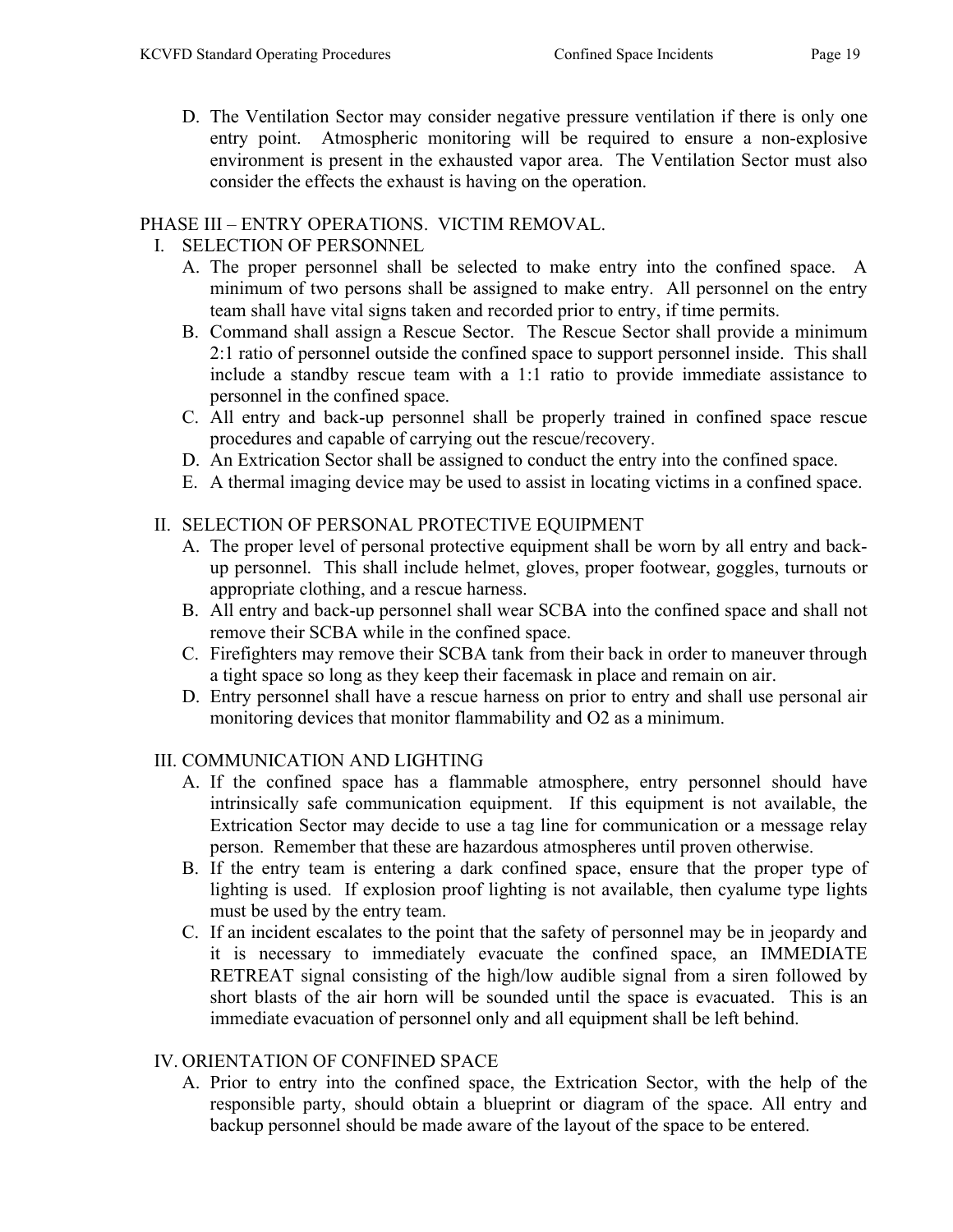D. The Ventilation Sector may consider negative pressure ventilation if there is only one entry point. Atmospheric monitoring will be required to ensure a non-explosive environment is present in the exhausted vapor area. The Ventilation Sector must also consider the effects the exhaust is having on the operation.

### PHASE III – ENTRY OPERATIONS. VICTIM REMOVAL.

### I. SELECTION OF PERSONNEL

- A. The proper personnel shall be selected to make entry into the confined space. A minimum of two persons shall be assigned to make entry. All personnel on the entry team shall have vital signs taken and recorded prior to entry, if time permits.
- B. Command shall assign a Rescue Sector. The Rescue Sector shall provide a minimum 2:1 ratio of personnel outside the confined space to support personnel inside. This shall include a standby rescue team with a 1:1 ratio to provide immediate assistance to personnel in the confined space.
- C. All entry and back-up personnel shall be properly trained in confined space rescue procedures and capable of carrying out the rescue/recovery.
- D. An Extrication Sector shall be assigned to conduct the entry into the confined space.
- E. A thermal imaging device may be used to assist in locating victims in a confined space.

### II. SELECTION OF PERSONAL PROTECTIVE EQUIPMENT

- A. The proper level of personal protective equipment shall be worn by all entry and backup personnel. This shall include helmet, gloves, proper footwear, goggles, turnouts or appropriate clothing, and a rescue harness.
- B. All entry and back-up personnel shall wear SCBA into the confined space and shall not remove their SCBA while in the confined space.
- C. Firefighters may remove their SCBA tank from their back in order to maneuver through a tight space so long as they keep their facemask in place and remain on air.
- D. Entry personnel shall have a rescue harness on prior to entry and shall use personal air monitoring devices that monitor flammability and O2 as a minimum.

### III. COMMUNICATION AND LIGHTING

- A. If the confined space has a flammable atmosphere, entry personnel should have intrinsically safe communication equipment. If this equipment is not available, the Extrication Sector may decide to use a tag line for communication or a message relay person. Remember that these are hazardous atmospheres until proven otherwise.
- B. If the entry team is entering a dark confined space, ensure that the proper type of lighting is used. If explosion proof lighting is not available, then cyalume type lights must be used by the entry team.
- C. If an incident escalates to the point that the safety of personnel may be in jeopardy and it is necessary to immediately evacuate the confined space, an IMMEDIATE RETREAT signal consisting of the high/low audible signal from a siren followed by short blasts of the air horn will be sounded until the space is evacuated. This is an immediate evacuation of personnel only and all equipment shall be left behind.

### IV. ORIENTATION OF CONFINED SPACE

A. Prior to entry into the confined space, the Extrication Sector, with the help of the responsible party, should obtain a blueprint or diagram of the space. All entry and backup personnel should be made aware of the layout of the space to be entered.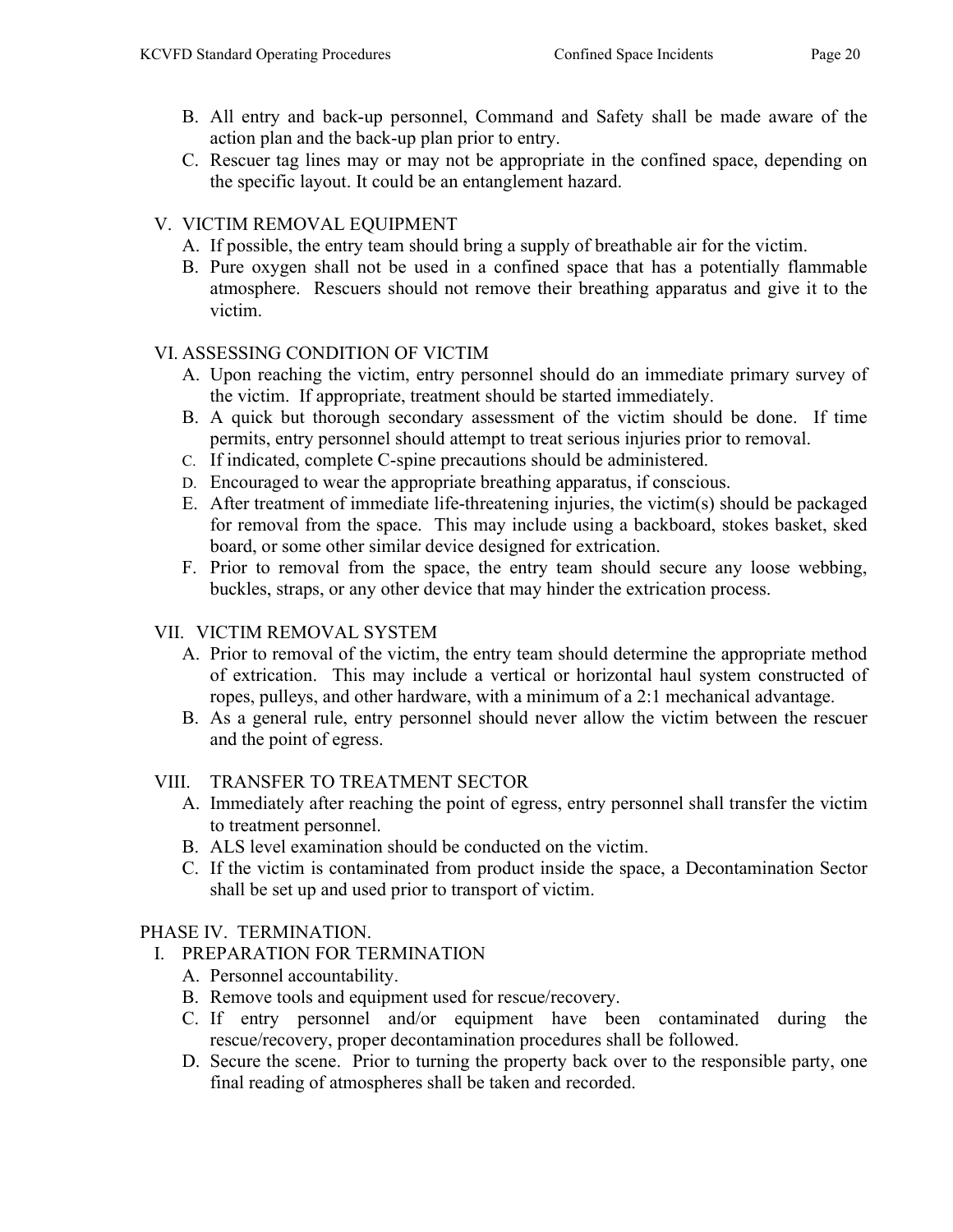- B. All entry and back-up personnel, Command and Safety shall be made aware of the action plan and the back-up plan prior to entry.
- C. Rescuer tag lines may or may not be appropriate in the confined space, depending on the specific layout. It could be an entanglement hazard.

### V. VICTIM REMOVAL EQUIPMENT

- A. If possible, the entry team should bring a supply of breathable air for the victim.
- B. Pure oxygen shall not be used in a confined space that has a potentially flammable atmosphere. Rescuers should not remove their breathing apparatus and give it to the victim.

#### VI. ASSESSING CONDITION OF VICTIM

- A. Upon reaching the victim, entry personnel should do an immediate primary survey of the victim. If appropriate, treatment should be started immediately.
- B. A quick but thorough secondary assessment of the victim should be done. If time permits, entry personnel should attempt to treat serious injuries prior to removal.
- C. If indicated, complete C-spine precautions should be administered.
- D. Encouraged to wear the appropriate breathing apparatus, if conscious.
- E. After treatment of immediate life-threatening injuries, the victim(s) should be packaged for removal from the space. This may include using a backboard, stokes basket, sked board, or some other similar device designed for extrication.
- F. Prior to removal from the space, the entry team should secure any loose webbing, buckles, straps, or any other device that may hinder the extrication process.

### VII. VICTIM REMOVAL SYSTEM

- A. Prior to removal of the victim, the entry team should determine the appropriate method of extrication. This may include a vertical or horizontal haul system constructed of ropes, pulleys, and other hardware, with a minimum of a 2:1 mechanical advantage.
- B. As a general rule, entry personnel should never allow the victim between the rescuer and the point of egress.

### VIII. TRANSFER TO TREATMENT SECTOR

- A. Immediately after reaching the point of egress, entry personnel shall transfer the victim to treatment personnel.
- B. ALS level examination should be conducted on the victim.
- C. If the victim is contaminated from product inside the space, a Decontamination Sector shall be set up and used prior to transport of victim.

### PHASE IV. TERMINATION.

- I. PREPARATION FOR TERMINATION
	- A. Personnel accountability.
	- B. Remove tools and equipment used for rescue/recovery.
	- C. If entry personnel and/or equipment have been contaminated during the rescue/recovery, proper decontamination procedures shall be followed.
	- D. Secure the scene. Prior to turning the property back over to the responsible party, one final reading of atmospheres shall be taken and recorded.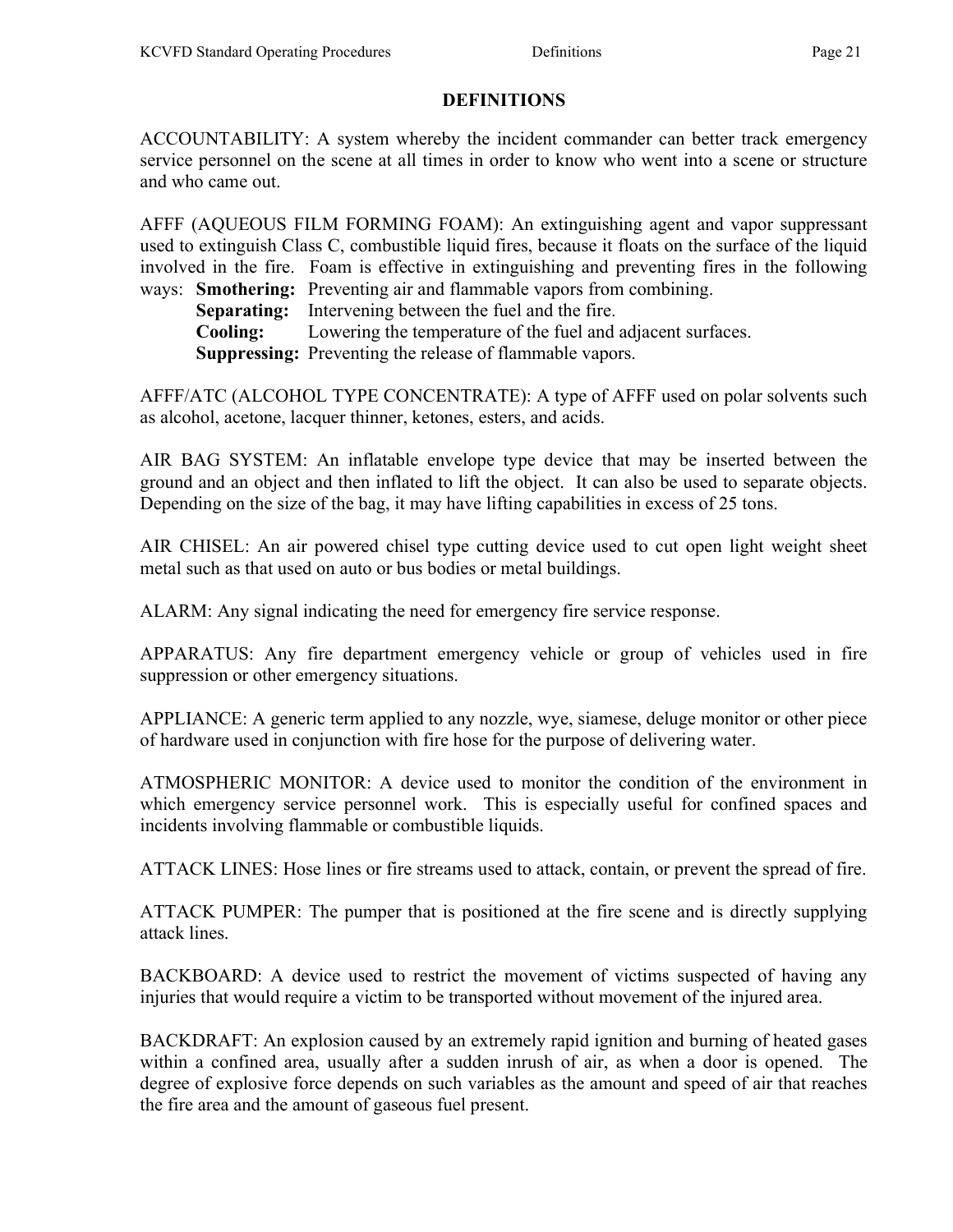### DEFINITIONS

ACCOUNTABILITY: A system whereby the incident commander can better track emergency service personnel on the scene at all times in order to know who went into a scene or structure and who came out.

AFFF (AQUEOUS FILM FORMING FOAM): An extinguishing agent and vapor suppressant used to extinguish Class C, combustible liquid fires, because it floats on the surface of the liquid involved in the fire. Foam is effective in extinguishing and preventing fires in the following ways: Smothering: Preventing air and flammable vapors from combining.

Separating: Intervening between the fuel and the fire.

Cooling: Lowering the temperature of the fuel and adjacent surfaces.

Suppressing: Preventing the release of flammable vapors.

AFFF/ATC (ALCOHOL TYPE CONCENTRATE): A type of AFFF used on polar solvents such as alcohol, acetone, lacquer thinner, ketones, esters, and acids.

AIR BAG SYSTEM: An inflatable envelope type device that may be inserted between the ground and an object and then inflated to lift the object. It can also be used to separate objects. Depending on the size of the bag, it may have lifting capabilities in excess of 25 tons.

AIR CHISEL: An air powered chisel type cutting device used to cut open light weight sheet metal such as that used on auto or bus bodies or metal buildings.

ALARM: Any signal indicating the need for emergency fire service response.

APPARATUS: Any fire department emergency vehicle or group of vehicles used in fire suppression or other emergency situations.

APPLIANCE: A generic term applied to any nozzle, wye, siamese, deluge monitor or other piece of hardware used in conjunction with fire hose for the purpose of delivering water.

ATMOSPHERIC MONITOR: A device used to monitor the condition of the environment in which emergency service personnel work. This is especially useful for confined spaces and incidents involving flammable or combustible liquids.

ATTACK LINES: Hose lines or fire streams used to attack, contain, or prevent the spread of fire.

ATTACK PUMPER: The pumper that is positioned at the fire scene and is directly supplying attack lines.

BACKBOARD: A device used to restrict the movement of victims suspected of having any injuries that would require a victim to be transported without movement of the injured area.

BACKDRAFT: An explosion caused by an extremely rapid ignition and burning of heated gases within a confined area, usually after a sudden inrush of air, as when a door is opened. The degree of explosive force depends on such variables as the amount and speed of air that reaches the fire area and the amount of gaseous fuel present.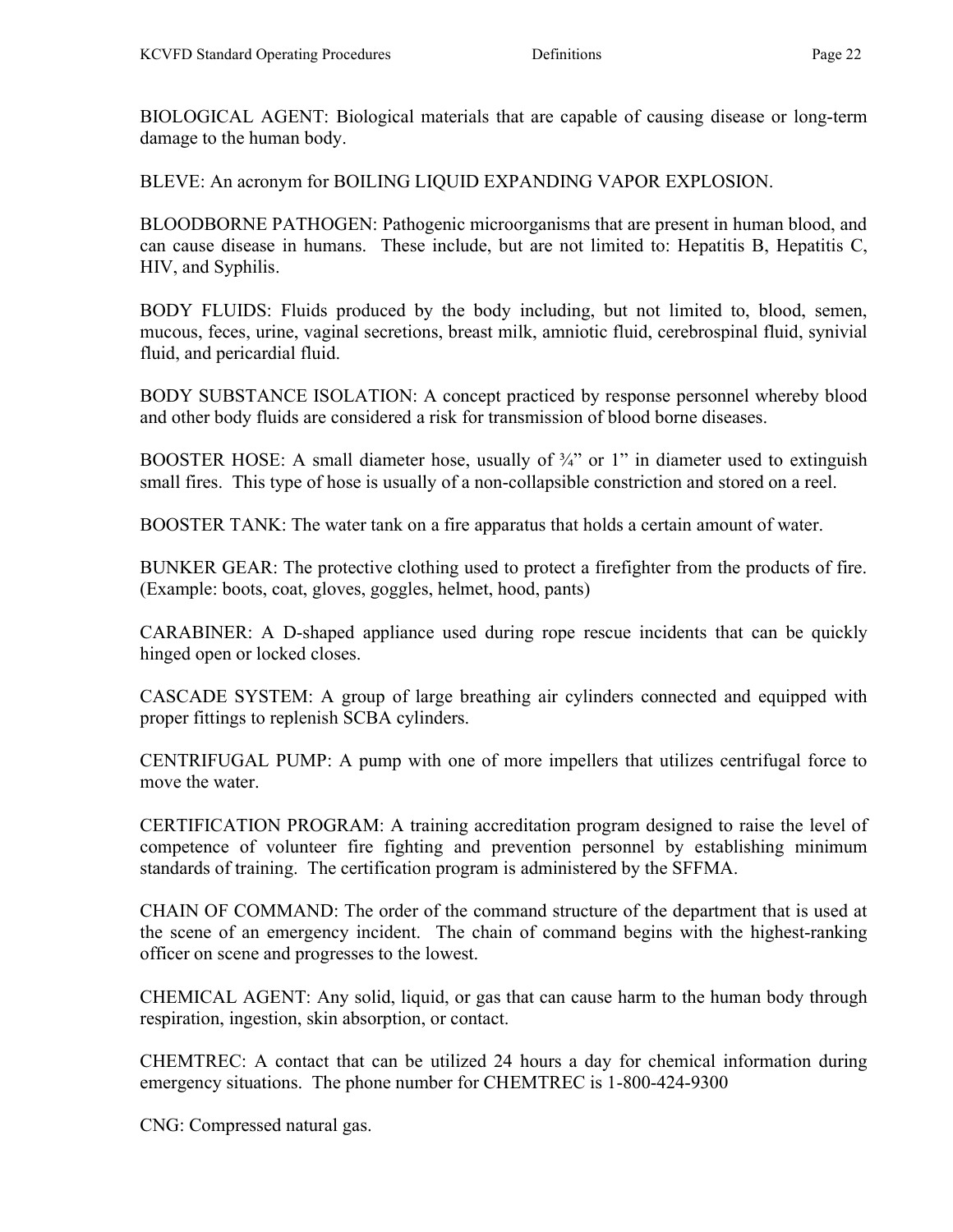BIOLOGICAL AGENT: Biological materials that are capable of causing disease or long-term damage to the human body.

BLEVE: An acronym for BOILING LIQUID EXPANDING VAPOR EXPLOSION.

BLOODBORNE PATHOGEN: Pathogenic microorganisms that are present in human blood, and can cause disease in humans. These include, but are not limited to: Hepatitis B, Hepatitis C, HIV, and Syphilis.

BODY FLUIDS: Fluids produced by the body including, but not limited to, blood, semen, mucous, feces, urine, vaginal secretions, breast milk, amniotic fluid, cerebrospinal fluid, synivial fluid, and pericardial fluid.

BODY SUBSTANCE ISOLATION: A concept practiced by response personnel whereby blood and other body fluids are considered a risk for transmission of blood borne diseases.

BOOSTER HOSE: A small diameter hose, usually of  $\frac{3}{4}$ " or 1" in diameter used to extinguish small fires. This type of hose is usually of a non-collapsible constriction and stored on a reel.

BOOSTER TANK: The water tank on a fire apparatus that holds a certain amount of water.

BUNKER GEAR: The protective clothing used to protect a firefighter from the products of fire. (Example: boots, coat, gloves, goggles, helmet, hood, pants)

CARABINER: A D-shaped appliance used during rope rescue incidents that can be quickly hinged open or locked closes.

CASCADE SYSTEM: A group of large breathing air cylinders connected and equipped with proper fittings to replenish SCBA cylinders.

CENTRIFUGAL PUMP: A pump with one of more impellers that utilizes centrifugal force to move the water.

CERTIFICATION PROGRAM: A training accreditation program designed to raise the level of competence of volunteer fire fighting and prevention personnel by establishing minimum standards of training. The certification program is administered by the SFFMA.

CHAIN OF COMMAND: The order of the command structure of the department that is used at the scene of an emergency incident. The chain of command begins with the highest-ranking officer on scene and progresses to the lowest.

CHEMICAL AGENT: Any solid, liquid, or gas that can cause harm to the human body through respiration, ingestion, skin absorption, or contact.

CHEMTREC: A contact that can be utilized 24 hours a day for chemical information during emergency situations. The phone number for CHEMTREC is 1-800-424-9300

CNG: Compressed natural gas.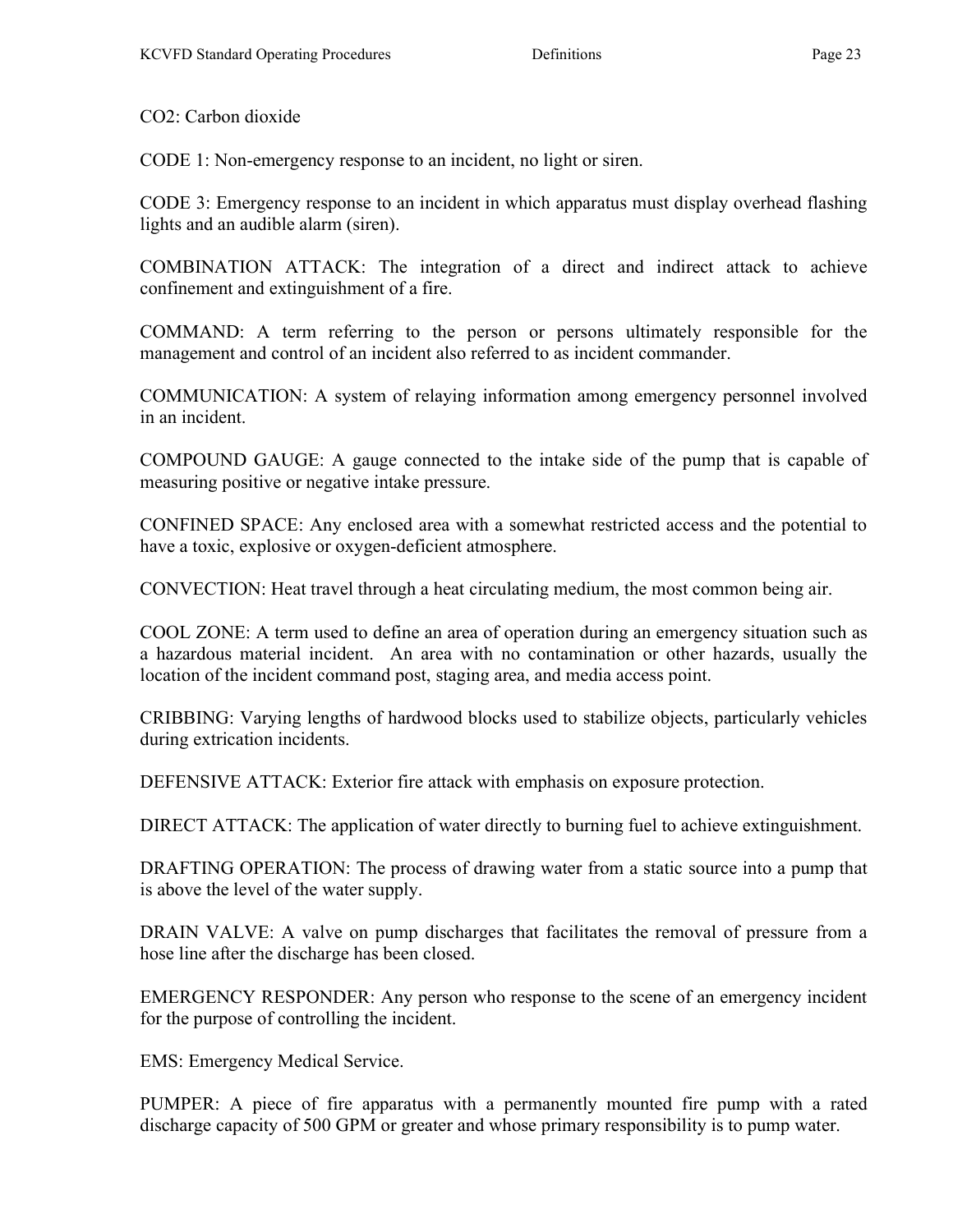CO2: Carbon dioxide

CODE 1: Non-emergency response to an incident, no light or siren.

CODE 3: Emergency response to an incident in which apparatus must display overhead flashing lights and an audible alarm (siren).

COMBINATION ATTACK: The integration of a direct and indirect attack to achieve confinement and extinguishment of a fire.

COMMAND: A term referring to the person or persons ultimately responsible for the management and control of an incident also referred to as incident commander.

COMMUNICATION: A system of relaying information among emergency personnel involved in an incident.

COMPOUND GAUGE: A gauge connected to the intake side of the pump that is capable of measuring positive or negative intake pressure.

CONFINED SPACE: Any enclosed area with a somewhat restricted access and the potential to have a toxic, explosive or oxygen-deficient atmosphere.

CONVECTION: Heat travel through a heat circulating medium, the most common being air.

COOL ZONE: A term used to define an area of operation during an emergency situation such as a hazardous material incident. An area with no contamination or other hazards, usually the location of the incident command post, staging area, and media access point.

CRIBBING: Varying lengths of hardwood blocks used to stabilize objects, particularly vehicles during extrication incidents.

DEFENSIVE ATTACK: Exterior fire attack with emphasis on exposure protection.

DIRECT ATTACK: The application of water directly to burning fuel to achieve extinguishment.

DRAFTING OPERATION: The process of drawing water from a static source into a pump that is above the level of the water supply.

DRAIN VALVE: A valve on pump discharges that facilitates the removal of pressure from a hose line after the discharge has been closed.

EMERGENCY RESPONDER: Any person who response to the scene of an emergency incident for the purpose of controlling the incident.

EMS: Emergency Medical Service.

PUMPER: A piece of fire apparatus with a permanently mounted fire pump with a rated discharge capacity of 500 GPM or greater and whose primary responsibility is to pump water.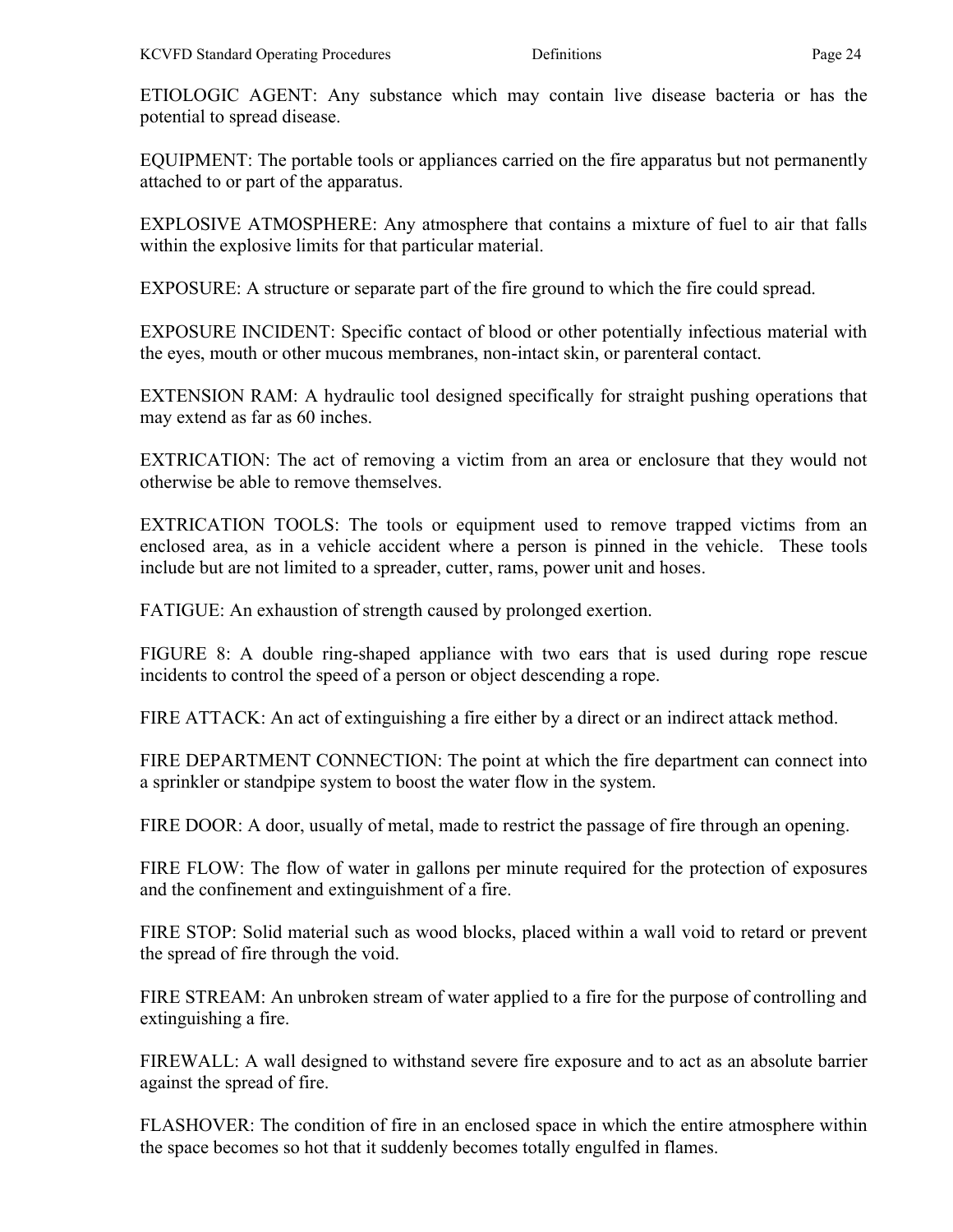ETIOLOGIC AGENT: Any substance which may contain live disease bacteria or has the potential to spread disease.

EQUIPMENT: The portable tools or appliances carried on the fire apparatus but not permanently attached to or part of the apparatus.

EXPLOSIVE ATMOSPHERE: Any atmosphere that contains a mixture of fuel to air that falls within the explosive limits for that particular material.

EXPOSURE: A structure or separate part of the fire ground to which the fire could spread.

EXPOSURE INCIDENT: Specific contact of blood or other potentially infectious material with the eyes, mouth or other mucous membranes, non-intact skin, or parenteral contact.

EXTENSION RAM: A hydraulic tool designed specifically for straight pushing operations that may extend as far as 60 inches.

EXTRICATION: The act of removing a victim from an area or enclosure that they would not otherwise be able to remove themselves.

EXTRICATION TOOLS: The tools or equipment used to remove trapped victims from an enclosed area, as in a vehicle accident where a person is pinned in the vehicle. These tools include but are not limited to a spreader, cutter, rams, power unit and hoses.

FATIGUE: An exhaustion of strength caused by prolonged exertion.

FIGURE 8: A double ring-shaped appliance with two ears that is used during rope rescue incidents to control the speed of a person or object descending a rope.

FIRE ATTACK: An act of extinguishing a fire either by a direct or an indirect attack method.

FIRE DEPARTMENT CONNECTION: The point at which the fire department can connect into a sprinkler or standpipe system to boost the water flow in the system.

FIRE DOOR: A door, usually of metal, made to restrict the passage of fire through an opening.

FIRE FLOW: The flow of water in gallons per minute required for the protection of exposures and the confinement and extinguishment of a fire.

FIRE STOP: Solid material such as wood blocks, placed within a wall void to retard or prevent the spread of fire through the void.

FIRE STREAM: An unbroken stream of water applied to a fire for the purpose of controlling and extinguishing a fire.

FIREWALL: A wall designed to withstand severe fire exposure and to act as an absolute barrier against the spread of fire.

FLASHOVER: The condition of fire in an enclosed space in which the entire atmosphere within the space becomes so hot that it suddenly becomes totally engulfed in flames.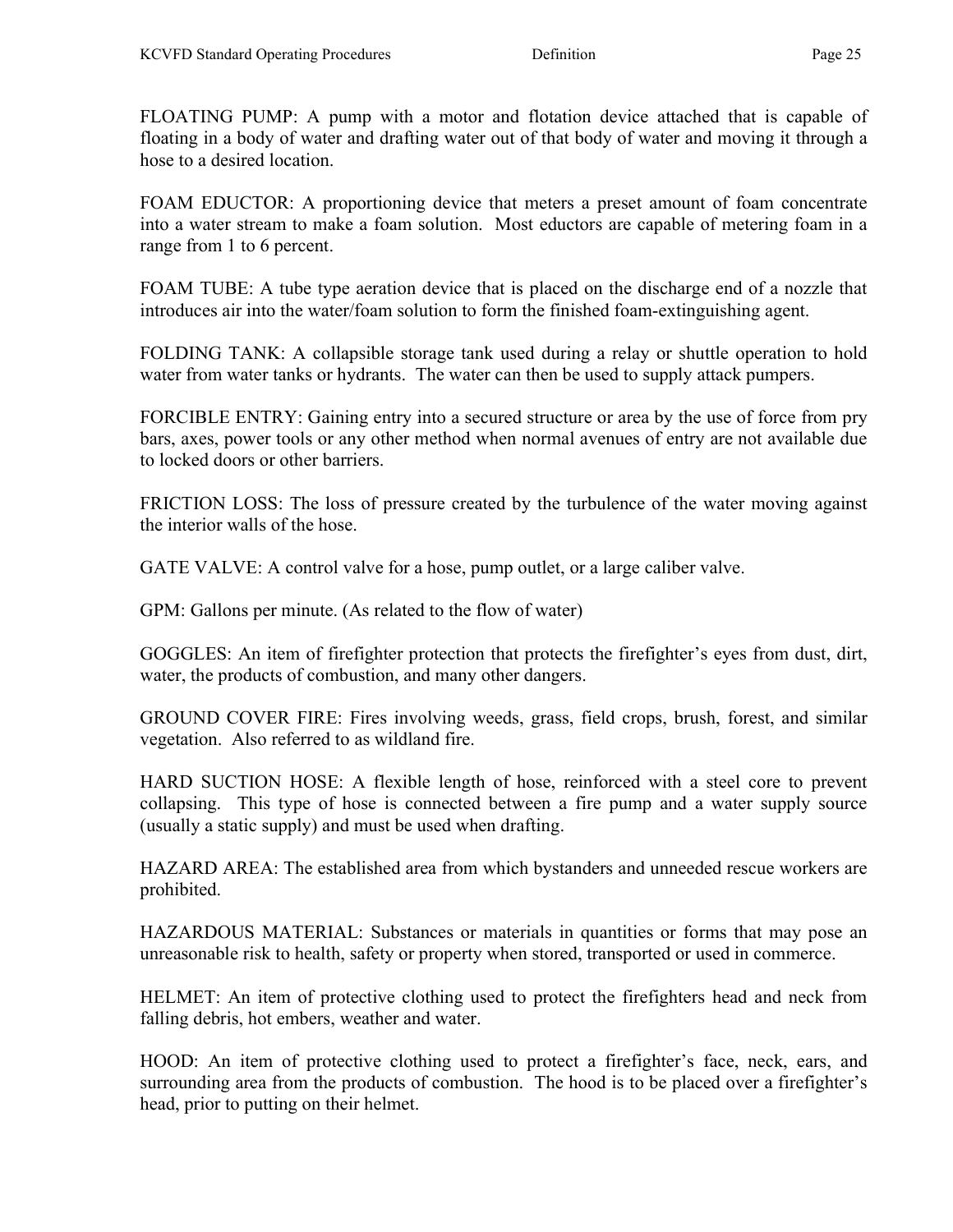FLOATING PUMP: A pump with a motor and flotation device attached that is capable of floating in a body of water and drafting water out of that body of water and moving it through a hose to a desired location.

FOAM EDUCTOR: A proportioning device that meters a preset amount of foam concentrate into a water stream to make a foam solution. Most eductors are capable of metering foam in a range from 1 to 6 percent.

FOAM TUBE: A tube type aeration device that is placed on the discharge end of a nozzle that introduces air into the water/foam solution to form the finished foam-extinguishing agent.

FOLDING TANK: A collapsible storage tank used during a relay or shuttle operation to hold water from water tanks or hydrants. The water can then be used to supply attack pumpers.

FORCIBLE ENTRY: Gaining entry into a secured structure or area by the use of force from pry bars, axes, power tools or any other method when normal avenues of entry are not available due to locked doors or other barriers.

FRICTION LOSS: The loss of pressure created by the turbulence of the water moving against the interior walls of the hose.

GATE VALVE: A control valve for a hose, pump outlet, or a large caliber valve.

GPM: Gallons per minute. (As related to the flow of water)

GOGGLES: An item of firefighter protection that protects the firefighter's eyes from dust, dirt, water, the products of combustion, and many other dangers.

GROUND COVER FIRE: Fires involving weeds, grass, field crops, brush, forest, and similar vegetation. Also referred to as wildland fire.

HARD SUCTION HOSE: A flexible length of hose, reinforced with a steel core to prevent collapsing. This type of hose is connected between a fire pump and a water supply source (usually a static supply) and must be used when drafting.

HAZARD AREA: The established area from which bystanders and unneeded rescue workers are prohibited.

HAZARDOUS MATERIAL: Substances or materials in quantities or forms that may pose an unreasonable risk to health, safety or property when stored, transported or used in commerce.

HELMET: An item of protective clothing used to protect the firefighters head and neck from falling debris, hot embers, weather and water.

HOOD: An item of protective clothing used to protect a firefighter's face, neck, ears, and surrounding area from the products of combustion. The hood is to be placed over a firefighter's head, prior to putting on their helmet.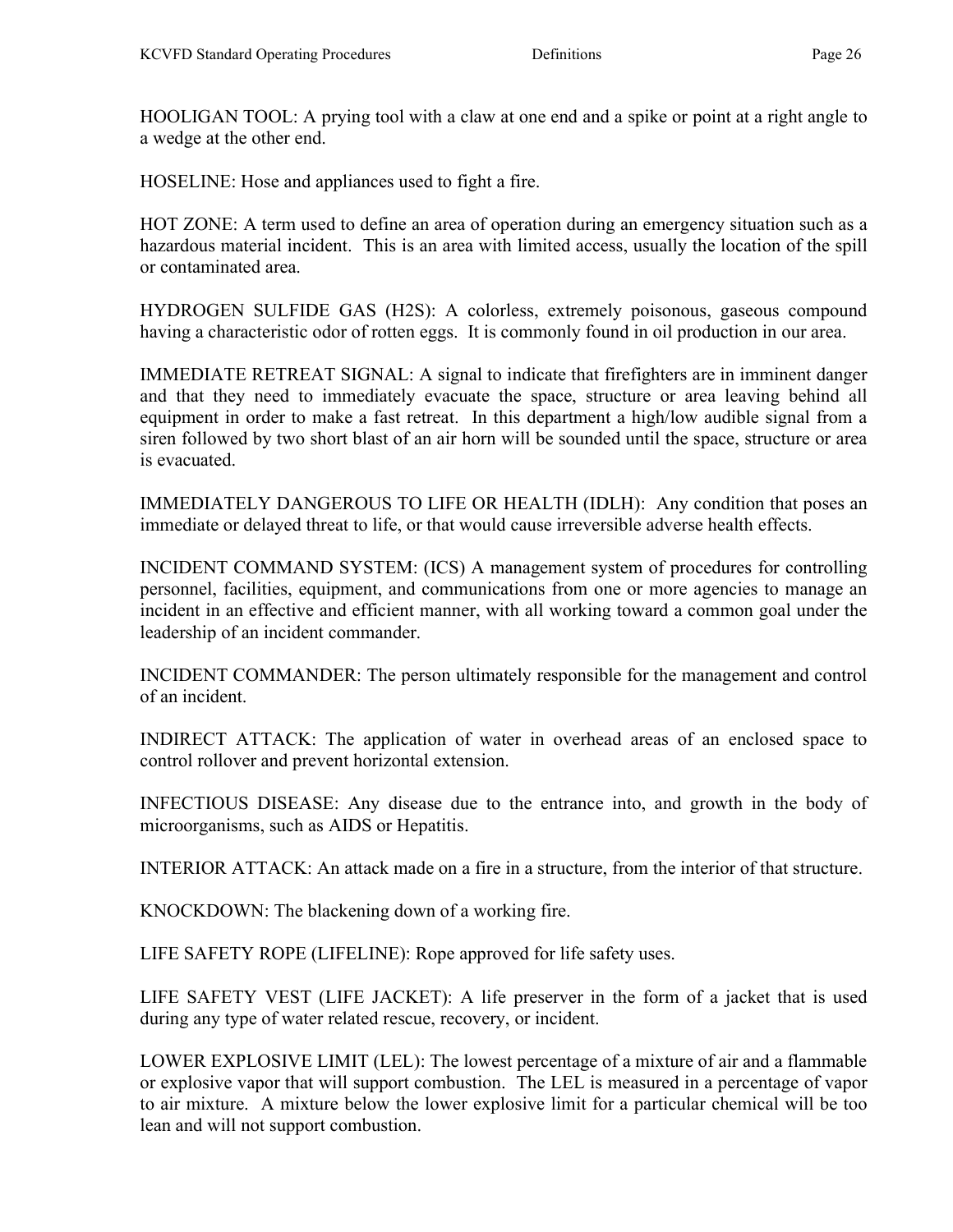HOOLIGAN TOOL: A prying tool with a claw at one end and a spike or point at a right angle to a wedge at the other end.

HOSELINE: Hose and appliances used to fight a fire.

HOT ZONE: A term used to define an area of operation during an emergency situation such as a hazardous material incident. This is an area with limited access, usually the location of the spill or contaminated area.

HYDROGEN SULFIDE GAS (H2S): A colorless, extremely poisonous, gaseous compound having a characteristic odor of rotten eggs. It is commonly found in oil production in our area.

IMMEDIATE RETREAT SIGNAL: A signal to indicate that firefighters are in imminent danger and that they need to immediately evacuate the space, structure or area leaving behind all equipment in order to make a fast retreat. In this department a high/low audible signal from a siren followed by two short blast of an air horn will be sounded until the space, structure or area is evacuated.

IMMEDIATELY DANGEROUS TO LIFE OR HEALTH (IDLH): Any condition that poses an immediate or delayed threat to life, or that would cause irreversible adverse health effects.

INCIDENT COMMAND SYSTEM: (ICS) A management system of procedures for controlling personnel, facilities, equipment, and communications from one or more agencies to manage an incident in an effective and efficient manner, with all working toward a common goal under the leadership of an incident commander.

INCIDENT COMMANDER: The person ultimately responsible for the management and control of an incident.

INDIRECT ATTACK: The application of water in overhead areas of an enclosed space to control rollover and prevent horizontal extension.

INFECTIOUS DISEASE: Any disease due to the entrance into, and growth in the body of microorganisms, such as AIDS or Hepatitis.

INTERIOR ATTACK: An attack made on a fire in a structure, from the interior of that structure.

KNOCKDOWN: The blackening down of a working fire.

LIFE SAFETY ROPE (LIFELINE): Rope approved for life safety uses.

LIFE SAFETY VEST (LIFE JACKET): A life preserver in the form of a jacket that is used during any type of water related rescue, recovery, or incident.

LOWER EXPLOSIVE LIMIT (LEL): The lowest percentage of a mixture of air and a flammable or explosive vapor that will support combustion. The LEL is measured in a percentage of vapor to air mixture. A mixture below the lower explosive limit for a particular chemical will be too lean and will not support combustion.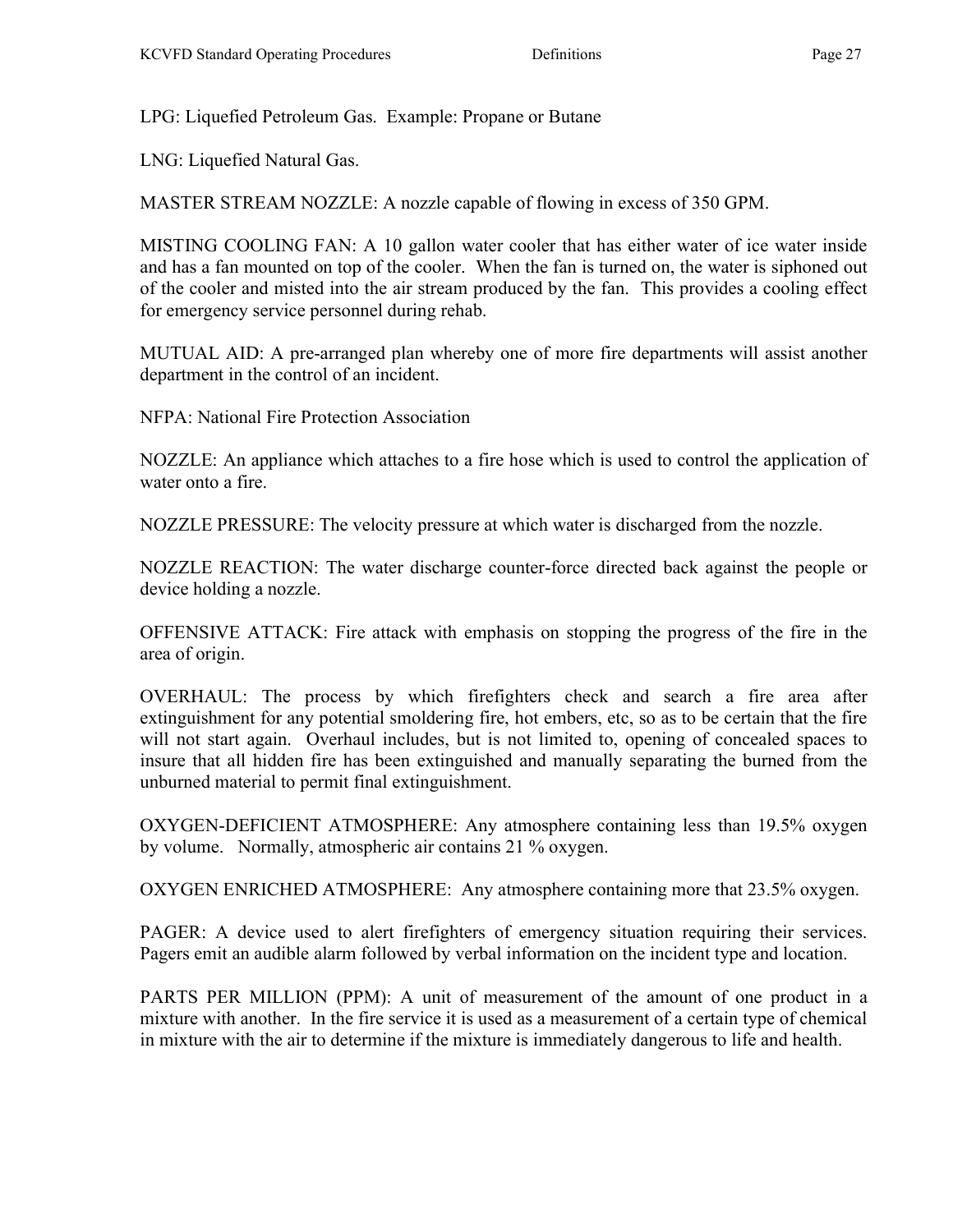LPG: Liquefied Petroleum Gas. Example: Propane or Butane

LNG: Liquefied Natural Gas.

MASTER STREAM NOZZLE: A nozzle capable of flowing in excess of 350 GPM.

MISTING COOLING FAN: A 10 gallon water cooler that has either water of ice water inside and has a fan mounted on top of the cooler. When the fan is turned on, the water is siphoned out of the cooler and misted into the air stream produced by the fan. This provides a cooling effect for emergency service personnel during rehab.

MUTUAL AID: A pre-arranged plan whereby one of more fire departments will assist another department in the control of an incident.

NFPA: National Fire Protection Association

NOZZLE: An appliance which attaches to a fire hose which is used to control the application of water onto a fire.

NOZZLE PRESSURE: The velocity pressure at which water is discharged from the nozzle.

NOZZLE REACTION: The water discharge counter-force directed back against the people or device holding a nozzle.

OFFENSIVE ATTACK: Fire attack with emphasis on stopping the progress of the fire in the area of origin.

OVERHAUL: The process by which firefighters check and search a fire area after extinguishment for any potential smoldering fire, hot embers, etc, so as to be certain that the fire will not start again. Overhaul includes, but is not limited to, opening of concealed spaces to insure that all hidden fire has been extinguished and manually separating the burned from the unburned material to permit final extinguishment.

OXYGEN-DEFICIENT ATMOSPHERE: Any atmosphere containing less than 19.5% oxygen by volume. Normally, atmospheric air contains 21 % oxygen.

OXYGEN ENRICHED ATMOSPHERE: Any atmosphere containing more that 23.5% oxygen.

PAGER: A device used to alert firefighters of emergency situation requiring their services. Pagers emit an audible alarm followed by verbal information on the incident type and location.

PARTS PER MILLION (PPM): A unit of measurement of the amount of one product in a mixture with another. In the fire service it is used as a measurement of a certain type of chemical in mixture with the air to determine if the mixture is immediately dangerous to life and health.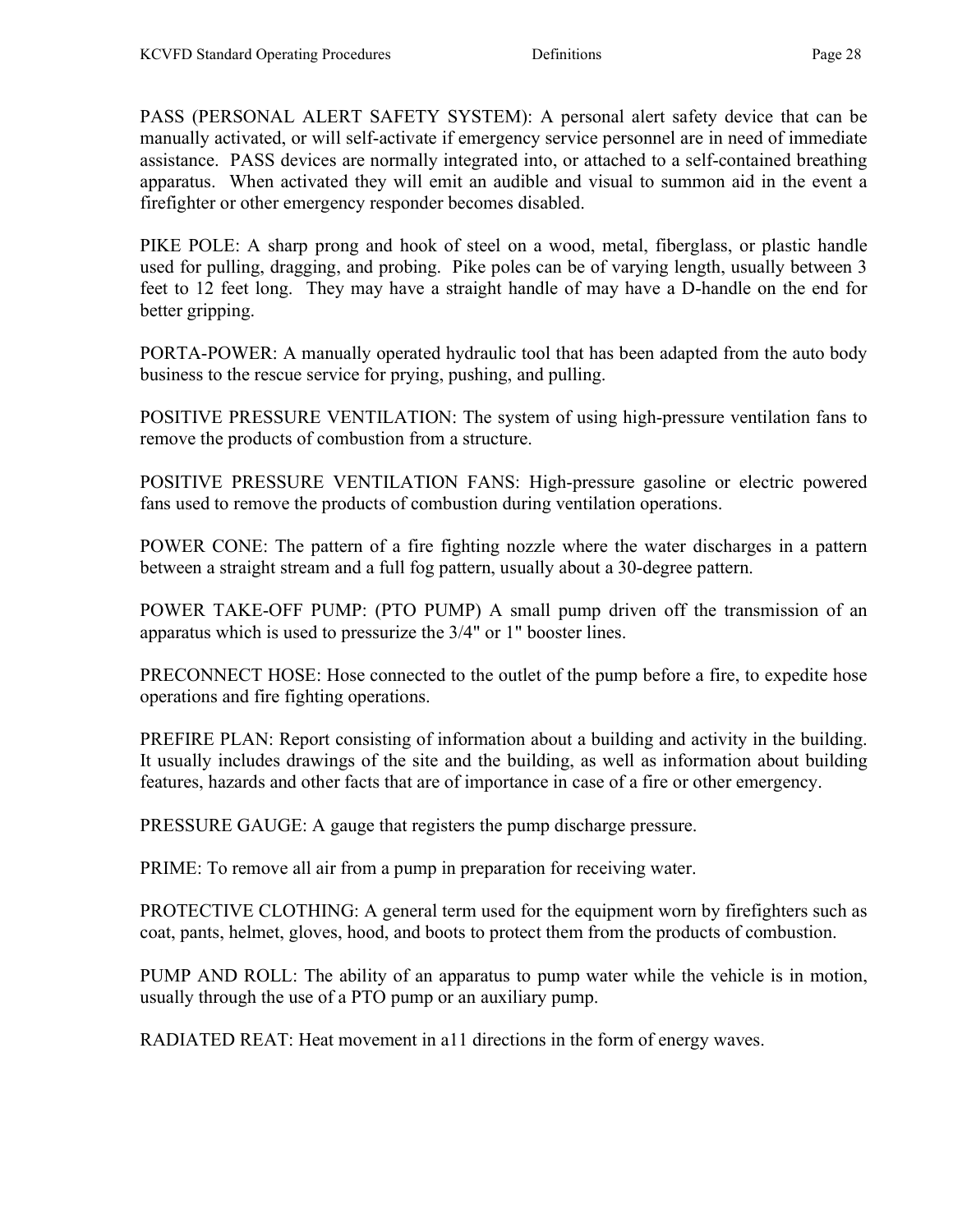PASS (PERSONAL ALERT SAFETY SYSTEM): A personal alert safety device that can be manually activated, or will self-activate if emergency service personnel are in need of immediate assistance. PASS devices are normally integrated into, or attached to a self-contained breathing apparatus. When activated they will emit an audible and visual to summon aid in the event a firefighter or other emergency responder becomes disabled.

PIKE POLE: A sharp prong and hook of steel on a wood, metal, fiberglass, or plastic handle used for pulling, dragging, and probing. Pike poles can be of varying length, usually between 3 feet to 12 feet long. They may have a straight handle of may have a D-handle on the end for better gripping.

PORTA-POWER: A manually operated hydraulic tool that has been adapted from the auto body business to the rescue service for prying, pushing, and pulling.

POSITIVE PRESSURE VENTILATION: The system of using high-pressure ventilation fans to remove the products of combustion from a structure.

POSITIVE PRESSURE VENTILATION FANS: High-pressure gasoline or electric powered fans used to remove the products of combustion during ventilation operations.

POWER CONE: The pattern of a fire fighting nozzle where the water discharges in a pattern between a straight stream and a full fog pattern, usually about a 30-degree pattern.

POWER TAKE-OFF PUMP: (PTO PUMP) A small pump driven off the transmission of an apparatus which is used to pressurize the 3/4" or 1" booster lines.

PRECONNECT HOSE: Hose connected to the outlet of the pump before a fire, to expedite hose operations and fire fighting operations.

PREFIRE PLAN: Report consisting of information about a building and activity in the building. It usually includes drawings of the site and the building, as well as information about building features, hazards and other facts that are of importance in case of a fire or other emergency.

PRESSURE GAUGE: A gauge that registers the pump discharge pressure.

PRIME: To remove all air from a pump in preparation for receiving water.

PROTECTIVE CLOTHING: A general term used for the equipment worn by firefighters such as coat, pants, helmet, gloves, hood, and boots to protect them from the products of combustion.

PUMP AND ROLL: The ability of an apparatus to pump water while the vehicle is in motion, usually through the use of a PTO pump or an auxiliary pump.

RADIATED REAT: Heat movement in a11 directions in the form of energy waves.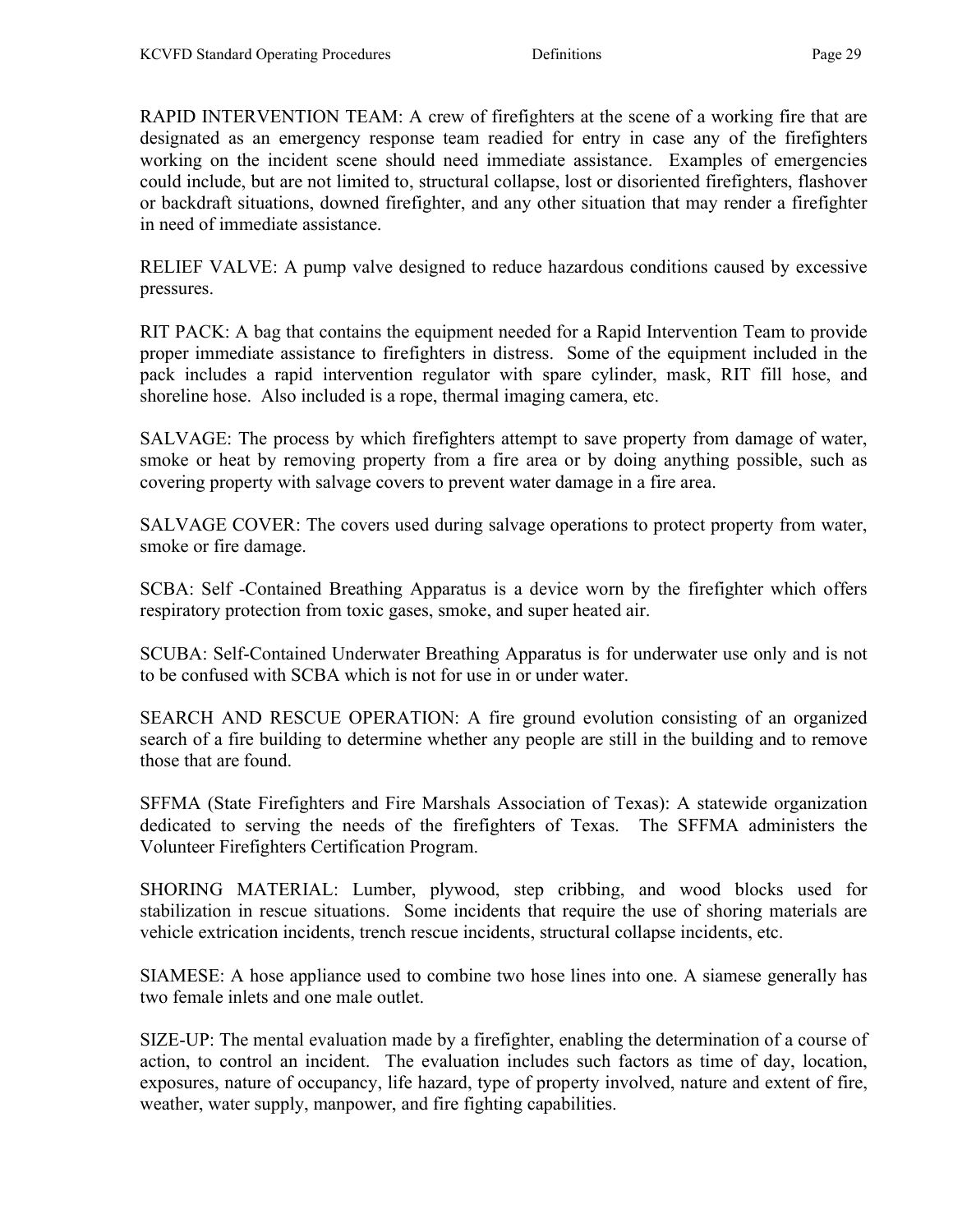RAPID INTERVENTION TEAM: A crew of firefighters at the scene of a working fire that are designated as an emergency response team readied for entry in case any of the firefighters working on the incident scene should need immediate assistance. Examples of emergencies could include, but are not limited to, structural collapse, lost or disoriented firefighters, flashover or backdraft situations, downed firefighter, and any other situation that may render a firefighter in need of immediate assistance.

RELIEF VALVE: A pump valve designed to reduce hazardous conditions caused by excessive pressures.

RIT PACK: A bag that contains the equipment needed for a Rapid Intervention Team to provide proper immediate assistance to firefighters in distress. Some of the equipment included in the pack includes a rapid intervention regulator with spare cylinder, mask, RIT fill hose, and shoreline hose. Also included is a rope, thermal imaging camera, etc.

SALVAGE: The process by which firefighters attempt to save property from damage of water, smoke or heat by removing property from a fire area or by doing anything possible, such as covering property with salvage covers to prevent water damage in a fire area.

SALVAGE COVER: The covers used during salvage operations to protect property from water, smoke or fire damage.

SCBA: Self -Contained Breathing Apparatus is a device worn by the firefighter which offers respiratory protection from toxic gases, smoke, and super heated air.

SCUBA: Self-Contained Underwater Breathing Apparatus is for underwater use only and is not to be confused with SCBA which is not for use in or under water.

SEARCH AND RESCUE OPERATION: A fire ground evolution consisting of an organized search of a fire building to determine whether any people are still in the building and to remove those that are found.

SFFMA (State Firefighters and Fire Marshals Association of Texas): A statewide organization dedicated to serving the needs of the firefighters of Texas. The SFFMA administers the Volunteer Firefighters Certification Program.

SHORING MATERIAL: Lumber, plywood, step cribbing, and wood blocks used for stabilization in rescue situations. Some incidents that require the use of shoring materials are vehicle extrication incidents, trench rescue incidents, structural collapse incidents, etc.

SIAMESE: A hose appliance used to combine two hose lines into one. A siamese generally has two female inlets and one male outlet.

SIZE-UP: The mental evaluation made by a firefighter, enabling the determination of a course of action, to control an incident. The evaluation includes such factors as time of day, location, exposures, nature of occupancy, life hazard, type of property involved, nature and extent of fire, weather, water supply, manpower, and fire fighting capabilities.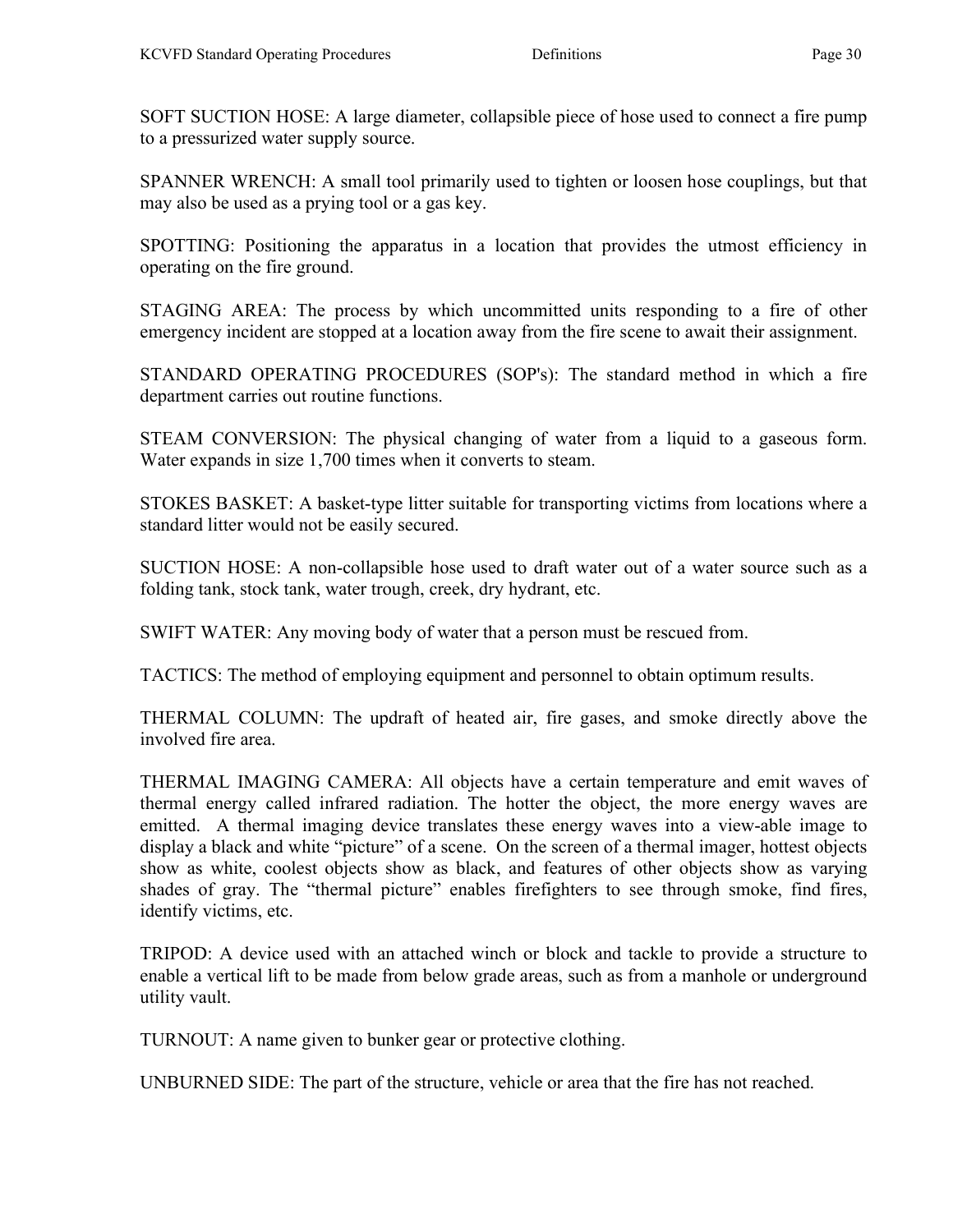SOFT SUCTION HOSE: A large diameter, collapsible piece of hose used to connect a fire pump to a pressurized water supply source.

SPANNER WRENCH: A small tool primarily used to tighten or loosen hose couplings, but that may also be used as a prying tool or a gas key.

SPOTTING: Positioning the apparatus in a location that provides the utmost efficiency in operating on the fire ground.

STAGING AREA: The process by which uncommitted units responding to a fire of other emergency incident are stopped at a location away from the fire scene to await their assignment.

STANDARD OPERATING PROCEDURES (SOP's): The standard method in which a fire department carries out routine functions.

STEAM CONVERSION: The physical changing of water from a liquid to a gaseous form. Water expands in size 1,700 times when it converts to steam.

STOKES BASKET: A basket-type litter suitable for transporting victims from locations where a standard litter would not be easily secured.

SUCTION HOSE: A non-collapsible hose used to draft water out of a water source such as a folding tank, stock tank, water trough, creek, dry hydrant, etc.

SWIFT WATER: Any moving body of water that a person must be rescued from.

TACTICS: The method of employing equipment and personnel to obtain optimum results.

THERMAL COLUMN: The updraft of heated air, fire gases, and smoke directly above the involved fire area.

THERMAL IMAGING CAMERA: All objects have a certain temperature and emit waves of thermal energy called infrared radiation. The hotter the object, the more energy waves are emitted. A thermal imaging device translates these energy waves into a view-able image to display a black and white "picture" of a scene. On the screen of a thermal imager, hottest objects show as white, coolest objects show as black, and features of other objects show as varying shades of gray. The "thermal picture" enables firefighters to see through smoke, find fires, identify victims, etc.

TRIPOD: A device used with an attached winch or block and tackle to provide a structure to enable a vertical lift to be made from below grade areas, such as from a manhole or underground utility vault.

TURNOUT: A name given to bunker gear or protective clothing.

UNBURNED SIDE: The part of the structure, vehicle or area that the fire has not reached.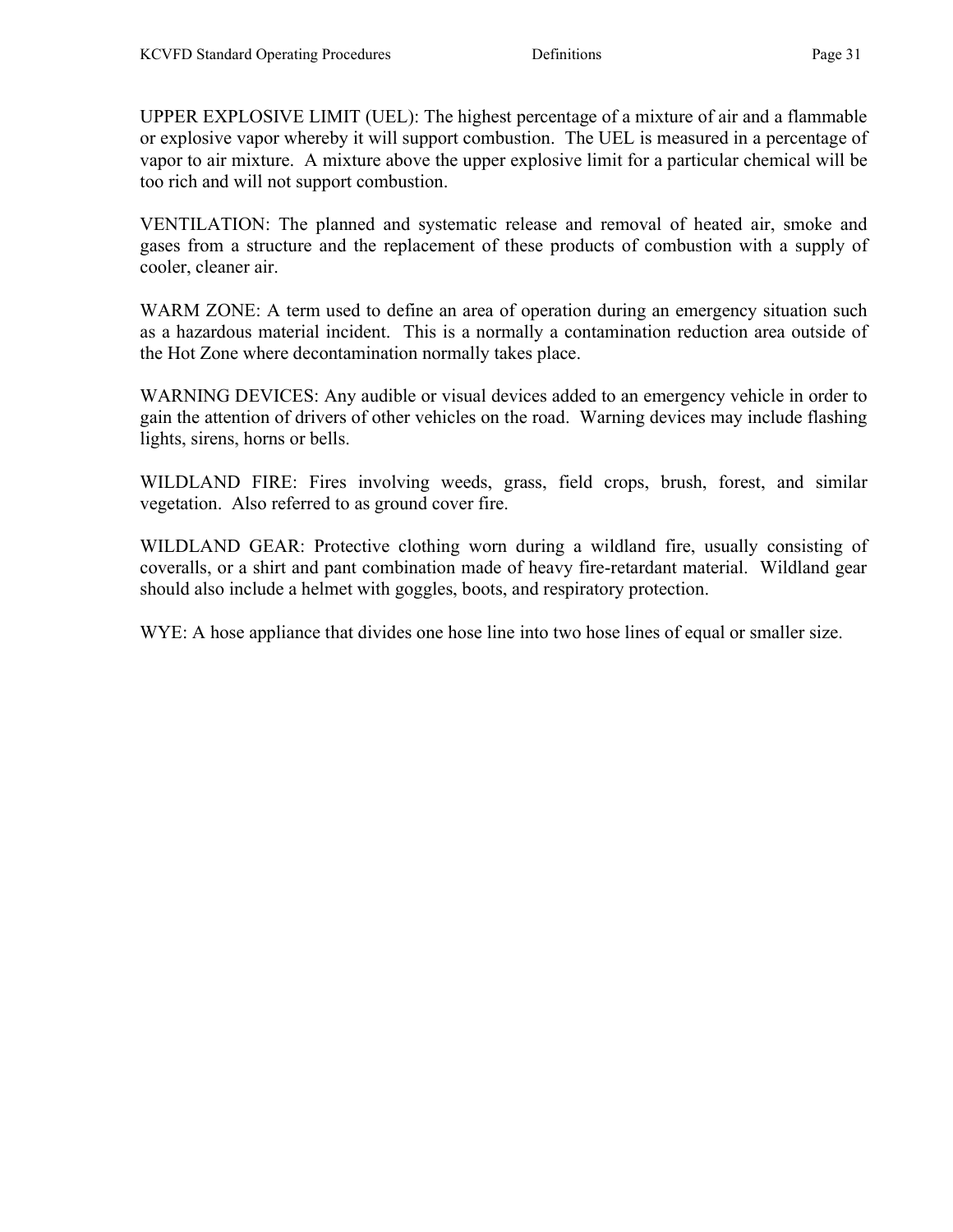UPPER EXPLOSIVE LIMIT (UEL): The highest percentage of a mixture of air and a flammable or explosive vapor whereby it will support combustion. The UEL is measured in a percentage of vapor to air mixture. A mixture above the upper explosive limit for a particular chemical will be too rich and will not support combustion.

VENTILATION: The planned and systematic release and removal of heated air, smoke and gases from a structure and the replacement of these products of combustion with a supply of cooler, cleaner air.

WARM ZONE: A term used to define an area of operation during an emergency situation such as a hazardous material incident. This is a normally a contamination reduction area outside of the Hot Zone where decontamination normally takes place.

WARNING DEVICES: Any audible or visual devices added to an emergency vehicle in order to gain the attention of drivers of other vehicles on the road. Warning devices may include flashing lights, sirens, horns or bells.

WILDLAND FIRE: Fires involving weeds, grass, field crops, brush, forest, and similar vegetation. Also referred to as ground cover fire.

WILDLAND GEAR: Protective clothing worn during a wildland fire, usually consisting of coveralls, or a shirt and pant combination made of heavy fire-retardant material. Wildland gear should also include a helmet with goggles, boots, and respiratory protection.

WYE: A hose appliance that divides one hose line into two hose lines of equal or smaller size.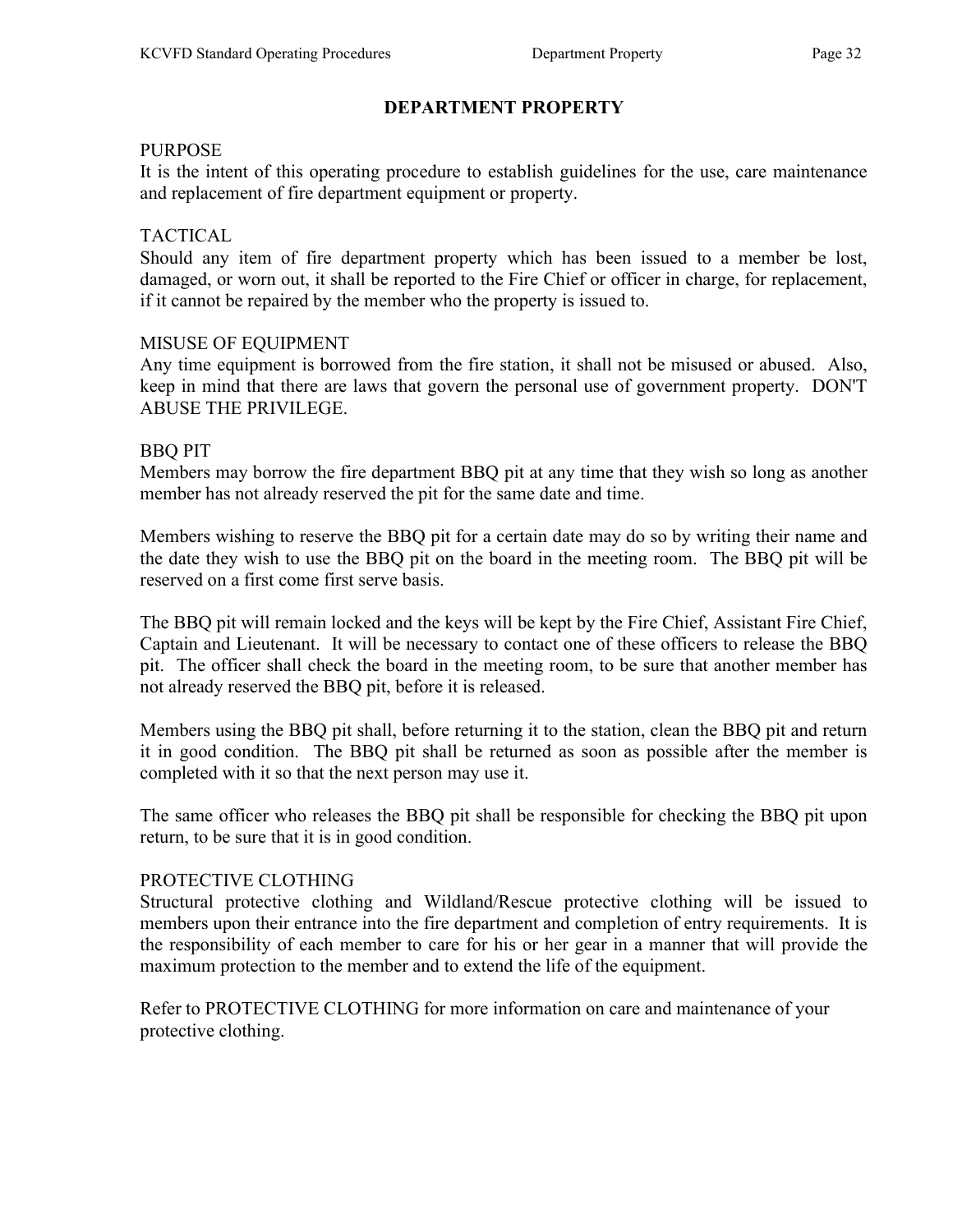#### PURPOSE

It is the intent of this operating procedure to establish guidelines for the use, care maintenance and replacement of fire department equipment or property.

#### TACTICAL

Should any item of fire department property which has been issued to a member be lost, damaged, or worn out, it shall be reported to the Fire Chief or officer in charge, for replacement, if it cannot be repaired by the member who the property is issued to.

#### MISUSE OF EQUIPMENT

Any time equipment is borrowed from the fire station, it shall not be misused or abused. Also, keep in mind that there are laws that govern the personal use of government property. DON'T ABUSE THE PRIVILEGE.

#### BBQ PIT

Members may borrow the fire department BBQ pit at any time that they wish so long as another member has not already reserved the pit for the same date and time.

Members wishing to reserve the BBQ pit for a certain date may do so by writing their name and the date they wish to use the BBQ pit on the board in the meeting room. The BBQ pit will be reserved on a first come first serve basis.

The BBQ pit will remain locked and the keys will be kept by the Fire Chief, Assistant Fire Chief, Captain and Lieutenant. It will be necessary to contact one of these officers to release the BBQ pit. The officer shall check the board in the meeting room, to be sure that another member has not already reserved the BBQ pit, before it is released.

Members using the BBQ pit shall, before returning it to the station, clean the BBQ pit and return it in good condition. The BBQ pit shall be returned as soon as possible after the member is completed with it so that the next person may use it.

The same officer who releases the BBQ pit shall be responsible for checking the BBQ pit upon return, to be sure that it is in good condition.

#### PROTECTIVE CLOTHING

Structural protective clothing and Wildland/Rescue protective clothing will be issued to members upon their entrance into the fire department and completion of entry requirements. It is the responsibility of each member to care for his or her gear in a manner that will provide the maximum protection to the member and to extend the life of the equipment.

Refer to PROTECTIVE CLOTHING for more information on care and maintenance of your protective clothing.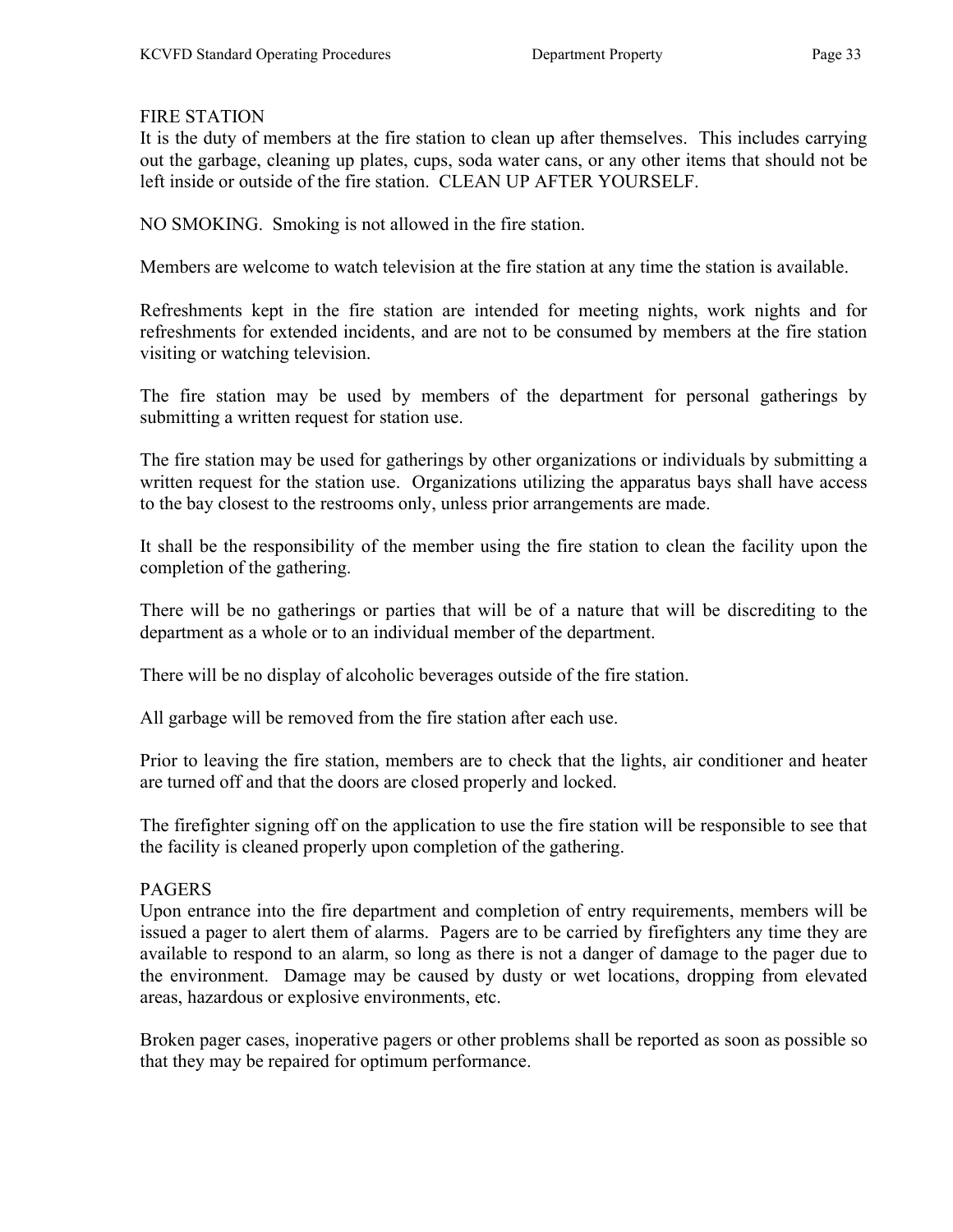#### FIRE STATION

It is the duty of members at the fire station to clean up after themselves. This includes carrying out the garbage, cleaning up plates, cups, soda water cans, or any other items that should not be left inside or outside of the fire station. CLEAN UP AFTER YOURSELF.

NO SMOKING. Smoking is not allowed in the fire station.

Members are welcome to watch television at the fire station at any time the station is available.

Refreshments kept in the fire station are intended for meeting nights, work nights and for refreshments for extended incidents, and are not to be consumed by members at the fire station visiting or watching television.

The fire station may be used by members of the department for personal gatherings by submitting a written request for station use.

The fire station may be used for gatherings by other organizations or individuals by submitting a written request for the station use. Organizations utilizing the apparatus bays shall have access to the bay closest to the restrooms only, unless prior arrangements are made.

It shall be the responsibility of the member using the fire station to clean the facility upon the completion of the gathering.

There will be no gatherings or parties that will be of a nature that will be discrediting to the department as a whole or to an individual member of the department.

There will be no display of alcoholic beverages outside of the fire station.

All garbage will be removed from the fire station after each use.

Prior to leaving the fire station, members are to check that the lights, air conditioner and heater are turned off and that the doors are closed properly and locked.

The firefighter signing off on the application to use the fire station will be responsible to see that the facility is cleaned properly upon completion of the gathering.

### PAGERS

Upon entrance into the fire department and completion of entry requirements, members will be issued a pager to alert them of alarms. Pagers are to be carried by firefighters any time they are available to respond to an alarm, so long as there is not a danger of damage to the pager due to the environment. Damage may be caused by dusty or wet locations, dropping from elevated areas, hazardous or explosive environments, etc.

Broken pager cases, inoperative pagers or other problems shall be reported as soon as possible so that they may be repaired for optimum performance.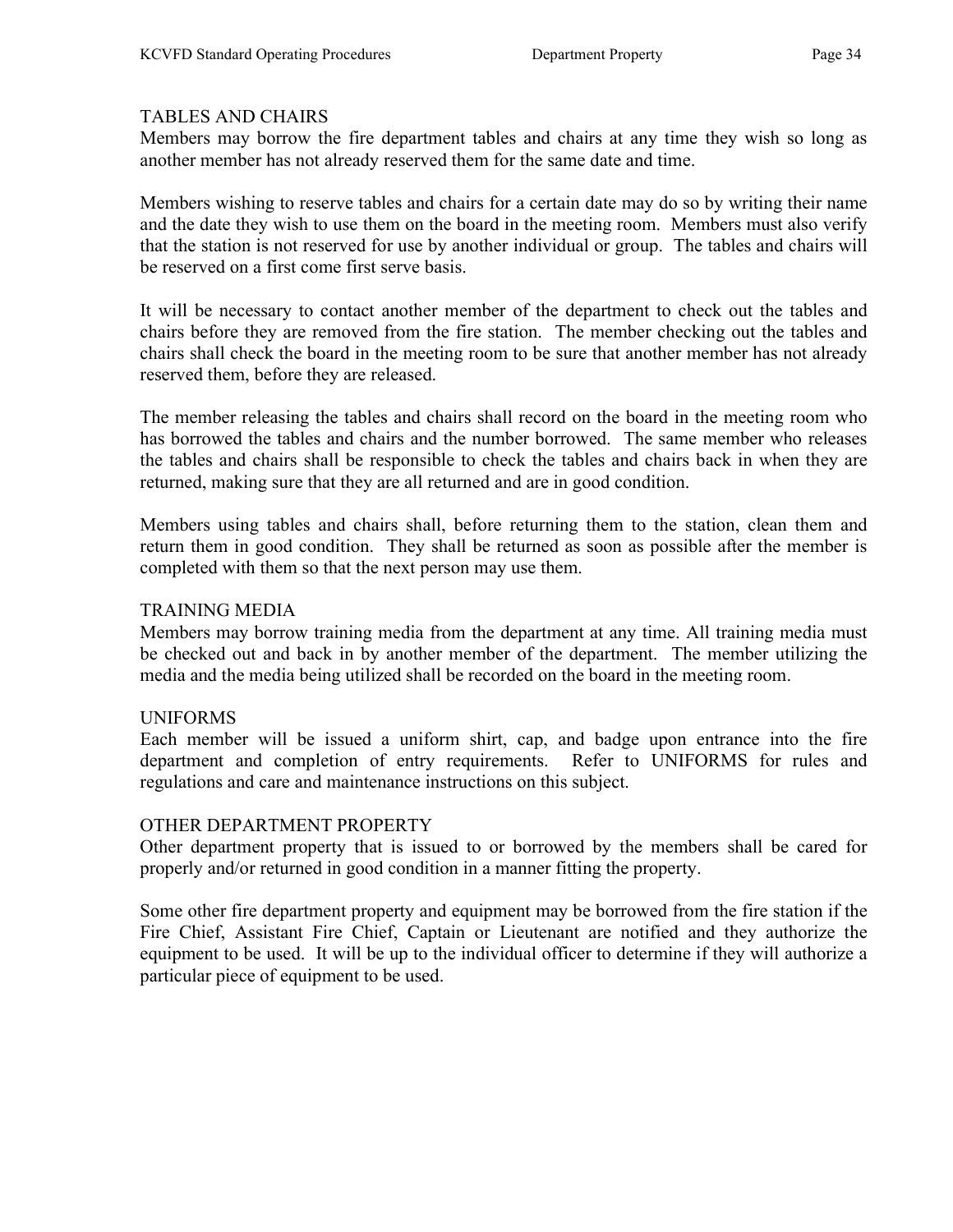### TABLES AND CHAIRS

Members may borrow the fire department tables and chairs at any time they wish so long as another member has not already reserved them for the same date and time.

Members wishing to reserve tables and chairs for a certain date may do so by writing their name and the date they wish to use them on the board in the meeting room. Members must also verify that the station is not reserved for use by another individual or group. The tables and chairs will be reserved on a first come first serve basis.

It will be necessary to contact another member of the department to check out the tables and chairs before they are removed from the fire station. The member checking out the tables and chairs shall check the board in the meeting room to be sure that another member has not already reserved them, before they are released.

The member releasing the tables and chairs shall record on the board in the meeting room who has borrowed the tables and chairs and the number borrowed. The same member who releases the tables and chairs shall be responsible to check the tables and chairs back in when they are returned, making sure that they are all returned and are in good condition.

Members using tables and chairs shall, before returning them to the station, clean them and return them in good condition. They shall be returned as soon as possible after the member is completed with them so that the next person may use them.

### TRAINING MEDIA

Members may borrow training media from the department at any time. All training media must be checked out and back in by another member of the department. The member utilizing the media and the media being utilized shall be recorded on the board in the meeting room.

### UNIFORMS

Each member will be issued a uniform shirt, cap, and badge upon entrance into the fire department and completion of entry requirements. Refer to UNIFORMS for rules and regulations and care and maintenance instructions on this subject.

### OTHER DEPARTMENT PROPERTY

Other department property that is issued to or borrowed by the members shall be cared for properly and/or returned in good condition in a manner fitting the property.

Some other fire department property and equipment may be borrowed from the fire station if the Fire Chief, Assistant Fire Chief, Captain or Lieutenant are notified and they authorize the equipment to be used. It will be up to the individual officer to determine if they will authorize a particular piece of equipment to be used.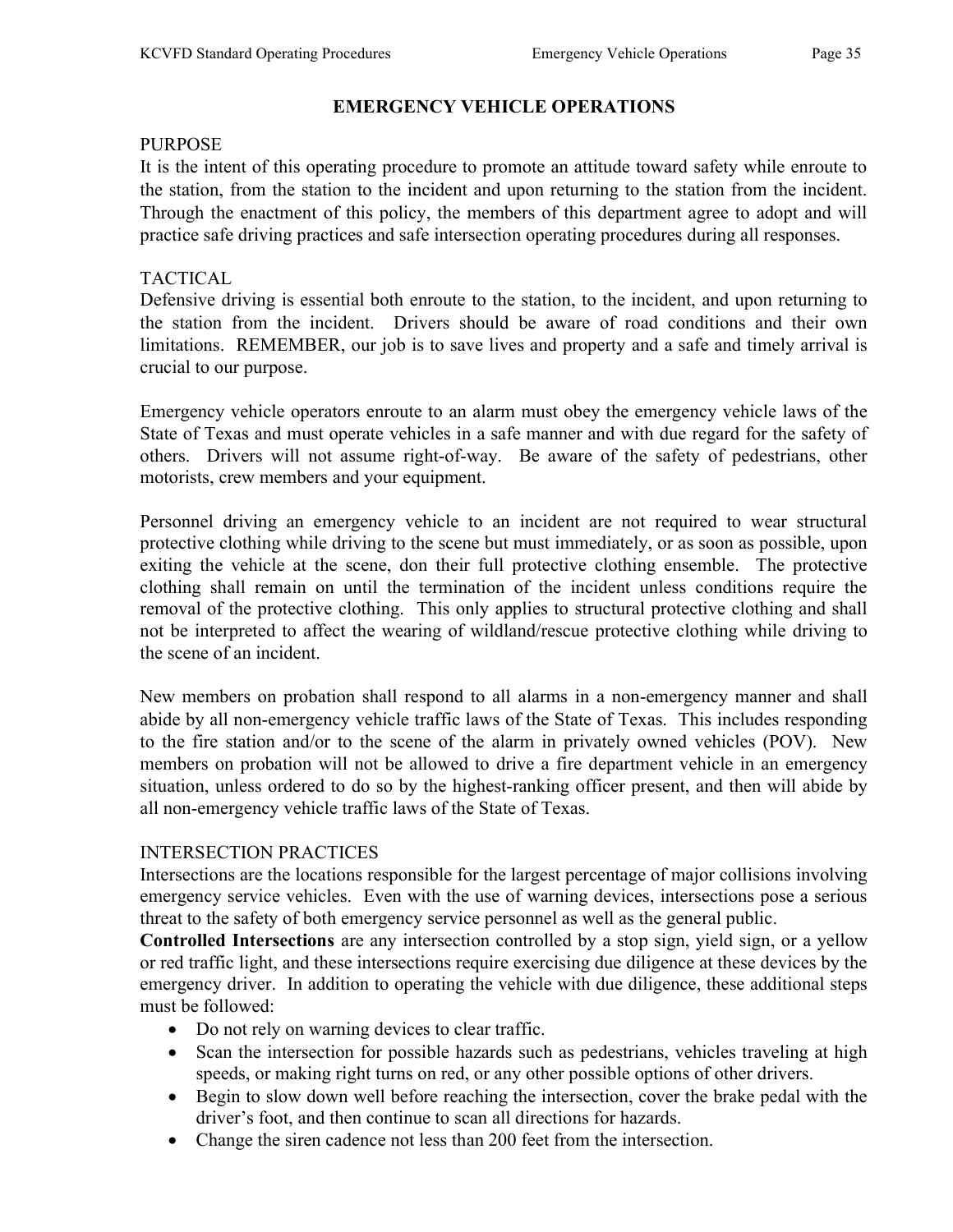### EMERGENCY VEHICLE OPERATIONS

#### PURPOSE

It is the intent of this operating procedure to promote an attitude toward safety while enroute to the station, from the station to the incident and upon returning to the station from the incident. Through the enactment of this policy, the members of this department agree to adopt and will practice safe driving practices and safe intersection operating procedures during all responses.

### TACTICAL

Defensive driving is essential both enroute to the station, to the incident, and upon returning to the station from the incident. Drivers should be aware of road conditions and their own limitations. REMEMBER, our job is to save lives and property and a safe and timely arrival is crucial to our purpose.

Emergency vehicle operators enroute to an alarm must obey the emergency vehicle laws of the State of Texas and must operate vehicles in a safe manner and with due regard for the safety of others. Drivers will not assume right-of-way. Be aware of the safety of pedestrians, other motorists, crew members and your equipment.

Personnel driving an emergency vehicle to an incident are not required to wear structural protective clothing while driving to the scene but must immediately, or as soon as possible, upon exiting the vehicle at the scene, don their full protective clothing ensemble. The protective clothing shall remain on until the termination of the incident unless conditions require the removal of the protective clothing. This only applies to structural protective clothing and shall not be interpreted to affect the wearing of wildland/rescue protective clothing while driving to the scene of an incident.

New members on probation shall respond to all alarms in a non-emergency manner and shall abide by all non-emergency vehicle traffic laws of the State of Texas. This includes responding to the fire station and/or to the scene of the alarm in privately owned vehicles (POV). New members on probation will not be allowed to drive a fire department vehicle in an emergency situation, unless ordered to do so by the highest-ranking officer present, and then will abide by all non-emergency vehicle traffic laws of the State of Texas.

### INTERSECTION PRACTICES

Intersections are the locations responsible for the largest percentage of major collisions involving emergency service vehicles. Even with the use of warning devices, intersections pose a serious threat to the safety of both emergency service personnel as well as the general public.

Controlled Intersections are any intersection controlled by a stop sign, yield sign, or a yellow or red traffic light, and these intersections require exercising due diligence at these devices by the emergency driver. In addition to operating the vehicle with due diligence, these additional steps must be followed:

- Do not rely on warning devices to clear traffic.
- Scan the intersection for possible hazards such as pedestrians, vehicles traveling at high speeds, or making right turns on red, or any other possible options of other drivers.
- Begin to slow down well before reaching the intersection, cover the brake pedal with the driver's foot, and then continue to scan all directions for hazards.
- Change the siren cadence not less than 200 feet from the intersection.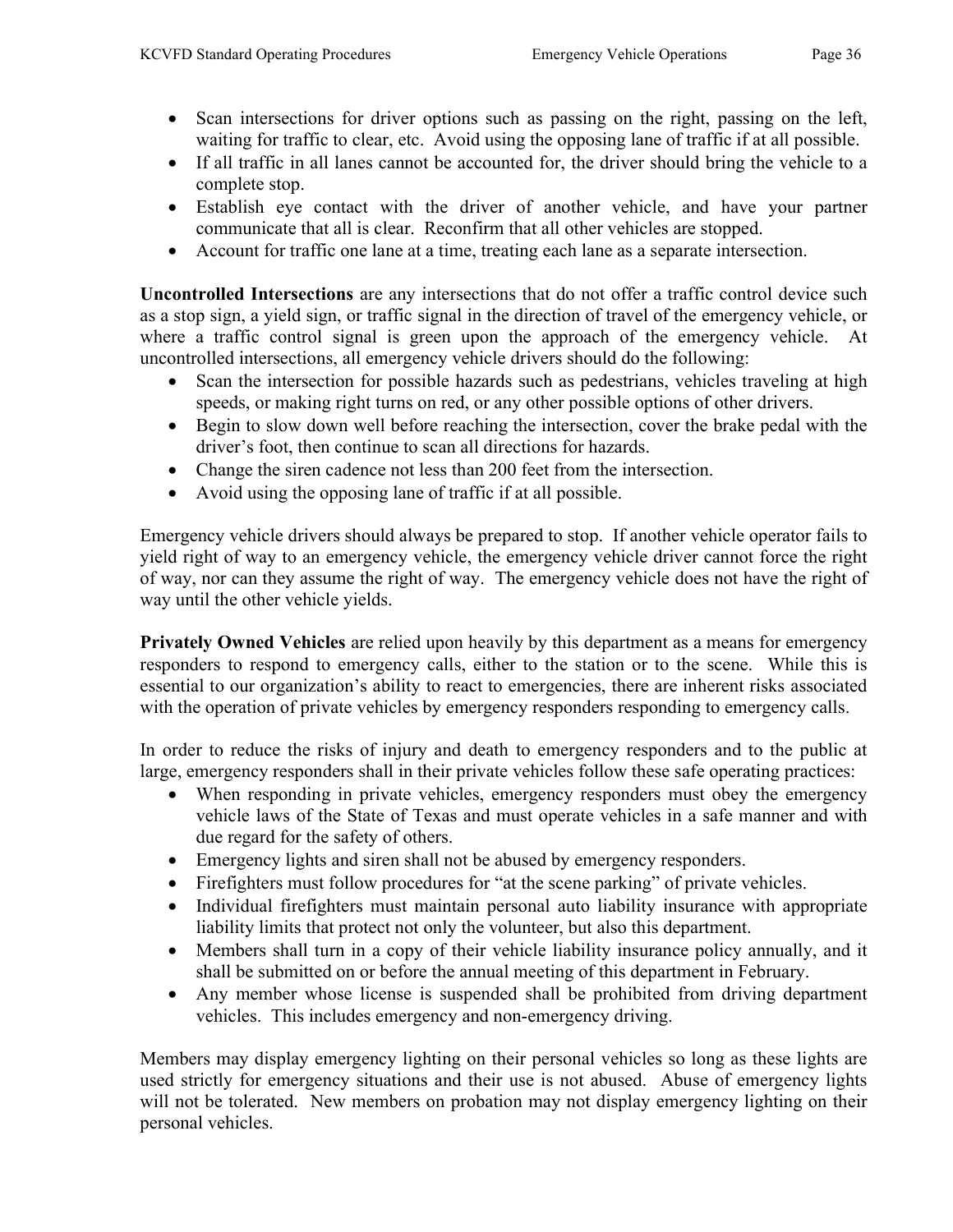- 
- Scan intersections for driver options such as passing on the right, passing on the left, waiting for traffic to clear, etc. Avoid using the opposing lane of traffic if at all possible.
- If all traffic in all lanes cannot be accounted for, the driver should bring the vehicle to a complete stop.
- Establish eye contact with the driver of another vehicle, and have your partner communicate that all is clear. Reconfirm that all other vehicles are stopped.
- Account for traffic one lane at a time, treating each lane as a separate intersection.

Uncontrolled Intersections are any intersections that do not offer a traffic control device such as a stop sign, a yield sign, or traffic signal in the direction of travel of the emergency vehicle, or where a traffic control signal is green upon the approach of the emergency vehicle. At uncontrolled intersections, all emergency vehicle drivers should do the following:

- Scan the intersection for possible hazards such as pedestrians, vehicles traveling at high speeds, or making right turns on red, or any other possible options of other drivers.
- Begin to slow down well before reaching the intersection, cover the brake pedal with the driver's foot, then continue to scan all directions for hazards.
- Change the siren cadence not less than 200 feet from the intersection.
- Avoid using the opposing lane of traffic if at all possible.

Emergency vehicle drivers should always be prepared to stop. If another vehicle operator fails to yield right of way to an emergency vehicle, the emergency vehicle driver cannot force the right of way, nor can they assume the right of way. The emergency vehicle does not have the right of way until the other vehicle yields.

Privately Owned Vehicles are relied upon heavily by this department as a means for emergency responders to respond to emergency calls, either to the station or to the scene. While this is essential to our organization's ability to react to emergencies, there are inherent risks associated with the operation of private vehicles by emergency responders responding to emergency calls.

In order to reduce the risks of injury and death to emergency responders and to the public at large, emergency responders shall in their private vehicles follow these safe operating practices:

- When responding in private vehicles, emergency responders must obey the emergency vehicle laws of the State of Texas and must operate vehicles in a safe manner and with due regard for the safety of others.
- Emergency lights and siren shall not be abused by emergency responders.
- Firefighters must follow procedures for "at the scene parking" of private vehicles.
- Individual firefighters must maintain personal auto liability insurance with appropriate liability limits that protect not only the volunteer, but also this department.
- Members shall turn in a copy of their vehicle liability insurance policy annually, and it shall be submitted on or before the annual meeting of this department in February.
- Any member whose license is suspended shall be prohibited from driving department vehicles. This includes emergency and non-emergency driving.

Members may display emergency lighting on their personal vehicles so long as these lights are used strictly for emergency situations and their use is not abused. Abuse of emergency lights will not be tolerated. New members on probation may not display emergency lighting on their personal vehicles.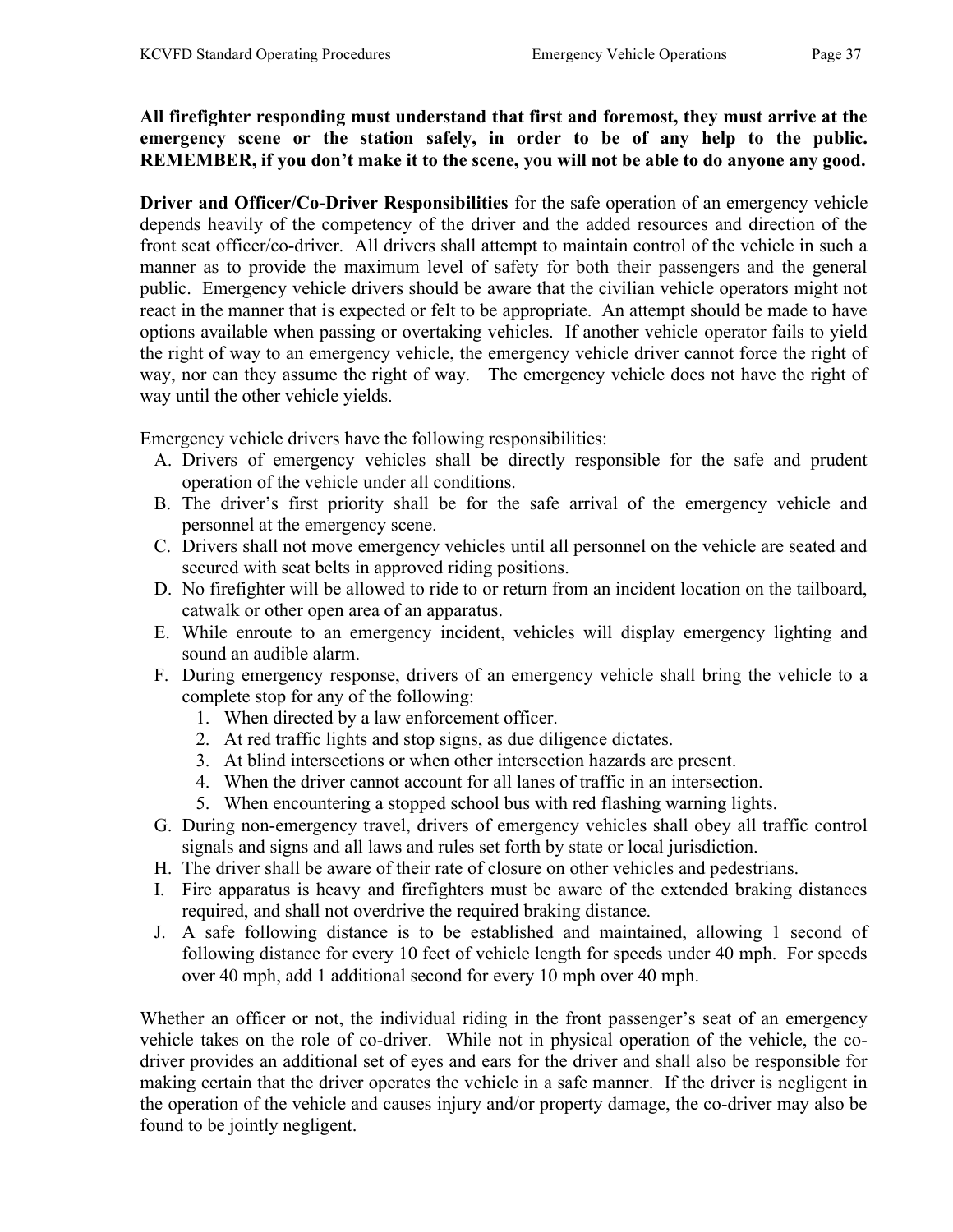All firefighter responding must understand that first and foremost, they must arrive at the emergency scene or the station safely, in order to be of any help to the public. REMEMBER, if you don't make it to the scene, you will not be able to do anyone any good.

Driver and Officer/Co-Driver Responsibilities for the safe operation of an emergency vehicle depends heavily of the competency of the driver and the added resources and direction of the front seat officer/co-driver. All drivers shall attempt to maintain control of the vehicle in such a manner as to provide the maximum level of safety for both their passengers and the general public. Emergency vehicle drivers should be aware that the civilian vehicle operators might not react in the manner that is expected or felt to be appropriate. An attempt should be made to have options available when passing or overtaking vehicles. If another vehicle operator fails to yield the right of way to an emergency vehicle, the emergency vehicle driver cannot force the right of way, nor can they assume the right of way. The emergency vehicle does not have the right of way until the other vehicle yields.

Emergency vehicle drivers have the following responsibilities:

- A. Drivers of emergency vehicles shall be directly responsible for the safe and prudent operation of the vehicle under all conditions.
- B. The driver's first priority shall be for the safe arrival of the emergency vehicle and personnel at the emergency scene.
- C. Drivers shall not move emergency vehicles until all personnel on the vehicle are seated and secured with seat belts in approved riding positions.
- D. No firefighter will be allowed to ride to or return from an incident location on the tailboard, catwalk or other open area of an apparatus.
- E. While enroute to an emergency incident, vehicles will display emergency lighting and sound an audible alarm.
- F. During emergency response, drivers of an emergency vehicle shall bring the vehicle to a complete stop for any of the following:
	- 1. When directed by a law enforcement officer.
	- 2. At red traffic lights and stop signs, as due diligence dictates.
	- 3. At blind intersections or when other intersection hazards are present.
	- 4. When the driver cannot account for all lanes of traffic in an intersection.
	- 5. When encountering a stopped school bus with red flashing warning lights.
- G. During non-emergency travel, drivers of emergency vehicles shall obey all traffic control signals and signs and all laws and rules set forth by state or local jurisdiction.
- H. The driver shall be aware of their rate of closure on other vehicles and pedestrians.
- I. Fire apparatus is heavy and firefighters must be aware of the extended braking distances required, and shall not overdrive the required braking distance.
- J. A safe following distance is to be established and maintained, allowing 1 second of following distance for every 10 feet of vehicle length for speeds under 40 mph. For speeds over 40 mph, add 1 additional second for every 10 mph over 40 mph.

Whether an officer or not, the individual riding in the front passenger's seat of an emergency vehicle takes on the role of co-driver. While not in physical operation of the vehicle, the codriver provides an additional set of eyes and ears for the driver and shall also be responsible for making certain that the driver operates the vehicle in a safe manner. If the driver is negligent in the operation of the vehicle and causes injury and/or property damage, the co-driver may also be found to be jointly negligent.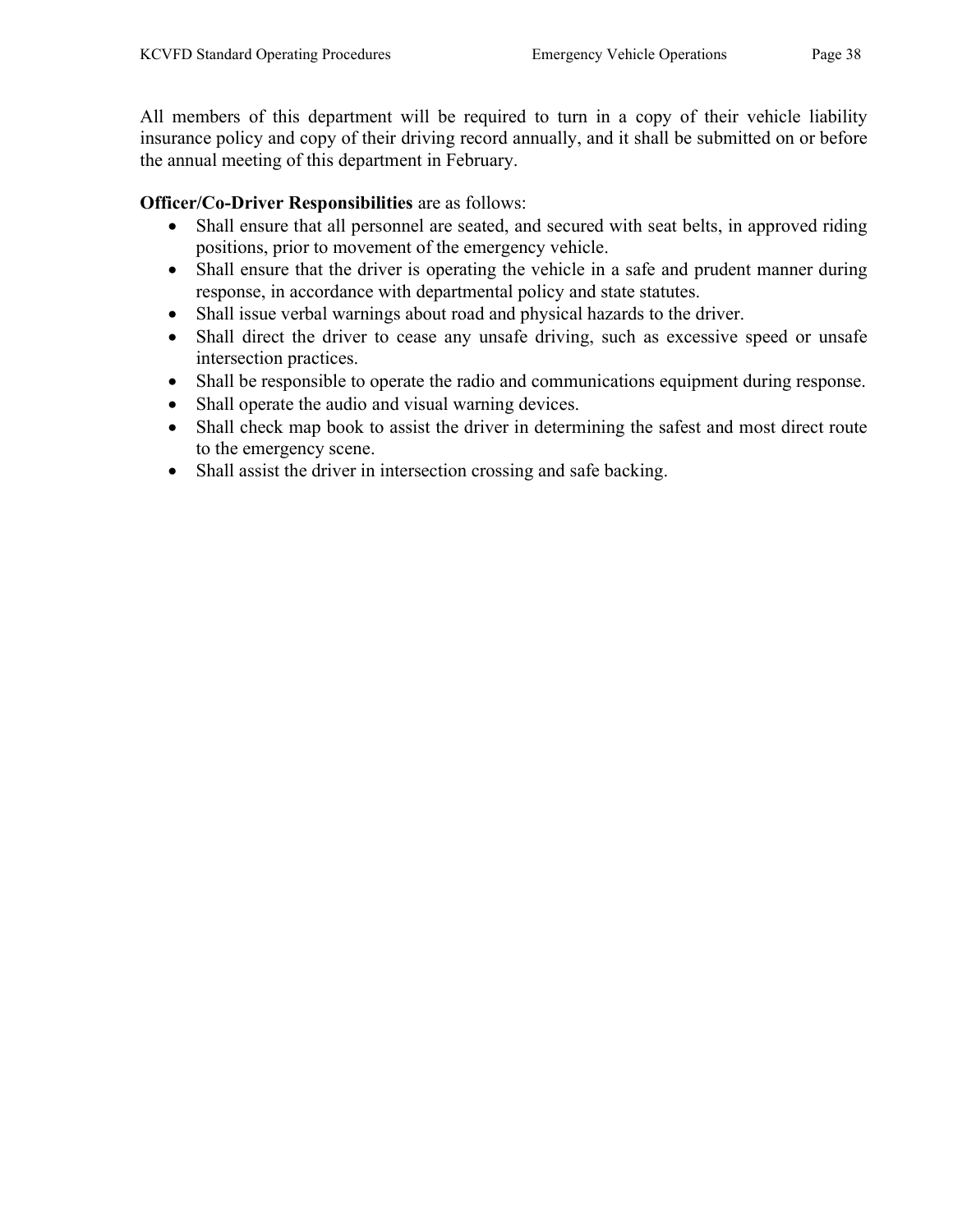All members of this department will be required to turn in a copy of their vehicle liability insurance policy and copy of their driving record annually, and it shall be submitted on or before the annual meeting of this department in February.

## Officer/Co-Driver Responsibilities are as follows:

- Shall ensure that all personnel are seated, and secured with seat belts, in approved riding positions, prior to movement of the emergency vehicle.
- Shall ensure that the driver is operating the vehicle in a safe and prudent manner during response, in accordance with departmental policy and state statutes.
- Shall issue verbal warnings about road and physical hazards to the driver.
- Shall direct the driver to cease any unsafe driving, such as excessive speed or unsafe intersection practices.
- Shall be responsible to operate the radio and communications equipment during response.
- Shall operate the audio and visual warning devices.
- Shall check map book to assist the driver in determining the safest and most direct route to the emergency scene.
- Shall assist the driver in intersection crossing and safe backing.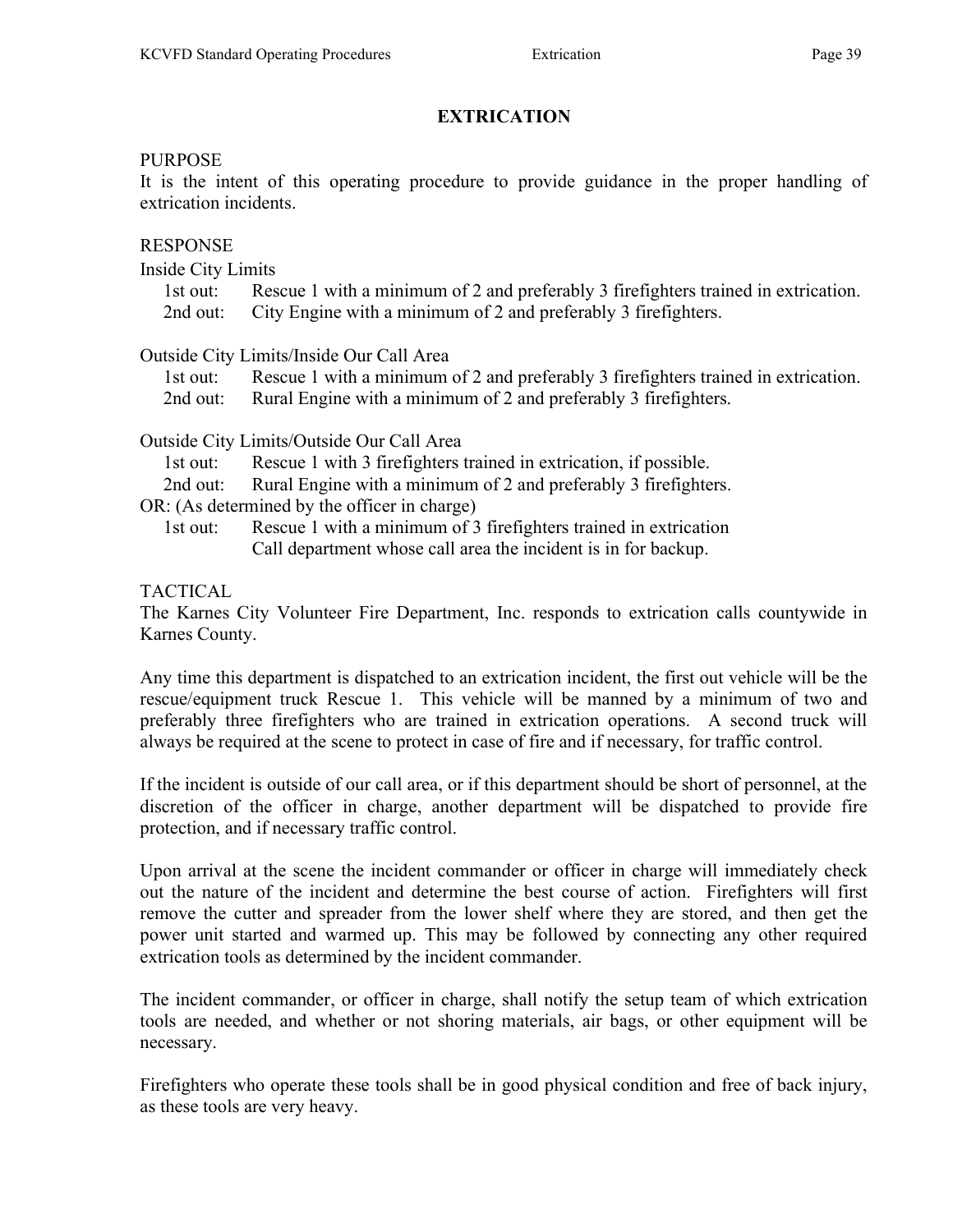## PURPOSE

It is the intent of this operating procedure to provide guidance in the proper handling of extrication incidents.

## RESPONSE

Inside City Limits

- 1st out: Rescue 1 with a minimum of 2 and preferably 3 firefighters trained in extrication. 2nd out: City Engine with a minimum of 2 and preferably 3 firefighters.
- 

# Outside City Limits/Inside Our Call Area

 1st out: Rescue 1 with a minimum of 2 and preferably 3 firefighters trained in extrication. 2nd out: Rural Engine with a minimum of 2 and preferably 3 firefighters.

Outside City Limits/Outside Our Call Area

- 1st out: Rescue 1 with 3 firefighters trained in extrication, if possible.
- 2nd out: Rural Engine with a minimum of 2 and preferably 3 firefighters.

OR: (As determined by the officer in charge)

 1st out: Rescue 1 with a minimum of 3 firefighters trained in extrication Call department whose call area the incident is in for backup.

TACTICAL

The Karnes City Volunteer Fire Department, Inc. responds to extrication calls countywide in Karnes County.

Any time this department is dispatched to an extrication incident, the first out vehicle will be the rescue/equipment truck Rescue 1. This vehicle will be manned by a minimum of two and preferably three firefighters who are trained in extrication operations. A second truck will always be required at the scene to protect in case of fire and if necessary, for traffic control.

If the incident is outside of our call area, or if this department should be short of personnel, at the discretion of the officer in charge, another department will be dispatched to provide fire protection, and if necessary traffic control.

Upon arrival at the scene the incident commander or officer in charge will immediately check out the nature of the incident and determine the best course of action. Firefighters will first remove the cutter and spreader from the lower shelf where they are stored, and then get the power unit started and warmed up. This may be followed by connecting any other required extrication tools as determined by the incident commander.

The incident commander, or officer in charge, shall notify the setup team of which extrication tools are needed, and whether or not shoring materials, air bags, or other equipment will be necessary.

Firefighters who operate these tools shall be in good physical condition and free of back injury, as these tools are very heavy.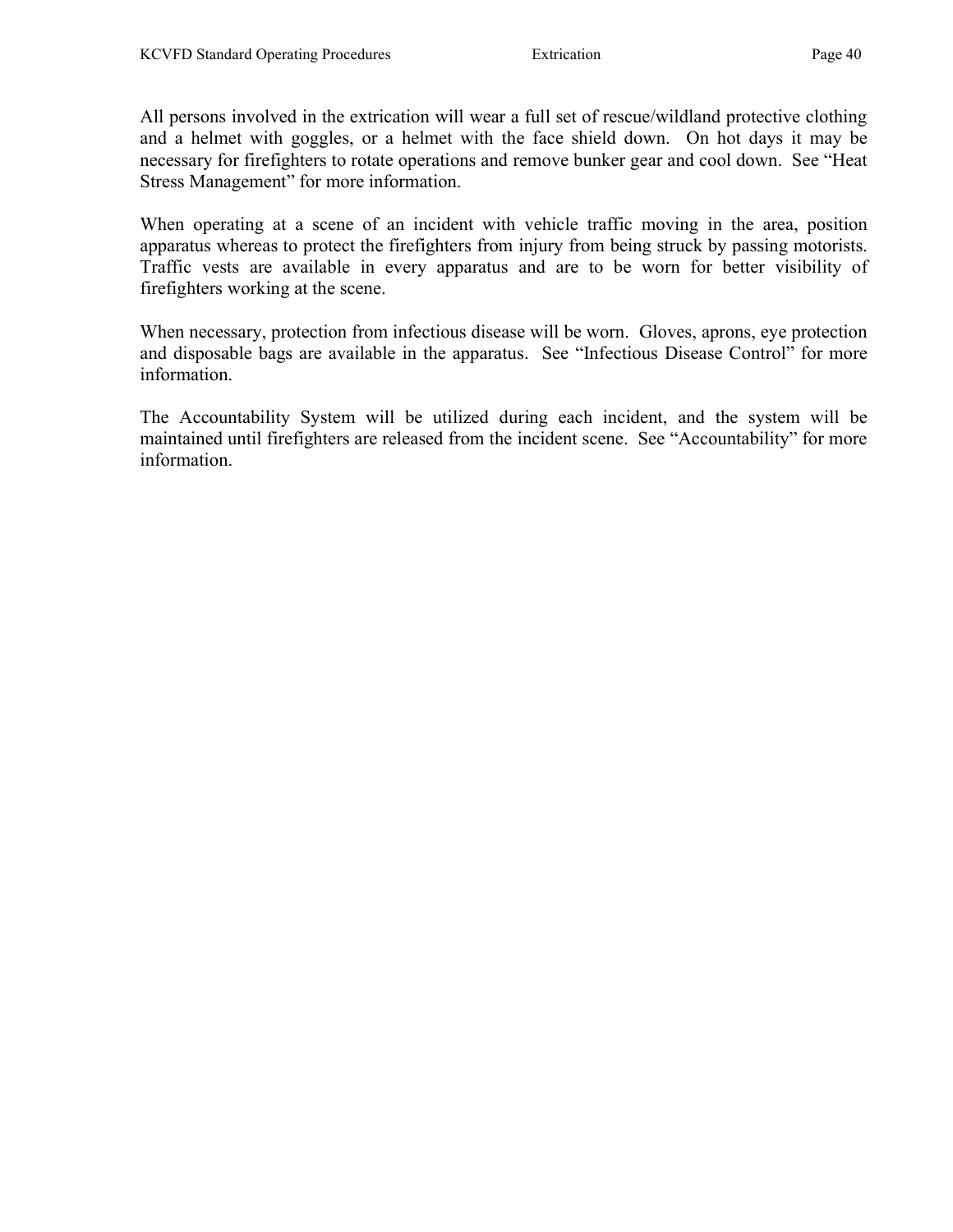All persons involved in the extrication will wear a full set of rescue/wildland protective clothing and a helmet with goggles, or a helmet with the face shield down. On hot days it may be necessary for firefighters to rotate operations and remove bunker gear and cool down. See "Heat Stress Management" for more information.

When operating at a scene of an incident with vehicle traffic moving in the area, position apparatus whereas to protect the firefighters from injury from being struck by passing motorists. Traffic vests are available in every apparatus and are to be worn for better visibility of firefighters working at the scene.

When necessary, protection from infectious disease will be worn. Gloves, aprons, eye protection and disposable bags are available in the apparatus. See "Infectious Disease Control" for more information.

The Accountability System will be utilized during each incident, and the system will be maintained until firefighters are released from the incident scene. See "Accountability" for more information.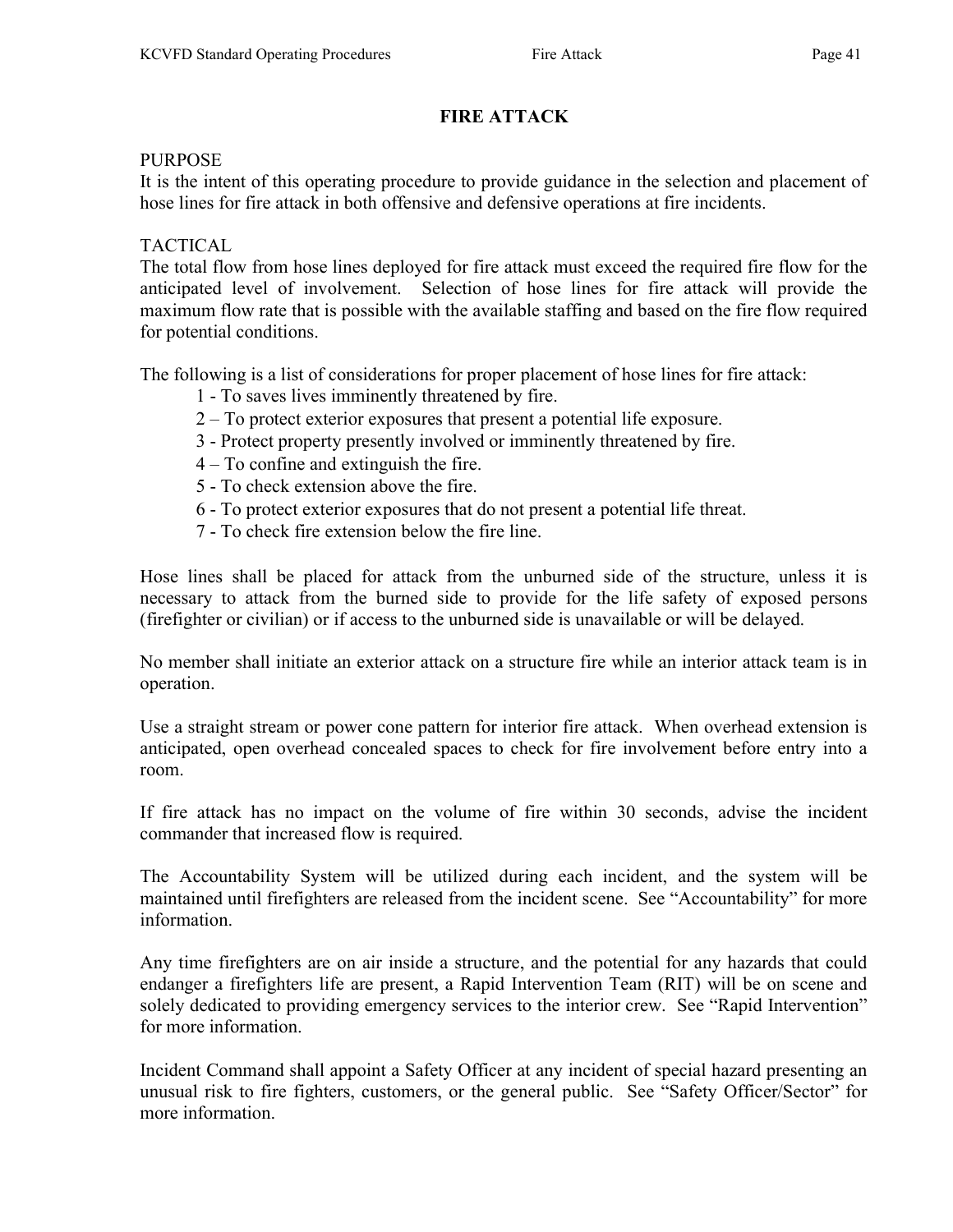# FIRE ATTACK

## PURPOSE

It is the intent of this operating procedure to provide guidance in the selection and placement of hose lines for fire attack in both offensive and defensive operations at fire incidents.

# TACTICAL

The total flow from hose lines deployed for fire attack must exceed the required fire flow for the anticipated level of involvement. Selection of hose lines for fire attack will provide the maximum flow rate that is possible with the available staffing and based on the fire flow required for potential conditions.

The following is a list of considerations for proper placement of hose lines for fire attack:

- 1 To saves lives imminently threatened by fire.
- 2 To protect exterior exposures that present a potential life exposure.
- 3 Protect property presently involved or imminently threatened by fire.
- 4 To confine and extinguish the fire.
- 5 To check extension above the fire.
- 6 To protect exterior exposures that do not present a potential life threat.
- 7 To check fire extension below the fire line.

Hose lines shall be placed for attack from the unburned side of the structure, unless it is necessary to attack from the burned side to provide for the life safety of exposed persons (firefighter or civilian) or if access to the unburned side is unavailable or will be delayed.

No member shall initiate an exterior attack on a structure fire while an interior attack team is in operation.

Use a straight stream or power cone pattern for interior fire attack. When overhead extension is anticipated, open overhead concealed spaces to check for fire involvement before entry into a room.

If fire attack has no impact on the volume of fire within 30 seconds, advise the incident commander that increased flow is required.

The Accountability System will be utilized during each incident, and the system will be maintained until firefighters are released from the incident scene. See "Accountability" for more information.

Any time firefighters are on air inside a structure, and the potential for any hazards that could endanger a firefighters life are present, a Rapid Intervention Team (RIT) will be on scene and solely dedicated to providing emergency services to the interior crew. See "Rapid Intervention" for more information.

Incident Command shall appoint a Safety Officer at any incident of special hazard presenting an unusual risk to fire fighters, customers, or the general public. See "Safety Officer/Sector" for more information.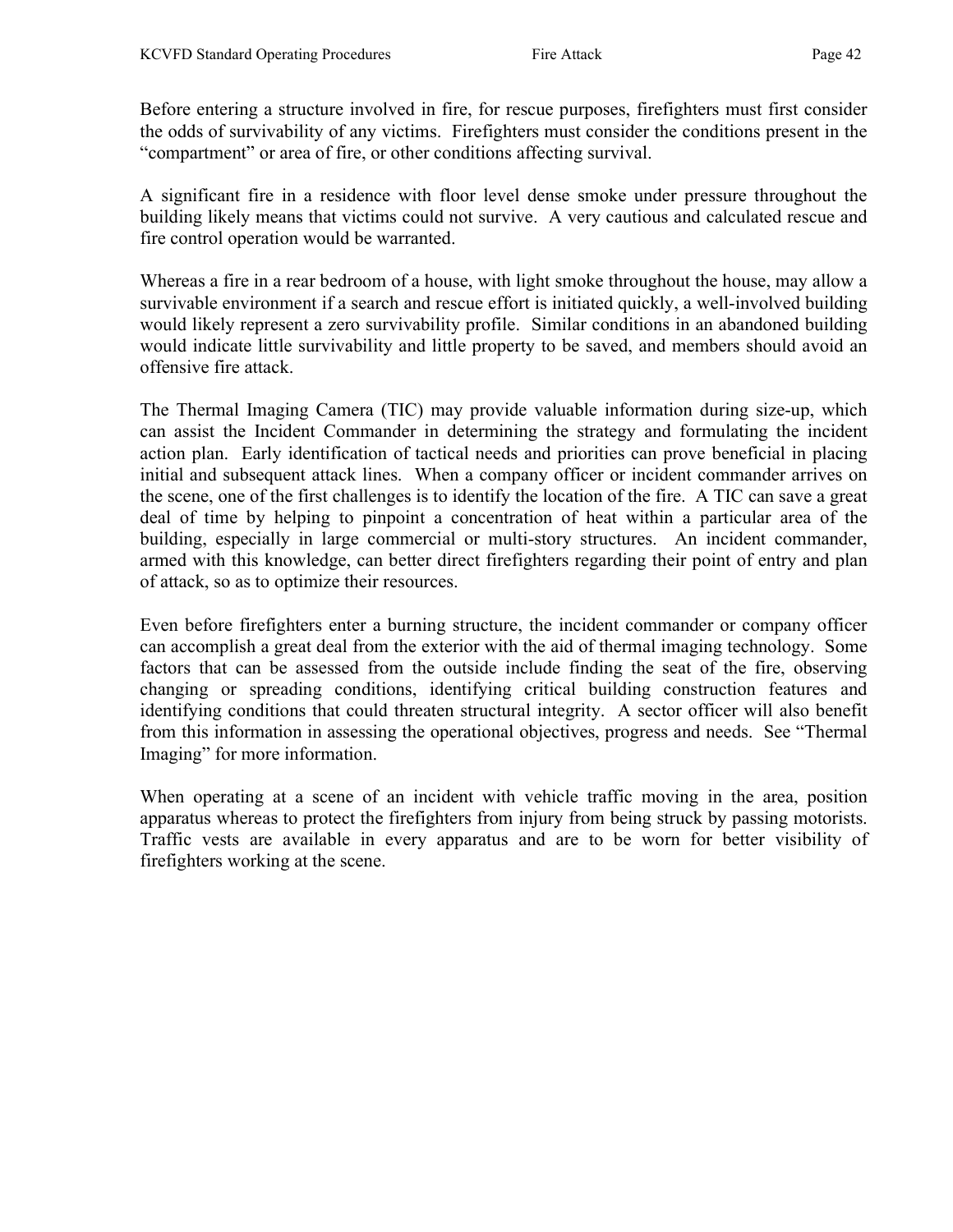Before entering a structure involved in fire, for rescue purposes, firefighters must first consider the odds of survivability of any victims. Firefighters must consider the conditions present in the "compartment" or area of fire, or other conditions affecting survival.

A significant fire in a residence with floor level dense smoke under pressure throughout the building likely means that victims could not survive. A very cautious and calculated rescue and fire control operation would be warranted.

Whereas a fire in a rear bedroom of a house, with light smoke throughout the house, may allow a survivable environment if a search and rescue effort is initiated quickly, a well-involved building would likely represent a zero survivability profile. Similar conditions in an abandoned building would indicate little survivability and little property to be saved, and members should avoid an offensive fire attack.

The Thermal Imaging Camera (TIC) may provide valuable information during size-up, which can assist the Incident Commander in determining the strategy and formulating the incident action plan. Early identification of tactical needs and priorities can prove beneficial in placing initial and subsequent attack lines. When a company officer or incident commander arrives on the scene, one of the first challenges is to identify the location of the fire. A TIC can save a great deal of time by helping to pinpoint a concentration of heat within a particular area of the building, especially in large commercial or multi-story structures. An incident commander, armed with this knowledge, can better direct firefighters regarding their point of entry and plan of attack, so as to optimize their resources.

Even before firefighters enter a burning structure, the incident commander or company officer can accomplish a great deal from the exterior with the aid of thermal imaging technology. Some factors that can be assessed from the outside include finding the seat of the fire, observing changing or spreading conditions, identifying critical building construction features and identifying conditions that could threaten structural integrity. A sector officer will also benefit from this information in assessing the operational objectives, progress and needs. See "Thermal Imaging" for more information.

When operating at a scene of an incident with vehicle traffic moving in the area, position apparatus whereas to protect the firefighters from injury from being struck by passing motorists. Traffic vests are available in every apparatus and are to be worn for better visibility of firefighters working at the scene.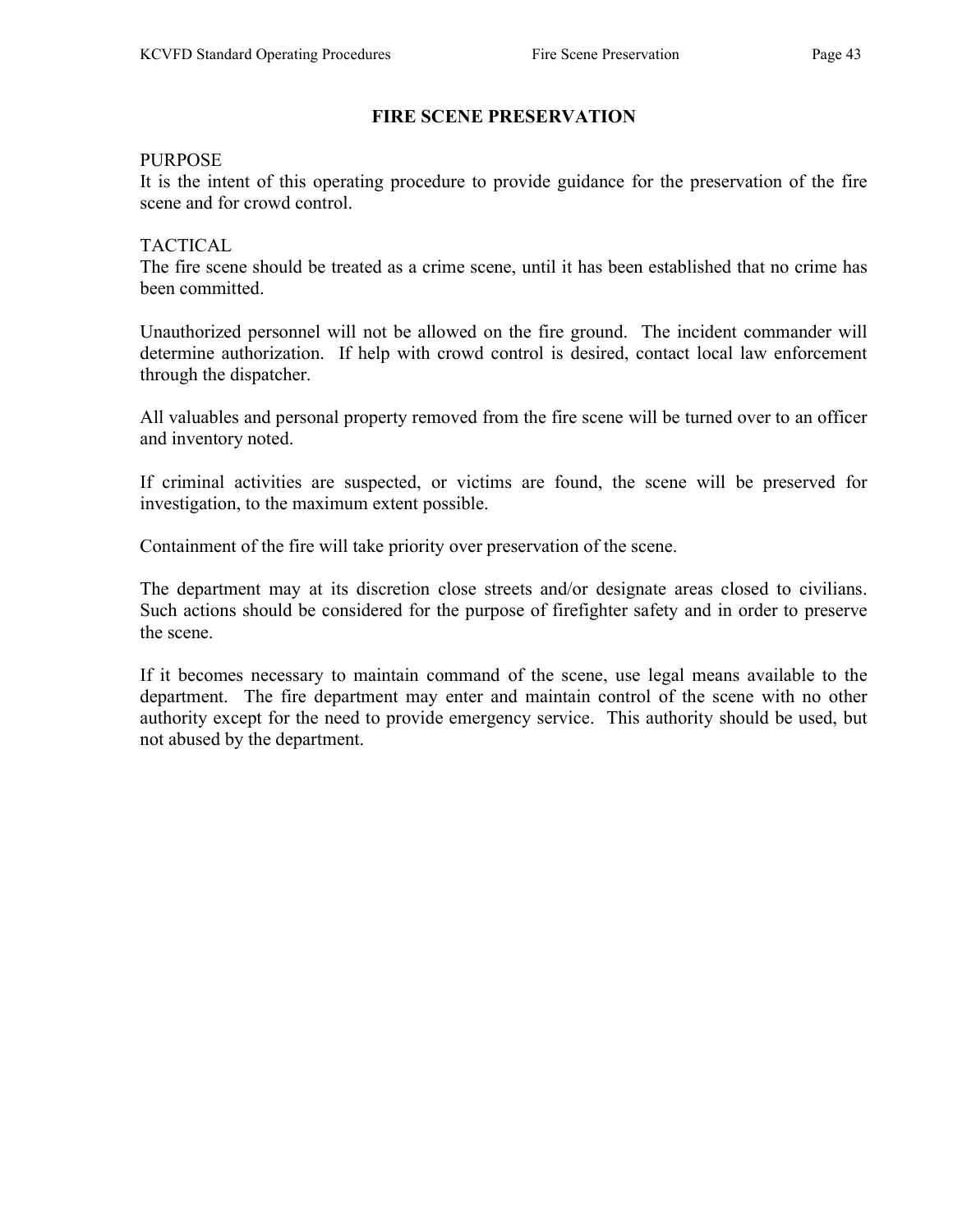# FIRE SCENE PRESERVATION

#### PURPOSE

It is the intent of this operating procedure to provide guidance for the preservation of the fire scene and for crowd control.

#### TACTICAL

The fire scene should be treated as a crime scene, until it has been established that no crime has been committed.

Unauthorized personnel will not be allowed on the fire ground. The incident commander will determine authorization. If help with crowd control is desired, contact local law enforcement through the dispatcher.

All valuables and personal property removed from the fire scene will be turned over to an officer and inventory noted.

If criminal activities are suspected, or victims are found, the scene will be preserved for investigation, to the maximum extent possible.

Containment of the fire will take priority over preservation of the scene.

The department may at its discretion close streets and/or designate areas closed to civilians. Such actions should be considered for the purpose of firefighter safety and in order to preserve the scene.

If it becomes necessary to maintain command of the scene, use legal means available to the department. The fire department may enter and maintain control of the scene with no other authority except for the need to provide emergency service. This authority should be used, but not abused by the department.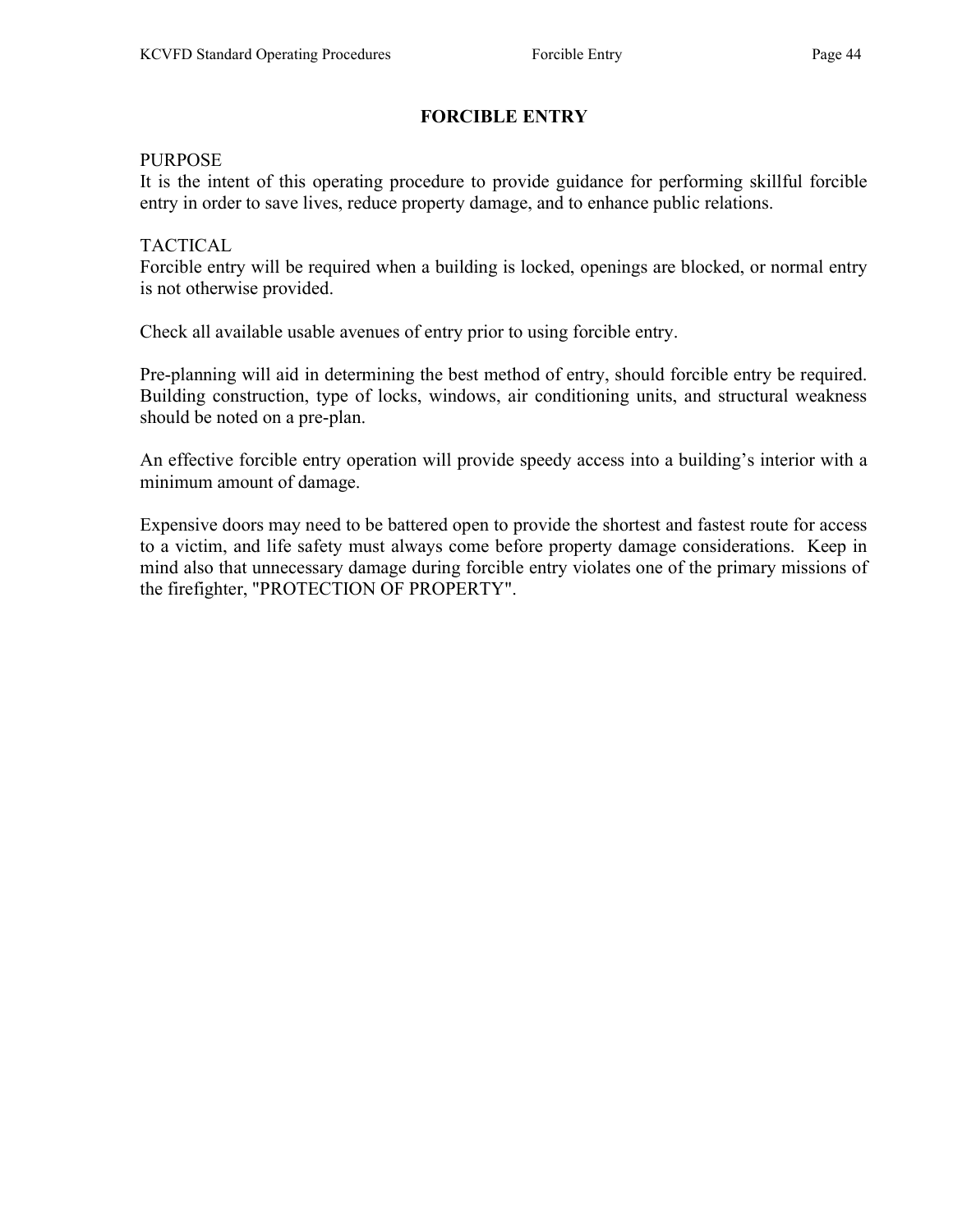# FORCIBLE ENTRY

#### PURPOSE

It is the intent of this operating procedure to provide guidance for performing skillful forcible entry in order to save lives, reduce property damage, and to enhance public relations.

#### TACTICAL

Forcible entry will be required when a building is locked, openings are blocked, or normal entry is not otherwise provided.

Check all available usable avenues of entry prior to using forcible entry.

Pre-planning will aid in determining the best method of entry, should forcible entry be required. Building construction, type of locks, windows, air conditioning units, and structural weakness should be noted on a pre-plan.

An effective forcible entry operation will provide speedy access into a building's interior with a minimum amount of damage.

Expensive doors may need to be battered open to provide the shortest and fastest route for access to a victim, and life safety must always come before property damage considerations. Keep in mind also that unnecessary damage during forcible entry violates one of the primary missions of the firefighter, "PROTECTION OF PROPERTY".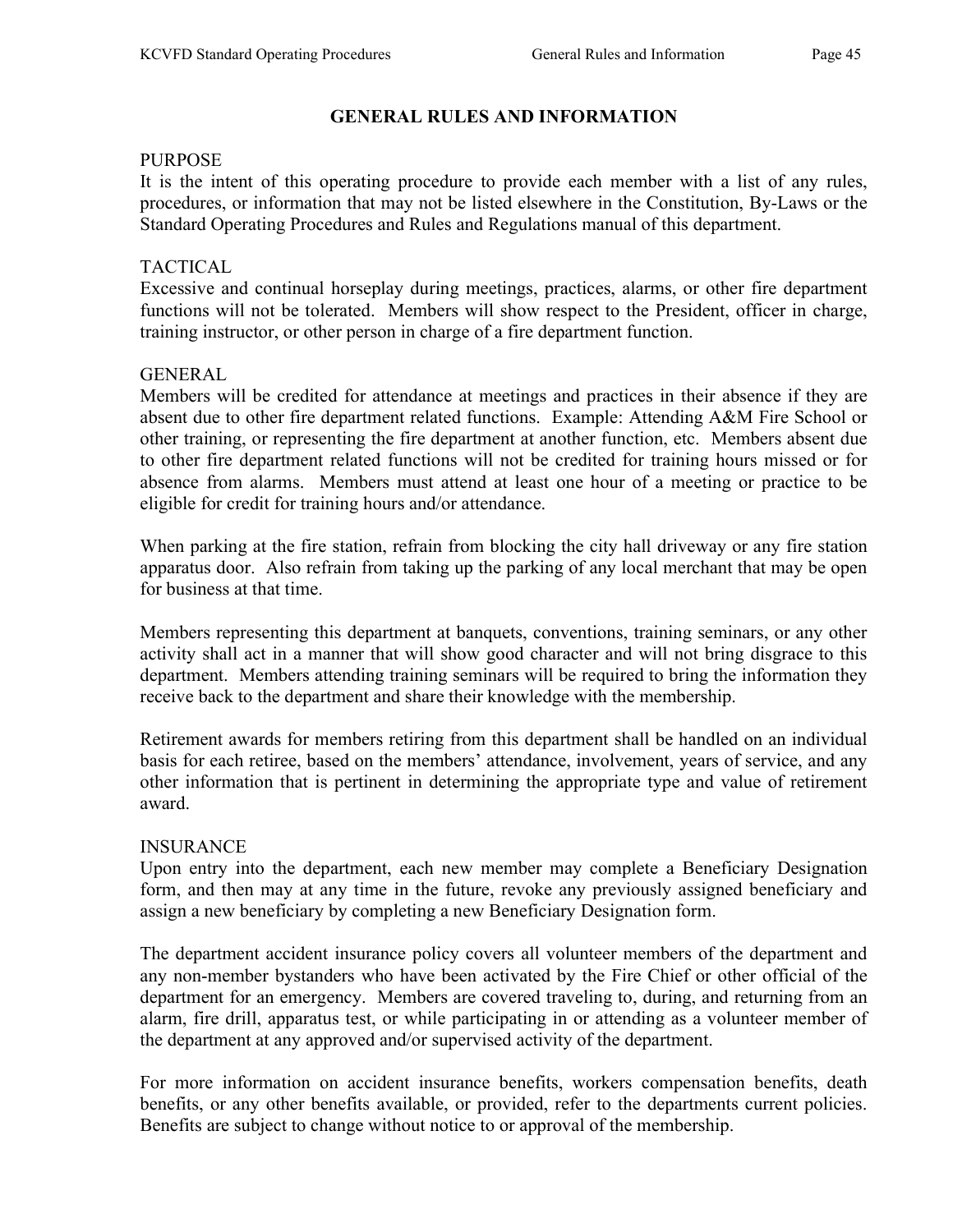# GENERAL RULES AND INFORMATION

#### PURPOSE

It is the intent of this operating procedure to provide each member with a list of any rules, procedures, or information that may not be listed elsewhere in the Constitution, By-Laws or the Standard Operating Procedures and Rules and Regulations manual of this department.

#### TACTICAL

Excessive and continual horseplay during meetings, practices, alarms, or other fire department functions will not be tolerated. Members will show respect to the President, officer in charge, training instructor, or other person in charge of a fire department function.

#### GENERAL

Members will be credited for attendance at meetings and practices in their absence if they are absent due to other fire department related functions. Example: Attending A&M Fire School or other training, or representing the fire department at another function, etc. Members absent due to other fire department related functions will not be credited for training hours missed or for absence from alarms. Members must attend at least one hour of a meeting or practice to be eligible for credit for training hours and/or attendance.

When parking at the fire station, refrain from blocking the city hall driveway or any fire station apparatus door. Also refrain from taking up the parking of any local merchant that may be open for business at that time.

Members representing this department at banquets, conventions, training seminars, or any other activity shall act in a manner that will show good character and will not bring disgrace to this department. Members attending training seminars will be required to bring the information they receive back to the department and share their knowledge with the membership.

Retirement awards for members retiring from this department shall be handled on an individual basis for each retiree, based on the members' attendance, involvement, years of service, and any other information that is pertinent in determining the appropriate type and value of retirement award.

## INSURANCE

Upon entry into the department, each new member may complete a Beneficiary Designation form, and then may at any time in the future, revoke any previously assigned beneficiary and assign a new beneficiary by completing a new Beneficiary Designation form.

The department accident insurance policy covers all volunteer members of the department and any non-member bystanders who have been activated by the Fire Chief or other official of the department for an emergency. Members are covered traveling to, during, and returning from an alarm, fire drill, apparatus test, or while participating in or attending as a volunteer member of the department at any approved and/or supervised activity of the department.

For more information on accident insurance benefits, workers compensation benefits, death benefits, or any other benefits available, or provided, refer to the departments current policies. Benefits are subject to change without notice to or approval of the membership.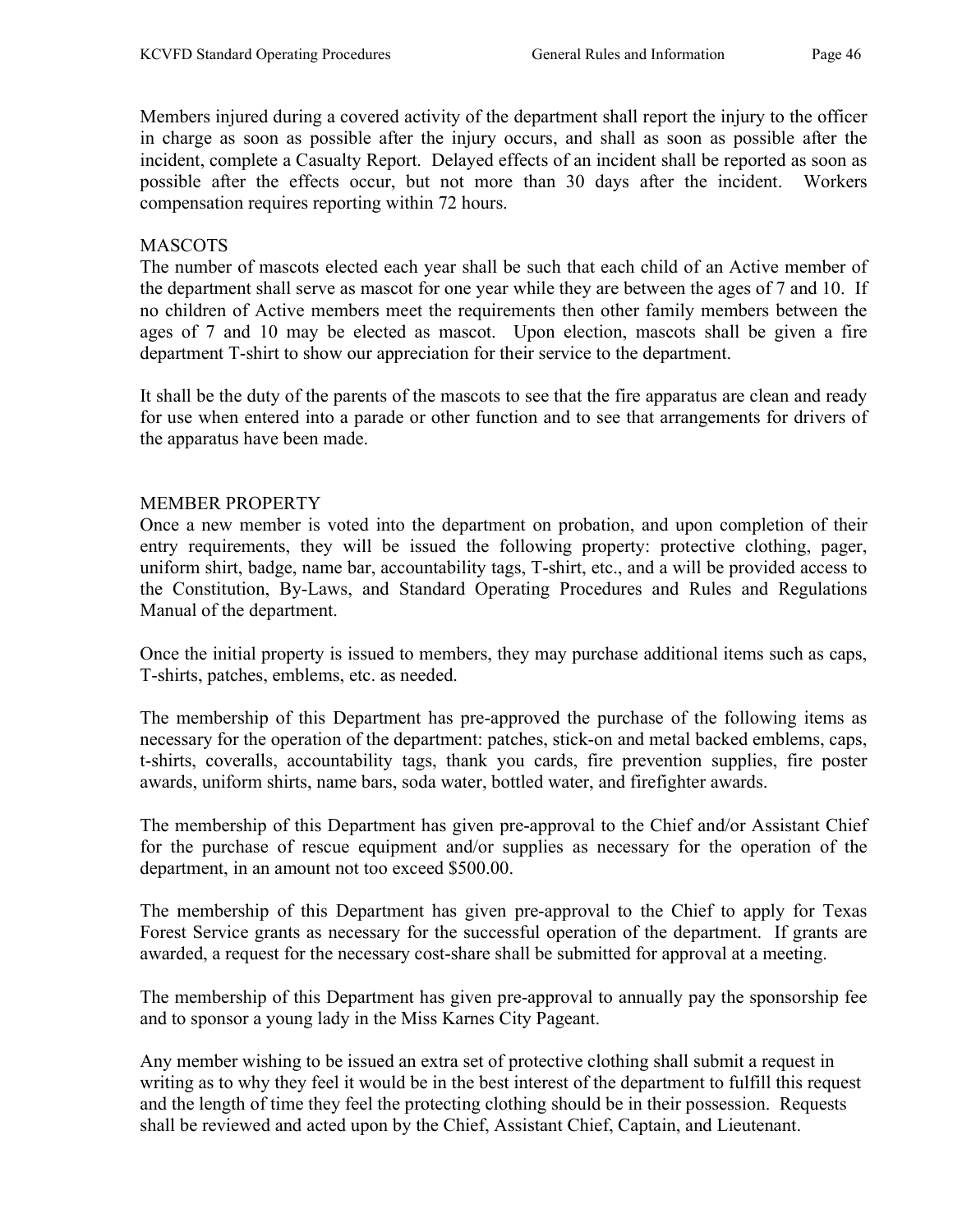Members injured during a covered activity of the department shall report the injury to the officer in charge as soon as possible after the injury occurs, and shall as soon as possible after the incident, complete a Casualty Report. Delayed effects of an incident shall be reported as soon as possible after the effects occur, but not more than 30 days after the incident. Workers compensation requires reporting within 72 hours.

#### MASCOTS

The number of mascots elected each year shall be such that each child of an Active member of the department shall serve as mascot for one year while they are between the ages of 7 and 10. If no children of Active members meet the requirements then other family members between the ages of 7 and 10 may be elected as mascot. Upon election, mascots shall be given a fire department T-shirt to show our appreciation for their service to the department.

It shall be the duty of the parents of the mascots to see that the fire apparatus are clean and ready for use when entered into a parade or other function and to see that arrangements for drivers of the apparatus have been made.

#### MEMBER PROPERTY

Once a new member is voted into the department on probation, and upon completion of their entry requirements, they will be issued the following property: protective clothing, pager, uniform shirt, badge, name bar, accountability tags, T-shirt, etc., and a will be provided access to the Constitution, By-Laws, and Standard Operating Procedures and Rules and Regulations Manual of the department.

Once the initial property is issued to members, they may purchase additional items such as caps, T-shirts, patches, emblems, etc. as needed.

The membership of this Department has pre-approved the purchase of the following items as necessary for the operation of the department: patches, stick-on and metal backed emblems, caps, t-shirts, coveralls, accountability tags, thank you cards, fire prevention supplies, fire poster awards, uniform shirts, name bars, soda water, bottled water, and firefighter awards.

The membership of this Department has given pre-approval to the Chief and/or Assistant Chief for the purchase of rescue equipment and/or supplies as necessary for the operation of the department, in an amount not too exceed \$500.00.

The membership of this Department has given pre-approval to the Chief to apply for Texas Forest Service grants as necessary for the successful operation of the department. If grants are awarded, a request for the necessary cost-share shall be submitted for approval at a meeting.

The membership of this Department has given pre-approval to annually pay the sponsorship fee and to sponsor a young lady in the Miss Karnes City Pageant.

Any member wishing to be issued an extra set of protective clothing shall submit a request in writing as to why they feel it would be in the best interest of the department to fulfill this request and the length of time they feel the protecting clothing should be in their possession. Requests shall be reviewed and acted upon by the Chief, Assistant Chief, Captain, and Lieutenant.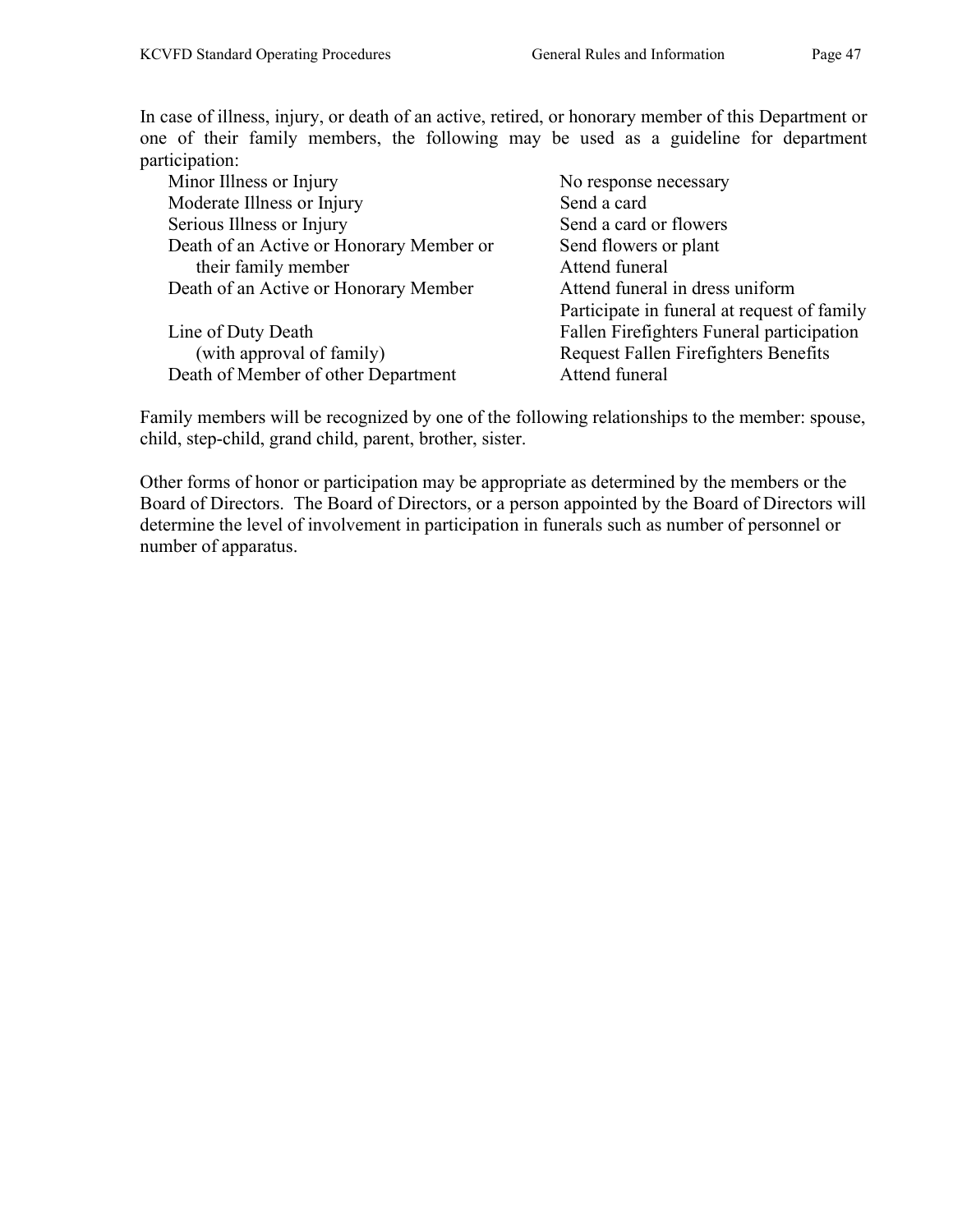In case of illness, injury, or death of an active, retired, or honorary member of this Department or one of their family members, the following may be used as a guideline for department participation:

| Minor Illness or Injury                  | No response necessary                       |
|------------------------------------------|---------------------------------------------|
| Moderate Illness or Injury               | Send a card                                 |
| Serious Illness or Injury                | Send a card or flowers                      |
| Death of an Active or Honorary Member or | Send flowers or plant                       |
| their family member                      | Attend funeral                              |
| Death of an Active or Honorary Member    | Attend funeral in dress uniform             |
|                                          | Participate in funeral at request of family |
| Line of Duty Death                       | Fallen Firefighters Funeral participation   |
| (with approval of family)                | <b>Request Fallen Firefighters Benefits</b> |
| Death of Member of other Department      | Attend funeral                              |

Family members will be recognized by one of the following relationships to the member: spouse, child, step-child, grand child, parent, brother, sister.

Other forms of honor or participation may be appropriate as determined by the members or the Board of Directors. The Board of Directors, or a person appointed by the Board of Directors will determine the level of involvement in participation in funerals such as number of personnel or number of apparatus.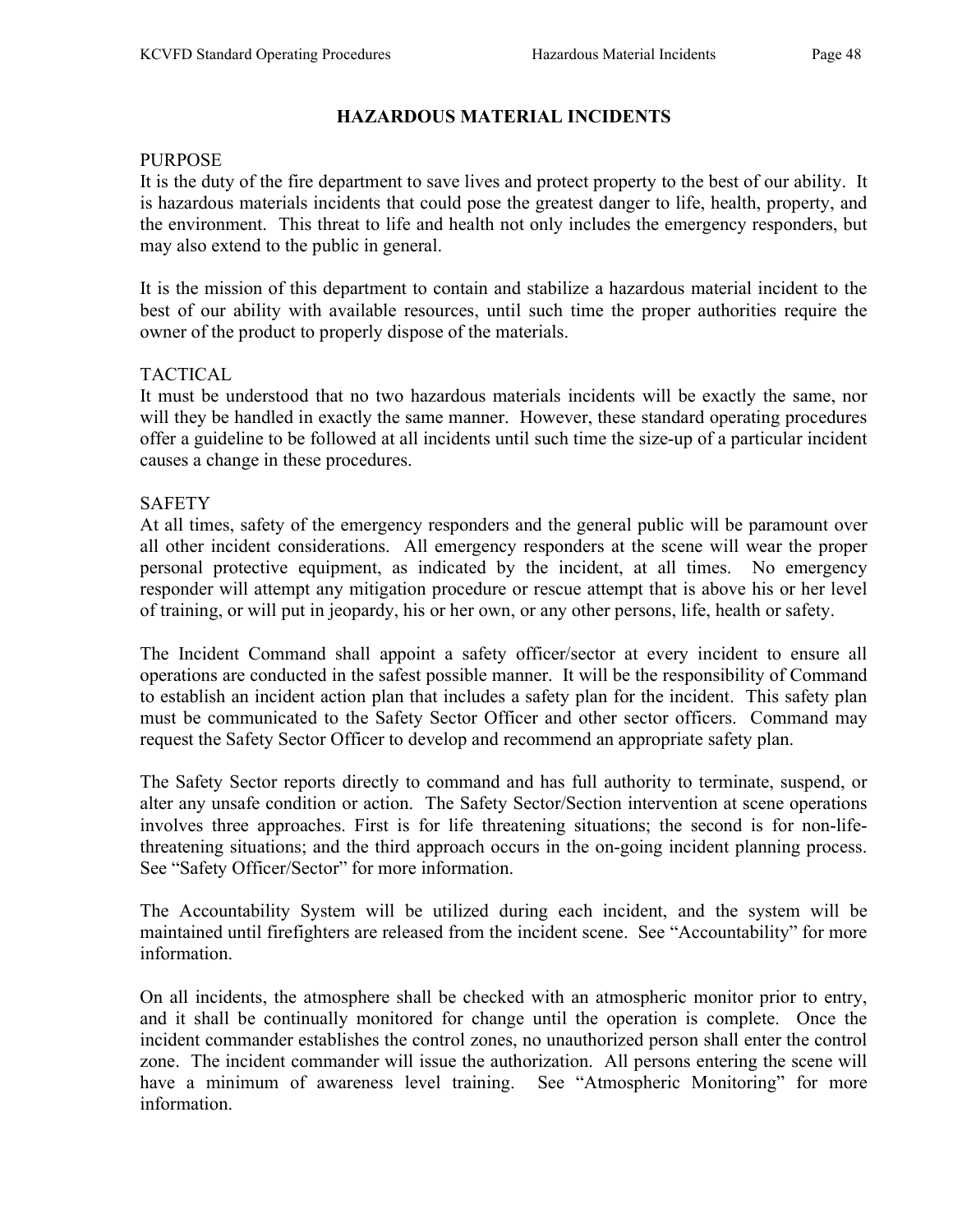# HAZARDOUS MATERIAL INCIDENTS

#### PURPOSE

It is the duty of the fire department to save lives and protect property to the best of our ability. It is hazardous materials incidents that could pose the greatest danger to life, health, property, and the environment. This threat to life and health not only includes the emergency responders, but may also extend to the public in general.

It is the mission of this department to contain and stabilize a hazardous material incident to the best of our ability with available resources, until such time the proper authorities require the owner of the product to properly dispose of the materials.

## TACTICAL

It must be understood that no two hazardous materials incidents will be exactly the same, nor will they be handled in exactly the same manner. However, these standard operating procedures offer a guideline to be followed at all incidents until such time the size-up of a particular incident causes a change in these procedures.

#### SAFETY

At all times, safety of the emergency responders and the general public will be paramount over all other incident considerations. All emergency responders at the scene will wear the proper personal protective equipment, as indicated by the incident, at all times. No emergency responder will attempt any mitigation procedure or rescue attempt that is above his or her level of training, or will put in jeopardy, his or her own, or any other persons, life, health or safety.

The Incident Command shall appoint a safety officer/sector at every incident to ensure all operations are conducted in the safest possible manner. It will be the responsibility of Command to establish an incident action plan that includes a safety plan for the incident. This safety plan must be communicated to the Safety Sector Officer and other sector officers. Command may request the Safety Sector Officer to develop and recommend an appropriate safety plan.

The Safety Sector reports directly to command and has full authority to terminate, suspend, or alter any unsafe condition or action. The Safety Sector/Section intervention at scene operations involves three approaches. First is for life threatening situations; the second is for non-lifethreatening situations; and the third approach occurs in the on-going incident planning process. See "Safety Officer/Sector" for more information.

The Accountability System will be utilized during each incident, and the system will be maintained until firefighters are released from the incident scene. See "Accountability" for more information.

On all incidents, the atmosphere shall be checked with an atmospheric monitor prior to entry, and it shall be continually monitored for change until the operation is complete. Once the incident commander establishes the control zones, no unauthorized person shall enter the control zone. The incident commander will issue the authorization. All persons entering the scene will have a minimum of awareness level training. See "Atmospheric Monitoring" for more information.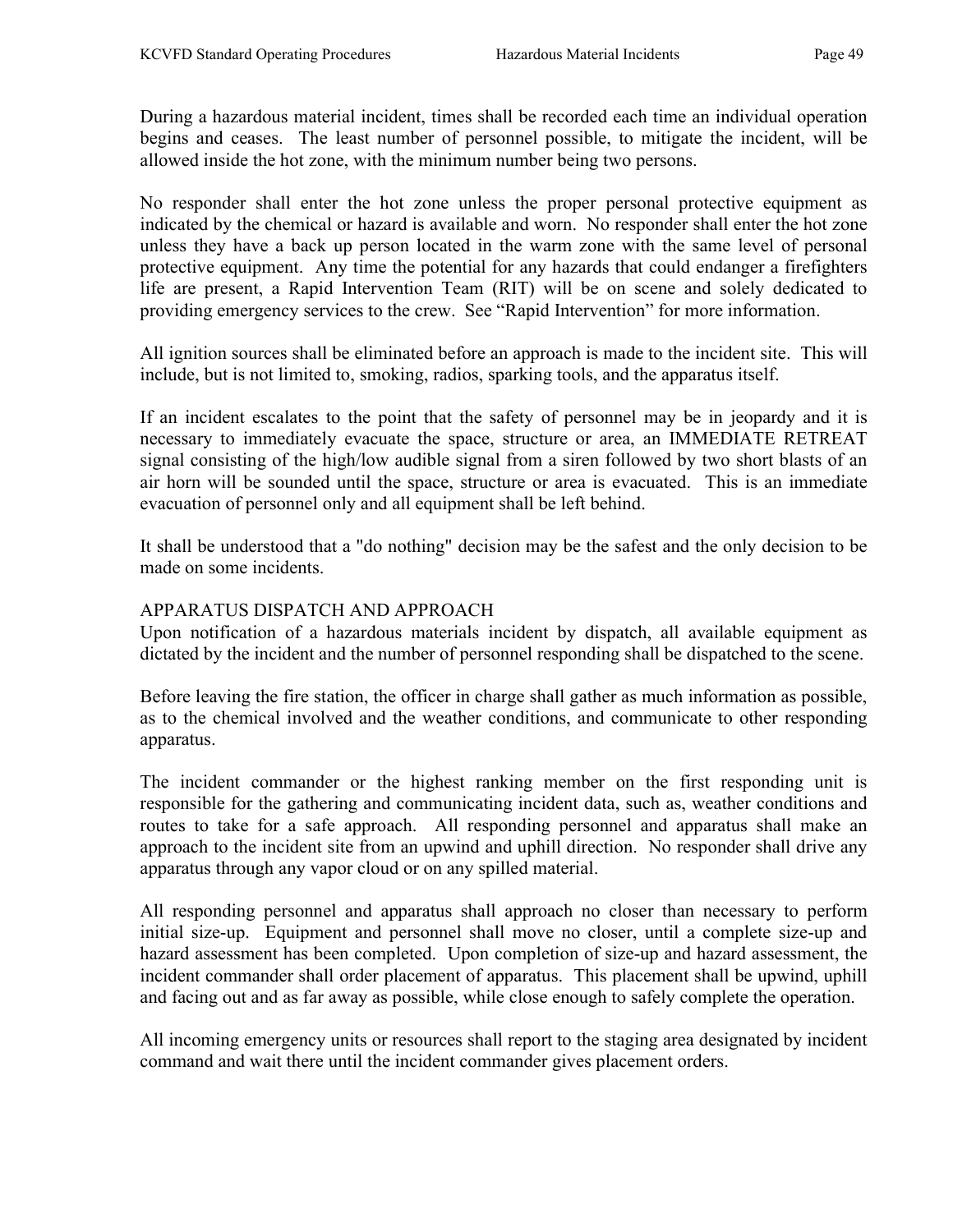During a hazardous material incident, times shall be recorded each time an individual operation begins and ceases. The least number of personnel possible, to mitigate the incident, will be allowed inside the hot zone, with the minimum number being two persons.

No responder shall enter the hot zone unless the proper personal protective equipment as indicated by the chemical or hazard is available and worn. No responder shall enter the hot zone unless they have a back up person located in the warm zone with the same level of personal protective equipment. Any time the potential for any hazards that could endanger a firefighters life are present, a Rapid Intervention Team (RIT) will be on scene and solely dedicated to providing emergency services to the crew. See "Rapid Intervention" for more information.

All ignition sources shall be eliminated before an approach is made to the incident site. This will include, but is not limited to, smoking, radios, sparking tools, and the apparatus itself.

If an incident escalates to the point that the safety of personnel may be in jeopardy and it is necessary to immediately evacuate the space, structure or area, an IMMEDIATE RETREAT signal consisting of the high/low audible signal from a siren followed by two short blasts of an air horn will be sounded until the space, structure or area is evacuated. This is an immediate evacuation of personnel only and all equipment shall be left behind.

It shall be understood that a "do nothing" decision may be the safest and the only decision to be made on some incidents.

#### APPARATUS DISPATCH AND APPROACH

Upon notification of a hazardous materials incident by dispatch, all available equipment as dictated by the incident and the number of personnel responding shall be dispatched to the scene.

Before leaving the fire station, the officer in charge shall gather as much information as possible, as to the chemical involved and the weather conditions, and communicate to other responding apparatus.

The incident commander or the highest ranking member on the first responding unit is responsible for the gathering and communicating incident data, such as, weather conditions and routes to take for a safe approach. All responding personnel and apparatus shall make an approach to the incident site from an upwind and uphill direction. No responder shall drive any apparatus through any vapor cloud or on any spilled material.

All responding personnel and apparatus shall approach no closer than necessary to perform initial size-up. Equipment and personnel shall move no closer, until a complete size-up and hazard assessment has been completed. Upon completion of size-up and hazard assessment, the incident commander shall order placement of apparatus. This placement shall be upwind, uphill and facing out and as far away as possible, while close enough to safely complete the operation.

All incoming emergency units or resources shall report to the staging area designated by incident command and wait there until the incident commander gives placement orders.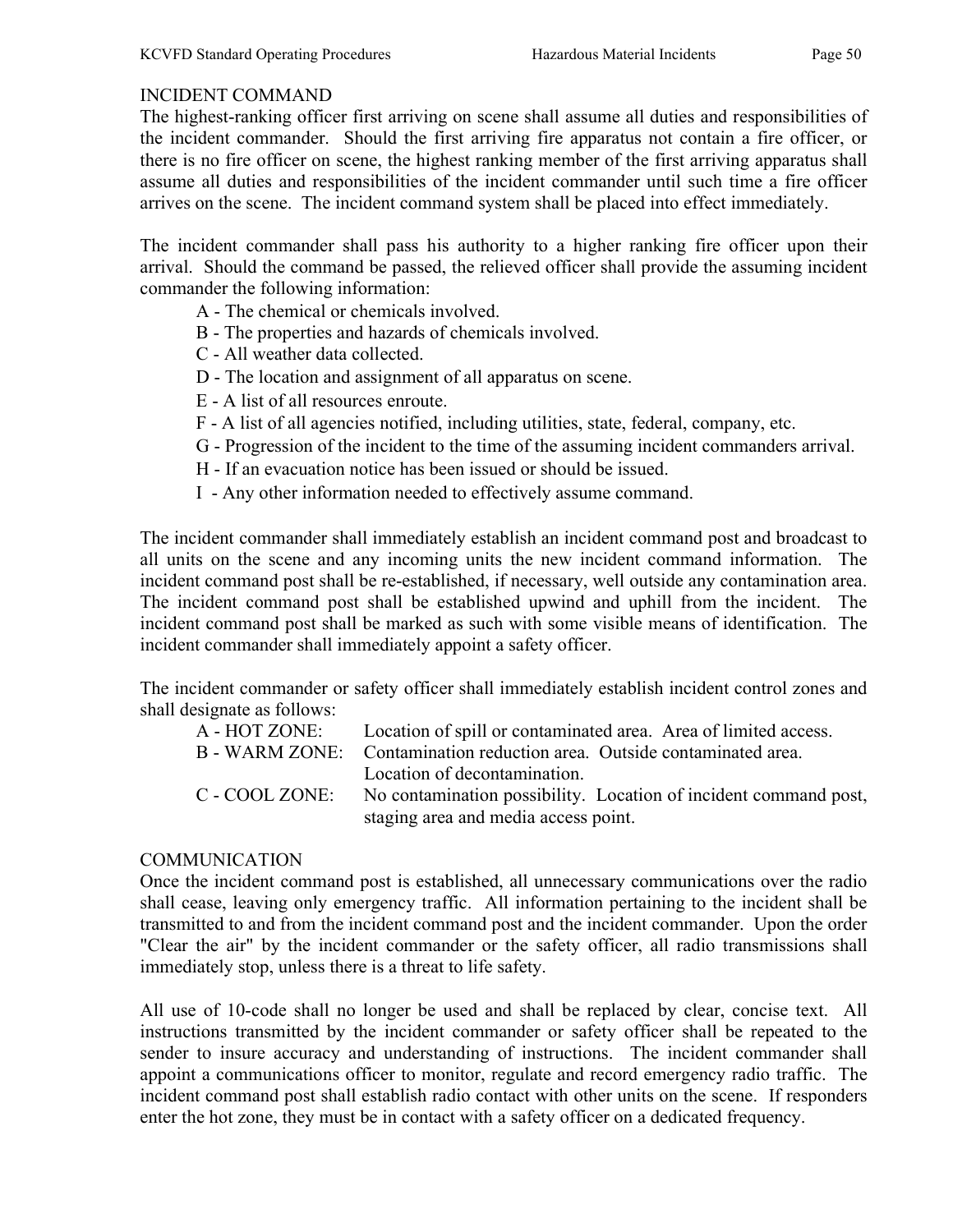## INCIDENT COMMAND

The highest-ranking officer first arriving on scene shall assume all duties and responsibilities of the incident commander. Should the first arriving fire apparatus not contain a fire officer, or there is no fire officer on scene, the highest ranking member of the first arriving apparatus shall assume all duties and responsibilities of the incident commander until such time a fire officer arrives on the scene. The incident command system shall be placed into effect immediately.

The incident commander shall pass his authority to a higher ranking fire officer upon their arrival. Should the command be passed, the relieved officer shall provide the assuming incident commander the following information:

- A The chemical or chemicals involved.
- B The properties and hazards of chemicals involved.
- C All weather data collected.
- D The location and assignment of all apparatus on scene.
- E A list of all resources enroute.
- F A list of all agencies notified, including utilities, state, federal, company, etc.
- G Progression of the incident to the time of the assuming incident commanders arrival.
- H If an evacuation notice has been issued or should be issued.
- I Any other information needed to effectively assume command.

The incident commander shall immediately establish an incident command post and broadcast to all units on the scene and any incoming units the new incident command information. The incident command post shall be re-established, if necessary, well outside any contamination area. The incident command post shall be established upwind and uphill from the incident. The incident command post shall be marked as such with some visible means of identification. The incident commander shall immediately appoint a safety officer.

The incident commander or safety officer shall immediately establish incident control zones and shall designate as follows:

| A - HOT ZONE:  | Location of spill or contaminated area. Area of limited access.         |
|----------------|-------------------------------------------------------------------------|
|                | B - WARM ZONE: Contamination reduction area. Outside contaminated area. |
|                | Location of decontamination.                                            |
| C - COOL ZONE: | No contamination possibility. Location of incident command post,        |
|                | staging area and media access point.                                    |

# **COMMUNICATION**

Once the incident command post is established, all unnecessary communications over the radio shall cease, leaving only emergency traffic. All information pertaining to the incident shall be transmitted to and from the incident command post and the incident commander. Upon the order "Clear the air" by the incident commander or the safety officer, all radio transmissions shall immediately stop, unless there is a threat to life safety.

All use of 10-code shall no longer be used and shall be replaced by clear, concise text. All instructions transmitted by the incident commander or safety officer shall be repeated to the sender to insure accuracy and understanding of instructions. The incident commander shall appoint a communications officer to monitor, regulate and record emergency radio traffic. The incident command post shall establish radio contact with other units on the scene. If responders enter the hot zone, they must be in contact with a safety officer on a dedicated frequency.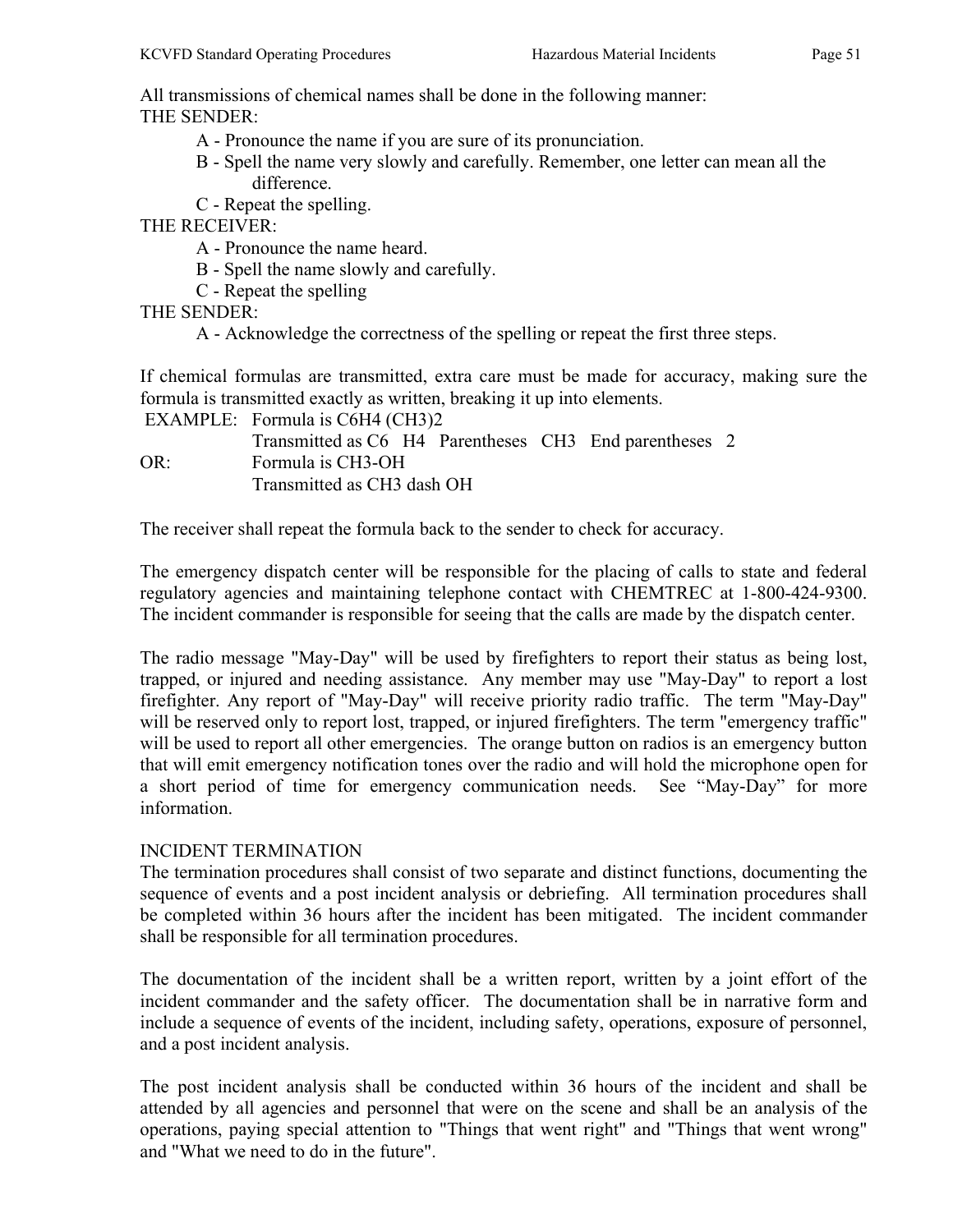All transmissions of chemical names shall be done in the following manner: THE SENDER:

- A Pronounce the name if you are sure of its pronunciation.
- B Spell the name very slowly and carefully. Remember, one letter can mean all the difference.
- C Repeat the spelling.

THE RECEIVER:

- A Pronounce the name heard.
- B Spell the name slowly and carefully.
- C Repeat the spelling

THE SENDER:

A - Acknowledge the correctness of the spelling or repeat the first three steps.

If chemical formulas are transmitted, extra care must be made for accuracy, making sure the formula is transmitted exactly as written, breaking it up into elements.

|     | EXAMPLE: Formula is $C6H4$ (CH3)2                      |  |  |  |
|-----|--------------------------------------------------------|--|--|--|
|     | Transmitted as C6 H4 Parentheses CH3 End parentheses 2 |  |  |  |
| OR: | Formula is CH3-OH                                      |  |  |  |
|     | Transmitted as CH3 dash OH                             |  |  |  |

The receiver shall repeat the formula back to the sender to check for accuracy.

The emergency dispatch center will be responsible for the placing of calls to state and federal regulatory agencies and maintaining telephone contact with CHEMTREC at 1-800-424-9300. The incident commander is responsible for seeing that the calls are made by the dispatch center.

The radio message "May-Day" will be used by firefighters to report their status as being lost, trapped, or injured and needing assistance. Any member may use "May-Day" to report a lost firefighter. Any report of "May-Day" will receive priority radio traffic. The term "May-Day" will be reserved only to report lost, trapped, or injured firefighters. The term "emergency traffic" will be used to report all other emergencies. The orange button on radios is an emergency button that will emit emergency notification tones over the radio and will hold the microphone open for a short period of time for emergency communication needs. See "May-Day" for more information.

# INCIDENT TERMINATION

The termination procedures shall consist of two separate and distinct functions, documenting the sequence of events and a post incident analysis or debriefing. All termination procedures shall be completed within 36 hours after the incident has been mitigated. The incident commander shall be responsible for all termination procedures.

The documentation of the incident shall be a written report, written by a joint effort of the incident commander and the safety officer. The documentation shall be in narrative form and include a sequence of events of the incident, including safety, operations, exposure of personnel, and a post incident analysis.

The post incident analysis shall be conducted within 36 hours of the incident and shall be attended by all agencies and personnel that were on the scene and shall be an analysis of the operations, paying special attention to "Things that went right" and "Things that went wrong" and "What we need to do in the future".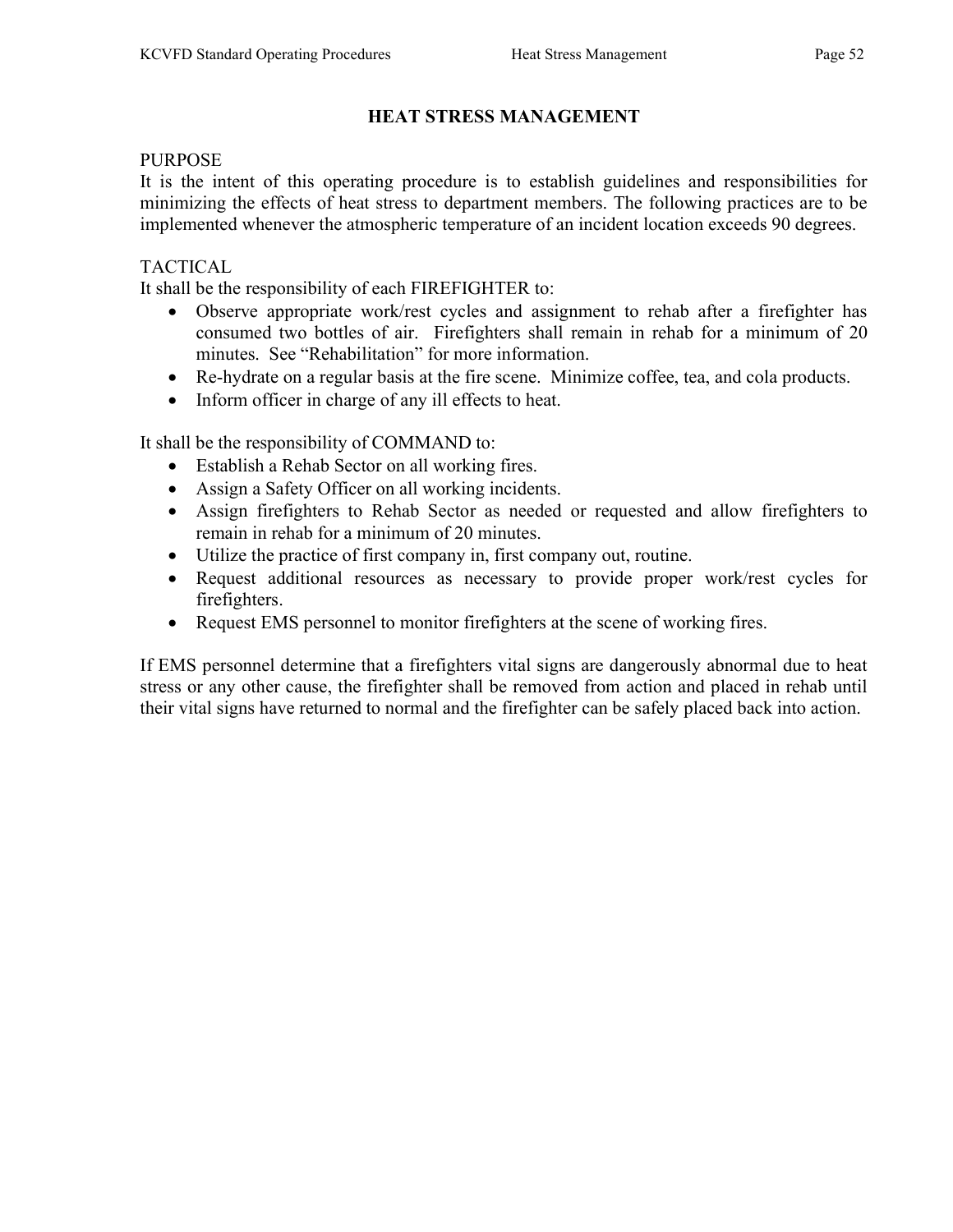# HEAT STRESS MANAGEMENT

#### PURPOSE

It is the intent of this operating procedure is to establish guidelines and responsibilities for minimizing the effects of heat stress to department members. The following practices are to be implemented whenever the atmospheric temperature of an incident location exceeds 90 degrees.

#### TACTICAL

It shall be the responsibility of each FIREFIGHTER to:

- Observe appropriate work/rest cycles and assignment to rehab after a firefighter has consumed two bottles of air. Firefighters shall remain in rehab for a minimum of 20 minutes. See "Rehabilitation" for more information.
- Re-hydrate on a regular basis at the fire scene. Minimize coffee, tea, and cola products.
- Inform officer in charge of any ill effects to heat.

It shall be the responsibility of COMMAND to:

- Establish a Rehab Sector on all working fires.
- Assign a Safety Officer on all working incidents.
- Assign firefighters to Rehab Sector as needed or requested and allow firefighters to remain in rehab for a minimum of 20 minutes.
- Utilize the practice of first company in, first company out, routine.
- Request additional resources as necessary to provide proper work/rest cycles for firefighters.
- Request EMS personnel to monitor firefighters at the scene of working fires.

If EMS personnel determine that a firefighters vital signs are dangerously abnormal due to heat stress or any other cause, the firefighter shall be removed from action and placed in rehab until their vital signs have returned to normal and the firefighter can be safely placed back into action.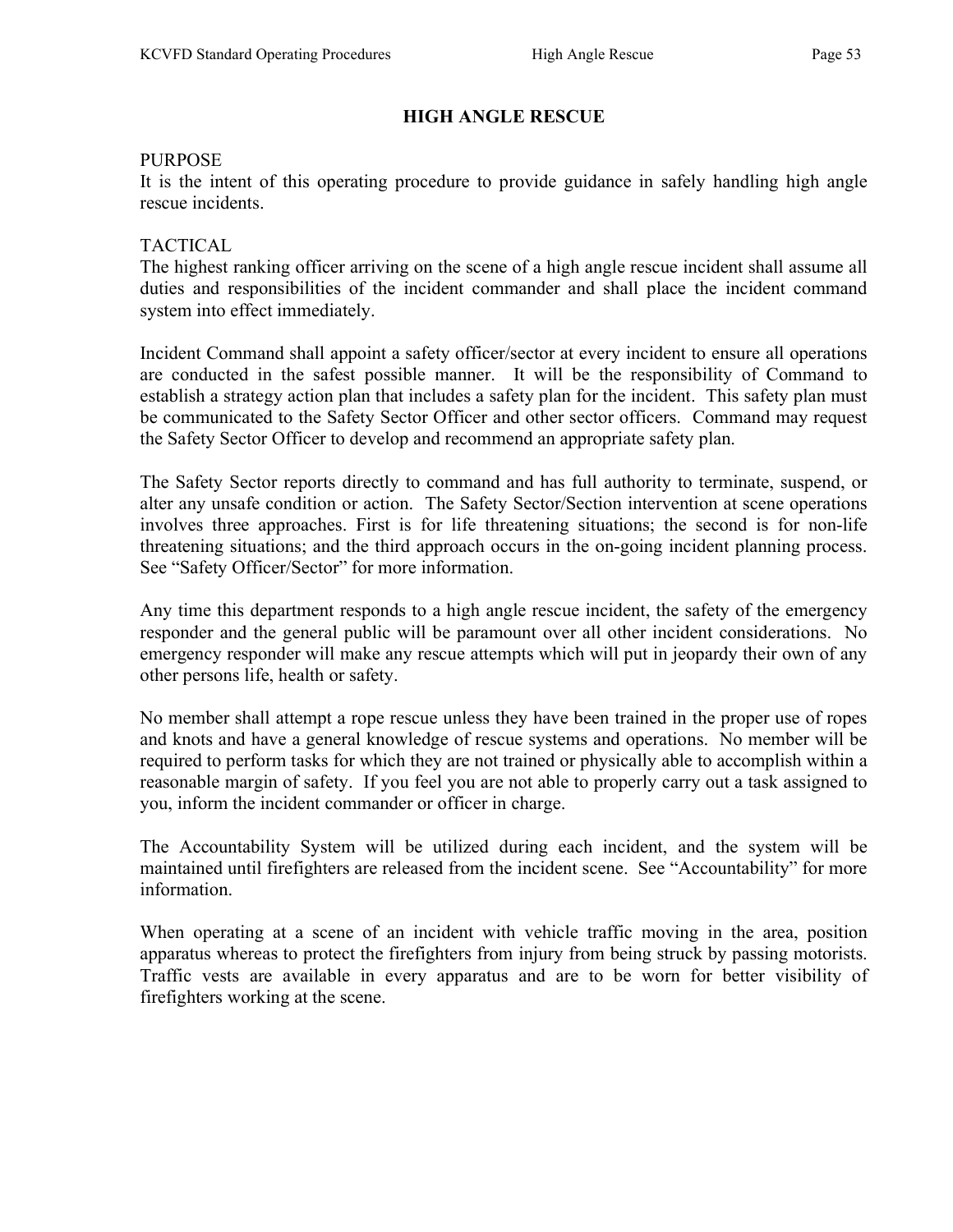# HIGH ANGLE RESCUE

#### PURPOSE

It is the intent of this operating procedure to provide guidance in safely handling high angle rescue incidents.

## TACTICAL

The highest ranking officer arriving on the scene of a high angle rescue incident shall assume all duties and responsibilities of the incident commander and shall place the incident command system into effect immediately.

Incident Command shall appoint a safety officer/sector at every incident to ensure all operations are conducted in the safest possible manner. It will be the responsibility of Command to establish a strategy action plan that includes a safety plan for the incident. This safety plan must be communicated to the Safety Sector Officer and other sector officers. Command may request the Safety Sector Officer to develop and recommend an appropriate safety plan.

The Safety Sector reports directly to command and has full authority to terminate, suspend, or alter any unsafe condition or action. The Safety Sector/Section intervention at scene operations involves three approaches. First is for life threatening situations; the second is for non-life threatening situations; and the third approach occurs in the on-going incident planning process. See "Safety Officer/Sector" for more information.

Any time this department responds to a high angle rescue incident, the safety of the emergency responder and the general public will be paramount over all other incident considerations. No emergency responder will make any rescue attempts which will put in jeopardy their own of any other persons life, health or safety.

No member shall attempt a rope rescue unless they have been trained in the proper use of ropes and knots and have a general knowledge of rescue systems and operations. No member will be required to perform tasks for which they are not trained or physically able to accomplish within a reasonable margin of safety. If you feel you are not able to properly carry out a task assigned to you, inform the incident commander or officer in charge.

The Accountability System will be utilized during each incident, and the system will be maintained until firefighters are released from the incident scene. See "Accountability" for more information.

When operating at a scene of an incident with vehicle traffic moving in the area, position apparatus whereas to protect the firefighters from injury from being struck by passing motorists. Traffic vests are available in every apparatus and are to be worn for better visibility of firefighters working at the scene.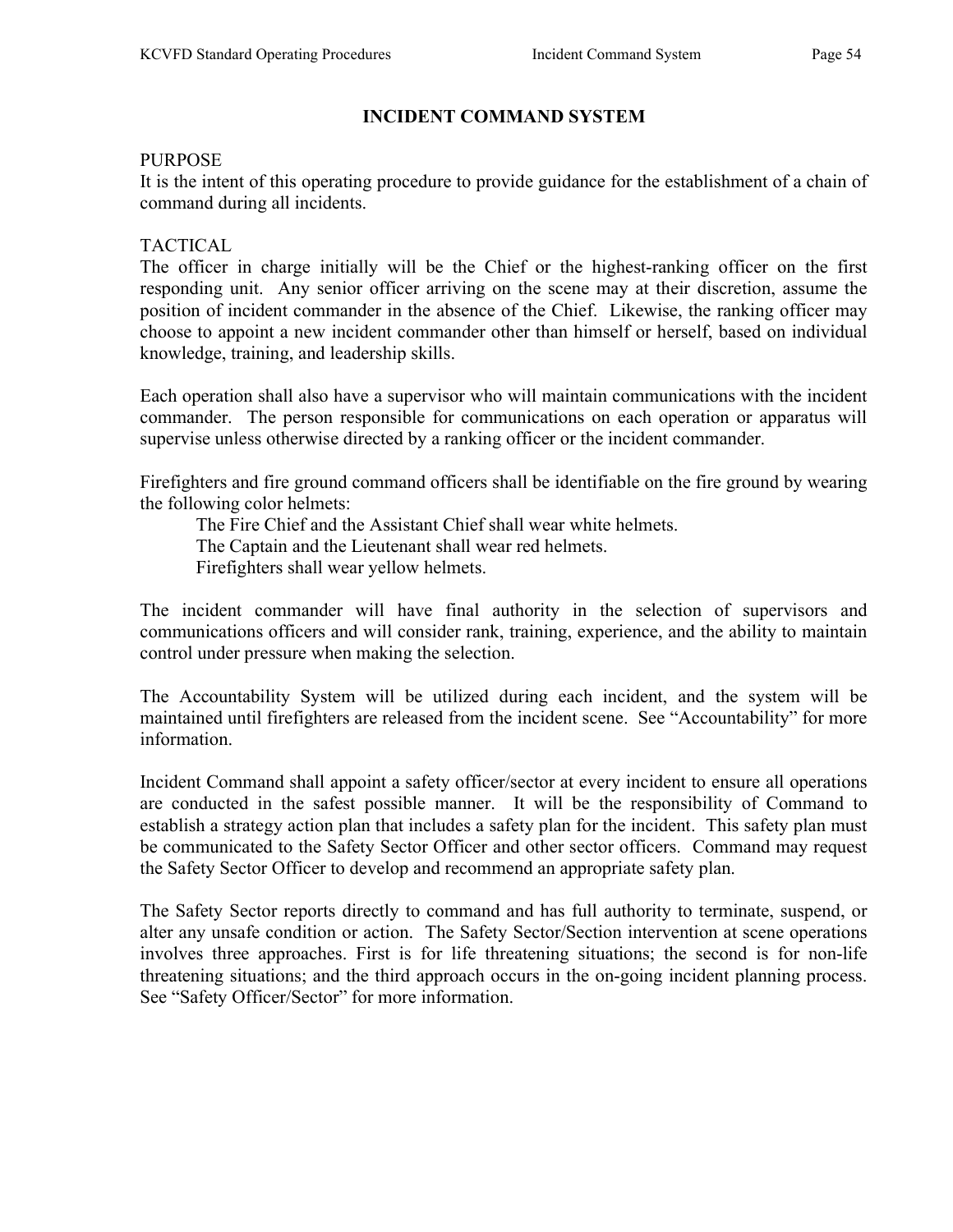# INCIDENT COMMAND SYSTEM

#### PURPOSE

It is the intent of this operating procedure to provide guidance for the establishment of a chain of command during all incidents.

#### TACTICAL

The officer in charge initially will be the Chief or the highest-ranking officer on the first responding unit. Any senior officer arriving on the scene may at their discretion, assume the position of incident commander in the absence of the Chief. Likewise, the ranking officer may choose to appoint a new incident commander other than himself or herself, based on individual knowledge, training, and leadership skills.

Each operation shall also have a supervisor who will maintain communications with the incident commander. The person responsible for communications on each operation or apparatus will supervise unless otherwise directed by a ranking officer or the incident commander.

Firefighters and fire ground command officers shall be identifiable on the fire ground by wearing the following color helmets:

 The Fire Chief and the Assistant Chief shall wear white helmets. The Captain and the Lieutenant shall wear red helmets. Firefighters shall wear yellow helmets.

The incident commander will have final authority in the selection of supervisors and communications officers and will consider rank, training, experience, and the ability to maintain control under pressure when making the selection.

The Accountability System will be utilized during each incident, and the system will be maintained until firefighters are released from the incident scene. See "Accountability" for more information.

Incident Command shall appoint a safety officer/sector at every incident to ensure all operations are conducted in the safest possible manner. It will be the responsibility of Command to establish a strategy action plan that includes a safety plan for the incident. This safety plan must be communicated to the Safety Sector Officer and other sector officers. Command may request the Safety Sector Officer to develop and recommend an appropriate safety plan.

The Safety Sector reports directly to command and has full authority to terminate, suspend, or alter any unsafe condition or action. The Safety Sector/Section intervention at scene operations involves three approaches. First is for life threatening situations; the second is for non-life threatening situations; and the third approach occurs in the on-going incident planning process. See "Safety Officer/Sector" for more information.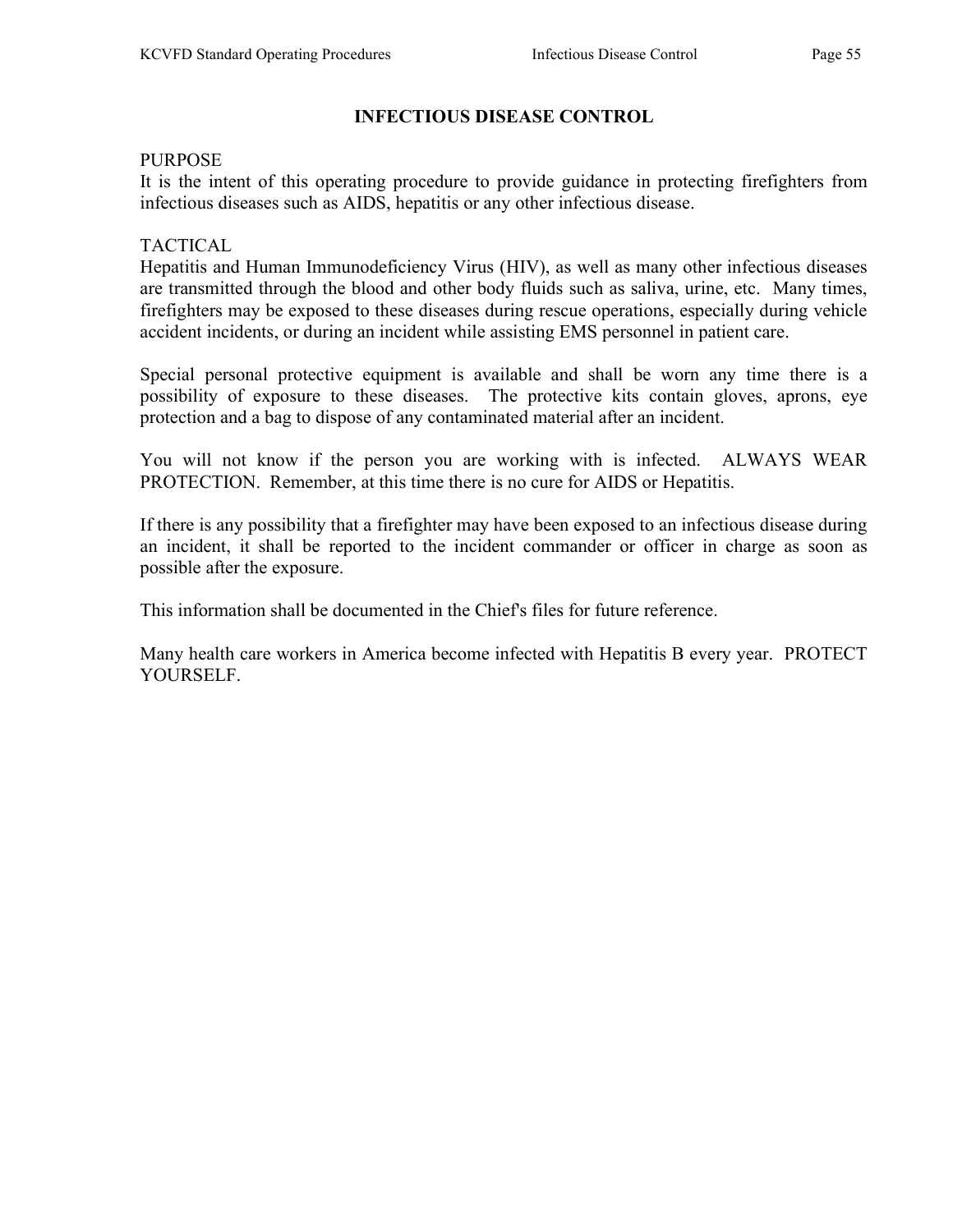# INFECTIOUS DISEASE CONTROL

#### PURPOSE

It is the intent of this operating procedure to provide guidance in protecting firefighters from infectious diseases such as AIDS, hepatitis or any other infectious disease.

## TACTICAL

Hepatitis and Human Immunodeficiency Virus (HIV), as well as many other infectious diseases are transmitted through the blood and other body fluids such as saliva, urine, etc. Many times, firefighters may be exposed to these diseases during rescue operations, especially during vehicle accident incidents, or during an incident while assisting EMS personnel in patient care.

Special personal protective equipment is available and shall be worn any time there is a possibility of exposure to these diseases. The protective kits contain gloves, aprons, eye protection and a bag to dispose of any contaminated material after an incident.

You will not know if the person you are working with is infected. ALWAYS WEAR PROTECTION. Remember, at this time there is no cure for AIDS or Hepatitis.

If there is any possibility that a firefighter may have been exposed to an infectious disease during an incident, it shall be reported to the incident commander or officer in charge as soon as possible after the exposure.

This information shall be documented in the Chief's files for future reference.

Many health care workers in America become infected with Hepatitis B every year. PROTECT YOURSELF.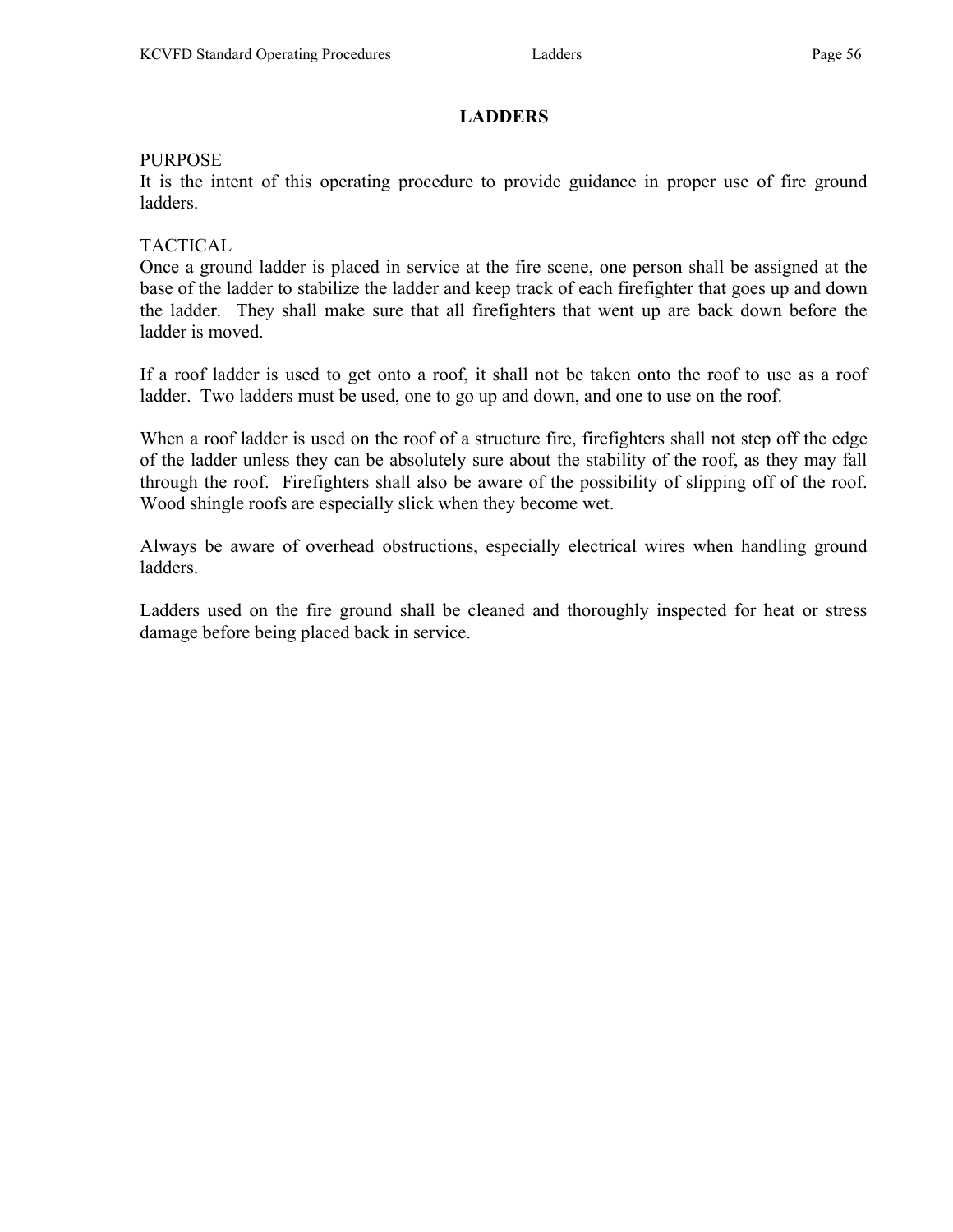# **LADDERS**

#### PURPOSE

It is the intent of this operating procedure to provide guidance in proper use of fire ground ladders.

#### TACTICAL

Once a ground ladder is placed in service at the fire scene, one person shall be assigned at the base of the ladder to stabilize the ladder and keep track of each firefighter that goes up and down the ladder. They shall make sure that all firefighters that went up are back down before the ladder is moved.

If a roof ladder is used to get onto a roof, it shall not be taken onto the roof to use as a roof ladder. Two ladders must be used, one to go up and down, and one to use on the roof.

When a roof ladder is used on the roof of a structure fire, firefighters shall not step off the edge of the ladder unless they can be absolutely sure about the stability of the roof, as they may fall through the roof. Firefighters shall also be aware of the possibility of slipping off of the roof. Wood shingle roofs are especially slick when they become wet.

Always be aware of overhead obstructions, especially electrical wires when handling ground ladders.

Ladders used on the fire ground shall be cleaned and thoroughly inspected for heat or stress damage before being placed back in service.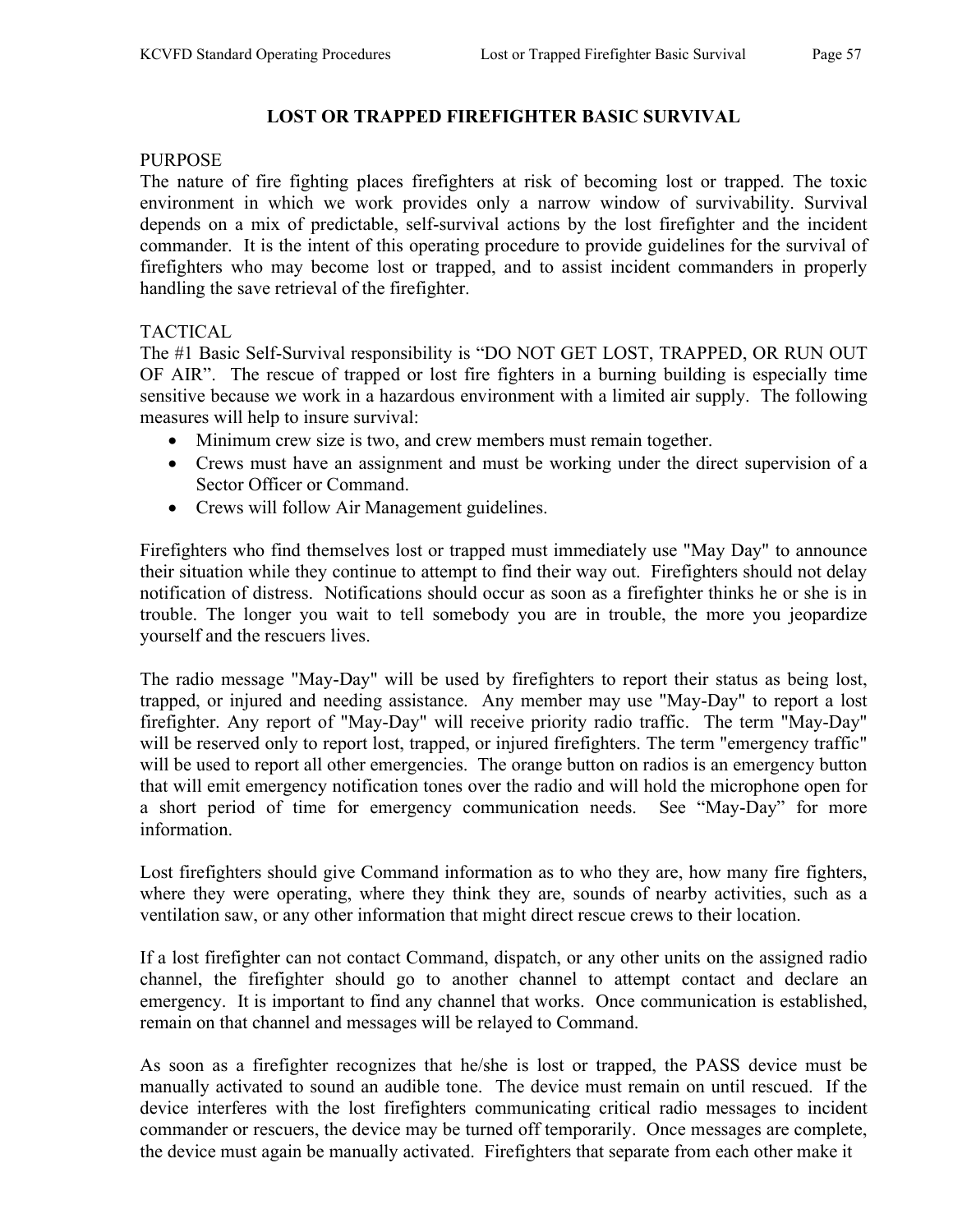#### **PURPOSE**

The nature of fire fighting places firefighters at risk of becoming lost or trapped. The toxic environment in which we work provides only a narrow window of survivability. Survival depends on a mix of predictable, self-survival actions by the lost firefighter and the incident commander. It is the intent of this operating procedure to provide guidelines for the survival of firefighters who may become lost or trapped, and to assist incident commanders in properly handling the save retrieval of the firefighter.

## TACTICAL

The #1 Basic Self-Survival responsibility is "DO NOT GET LOST, TRAPPED, OR RUN OUT OF AIR". The rescue of trapped or lost fire fighters in a burning building is especially time sensitive because we work in a hazardous environment with a limited air supply. The following measures will help to insure survival:

- Minimum crew size is two, and crew members must remain together.
- Crews must have an assignment and must be working under the direct supervision of a Sector Officer or Command.
- Crews will follow Air Management guidelines.

Firefighters who find themselves lost or trapped must immediately use "May Day" to announce their situation while they continue to attempt to find their way out. Firefighters should not delay notification of distress. Notifications should occur as soon as a firefighter thinks he or she is in trouble. The longer you wait to tell somebody you are in trouble, the more you jeopardize yourself and the rescuers lives.

The radio message "May-Day" will be used by firefighters to report their status as being lost, trapped, or injured and needing assistance. Any member may use "May-Day" to report a lost firefighter. Any report of "May-Day" will receive priority radio traffic. The term "May-Day" will be reserved only to report lost, trapped, or injured firefighters. The term "emergency traffic" will be used to report all other emergencies. The orange button on radios is an emergency button that will emit emergency notification tones over the radio and will hold the microphone open for a short period of time for emergency communication needs. See "May-Day" for more information.

Lost firefighters should give Command information as to who they are, how many fire fighters, where they were operating, where they think they are, sounds of nearby activities, such as a ventilation saw, or any other information that might direct rescue crews to their location.

If a lost firefighter can not contact Command, dispatch, or any other units on the assigned radio channel, the firefighter should go to another channel to attempt contact and declare an emergency. It is important to find any channel that works. Once communication is established, remain on that channel and messages will be relayed to Command.

As soon as a firefighter recognizes that he/she is lost or trapped, the PASS device must be manually activated to sound an audible tone. The device must remain on until rescued. If the device interferes with the lost firefighters communicating critical radio messages to incident commander or rescuers, the device may be turned off temporarily. Once messages are complete, the device must again be manually activated. Firefighters that separate from each other make it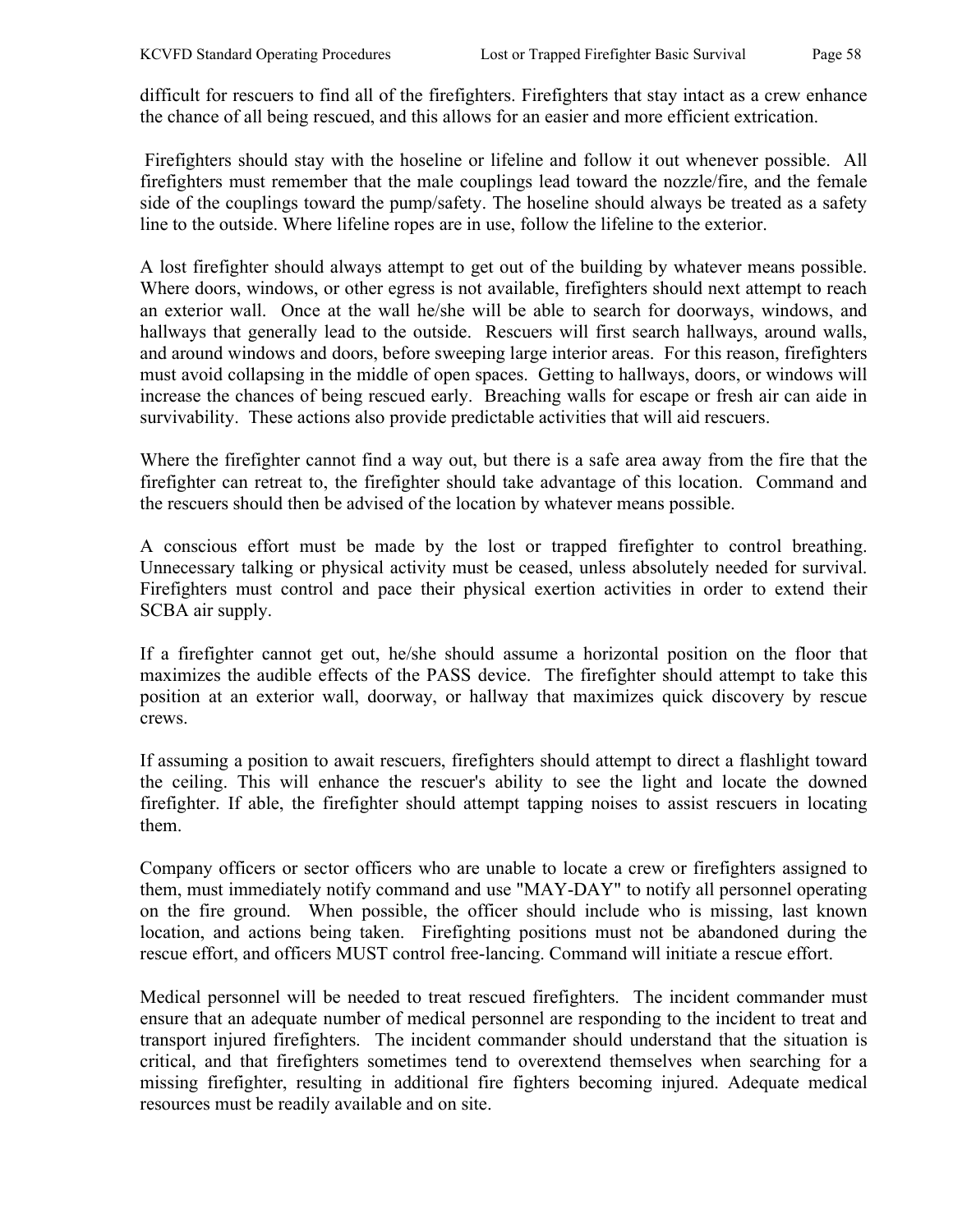difficult for rescuers to find all of the firefighters. Firefighters that stay intact as a crew enhance the chance of all being rescued, and this allows for an easier and more efficient extrication.

 Firefighters should stay with the hoseline or lifeline and follow it out whenever possible. All firefighters must remember that the male couplings lead toward the nozzle/fire, and the female side of the couplings toward the pump/safety. The hoseline should always be treated as a safety line to the outside. Where lifeline ropes are in use, follow the lifeline to the exterior.

A lost firefighter should always attempt to get out of the building by whatever means possible. Where doors, windows, or other egress is not available, firefighters should next attempt to reach an exterior wall. Once at the wall he/she will be able to search for doorways, windows, and hallways that generally lead to the outside. Rescuers will first search hallways, around walls, and around windows and doors, before sweeping large interior areas. For this reason, firefighters must avoid collapsing in the middle of open spaces. Getting to hallways, doors, or windows will increase the chances of being rescued early. Breaching walls for escape or fresh air can aide in survivability. These actions also provide predictable activities that will aid rescuers.

Where the firefighter cannot find a way out, but there is a safe area away from the fire that the firefighter can retreat to, the firefighter should take advantage of this location. Command and the rescuers should then be advised of the location by whatever means possible.

A conscious effort must be made by the lost or trapped firefighter to control breathing. Unnecessary talking or physical activity must be ceased, unless absolutely needed for survival. Firefighters must control and pace their physical exertion activities in order to extend their SCBA air supply.

If a firefighter cannot get out, he/she should assume a horizontal position on the floor that maximizes the audible effects of the PASS device. The firefighter should attempt to take this position at an exterior wall, doorway, or hallway that maximizes quick discovery by rescue crews.

If assuming a position to await rescuers, firefighters should attempt to direct a flashlight toward the ceiling. This will enhance the rescuer's ability to see the light and locate the downed firefighter. If able, the firefighter should attempt tapping noises to assist rescuers in locating them.

Company officers or sector officers who are unable to locate a crew or firefighters assigned to them, must immediately notify command and use "MAY-DAY" to notify all personnel operating on the fire ground. When possible, the officer should include who is missing, last known location, and actions being taken. Firefighting positions must not be abandoned during the rescue effort, and officers MUST control free-lancing. Command will initiate a rescue effort.

Medical personnel will be needed to treat rescued firefighters. The incident commander must ensure that an adequate number of medical personnel are responding to the incident to treat and transport injured firefighters. The incident commander should understand that the situation is critical, and that firefighters sometimes tend to overextend themselves when searching for a missing firefighter, resulting in additional fire fighters becoming injured. Adequate medical resources must be readily available and on site.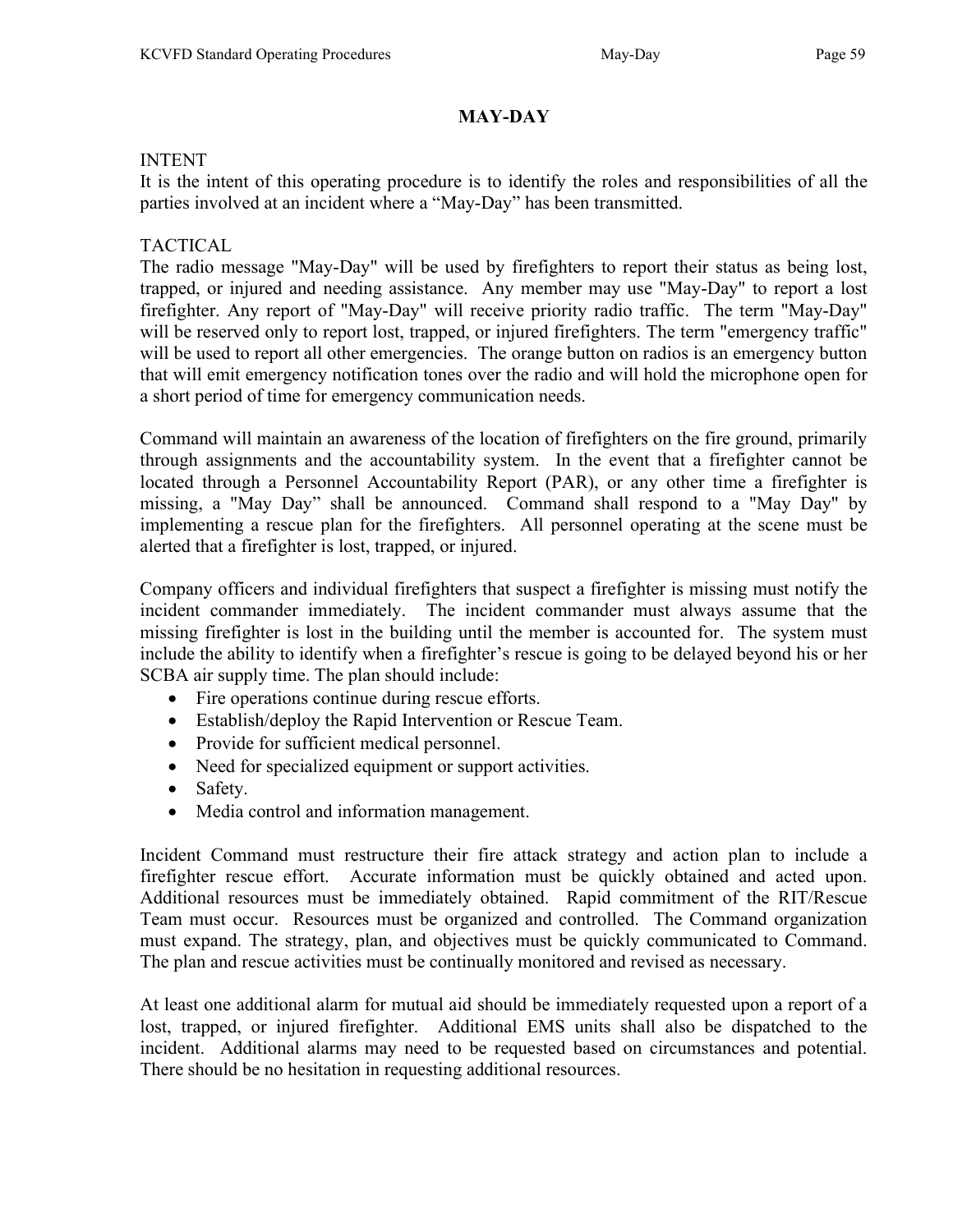## MAY-DAY

#### INTENT

It is the intent of this operating procedure is to identify the roles and responsibilities of all the parties involved at an incident where a "May-Day" has been transmitted.

## TACTICAL

The radio message "May-Day" will be used by firefighters to report their status as being lost, trapped, or injured and needing assistance. Any member may use "May-Day" to report a lost firefighter. Any report of "May-Day" will receive priority radio traffic. The term "May-Day" will be reserved only to report lost, trapped, or injured firefighters. The term "emergency traffic" will be used to report all other emergencies. The orange button on radios is an emergency button that will emit emergency notification tones over the radio and will hold the microphone open for a short period of time for emergency communication needs.

Command will maintain an awareness of the location of firefighters on the fire ground, primarily through assignments and the accountability system. In the event that a firefighter cannot be located through a Personnel Accountability Report (PAR), or any other time a firefighter is missing, a "May Day" shall be announced. Command shall respond to a "May Day" by implementing a rescue plan for the firefighters. All personnel operating at the scene must be alerted that a firefighter is lost, trapped, or injured.

Company officers and individual firefighters that suspect a firefighter is missing must notify the incident commander immediately. The incident commander must always assume that the missing firefighter is lost in the building until the member is accounted for. The system must include the ability to identify when a firefighter's rescue is going to be delayed beyond his or her SCBA air supply time. The plan should include:

- Fire operations continue during rescue efforts.
- Establish/deploy the Rapid Intervention or Rescue Team.
- Provide for sufficient medical personnel.
- Need for specialized equipment or support activities.
- Safety.
- Media control and information management.

Incident Command must restructure their fire attack strategy and action plan to include a firefighter rescue effort. Accurate information must be quickly obtained and acted upon. Additional resources must be immediately obtained. Rapid commitment of the RIT/Rescue Team must occur. Resources must be organized and controlled. The Command organization must expand. The strategy, plan, and objectives must be quickly communicated to Command. The plan and rescue activities must be continually monitored and revised as necessary.

At least one additional alarm for mutual aid should be immediately requested upon a report of a lost, trapped, or injured firefighter. Additional EMS units shall also be dispatched to the incident. Additional alarms may need to be requested based on circumstances and potential. There should be no hesitation in requesting additional resources.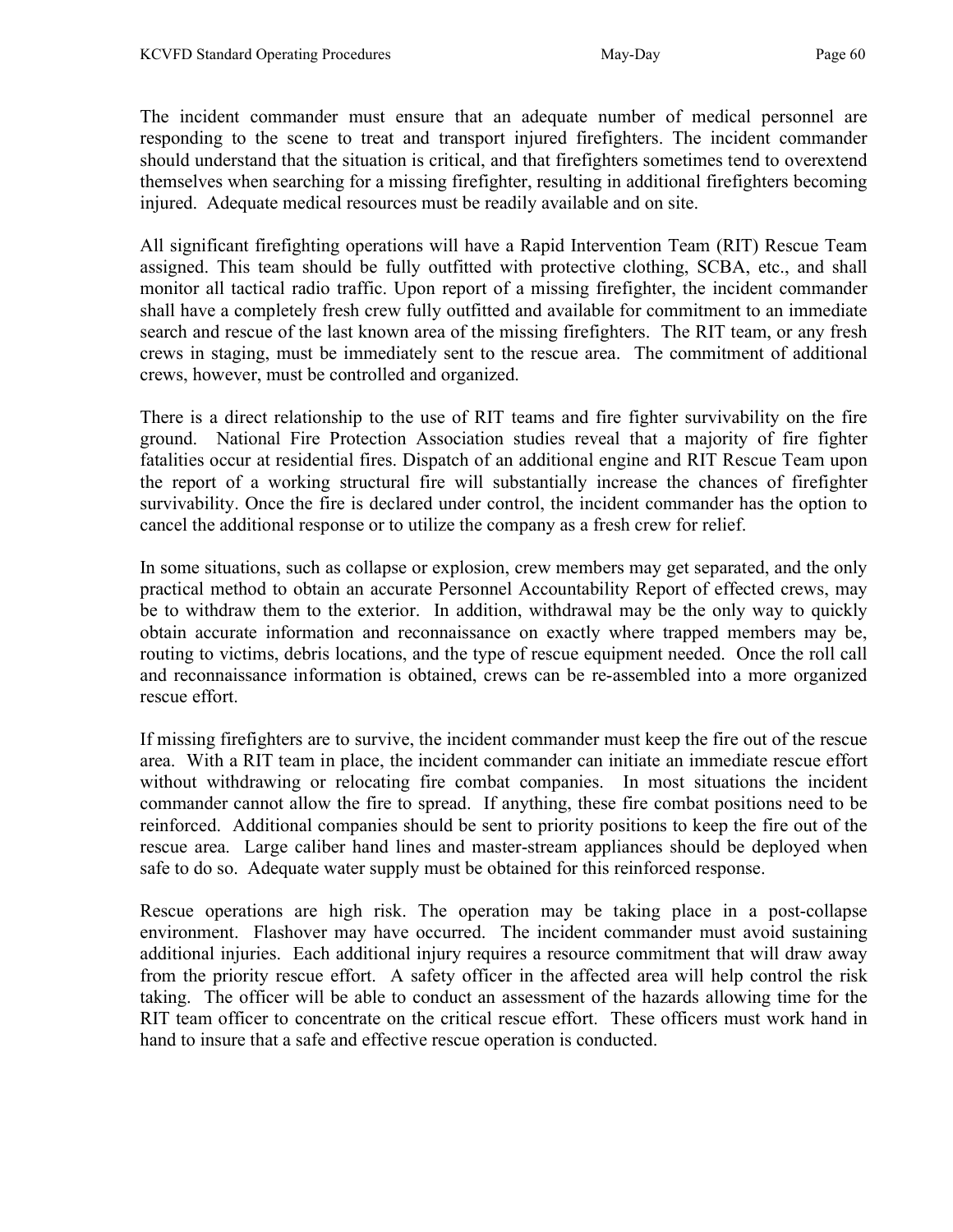The incident commander must ensure that an adequate number of medical personnel are responding to the scene to treat and transport injured firefighters. The incident commander should understand that the situation is critical, and that firefighters sometimes tend to overextend themselves when searching for a missing firefighter, resulting in additional firefighters becoming injured. Adequate medical resources must be readily available and on site.

All significant firefighting operations will have a Rapid Intervention Team (RIT) Rescue Team assigned. This team should be fully outfitted with protective clothing, SCBA, etc., and shall monitor all tactical radio traffic. Upon report of a missing firefighter, the incident commander shall have a completely fresh crew fully outfitted and available for commitment to an immediate search and rescue of the last known area of the missing firefighters. The RIT team, or any fresh crews in staging, must be immediately sent to the rescue area. The commitment of additional crews, however, must be controlled and organized.

There is a direct relationship to the use of RIT teams and fire fighter survivability on the fire ground. National Fire Protection Association studies reveal that a majority of fire fighter fatalities occur at residential fires. Dispatch of an additional engine and RIT Rescue Team upon the report of a working structural fire will substantially increase the chances of firefighter survivability. Once the fire is declared under control, the incident commander has the option to cancel the additional response or to utilize the company as a fresh crew for relief.

In some situations, such as collapse or explosion, crew members may get separated, and the only practical method to obtain an accurate Personnel Accountability Report of effected crews, may be to withdraw them to the exterior. In addition, withdrawal may be the only way to quickly obtain accurate information and reconnaissance on exactly where trapped members may be, routing to victims, debris locations, and the type of rescue equipment needed. Once the roll call and reconnaissance information is obtained, crews can be re-assembled into a more organized rescue effort.

If missing firefighters are to survive, the incident commander must keep the fire out of the rescue area. With a RIT team in place, the incident commander can initiate an immediate rescue effort without withdrawing or relocating fire combat companies. In most situations the incident commander cannot allow the fire to spread. If anything, these fire combat positions need to be reinforced. Additional companies should be sent to priority positions to keep the fire out of the rescue area. Large caliber hand lines and master-stream appliances should be deployed when safe to do so. Adequate water supply must be obtained for this reinforced response.

Rescue operations are high risk. The operation may be taking place in a post-collapse environment. Flashover may have occurred. The incident commander must avoid sustaining additional injuries. Each additional injury requires a resource commitment that will draw away from the priority rescue effort. A safety officer in the affected area will help control the risk taking. The officer will be able to conduct an assessment of the hazards allowing time for the RIT team officer to concentrate on the critical rescue effort. These officers must work hand in hand to insure that a safe and effective rescue operation is conducted.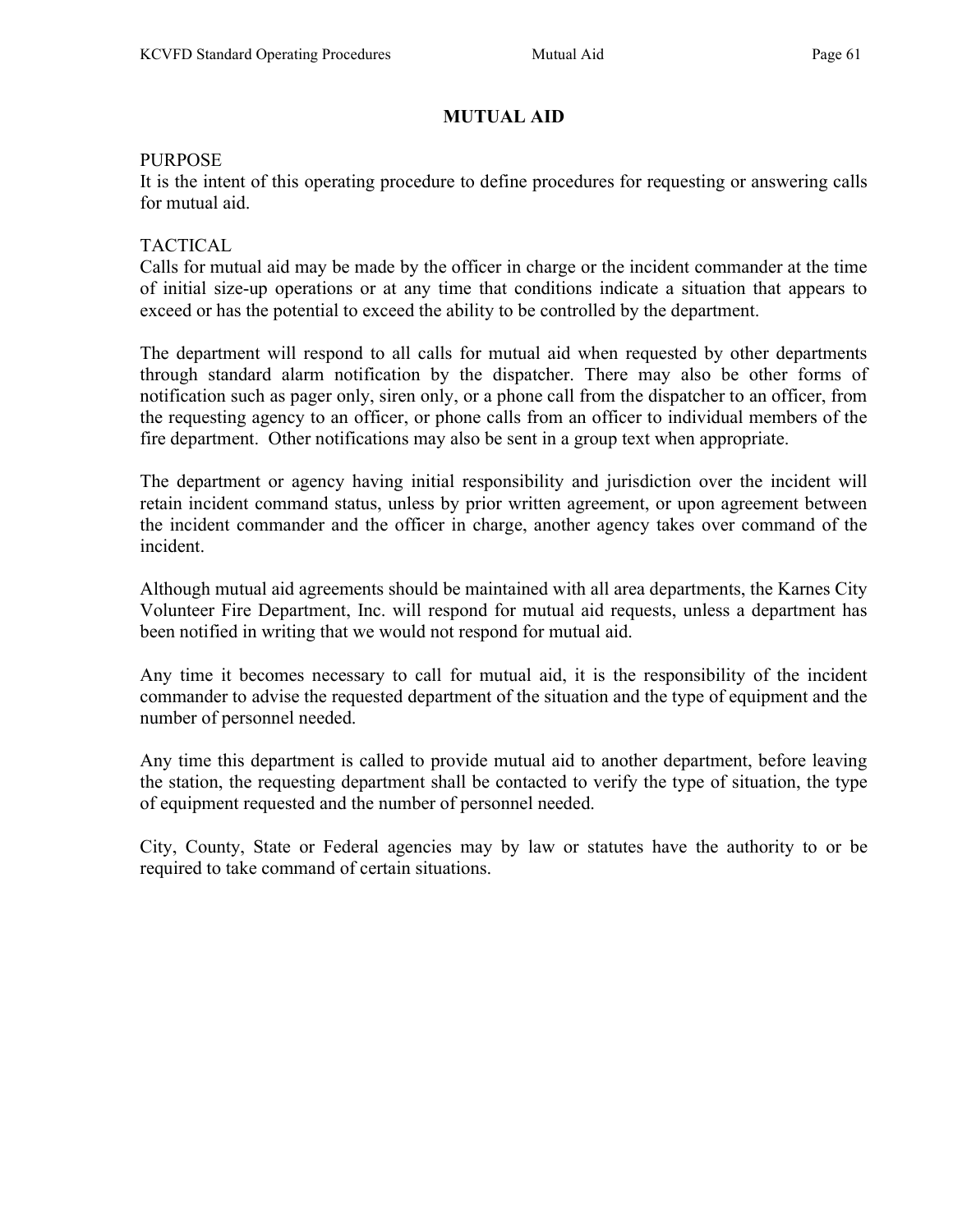# MUTUAL AID

#### PURPOSE

It is the intent of this operating procedure to define procedures for requesting or answering calls for mutual aid.

## TACTICAL

Calls for mutual aid may be made by the officer in charge or the incident commander at the time of initial size-up operations or at any time that conditions indicate a situation that appears to exceed or has the potential to exceed the ability to be controlled by the department.

The department will respond to all calls for mutual aid when requested by other departments through standard alarm notification by the dispatcher. There may also be other forms of notification such as pager only, siren only, or a phone call from the dispatcher to an officer, from the requesting agency to an officer, or phone calls from an officer to individual members of the fire department. Other notifications may also be sent in a group text when appropriate.

The department or agency having initial responsibility and jurisdiction over the incident will retain incident command status, unless by prior written agreement, or upon agreement between the incident commander and the officer in charge, another agency takes over command of the incident.

Although mutual aid agreements should be maintained with all area departments, the Karnes City Volunteer Fire Department, Inc. will respond for mutual aid requests, unless a department has been notified in writing that we would not respond for mutual aid.

Any time it becomes necessary to call for mutual aid, it is the responsibility of the incident commander to advise the requested department of the situation and the type of equipment and the number of personnel needed.

Any time this department is called to provide mutual aid to another department, before leaving the station, the requesting department shall be contacted to verify the type of situation, the type of equipment requested and the number of personnel needed.

City, County, State or Federal agencies may by law or statutes have the authority to or be required to take command of certain situations.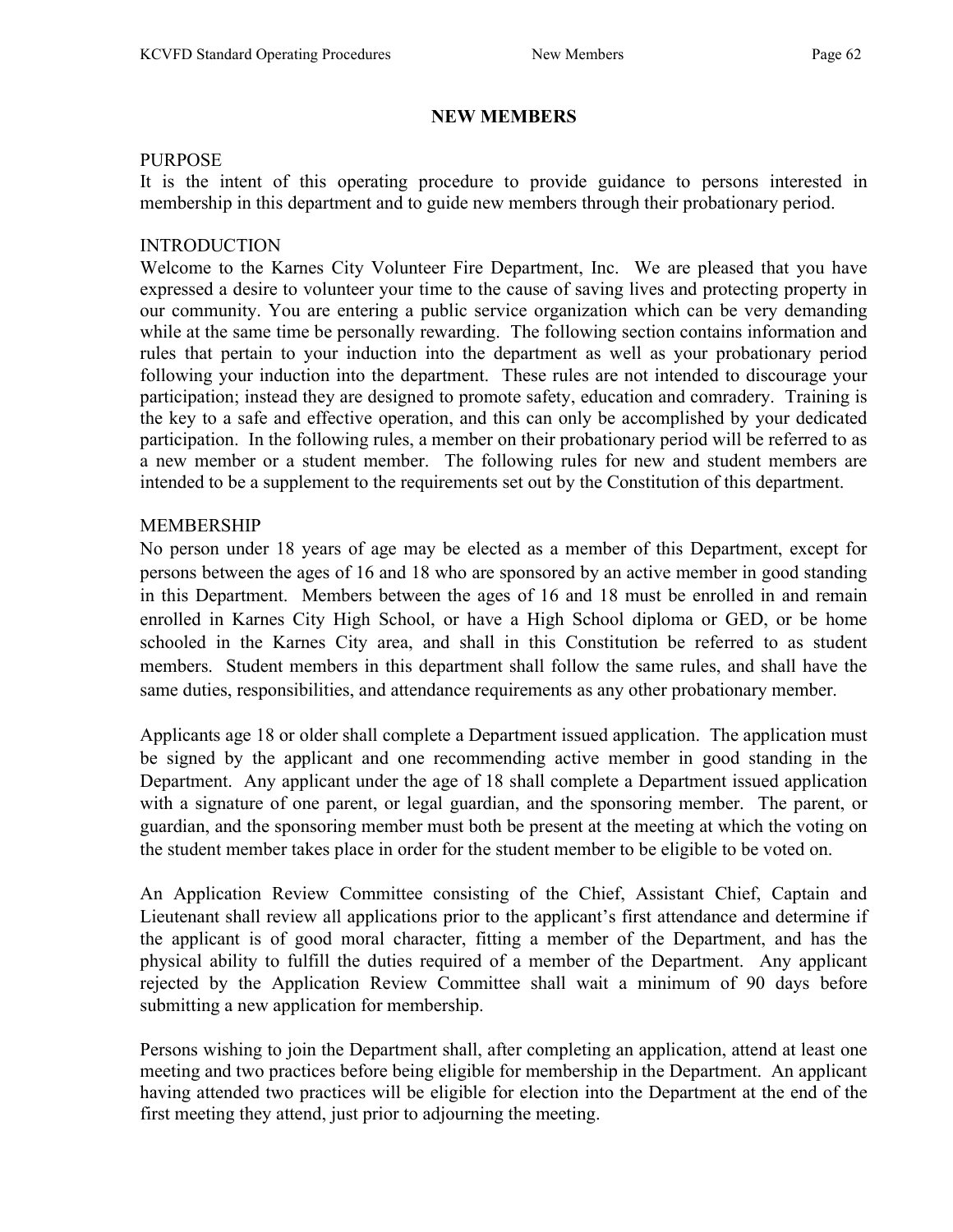#### NEW MEMBERS

#### **PURPOSE**

It is the intent of this operating procedure to provide guidance to persons interested in membership in this department and to guide new members through their probationary period.

## INTRODUCTION

Welcome to the Karnes City Volunteer Fire Department, Inc. We are pleased that you have expressed a desire to volunteer your time to the cause of saving lives and protecting property in our community. You are entering a public service organization which can be very demanding while at the same time be personally rewarding. The following section contains information and rules that pertain to your induction into the department as well as your probationary period following your induction into the department. These rules are not intended to discourage your participation; instead they are designed to promote safety, education and comradery. Training is the key to a safe and effective operation, and this can only be accomplished by your dedicated participation. In the following rules, a member on their probationary period will be referred to as a new member or a student member. The following rules for new and student members are intended to be a supplement to the requirements set out by the Constitution of this department.

## MEMBERSHIP

No person under 18 years of age may be elected as a member of this Department, except for persons between the ages of 16 and 18 who are sponsored by an active member in good standing in this Department. Members between the ages of 16 and 18 must be enrolled in and remain enrolled in Karnes City High School, or have a High School diploma or GED, or be home schooled in the Karnes City area, and shall in this Constitution be referred to as student members. Student members in this department shall follow the same rules, and shall have the same duties, responsibilities, and attendance requirements as any other probationary member.

Applicants age 18 or older shall complete a Department issued application. The application must be signed by the applicant and one recommending active member in good standing in the Department. Any applicant under the age of 18 shall complete a Department issued application with a signature of one parent, or legal guardian, and the sponsoring member. The parent, or guardian, and the sponsoring member must both be present at the meeting at which the voting on the student member takes place in order for the student member to be eligible to be voted on.

An Application Review Committee consisting of the Chief, Assistant Chief, Captain and Lieutenant shall review all applications prior to the applicant's first attendance and determine if the applicant is of good moral character, fitting a member of the Department, and has the physical ability to fulfill the duties required of a member of the Department. Any applicant rejected by the Application Review Committee shall wait a minimum of 90 days before submitting a new application for membership.

Persons wishing to join the Department shall, after completing an application, attend at least one meeting and two practices before being eligible for membership in the Department. An applicant having attended two practices will be eligible for election into the Department at the end of the first meeting they attend, just prior to adjourning the meeting.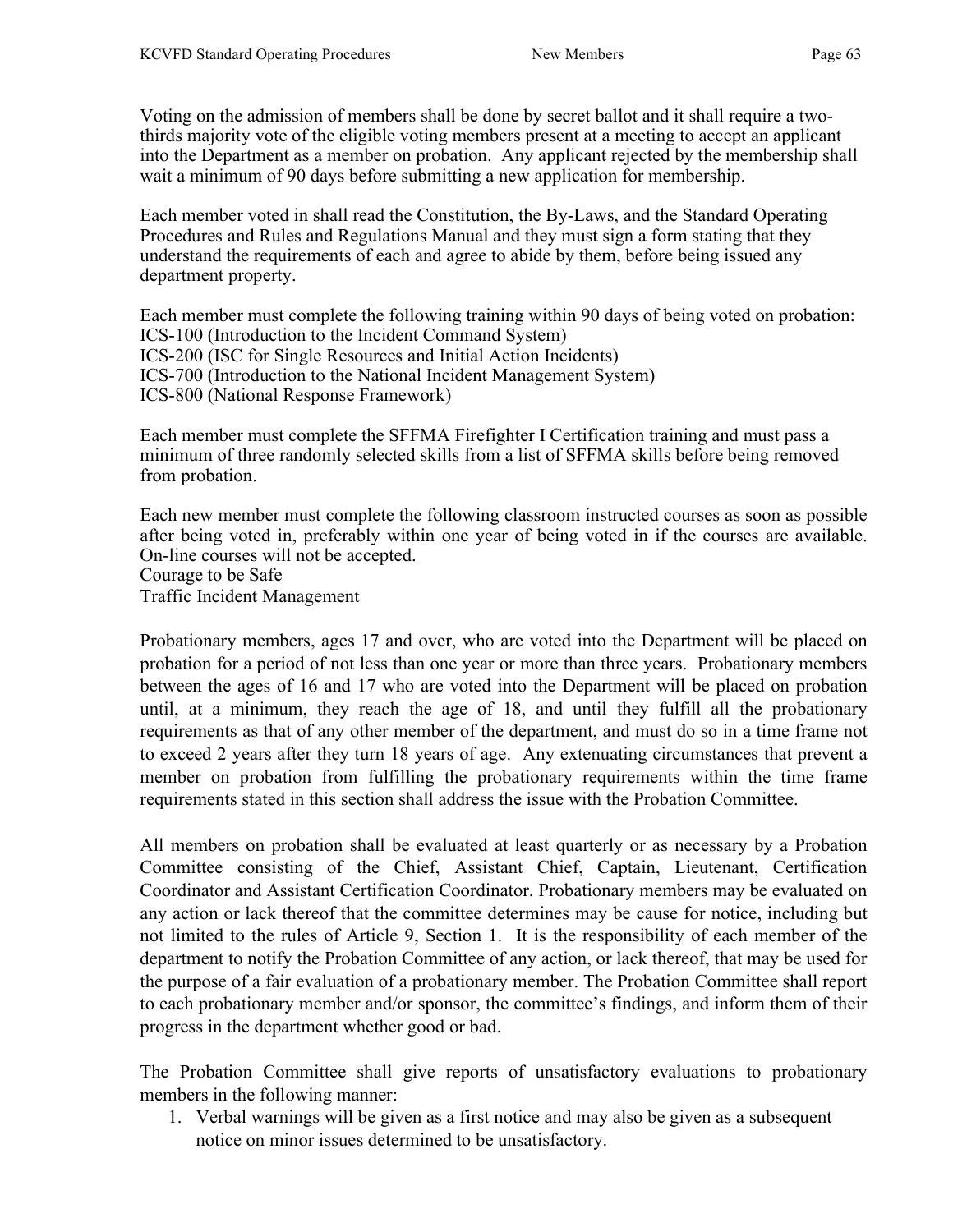Voting on the admission of members shall be done by secret ballot and it shall require a twothirds majority vote of the eligible voting members present at a meeting to accept an applicant into the Department as a member on probation. Any applicant rejected by the membership shall wait a minimum of 90 days before submitting a new application for membership.

Each member voted in shall read the Constitution, the By-Laws, and the Standard Operating Procedures and Rules and Regulations Manual and they must sign a form stating that they understand the requirements of each and agree to abide by them, before being issued any department property.

Each member must complete the following training within 90 days of being voted on probation: ICS-100 (Introduction to the Incident Command System) ICS-200 (ISC for Single Resources and Initial Action Incidents) ICS-700 (Introduction to the National Incident Management System) ICS-800 (National Response Framework)

Each member must complete the SFFMA Firefighter I Certification training and must pass a minimum of three randomly selected skills from a list of SFFMA skills before being removed from probation.

Each new member must complete the following classroom instructed courses as soon as possible after being voted in, preferably within one year of being voted in if the courses are available. On-line courses will not be accepted. Courage to be Safe Traffic Incident Management

Probationary members, ages 17 and over, who are voted into the Department will be placed on probation for a period of not less than one year or more than three years. Probationary members between the ages of 16 and 17 who are voted into the Department will be placed on probation until, at a minimum, they reach the age of 18, and until they fulfill all the probationary requirements as that of any other member of the department, and must do so in a time frame not to exceed 2 years after they turn 18 years of age. Any extenuating circumstances that prevent a member on probation from fulfilling the probationary requirements within the time frame requirements stated in this section shall address the issue with the Probation Committee.

All members on probation shall be evaluated at least quarterly or as necessary by a Probation Committee consisting of the Chief, Assistant Chief, Captain, Lieutenant, Certification Coordinator and Assistant Certification Coordinator. Probationary members may be evaluated on any action or lack thereof that the committee determines may be cause for notice, including but not limited to the rules of Article 9, Section 1. It is the responsibility of each member of the department to notify the Probation Committee of any action, or lack thereof, that may be used for the purpose of a fair evaluation of a probationary member. The Probation Committee shall report to each probationary member and/or sponsor, the committee's findings, and inform them of their progress in the department whether good or bad.

The Probation Committee shall give reports of unsatisfactory evaluations to probationary members in the following manner:

1. Verbal warnings will be given as a first notice and may also be given as a subsequent notice on minor issues determined to be unsatisfactory.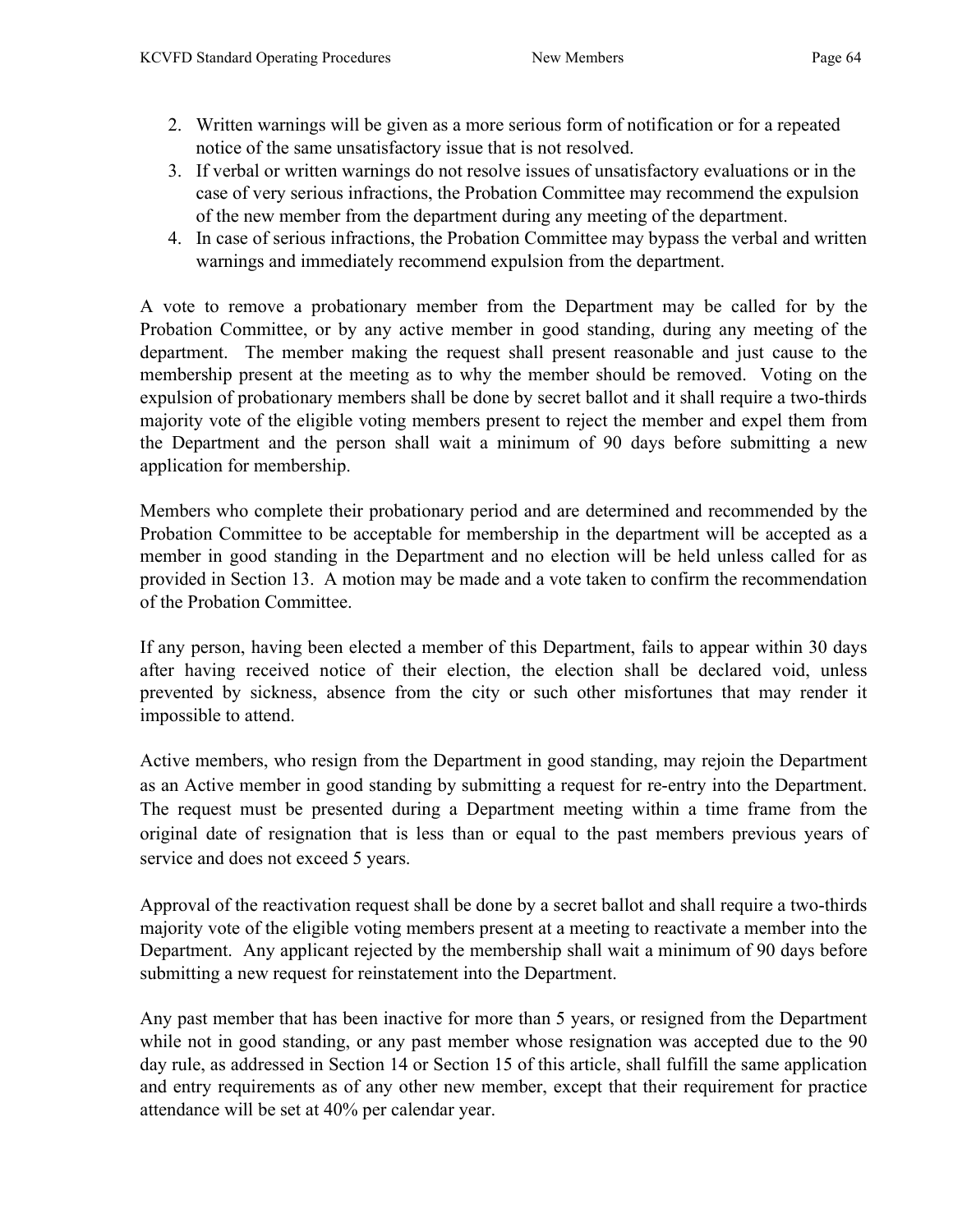- 2. Written warnings will be given as a more serious form of notification or for a repeated notice of the same unsatisfactory issue that is not resolved.
- 3. If verbal or written warnings do not resolve issues of unsatisfactory evaluations or in the case of very serious infractions, the Probation Committee may recommend the expulsion of the new member from the department during any meeting of the department.
- 4. In case of serious infractions, the Probation Committee may bypass the verbal and written warnings and immediately recommend expulsion from the department.

A vote to remove a probationary member from the Department may be called for by the Probation Committee, or by any active member in good standing, during any meeting of the department. The member making the request shall present reasonable and just cause to the membership present at the meeting as to why the member should be removed. Voting on the expulsion of probationary members shall be done by secret ballot and it shall require a two-thirds majority vote of the eligible voting members present to reject the member and expel them from the Department and the person shall wait a minimum of 90 days before submitting a new application for membership.

Members who complete their probationary period and are determined and recommended by the Probation Committee to be acceptable for membership in the department will be accepted as a member in good standing in the Department and no election will be held unless called for as provided in Section 13. A motion may be made and a vote taken to confirm the recommendation of the Probation Committee.

If any person, having been elected a member of this Department, fails to appear within 30 days after having received notice of their election, the election shall be declared void, unless prevented by sickness, absence from the city or such other misfortunes that may render it impossible to attend.

Active members, who resign from the Department in good standing, may rejoin the Department as an Active member in good standing by submitting a request for re-entry into the Department. The request must be presented during a Department meeting within a time frame from the original date of resignation that is less than or equal to the past members previous years of service and does not exceed 5 years.

Approval of the reactivation request shall be done by a secret ballot and shall require a two-thirds majority vote of the eligible voting members present at a meeting to reactivate a member into the Department. Any applicant rejected by the membership shall wait a minimum of 90 days before submitting a new request for reinstatement into the Department.

Any past member that has been inactive for more than 5 years, or resigned from the Department while not in good standing, or any past member whose resignation was accepted due to the 90 day rule, as addressed in Section 14 or Section 15 of this article, shall fulfill the same application and entry requirements as of any other new member, except that their requirement for practice attendance will be set at 40% per calendar year.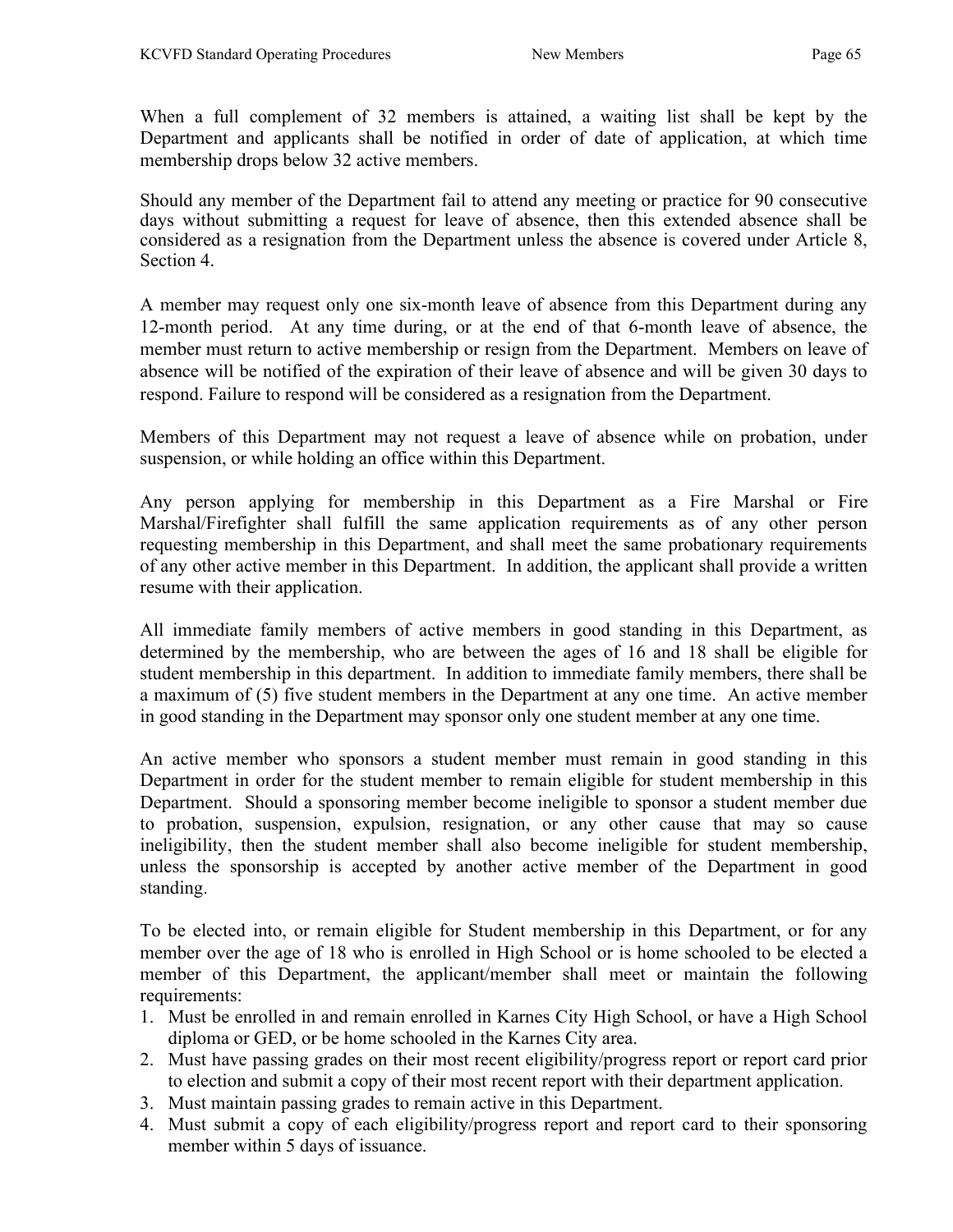When a full complement of 32 members is attained, a waiting list shall be kept by the Department and applicants shall be notified in order of date of application, at which time membership drops below 32 active members.

Should any member of the Department fail to attend any meeting or practice for 90 consecutive days without submitting a request for leave of absence, then this extended absence shall be considered as a resignation from the Department unless the absence is covered under Article 8, Section 4.

A member may request only one six-month leave of absence from this Department during any 12-month period. At any time during, or at the end of that 6-month leave of absence, the member must return to active membership or resign from the Department. Members on leave of absence will be notified of the expiration of their leave of absence and will be given 30 days to respond. Failure to respond will be considered as a resignation from the Department.

Members of this Department may not request a leave of absence while on probation, under suspension, or while holding an office within this Department.

Any person applying for membership in this Department as a Fire Marshal or Fire Marshal/Firefighter shall fulfill the same application requirements as of any other person requesting membership in this Department, and shall meet the same probationary requirements of any other active member in this Department. In addition, the applicant shall provide a written resume with their application.

All immediate family members of active members in good standing in this Department, as determined by the membership, who are between the ages of 16 and 18 shall be eligible for student membership in this department. In addition to immediate family members, there shall be a maximum of (5) five student members in the Department at any one time. An active member in good standing in the Department may sponsor only one student member at any one time.

An active member who sponsors a student member must remain in good standing in this Department in order for the student member to remain eligible for student membership in this Department. Should a sponsoring member become ineligible to sponsor a student member due to probation, suspension, expulsion, resignation, or any other cause that may so cause ineligibility, then the student member shall also become ineligible for student membership, unless the sponsorship is accepted by another active member of the Department in good standing.

To be elected into, or remain eligible for Student membership in this Department, or for any member over the age of 18 who is enrolled in High School or is home schooled to be elected a member of this Department, the applicant/member shall meet or maintain the following requirements:

- 1. Must be enrolled in and remain enrolled in Karnes City High School, or have a High School diploma or GED, or be home schooled in the Karnes City area.
- 2. Must have passing grades on their most recent eligibility/progress report or report card prior to election and submit a copy of their most recent report with their department application.
- 3. Must maintain passing grades to remain active in this Department.
- 4. Must submit a copy of each eligibility/progress report and report card to their sponsoring member within 5 days of issuance.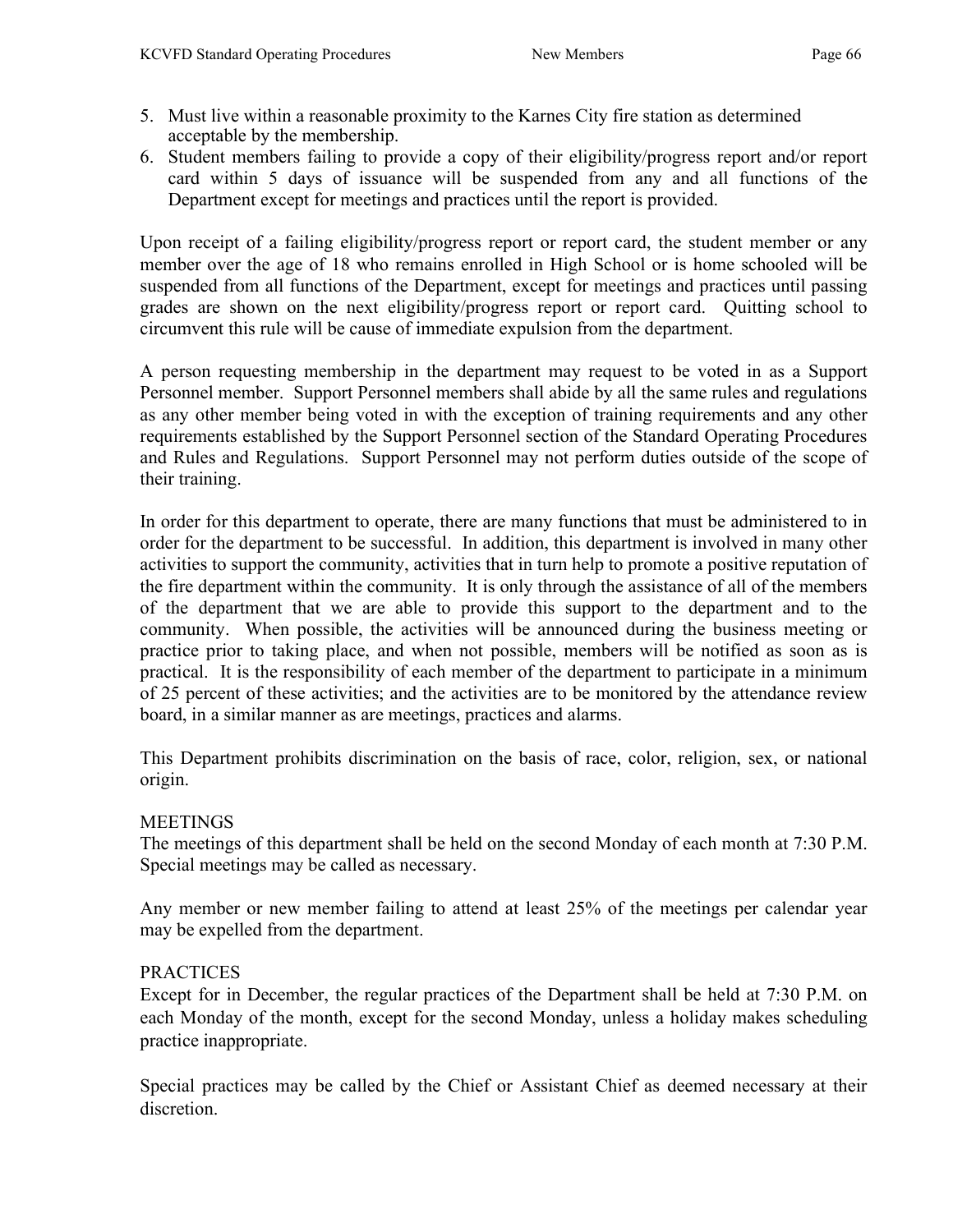- 5. Must live within a reasonable proximity to the Karnes City fire station as determined acceptable by the membership.
- 6. Student members failing to provide a copy of their eligibility/progress report and/or report card within 5 days of issuance will be suspended from any and all functions of the Department except for meetings and practices until the report is provided.

Upon receipt of a failing eligibility/progress report or report card, the student member or any member over the age of 18 who remains enrolled in High School or is home schooled will be suspended from all functions of the Department, except for meetings and practices until passing grades are shown on the next eligibility/progress report or report card. Quitting school to circumvent this rule will be cause of immediate expulsion from the department.

A person requesting membership in the department may request to be voted in as a Support Personnel member. Support Personnel members shall abide by all the same rules and regulations as any other member being voted in with the exception of training requirements and any other requirements established by the Support Personnel section of the Standard Operating Procedures and Rules and Regulations. Support Personnel may not perform duties outside of the scope of their training.

In order for this department to operate, there are many functions that must be administered to in order for the department to be successful. In addition, this department is involved in many other activities to support the community, activities that in turn help to promote a positive reputation of the fire department within the community. It is only through the assistance of all of the members of the department that we are able to provide this support to the department and to the community. When possible, the activities will be announced during the business meeting or practice prior to taking place, and when not possible, members will be notified as soon as is practical. It is the responsibility of each member of the department to participate in a minimum of 25 percent of these activities; and the activities are to be monitored by the attendance review board, in a similar manner as are meetings, practices and alarms.

This Department prohibits discrimination on the basis of race, color, religion, sex, or national origin.

## **MEETINGS**

The meetings of this department shall be held on the second Monday of each month at 7:30 P.M. Special meetings may be called as necessary.

Any member or new member failing to attend at least 25% of the meetings per calendar year may be expelled from the department.

## PRACTICES

Except for in December, the regular practices of the Department shall be held at 7:30 P.M. on each Monday of the month, except for the second Monday, unless a holiday makes scheduling practice inappropriate.

Special practices may be called by the Chief or Assistant Chief as deemed necessary at their discretion.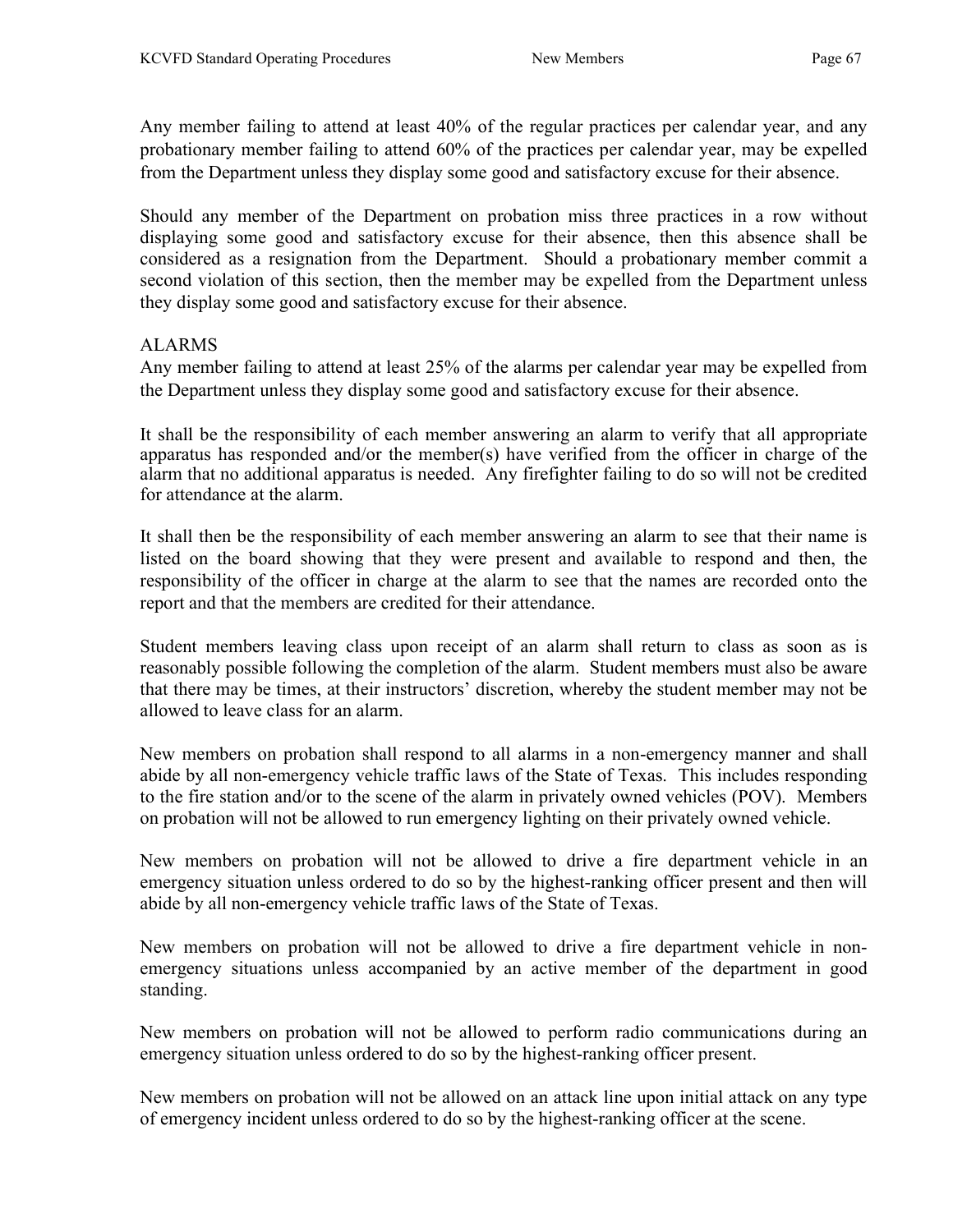Any member failing to attend at least 40% of the regular practices per calendar year, and any probationary member failing to attend 60% of the practices per calendar year, may be expelled from the Department unless they display some good and satisfactory excuse for their absence.

Should any member of the Department on probation miss three practices in a row without displaying some good and satisfactory excuse for their absence, then this absence shall be considered as a resignation from the Department. Should a probationary member commit a second violation of this section, then the member may be expelled from the Department unless they display some good and satisfactory excuse for their absence.

#### ALARMS

Any member failing to attend at least 25% of the alarms per calendar year may be expelled from the Department unless they display some good and satisfactory excuse for their absence.

It shall be the responsibility of each member answering an alarm to verify that all appropriate apparatus has responded and/or the member(s) have verified from the officer in charge of the alarm that no additional apparatus is needed. Any firefighter failing to do so will not be credited for attendance at the alarm.

It shall then be the responsibility of each member answering an alarm to see that their name is listed on the board showing that they were present and available to respond and then, the responsibility of the officer in charge at the alarm to see that the names are recorded onto the report and that the members are credited for their attendance.

Student members leaving class upon receipt of an alarm shall return to class as soon as is reasonably possible following the completion of the alarm. Student members must also be aware that there may be times, at their instructors' discretion, whereby the student member may not be allowed to leave class for an alarm.

New members on probation shall respond to all alarms in a non-emergency manner and shall abide by all non-emergency vehicle traffic laws of the State of Texas. This includes responding to the fire station and/or to the scene of the alarm in privately owned vehicles (POV). Members on probation will not be allowed to run emergency lighting on their privately owned vehicle.

New members on probation will not be allowed to drive a fire department vehicle in an emergency situation unless ordered to do so by the highest-ranking officer present and then will abide by all non-emergency vehicle traffic laws of the State of Texas.

New members on probation will not be allowed to drive a fire department vehicle in nonemergency situations unless accompanied by an active member of the department in good standing.

New members on probation will not be allowed to perform radio communications during an emergency situation unless ordered to do so by the highest-ranking officer present.

New members on probation will not be allowed on an attack line upon initial attack on any type of emergency incident unless ordered to do so by the highest-ranking officer at the scene.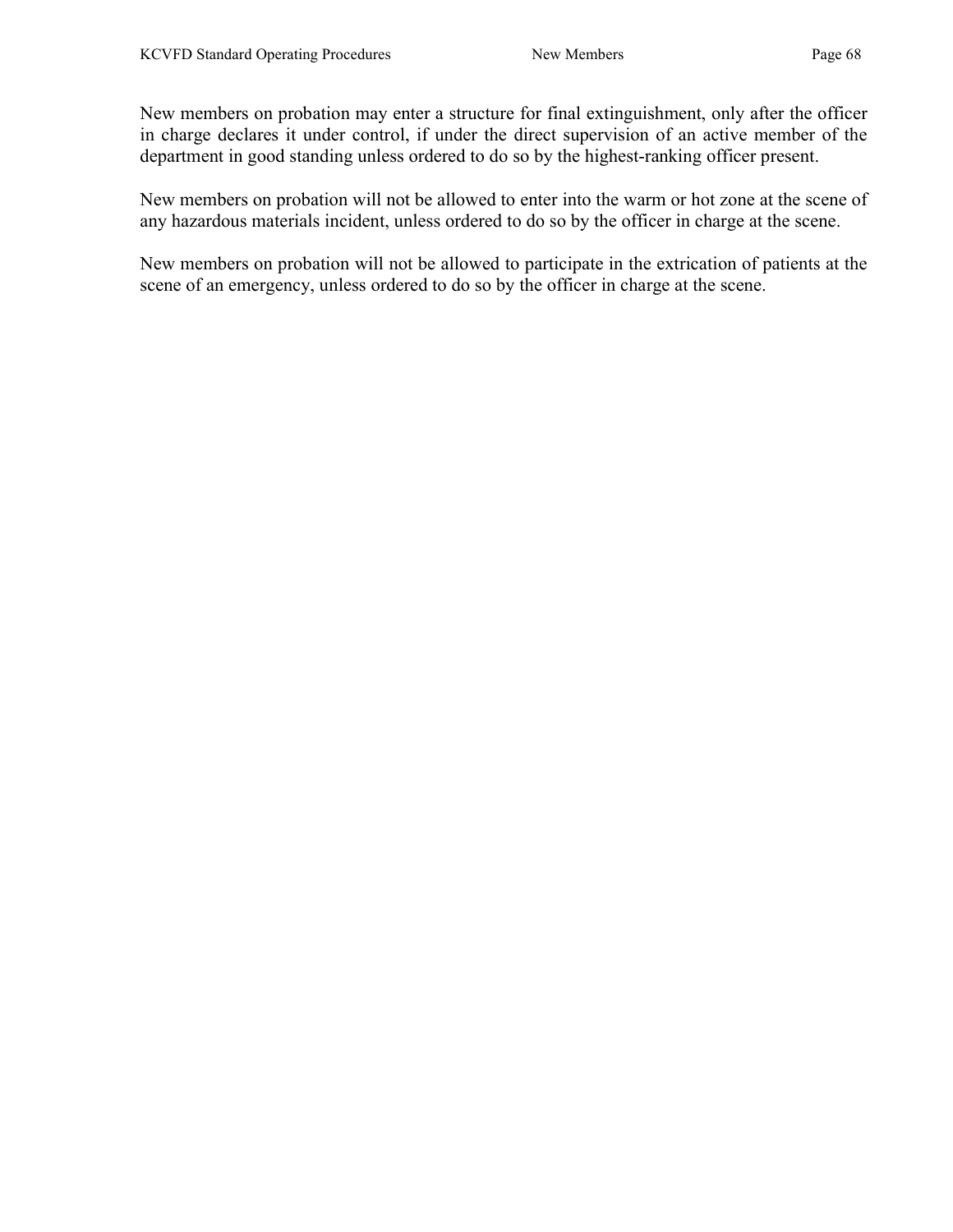New members on probation may enter a structure for final extinguishment, only after the officer in charge declares it under control, if under the direct supervision of an active member of the department in good standing unless ordered to do so by the highest-ranking officer present.

New members on probation will not be allowed to enter into the warm or hot zone at the scene of any hazardous materials incident, unless ordered to do so by the officer in charge at the scene.

New members on probation will not be allowed to participate in the extrication of patients at the scene of an emergency, unless ordered to do so by the officer in charge at the scene.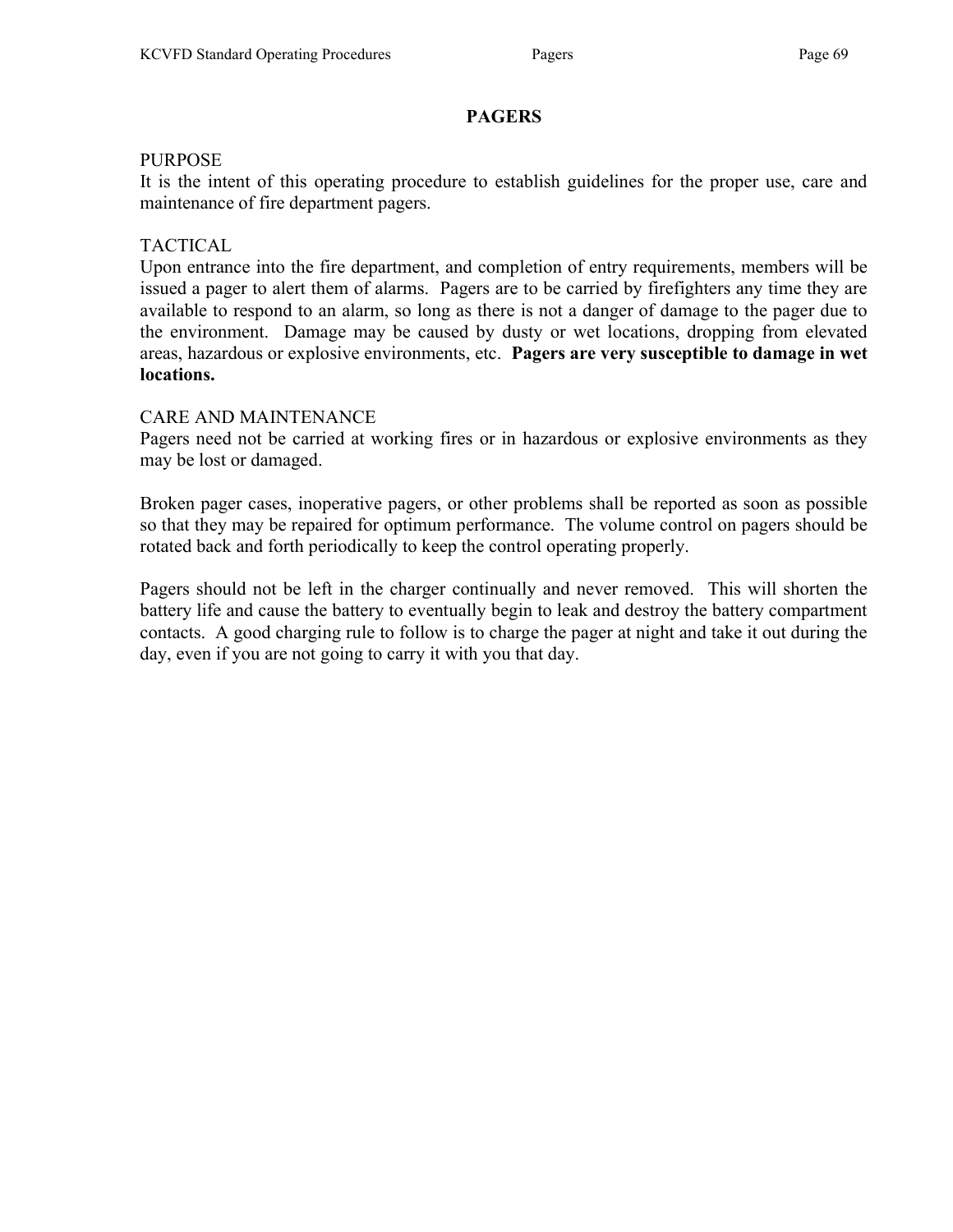# **PAGERS**

#### PURPOSE

It is the intent of this operating procedure to establish guidelines for the proper use, care and maintenance of fire department pagers.

## TACTICAL

Upon entrance into the fire department, and completion of entry requirements, members will be issued a pager to alert them of alarms. Pagers are to be carried by firefighters any time they are available to respond to an alarm, so long as there is not a danger of damage to the pager due to the environment. Damage may be caused by dusty or wet locations, dropping from elevated areas, hazardous or explosive environments, etc. Pagers are very susceptible to damage in wet locations.

## CARE AND MAINTENANCE

Pagers need not be carried at working fires or in hazardous or explosive environments as they may be lost or damaged.

Broken pager cases, inoperative pagers, or other problems shall be reported as soon as possible so that they may be repaired for optimum performance. The volume control on pagers should be rotated back and forth periodically to keep the control operating properly.

Pagers should not be left in the charger continually and never removed. This will shorten the battery life and cause the battery to eventually begin to leak and destroy the battery compartment contacts. A good charging rule to follow is to charge the pager at night and take it out during the day, even if you are not going to carry it with you that day.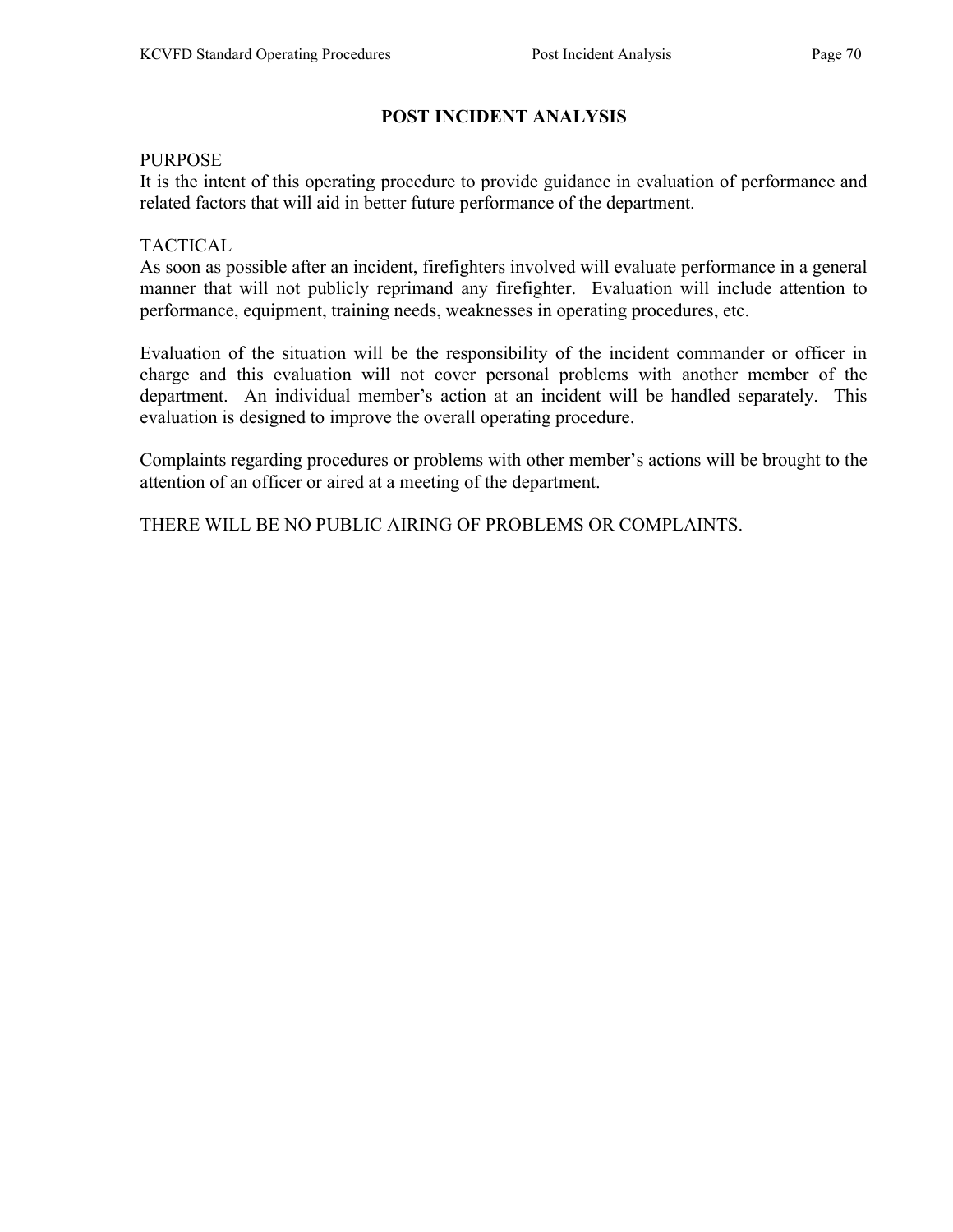# POST INCIDENT ANALYSIS

#### PURPOSE

It is the intent of this operating procedure to provide guidance in evaluation of performance and related factors that will aid in better future performance of the department.

#### **TACTICAL**

As soon as possible after an incident, firefighters involved will evaluate performance in a general manner that will not publicly reprimand any firefighter. Evaluation will include attention to performance, equipment, training needs, weaknesses in operating procedures, etc.

Evaluation of the situation will be the responsibility of the incident commander or officer in charge and this evaluation will not cover personal problems with another member of the department. An individual member's action at an incident will be handled separately. This evaluation is designed to improve the overall operating procedure.

Complaints regarding procedures or problems with other member's actions will be brought to the attention of an officer or aired at a meeting of the department.

THERE WILL BE NO PUBLIC AIRING OF PROBLEMS OR COMPLAINTS.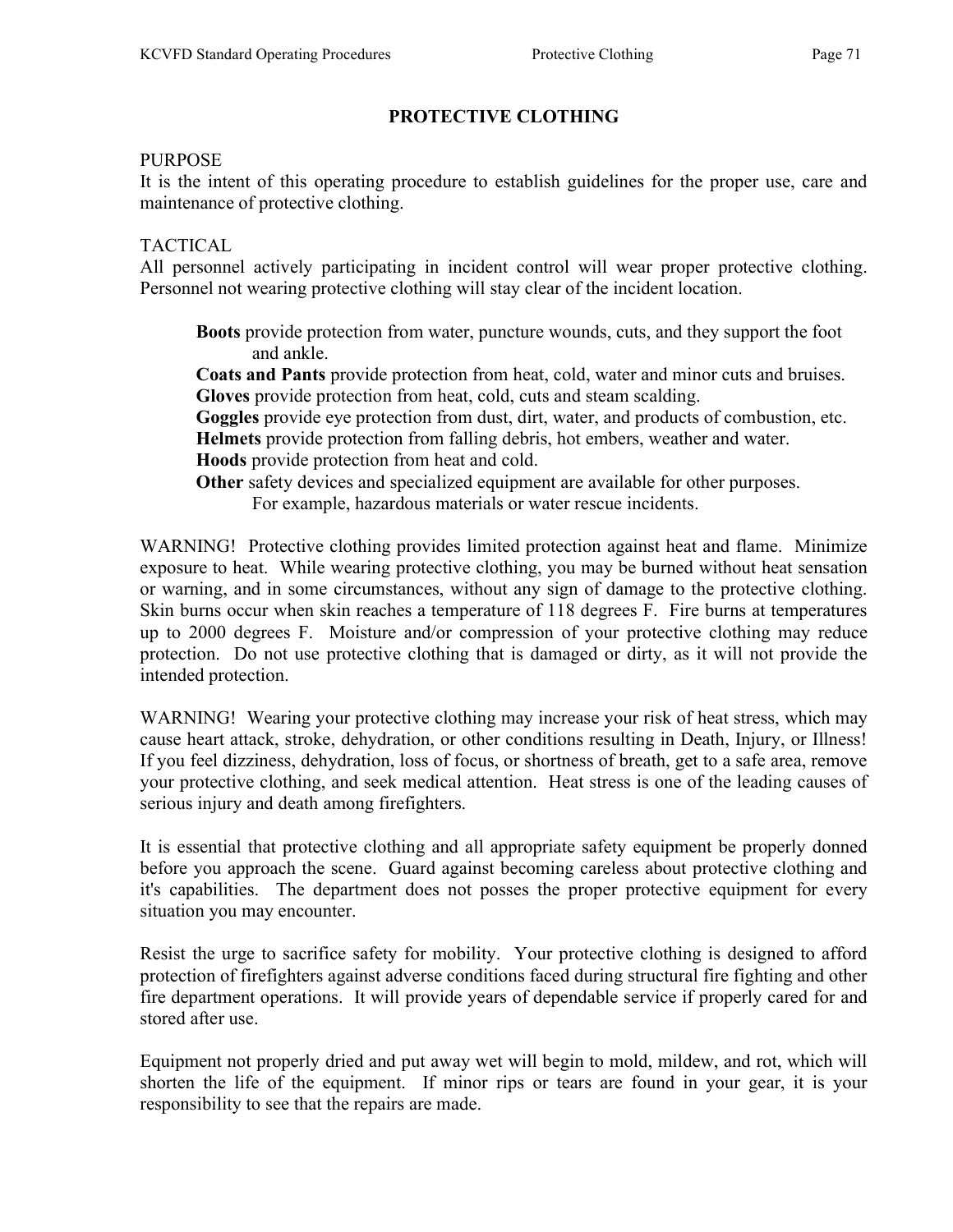# PROTECTIVE CLOTHING

#### PURPOSE

It is the intent of this operating procedure to establish guidelines for the proper use, care and maintenance of protective clothing.

## TACTICAL

All personnel actively participating in incident control will wear proper protective clothing. Personnel not wearing protective clothing will stay clear of the incident location.

 Boots provide protection from water, puncture wounds, cuts, and they support the foot and ankle.

 Coats and Pants provide protection from heat, cold, water and minor cuts and bruises. Gloves provide protection from heat, cold, cuts and steam scalding.

Goggles provide eye protection from dust, dirt, water, and products of combustion, etc. Helmets provide protection from falling debris, hot embers, weather and water.

Hoods provide protection from heat and cold.

Other safety devices and specialized equipment are available for other purposes.

For example, hazardous materials or water rescue incidents.

WARNING! Protective clothing provides limited protection against heat and flame. Minimize exposure to heat. While wearing protective clothing, you may be burned without heat sensation or warning, and in some circumstances, without any sign of damage to the protective clothing. Skin burns occur when skin reaches a temperature of 118 degrees F. Fire burns at temperatures up to 2000 degrees F. Moisture and/or compression of your protective clothing may reduce protection. Do not use protective clothing that is damaged or dirty, as it will not provide the intended protection.

WARNING! Wearing your protective clothing may increase your risk of heat stress, which may cause heart attack, stroke, dehydration, or other conditions resulting in Death, Injury, or Illness! If you feel dizziness, dehydration, loss of focus, or shortness of breath, get to a safe area, remove your protective clothing, and seek medical attention. Heat stress is one of the leading causes of serious injury and death among firefighters.

It is essential that protective clothing and all appropriate safety equipment be properly donned before you approach the scene. Guard against becoming careless about protective clothing and it's capabilities. The department does not posses the proper protective equipment for every situation you may encounter.

Resist the urge to sacrifice safety for mobility. Your protective clothing is designed to afford protection of firefighters against adverse conditions faced during structural fire fighting and other fire department operations. It will provide years of dependable service if properly cared for and stored after use.

Equipment not properly dried and put away wet will begin to mold, mildew, and rot, which will shorten the life of the equipment. If minor rips or tears are found in your gear, it is your responsibility to see that the repairs are made.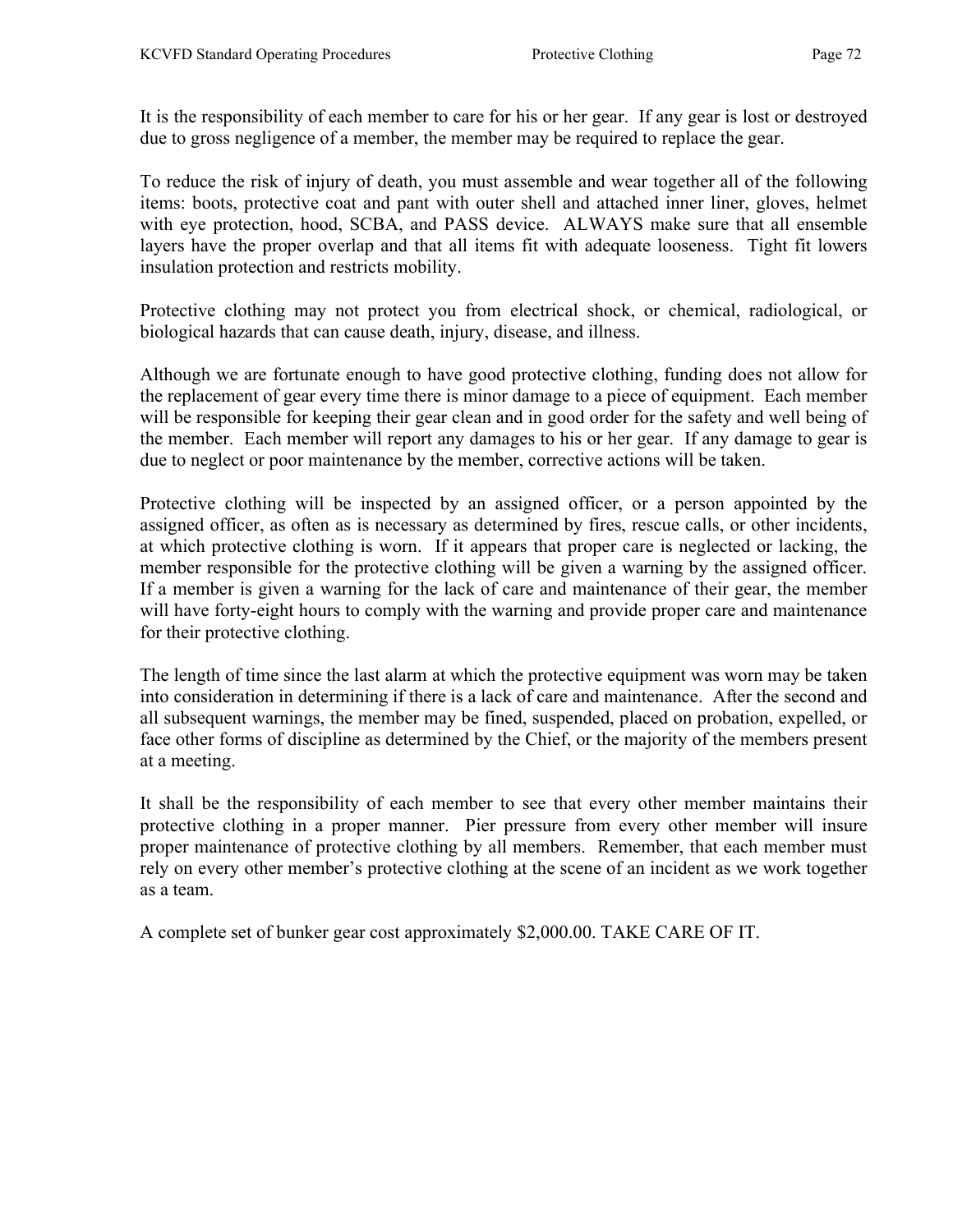It is the responsibility of each member to care for his or her gear. If any gear is lost or destroyed due to gross negligence of a member, the member may be required to replace the gear.

To reduce the risk of injury of death, you must assemble and wear together all of the following items: boots, protective coat and pant with outer shell and attached inner liner, gloves, helmet with eye protection, hood, SCBA, and PASS device. ALWAYS make sure that all ensemble layers have the proper overlap and that all items fit with adequate looseness. Tight fit lowers insulation protection and restricts mobility.

Protective clothing may not protect you from electrical shock, or chemical, radiological, or biological hazards that can cause death, injury, disease, and illness.

Although we are fortunate enough to have good protective clothing, funding does not allow for the replacement of gear every time there is minor damage to a piece of equipment. Each member will be responsible for keeping their gear clean and in good order for the safety and well being of the member. Each member will report any damages to his or her gear. If any damage to gear is due to neglect or poor maintenance by the member, corrective actions will be taken.

Protective clothing will be inspected by an assigned officer, or a person appointed by the assigned officer, as often as is necessary as determined by fires, rescue calls, or other incidents, at which protective clothing is worn. If it appears that proper care is neglected or lacking, the member responsible for the protective clothing will be given a warning by the assigned officer. If a member is given a warning for the lack of care and maintenance of their gear, the member will have forty-eight hours to comply with the warning and provide proper care and maintenance for their protective clothing.

The length of time since the last alarm at which the protective equipment was worn may be taken into consideration in determining if there is a lack of care and maintenance. After the second and all subsequent warnings, the member may be fined, suspended, placed on probation, expelled, or face other forms of discipline as determined by the Chief, or the majority of the members present at a meeting.

It shall be the responsibility of each member to see that every other member maintains their protective clothing in a proper manner. Pier pressure from every other member will insure proper maintenance of protective clothing by all members. Remember, that each member must rely on every other member's protective clothing at the scene of an incident as we work together as a team.

A complete set of bunker gear cost approximately \$2,000.00. TAKE CARE OF IT.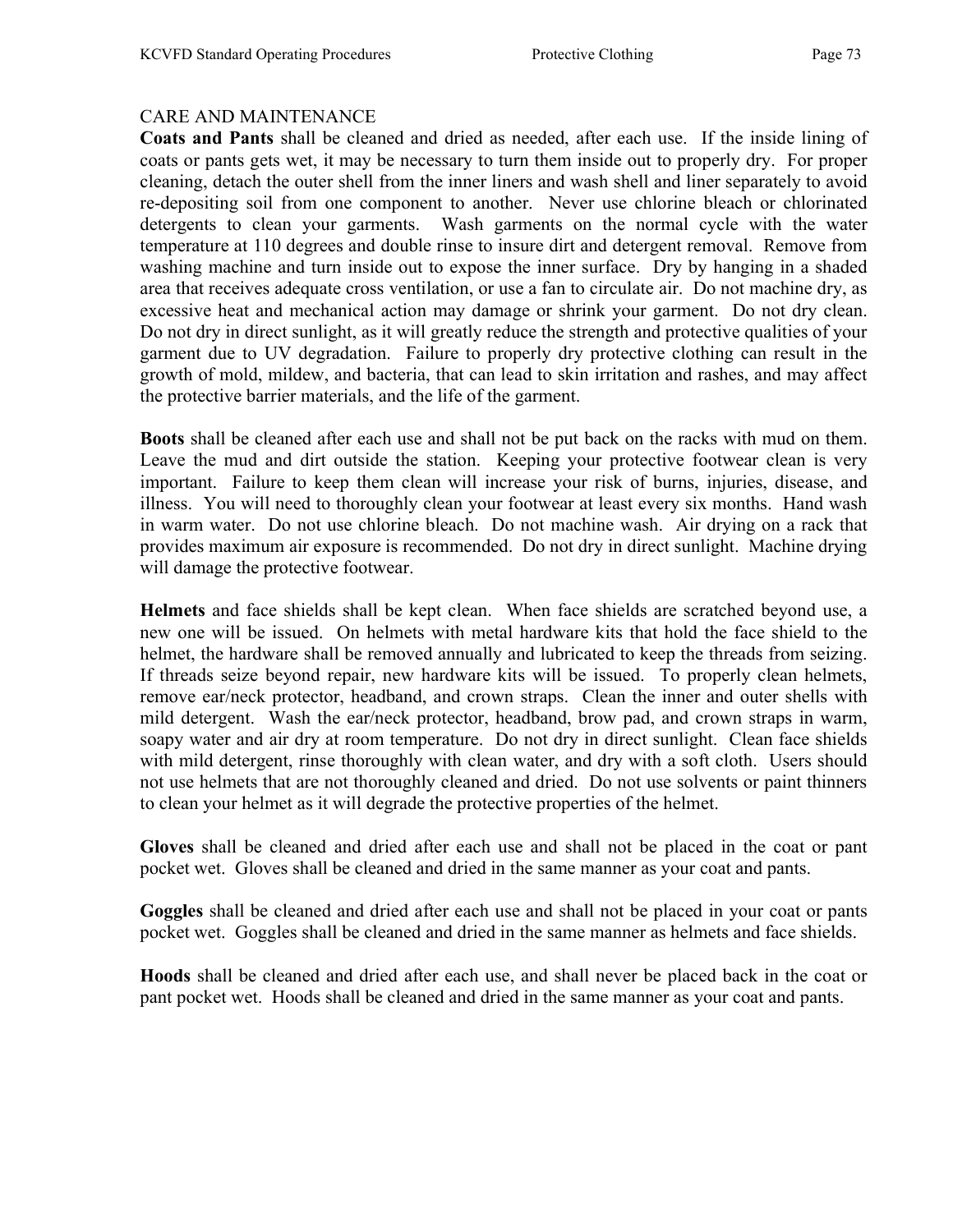# CARE AND MAINTENANCE

Coats and Pants shall be cleaned and dried as needed, after each use. If the inside lining of coats or pants gets wet, it may be necessary to turn them inside out to properly dry. For proper cleaning, detach the outer shell from the inner liners and wash shell and liner separately to avoid re-depositing soil from one component to another. Never use chlorine bleach or chlorinated detergents to clean your garments. Wash garments on the normal cycle with the water temperature at 110 degrees and double rinse to insure dirt and detergent removal. Remove from washing machine and turn inside out to expose the inner surface. Dry by hanging in a shaded area that receives adequate cross ventilation, or use a fan to circulate air. Do not machine dry, as excessive heat and mechanical action may damage or shrink your garment. Do not dry clean. Do not dry in direct sunlight, as it will greatly reduce the strength and protective qualities of your garment due to UV degradation. Failure to properly dry protective clothing can result in the growth of mold, mildew, and bacteria, that can lead to skin irritation and rashes, and may affect the protective barrier materials, and the life of the garment.

Boots shall be cleaned after each use and shall not be put back on the racks with mud on them. Leave the mud and dirt outside the station. Keeping your protective footwear clean is very important. Failure to keep them clean will increase your risk of burns, injuries, disease, and illness. You will need to thoroughly clean your footwear at least every six months. Hand wash in warm water. Do not use chlorine bleach. Do not machine wash. Air drying on a rack that provides maximum air exposure is recommended. Do not dry in direct sunlight. Machine drying will damage the protective footwear.

Helmets and face shields shall be kept clean. When face shields are scratched beyond use, a new one will be issued. On helmets with metal hardware kits that hold the face shield to the helmet, the hardware shall be removed annually and lubricated to keep the threads from seizing. If threads seize beyond repair, new hardware kits will be issued. To properly clean helmets, remove ear/neck protector, headband, and crown straps. Clean the inner and outer shells with mild detergent. Wash the ear/neck protector, headband, brow pad, and crown straps in warm, soapy water and air dry at room temperature. Do not dry in direct sunlight. Clean face shields with mild detergent, rinse thoroughly with clean water, and dry with a soft cloth. Users should not use helmets that are not thoroughly cleaned and dried. Do not use solvents or paint thinners to clean your helmet as it will degrade the protective properties of the helmet.

Gloves shall be cleaned and dried after each use and shall not be placed in the coat or pant pocket wet. Gloves shall be cleaned and dried in the same manner as your coat and pants.

Goggles shall be cleaned and dried after each use and shall not be placed in your coat or pants pocket wet. Goggles shall be cleaned and dried in the same manner as helmets and face shields.

Hoods shall be cleaned and dried after each use, and shall never be placed back in the coat or pant pocket wet. Hoods shall be cleaned and dried in the same manner as your coat and pants.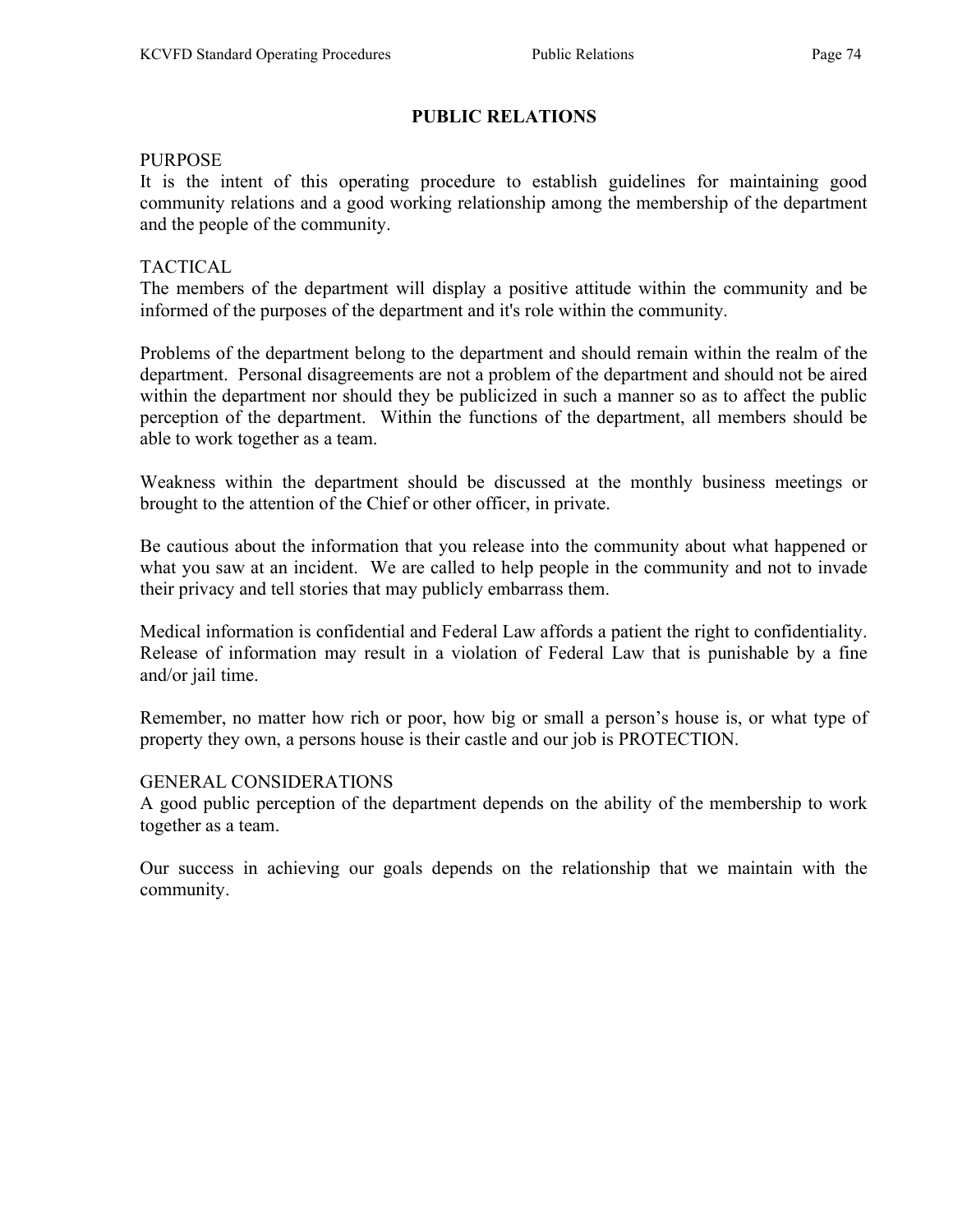# PUBLIC RELATIONS

### PURPOSE

It is the intent of this operating procedure to establish guidelines for maintaining good community relations and a good working relationship among the membership of the department and the people of the community.

### TACTICAL

The members of the department will display a positive attitude within the community and be informed of the purposes of the department and it's role within the community.

Problems of the department belong to the department and should remain within the realm of the department. Personal disagreements are not a problem of the department and should not be aired within the department nor should they be publicized in such a manner so as to affect the public perception of the department. Within the functions of the department, all members should be able to work together as a team.

Weakness within the department should be discussed at the monthly business meetings or brought to the attention of the Chief or other officer, in private.

Be cautious about the information that you release into the community about what happened or what you saw at an incident. We are called to help people in the community and not to invade their privacy and tell stories that may publicly embarrass them.

Medical information is confidential and Federal Law affords a patient the right to confidentiality. Release of information may result in a violation of Federal Law that is punishable by a fine and/or jail time.

Remember, no matter how rich or poor, how big or small a person's house is, or what type of property they own, a persons house is their castle and our job is PROTECTION.

# GENERAL CONSIDERATIONS

A good public perception of the department depends on the ability of the membership to work together as a team.

Our success in achieving our goals depends on the relationship that we maintain with the community.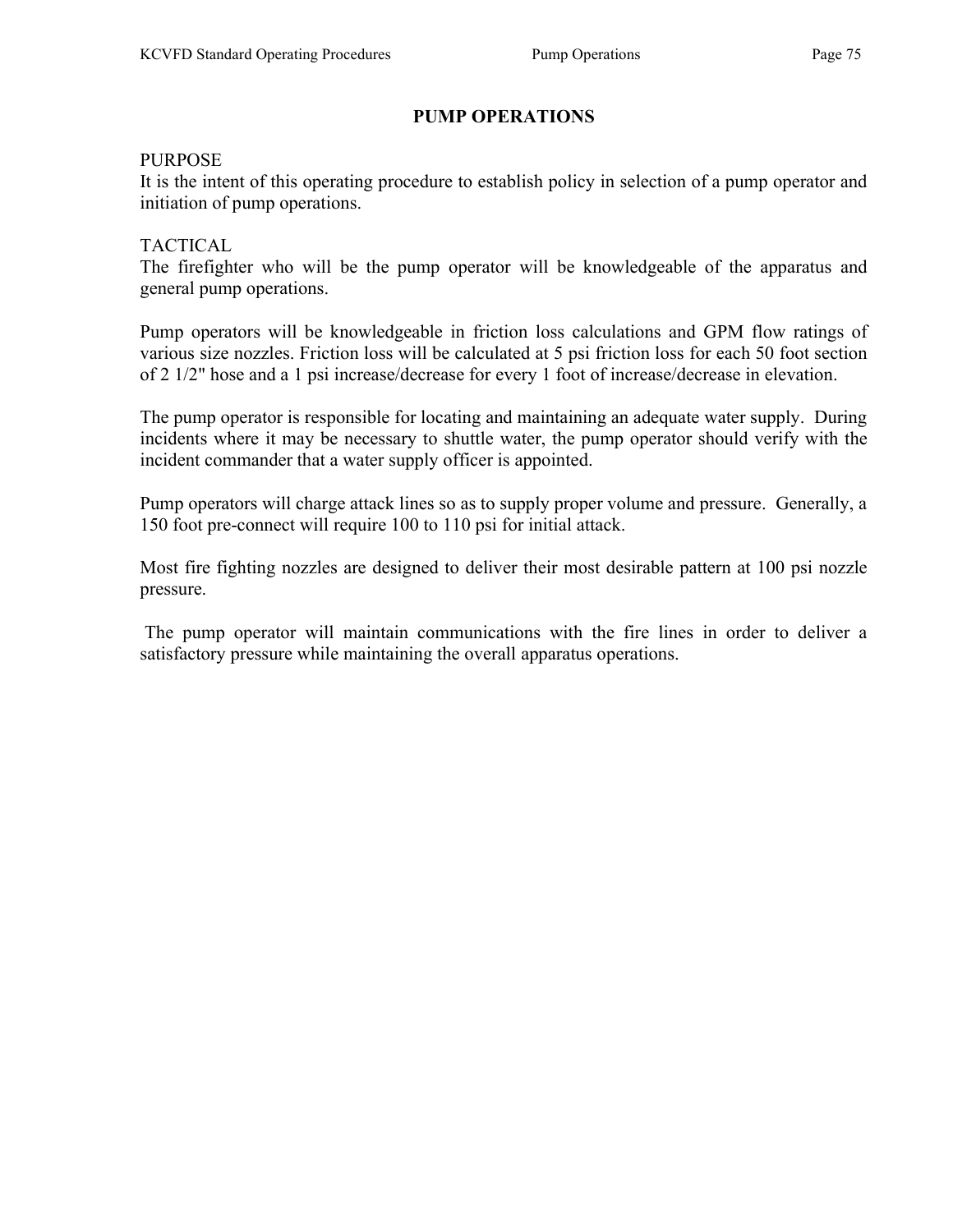# PUMP OPERATIONS

#### PURPOSE

It is the intent of this operating procedure to establish policy in selection of a pump operator and initiation of pump operations.

# TACTICAL

The firefighter who will be the pump operator will be knowledgeable of the apparatus and general pump operations.

Pump operators will be knowledgeable in friction loss calculations and GPM flow ratings of various size nozzles. Friction loss will be calculated at 5 psi friction loss for each 50 foot section of 2 1/2" hose and a 1 psi increase/decrease for every 1 foot of increase/decrease in elevation.

The pump operator is responsible for locating and maintaining an adequate water supply. During incidents where it may be necessary to shuttle water, the pump operator should verify with the incident commander that a water supply officer is appointed.

Pump operators will charge attack lines so as to supply proper volume and pressure. Generally, a 150 foot pre-connect will require 100 to 110 psi for initial attack.

Most fire fighting nozzles are designed to deliver their most desirable pattern at 100 psi nozzle pressure.

 The pump operator will maintain communications with the fire lines in order to deliver a satisfactory pressure while maintaining the overall apparatus operations.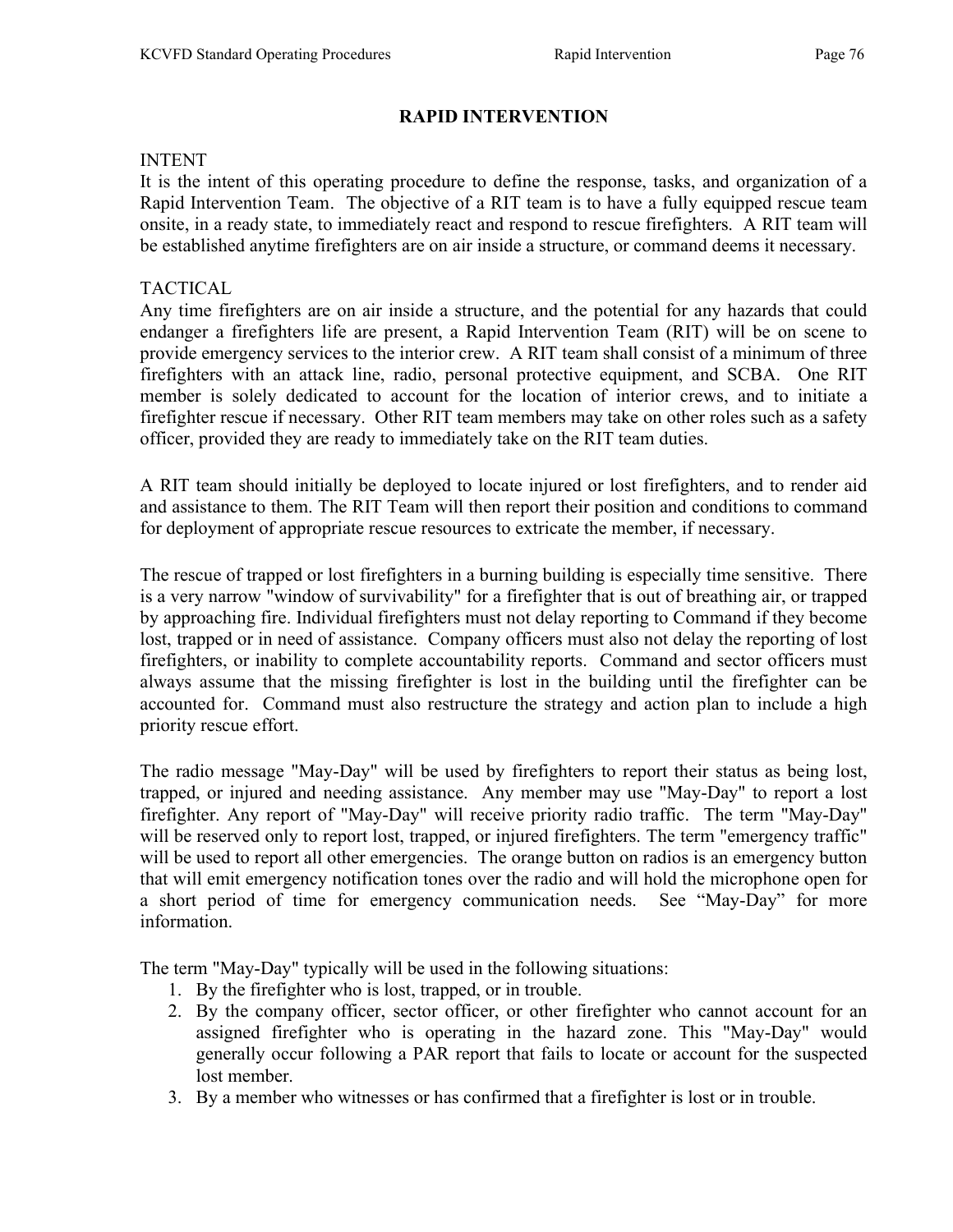# RAPID INTERVENTION

#### INTENT

It is the intent of this operating procedure to define the response, tasks, and organization of a Rapid Intervention Team. The objective of a RIT team is to have a fully equipped rescue team onsite, in a ready state, to immediately react and respond to rescue firefighters. A RIT team will be established anytime firefighters are on air inside a structure, or command deems it necessary.

### TACTICAL

Any time firefighters are on air inside a structure, and the potential for any hazards that could endanger a firefighters life are present, a Rapid Intervention Team (RIT) will be on scene to provide emergency services to the interior crew. A RIT team shall consist of a minimum of three firefighters with an attack line, radio, personal protective equipment, and SCBA. One RIT member is solely dedicated to account for the location of interior crews, and to initiate a firefighter rescue if necessary. Other RIT team members may take on other roles such as a safety officer, provided they are ready to immediately take on the RIT team duties.

A RIT team should initially be deployed to locate injured or lost firefighters, and to render aid and assistance to them. The RIT Team will then report their position and conditions to command for deployment of appropriate rescue resources to extricate the member, if necessary.

The rescue of trapped or lost firefighters in a burning building is especially time sensitive. There is a very narrow "window of survivability" for a firefighter that is out of breathing air, or trapped by approaching fire. Individual firefighters must not delay reporting to Command if they become lost, trapped or in need of assistance. Company officers must also not delay the reporting of lost firefighters, or inability to complete accountability reports. Command and sector officers must always assume that the missing firefighter is lost in the building until the firefighter can be accounted for. Command must also restructure the strategy and action plan to include a high priority rescue effort.

The radio message "May-Day" will be used by firefighters to report their status as being lost, trapped, or injured and needing assistance. Any member may use "May-Day" to report a lost firefighter. Any report of "May-Day" will receive priority radio traffic. The term "May-Day" will be reserved only to report lost, trapped, or injured firefighters. The term "emergency traffic" will be used to report all other emergencies. The orange button on radios is an emergency button that will emit emergency notification tones over the radio and will hold the microphone open for a short period of time for emergency communication needs. See "May-Day" for more information.

The term "May-Day" typically will be used in the following situations:

- 1. By the firefighter who is lost, trapped, or in trouble.
- 2. By the company officer, sector officer, or other firefighter who cannot account for an assigned firefighter who is operating in the hazard zone. This "May-Day" would generally occur following a PAR report that fails to locate or account for the suspected lost member.
- 3. By a member who witnesses or has confirmed that a firefighter is lost or in trouble.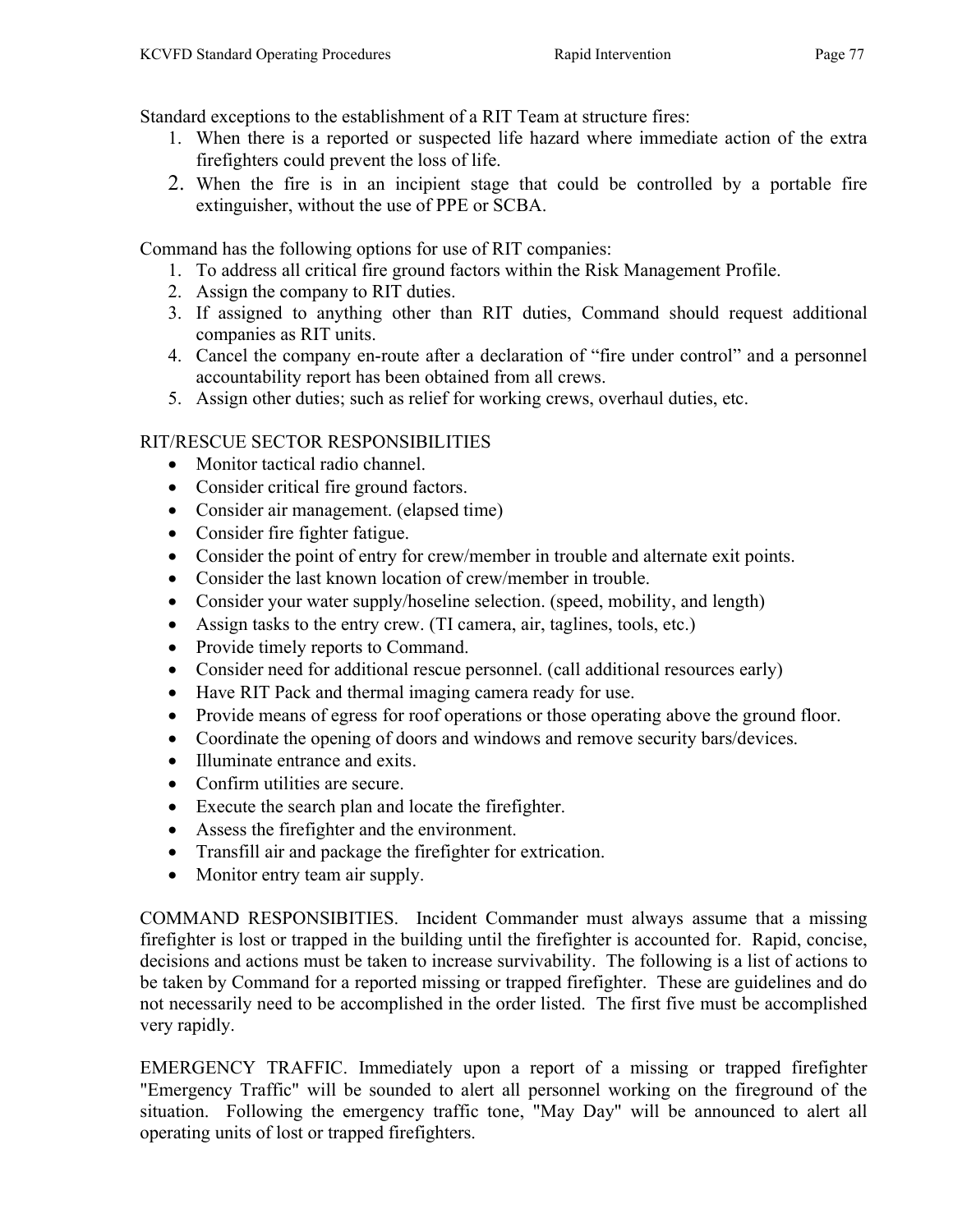Standard exceptions to the establishment of a RIT Team at structure fires:

- 1. When there is a reported or suspected life hazard where immediate action of the extra firefighters could prevent the loss of life.
- 2. When the fire is in an incipient stage that could be controlled by a portable fire extinguisher, without the use of PPE or SCBA.

Command has the following options for use of RIT companies:

- 1. To address all critical fire ground factors within the Risk Management Profile.
- 2. Assign the company to RIT duties.
- 3. If assigned to anything other than RIT duties, Command should request additional companies as RIT units.
- 4. Cancel the company en-route after a declaration of "fire under control" and a personnel accountability report has been obtained from all crews.
- 5. Assign other duties; such as relief for working crews, overhaul duties, etc.

# RIT/RESCUE SECTOR RESPONSIBILITIES

- Monitor tactical radio channel.
- Consider critical fire ground factors.
- Consider air management. (elapsed time)
- Consider fire fighter fatigue.
- Consider the point of entry for crew/member in trouble and alternate exit points.
- Consider the last known location of crew/member in trouble.
- Consider your water supply/hoseline selection. (speed, mobility, and length)
- Assign tasks to the entry crew. (TI camera, air, taglines, tools, etc.)
- Provide timely reports to Command.
- Consider need for additional rescue personnel. (call additional resources early)
- Have RIT Pack and thermal imaging camera ready for use.
- Provide means of egress for roof operations or those operating above the ground floor.
- Coordinate the opening of doors and windows and remove security bars/devices.
- Illuminate entrance and exits.
- Confirm utilities are secure.
- Execute the search plan and locate the firefighter.
- Assess the firefighter and the environment.
- Transfill air and package the firefighter for extrication.
- Monitor entry team air supply.

COMMAND RESPONSIBITIES. Incident Commander must always assume that a missing firefighter is lost or trapped in the building until the firefighter is accounted for. Rapid, concise, decisions and actions must be taken to increase survivability. The following is a list of actions to be taken by Command for a reported missing or trapped firefighter. These are guidelines and do not necessarily need to be accomplished in the order listed. The first five must be accomplished very rapidly.

EMERGENCY TRAFFIC. Immediately upon a report of a missing or trapped firefighter "Emergency Traffic" will be sounded to alert all personnel working on the fireground of the situation. Following the emergency traffic tone, "May Day" will be announced to alert all operating units of lost or trapped firefighters.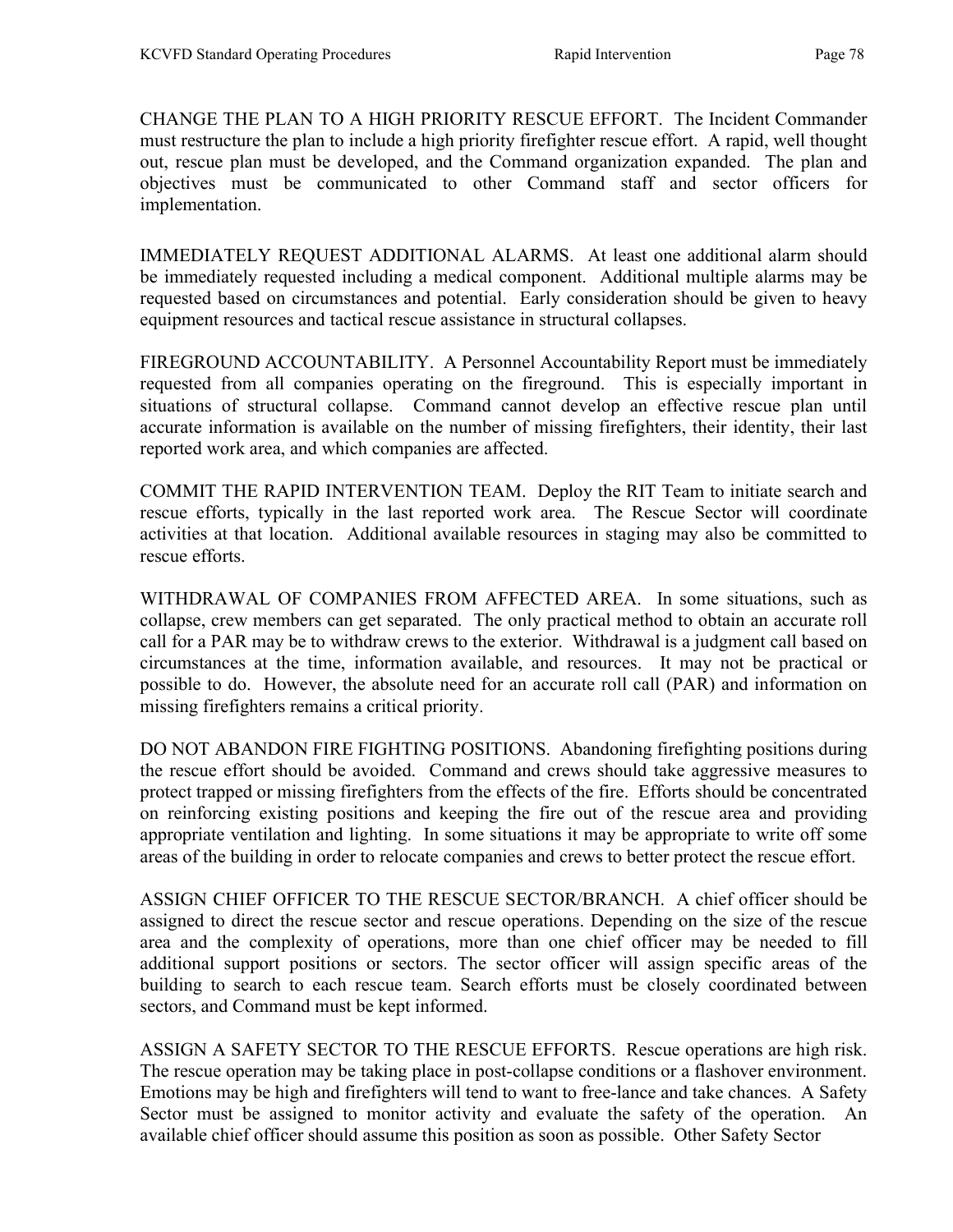CHANGE THE PLAN TO A HIGH PRIORITY RESCUE EFFORT. The Incident Commander must restructure the plan to include a high priority firefighter rescue effort. A rapid, well thought out, rescue plan must be developed, and the Command organization expanded. The plan and objectives must be communicated to other Command staff and sector officers for implementation.

IMMEDIATELY REQUEST ADDITIONAL ALARMS. At least one additional alarm should be immediately requested including a medical component. Additional multiple alarms may be requested based on circumstances and potential. Early consideration should be given to heavy equipment resources and tactical rescue assistance in structural collapses.

FIREGROUND ACCOUNTABILITY. A Personnel Accountability Report must be immediately requested from all companies operating on the fireground. This is especially important in situations of structural collapse. Command cannot develop an effective rescue plan until accurate information is available on the number of missing firefighters, their identity, their last reported work area, and which companies are affected.

COMMIT THE RAPID INTERVENTION TEAM. Deploy the RIT Team to initiate search and rescue efforts, typically in the last reported work area. The Rescue Sector will coordinate activities at that location. Additional available resources in staging may also be committed to rescue efforts.

WITHDRAWAL OF COMPANIES FROM AFFECTED AREA. In some situations, such as collapse, crew members can get separated. The only practical method to obtain an accurate roll call for a PAR may be to withdraw crews to the exterior. Withdrawal is a judgment call based on circumstances at the time, information available, and resources. It may not be practical or possible to do. However, the absolute need for an accurate roll call (PAR) and information on missing firefighters remains a critical priority.

DO NOT ABANDON FIRE FIGHTING POSITIONS. Abandoning firefighting positions during the rescue effort should be avoided. Command and crews should take aggressive measures to protect trapped or missing firefighters from the effects of the fire. Efforts should be concentrated on reinforcing existing positions and keeping the fire out of the rescue area and providing appropriate ventilation and lighting. In some situations it may be appropriate to write off some areas of the building in order to relocate companies and crews to better protect the rescue effort.

ASSIGN CHIEF OFFICER TO THE RESCUE SECTOR/BRANCH. A chief officer should be assigned to direct the rescue sector and rescue operations. Depending on the size of the rescue area and the complexity of operations, more than one chief officer may be needed to fill additional support positions or sectors. The sector officer will assign specific areas of the building to search to each rescue team. Search efforts must be closely coordinated between sectors, and Command must be kept informed.

ASSIGN A SAFETY SECTOR TO THE RESCUE EFFORTS. Rescue operations are high risk. The rescue operation may be taking place in post-collapse conditions or a flashover environment. Emotions may be high and firefighters will tend to want to free-lance and take chances. A Safety Sector must be assigned to monitor activity and evaluate the safety of the operation. An available chief officer should assume this position as soon as possible. Other Safety Sector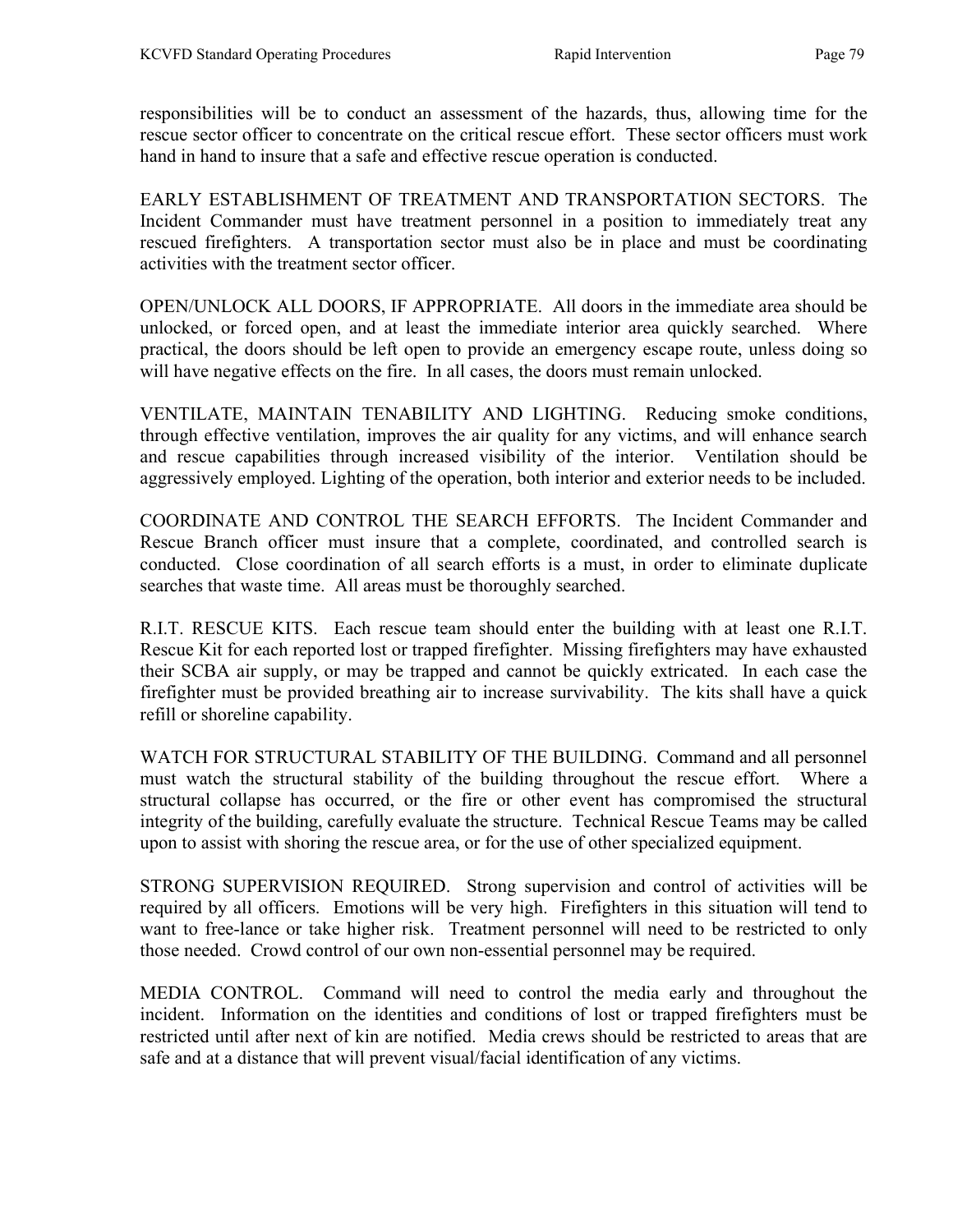responsibilities will be to conduct an assessment of the hazards, thus, allowing time for the rescue sector officer to concentrate on the critical rescue effort. These sector officers must work hand in hand to insure that a safe and effective rescue operation is conducted.

EARLY ESTABLISHMENT OF TREATMENT AND TRANSPORTATION SECTORS. The Incident Commander must have treatment personnel in a position to immediately treat any rescued firefighters. A transportation sector must also be in place and must be coordinating activities with the treatment sector officer.

OPEN/UNLOCK ALL DOORS, IF APPROPRIATE. All doors in the immediate area should be unlocked, or forced open, and at least the immediate interior area quickly searched. Where practical, the doors should be left open to provide an emergency escape route, unless doing so will have negative effects on the fire. In all cases, the doors must remain unlocked.

VENTILATE, MAINTAIN TENABILITY AND LIGHTING. Reducing smoke conditions, through effective ventilation, improves the air quality for any victims, and will enhance search and rescue capabilities through increased visibility of the interior. Ventilation should be aggressively employed. Lighting of the operation, both interior and exterior needs to be included.

COORDINATE AND CONTROL THE SEARCH EFFORTS. The Incident Commander and Rescue Branch officer must insure that a complete, coordinated, and controlled search is conducted. Close coordination of all search efforts is a must, in order to eliminate duplicate searches that waste time. All areas must be thoroughly searched.

R.I.T. RESCUE KITS. Each rescue team should enter the building with at least one R.I.T. Rescue Kit for each reported lost or trapped firefighter. Missing firefighters may have exhausted their SCBA air supply, or may be trapped and cannot be quickly extricated. In each case the firefighter must be provided breathing air to increase survivability. The kits shall have a quick refill or shoreline capability.

WATCH FOR STRUCTURAL STABILITY OF THE BUILDING. Command and all personnel must watch the structural stability of the building throughout the rescue effort. Where a structural collapse has occurred, or the fire or other event has compromised the structural integrity of the building, carefully evaluate the structure. Technical Rescue Teams may be called upon to assist with shoring the rescue area, or for the use of other specialized equipment.

STRONG SUPERVISION REQUIRED. Strong supervision and control of activities will be required by all officers. Emotions will be very high. Firefighters in this situation will tend to want to free-lance or take higher risk. Treatment personnel will need to be restricted to only those needed. Crowd control of our own non-essential personnel may be required.

MEDIA CONTROL. Command will need to control the media early and throughout the incident. Information on the identities and conditions of lost or trapped firefighters must be restricted until after next of kin are notified. Media crews should be restricted to areas that are safe and at a distance that will prevent visual/facial identification of any victims.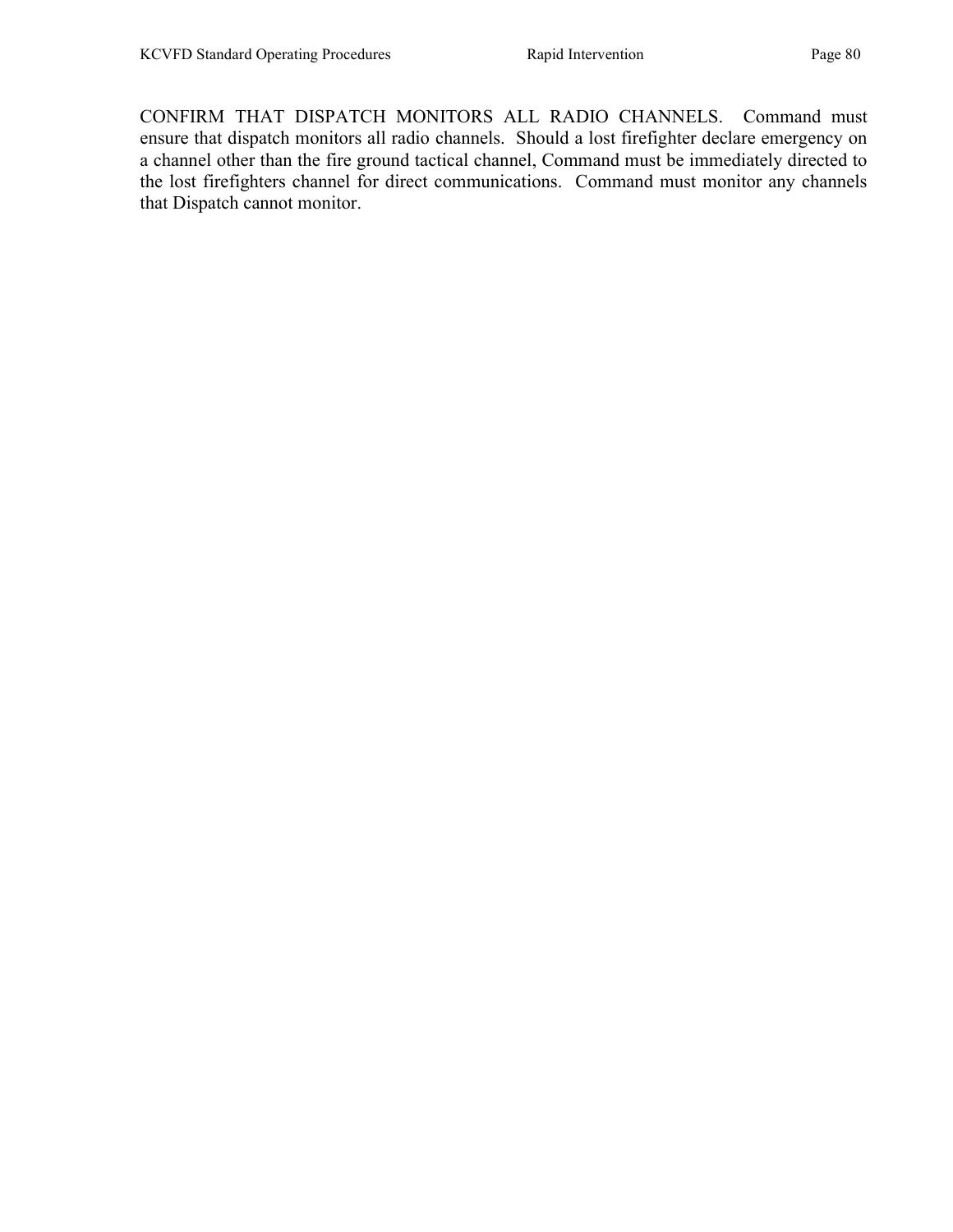CONFIRM THAT DISPATCH MONITORS ALL RADIO CHANNELS. Command must ensure that dispatch monitors all radio channels. Should a lost firefighter declare emergency on a channel other than the fire ground tactical channel, Command must be immediately directed to the lost firefighters channel for direct communications. Command must monitor any channels that Dispatch cannot monitor.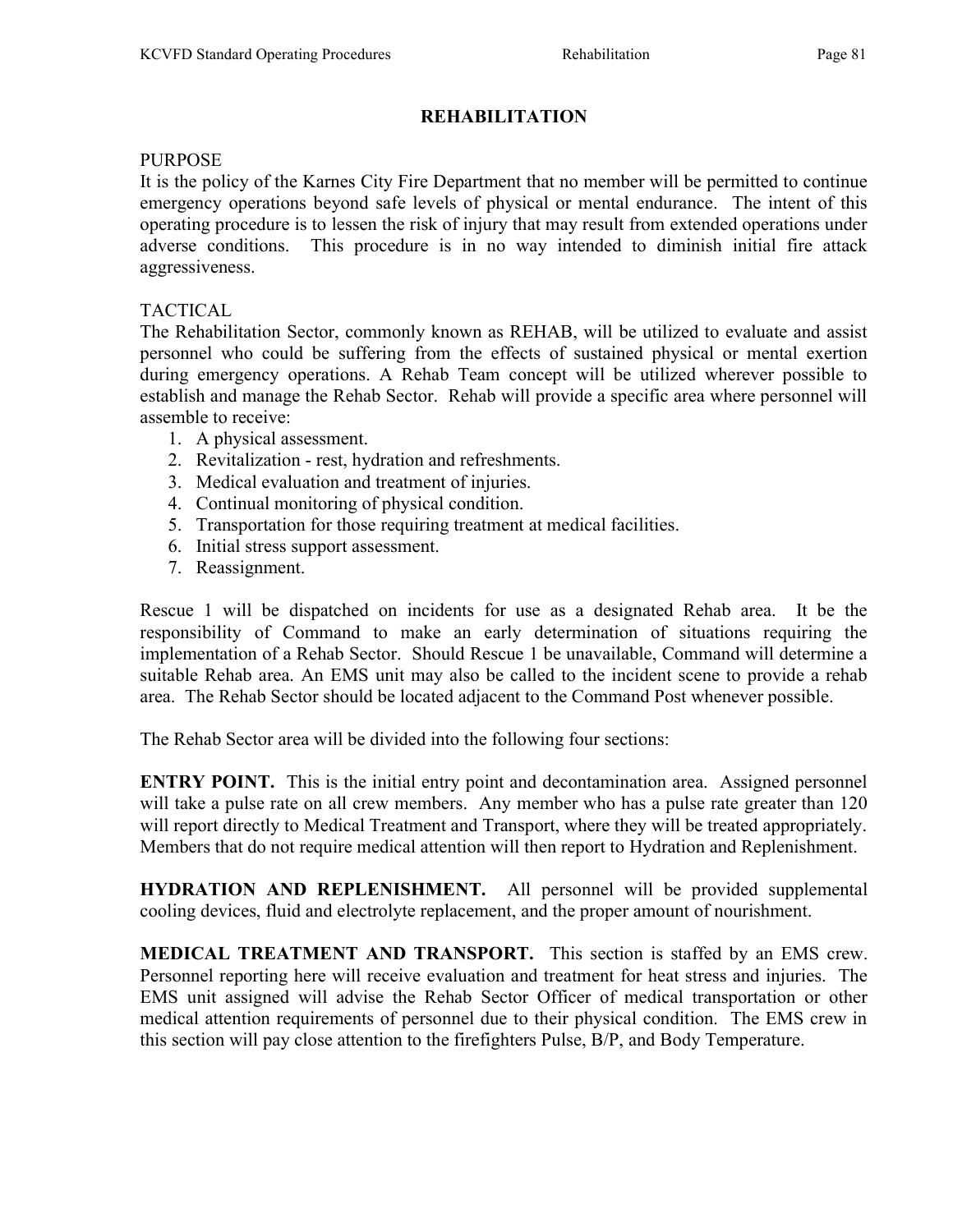# REHABILITATION

### **PURPOSE**

It is the policy of the Karnes City Fire Department that no member will be permitted to continue emergency operations beyond safe levels of physical or mental endurance. The intent of this operating procedure is to lessen the risk of injury that may result from extended operations under adverse conditions. This procedure is in no way intended to diminish initial fire attack aggressiveness.

# TACTICAL

The Rehabilitation Sector, commonly known as REHAB, will be utilized to evaluate and assist personnel who could be suffering from the effects of sustained physical or mental exertion during emergency operations. A Rehab Team concept will be utilized wherever possible to establish and manage the Rehab Sector. Rehab will provide a specific area where personnel will assemble to receive:

- 1. A physical assessment.
- 2. Revitalization rest, hydration and refreshments.
- 3. Medical evaluation and treatment of injuries.
- 4. Continual monitoring of physical condition.
- 5. Transportation for those requiring treatment at medical facilities.
- 6. Initial stress support assessment.
- 7. Reassignment.

Rescue 1 will be dispatched on incidents for use as a designated Rehab area. It be the responsibility of Command to make an early determination of situations requiring the implementation of a Rehab Sector. Should Rescue 1 be unavailable, Command will determine a suitable Rehab area. An EMS unit may also be called to the incident scene to provide a rehab area. The Rehab Sector should be located adjacent to the Command Post whenever possible.

The Rehab Sector area will be divided into the following four sections:

ENTRY POINT. This is the initial entry point and decontamination area. Assigned personnel will take a pulse rate on all crew members. Any member who has a pulse rate greater than 120 will report directly to Medical Treatment and Transport, where they will be treated appropriately. Members that do not require medical attention will then report to Hydration and Replenishment.

HYDRATION AND REPLENISHMENT. All personnel will be provided supplemental cooling devices, fluid and electrolyte replacement, and the proper amount of nourishment.

MEDICAL TREATMENT AND TRANSPORT. This section is staffed by an EMS crew. Personnel reporting here will receive evaluation and treatment for heat stress and injuries. The EMS unit assigned will advise the Rehab Sector Officer of medical transportation or other medical attention requirements of personnel due to their physical condition. The EMS crew in this section will pay close attention to the firefighters Pulse, B/P, and Body Temperature.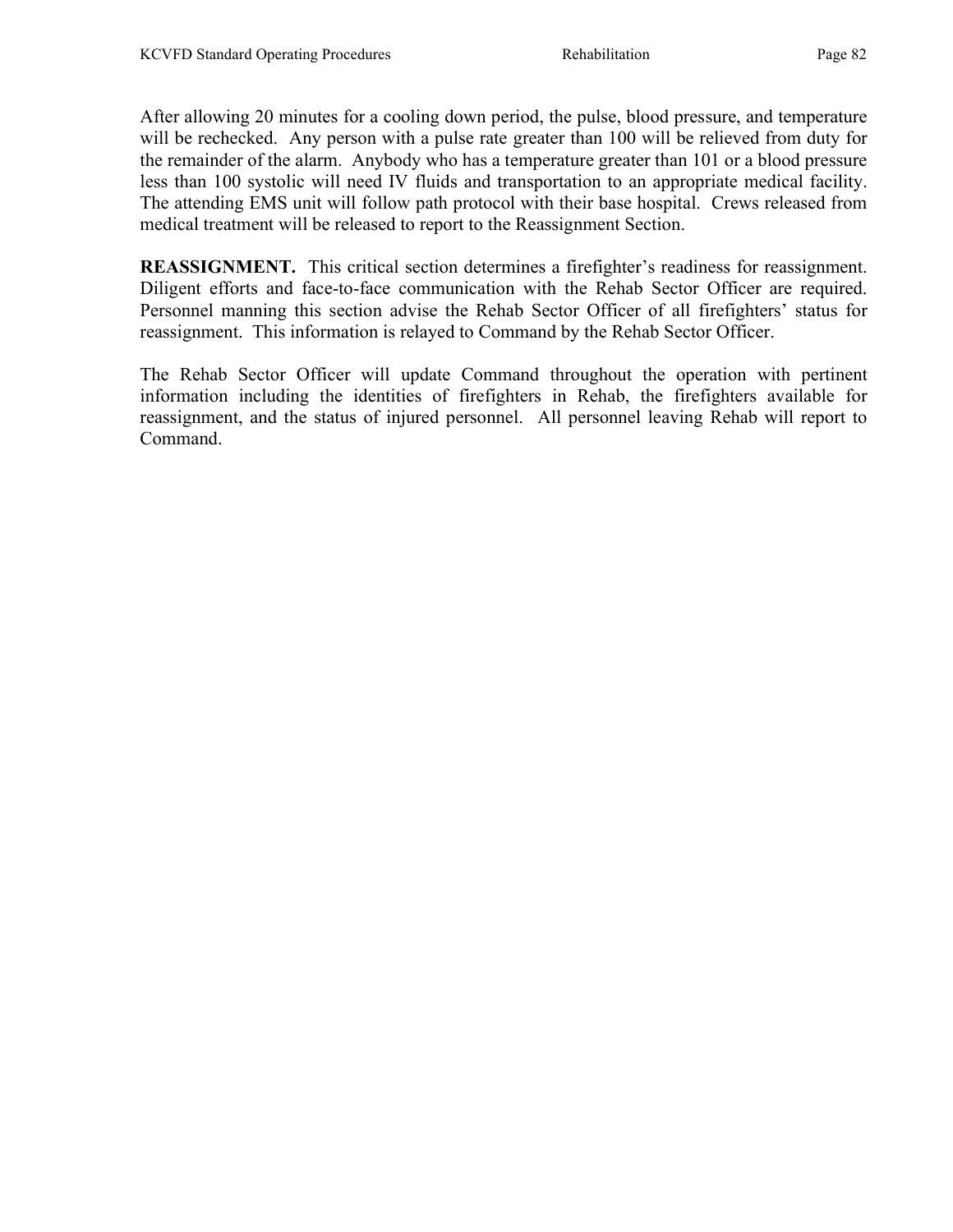After allowing 20 minutes for a cooling down period, the pulse, blood pressure, and temperature will be rechecked. Any person with a pulse rate greater than 100 will be relieved from duty for the remainder of the alarm. Anybody who has a temperature greater than 101 or a blood pressure less than 100 systolic will need IV fluids and transportation to an appropriate medical facility. The attending EMS unit will follow path protocol with their base hospital. Crews released from medical treatment will be released to report to the Reassignment Section.

REASSIGNMENT. This critical section determines a firefighter's readiness for reassignment. Diligent efforts and face-to-face communication with the Rehab Sector Officer are required. Personnel manning this section advise the Rehab Sector Officer of all firefighters' status for reassignment. This information is relayed to Command by the Rehab Sector Officer.

The Rehab Sector Officer will update Command throughout the operation with pertinent information including the identities of firefighters in Rehab, the firefighters available for reassignment, and the status of injured personnel. All personnel leaving Rehab will report to Command.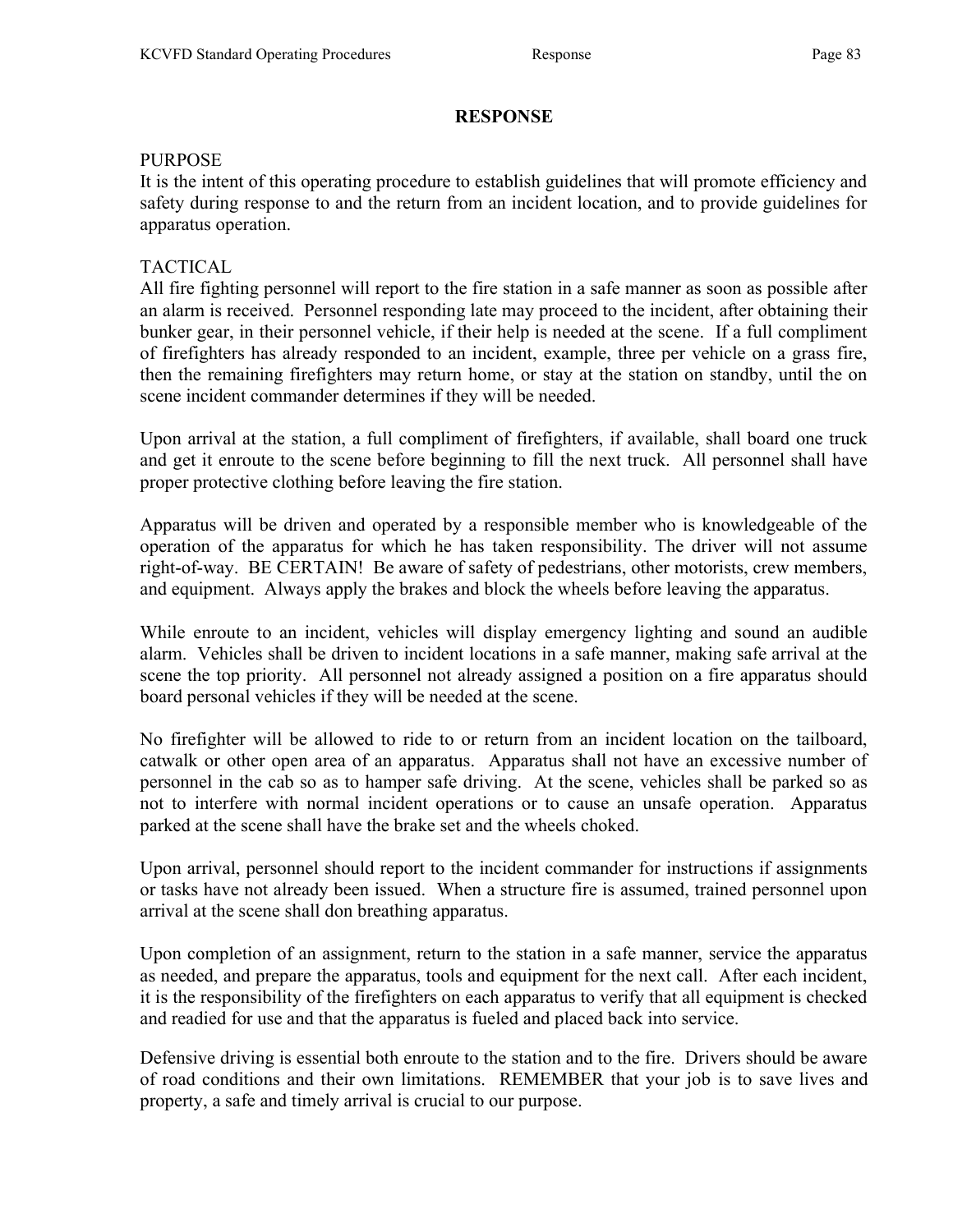# **RESPONSE**

# PURPOSE

It is the intent of this operating procedure to establish guidelines that will promote efficiency and safety during response to and the return from an incident location, and to provide guidelines for apparatus operation.

# TACTICAL

All fire fighting personnel will report to the fire station in a safe manner as soon as possible after an alarm is received. Personnel responding late may proceed to the incident, after obtaining their bunker gear, in their personnel vehicle, if their help is needed at the scene. If a full compliment of firefighters has already responded to an incident, example, three per vehicle on a grass fire, then the remaining firefighters may return home, or stay at the station on standby, until the on scene incident commander determines if they will be needed.

Upon arrival at the station, a full compliment of firefighters, if available, shall board one truck and get it enroute to the scene before beginning to fill the next truck. All personnel shall have proper protective clothing before leaving the fire station.

Apparatus will be driven and operated by a responsible member who is knowledgeable of the operation of the apparatus for which he has taken responsibility. The driver will not assume right-of-way. BE CERTAIN! Be aware of safety of pedestrians, other motorists, crew members, and equipment. Always apply the brakes and block the wheels before leaving the apparatus.

While enroute to an incident, vehicles will display emergency lighting and sound an audible alarm. Vehicles shall be driven to incident locations in a safe manner, making safe arrival at the scene the top priority. All personnel not already assigned a position on a fire apparatus should board personal vehicles if they will be needed at the scene.

No firefighter will be allowed to ride to or return from an incident location on the tailboard, catwalk or other open area of an apparatus. Apparatus shall not have an excessive number of personnel in the cab so as to hamper safe driving. At the scene, vehicles shall be parked so as not to interfere with normal incident operations or to cause an unsafe operation. Apparatus parked at the scene shall have the brake set and the wheels choked.

Upon arrival, personnel should report to the incident commander for instructions if assignments or tasks have not already been issued. When a structure fire is assumed, trained personnel upon arrival at the scene shall don breathing apparatus.

Upon completion of an assignment, return to the station in a safe manner, service the apparatus as needed, and prepare the apparatus, tools and equipment for the next call. After each incident, it is the responsibility of the firefighters on each apparatus to verify that all equipment is checked and readied for use and that the apparatus is fueled and placed back into service.

Defensive driving is essential both enroute to the station and to the fire. Drivers should be aware of road conditions and their own limitations. REMEMBER that your job is to save lives and property, a safe and timely arrival is crucial to our purpose.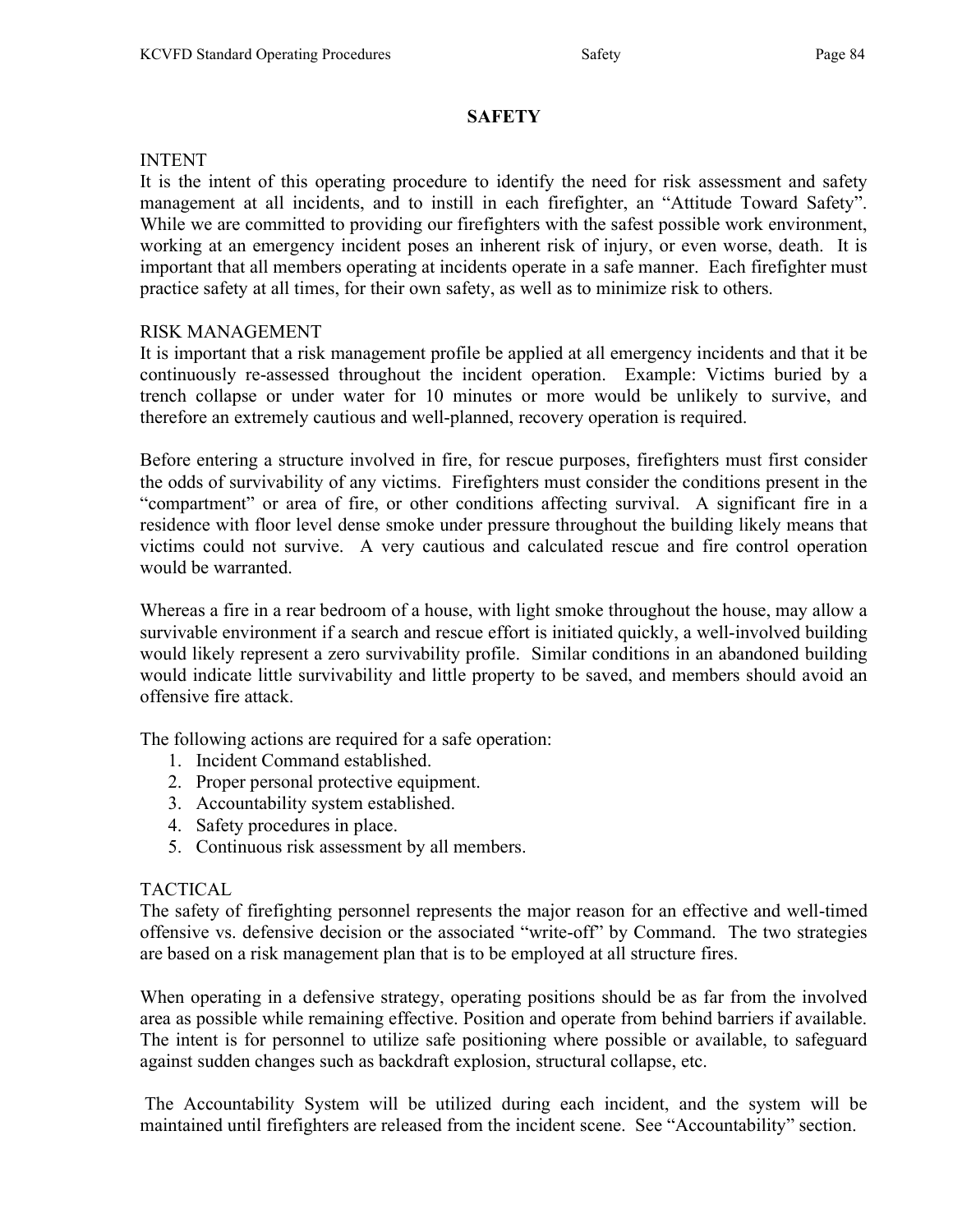# **SAFETY**

#### INTENT

It is the intent of this operating procedure to identify the need for risk assessment and safety management at all incidents, and to instill in each firefighter, an "Attitude Toward Safety". While we are committed to providing our firefighters with the safest possible work environment, working at an emergency incident poses an inherent risk of injury, or even worse, death. It is important that all members operating at incidents operate in a safe manner. Each firefighter must practice safety at all times, for their own safety, as well as to minimize risk to others.

# RISK MANAGEMENT

It is important that a risk management profile be applied at all emergency incidents and that it be continuously re-assessed throughout the incident operation. Example: Victims buried by a trench collapse or under water for 10 minutes or more would be unlikely to survive, and therefore an extremely cautious and well-planned, recovery operation is required.

Before entering a structure involved in fire, for rescue purposes, firefighters must first consider the odds of survivability of any victims. Firefighters must consider the conditions present in the "compartment" or area of fire, or other conditions affecting survival. A significant fire in a residence with floor level dense smoke under pressure throughout the building likely means that victims could not survive. A very cautious and calculated rescue and fire control operation would be warranted.

Whereas a fire in a rear bedroom of a house, with light smoke throughout the house, may allow a survivable environment if a search and rescue effort is initiated quickly, a well-involved building would likely represent a zero survivability profile. Similar conditions in an abandoned building would indicate little survivability and little property to be saved, and members should avoid an offensive fire attack.

The following actions are required for a safe operation:

- 1. Incident Command established.
- 2. Proper personal protective equipment.
- 3. Accountability system established.
- 4. Safety procedures in place.
- 5. Continuous risk assessment by all members.

# TACTICAL

The safety of firefighting personnel represents the major reason for an effective and well-timed offensive vs. defensive decision or the associated "write-off" by Command. The two strategies are based on a risk management plan that is to be employed at all structure fires.

When operating in a defensive strategy, operating positions should be as far from the involved area as possible while remaining effective. Position and operate from behind barriers if available. The intent is for personnel to utilize safe positioning where possible or available, to safeguard against sudden changes such as backdraft explosion, structural collapse, etc.

 The Accountability System will be utilized during each incident, and the system will be maintained until firefighters are released from the incident scene. See "Accountability" section.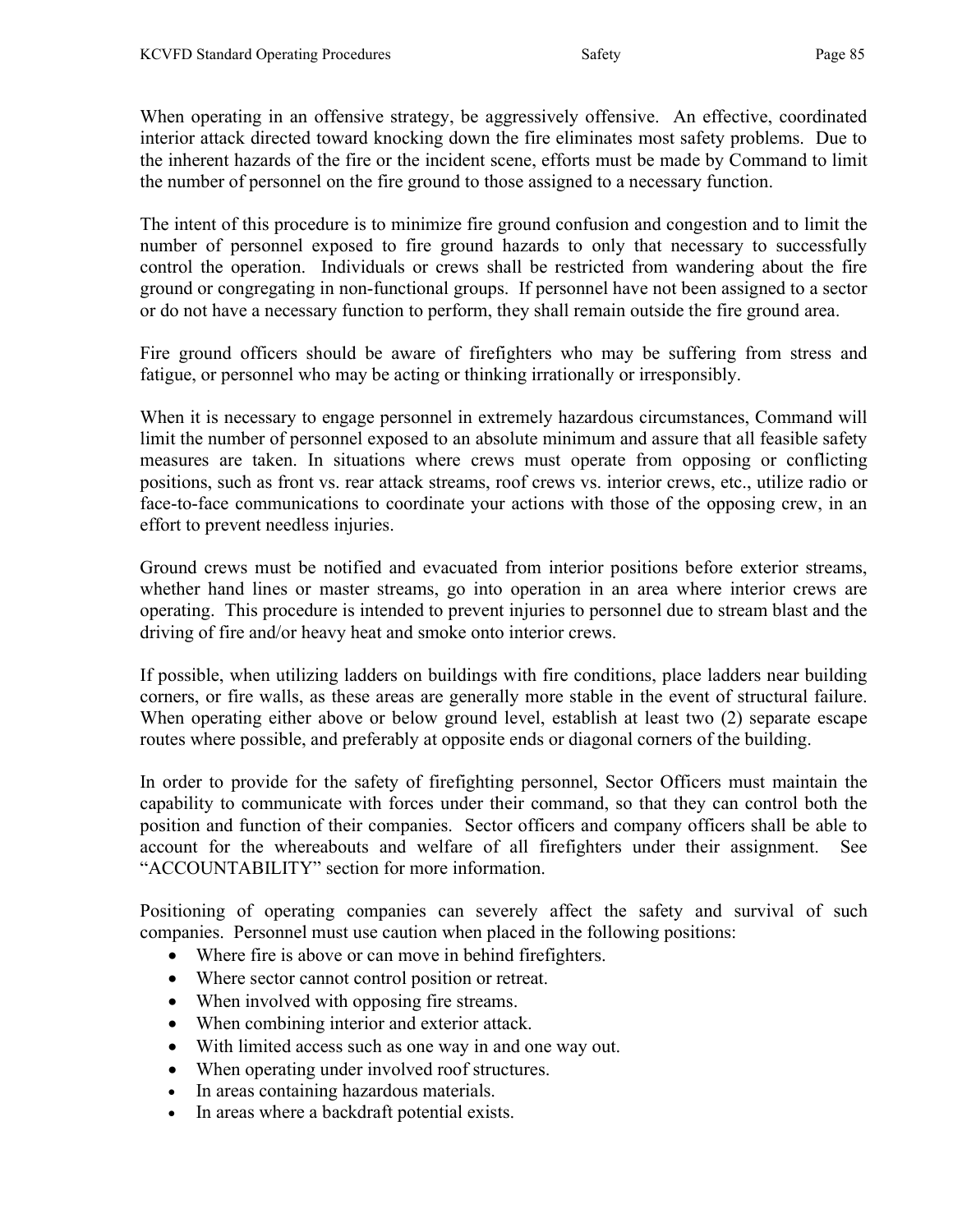When operating in an offensive strategy, be aggressively offensive. An effective, coordinated interior attack directed toward knocking down the fire eliminates most safety problems. Due to the inherent hazards of the fire or the incident scene, efforts must be made by Command to limit the number of personnel on the fire ground to those assigned to a necessary function.

The intent of this procedure is to minimize fire ground confusion and congestion and to limit the number of personnel exposed to fire ground hazards to only that necessary to successfully control the operation. Individuals or crews shall be restricted from wandering about the fire ground or congregating in non-functional groups. If personnel have not been assigned to a sector or do not have a necessary function to perform, they shall remain outside the fire ground area.

Fire ground officers should be aware of firefighters who may be suffering from stress and fatigue, or personnel who may be acting or thinking irrationally or irresponsibly.

When it is necessary to engage personnel in extremely hazardous circumstances, Command will limit the number of personnel exposed to an absolute minimum and assure that all feasible safety measures are taken. In situations where crews must operate from opposing or conflicting positions, such as front vs. rear attack streams, roof crews vs. interior crews, etc., utilize radio or face-to-face communications to coordinate your actions with those of the opposing crew, in an effort to prevent needless injuries.

Ground crews must be notified and evacuated from interior positions before exterior streams, whether hand lines or master streams, go into operation in an area where interior crews are operating. This procedure is intended to prevent injuries to personnel due to stream blast and the driving of fire and/or heavy heat and smoke onto interior crews.

If possible, when utilizing ladders on buildings with fire conditions, place ladders near building corners, or fire walls, as these areas are generally more stable in the event of structural failure. When operating either above or below ground level, establish at least two (2) separate escape routes where possible, and preferably at opposite ends or diagonal corners of the building.

In order to provide for the safety of firefighting personnel, Sector Officers must maintain the capability to communicate with forces under their command, so that they can control both the position and function of their companies. Sector officers and company officers shall be able to account for the whereabouts and welfare of all firefighters under their assignment. See "ACCOUNTABILITY" section for more information.

Positioning of operating companies can severely affect the safety and survival of such companies. Personnel must use caution when placed in the following positions:

- Where fire is above or can move in behind firefighters.
- Where sector cannot control position or retreat.
- When involved with opposing fire streams.
- When combining interior and exterior attack.
- With limited access such as one way in and one way out.
- When operating under involved roof structures.
- In areas containing hazardous materials.
- In areas where a backdraft potential exists.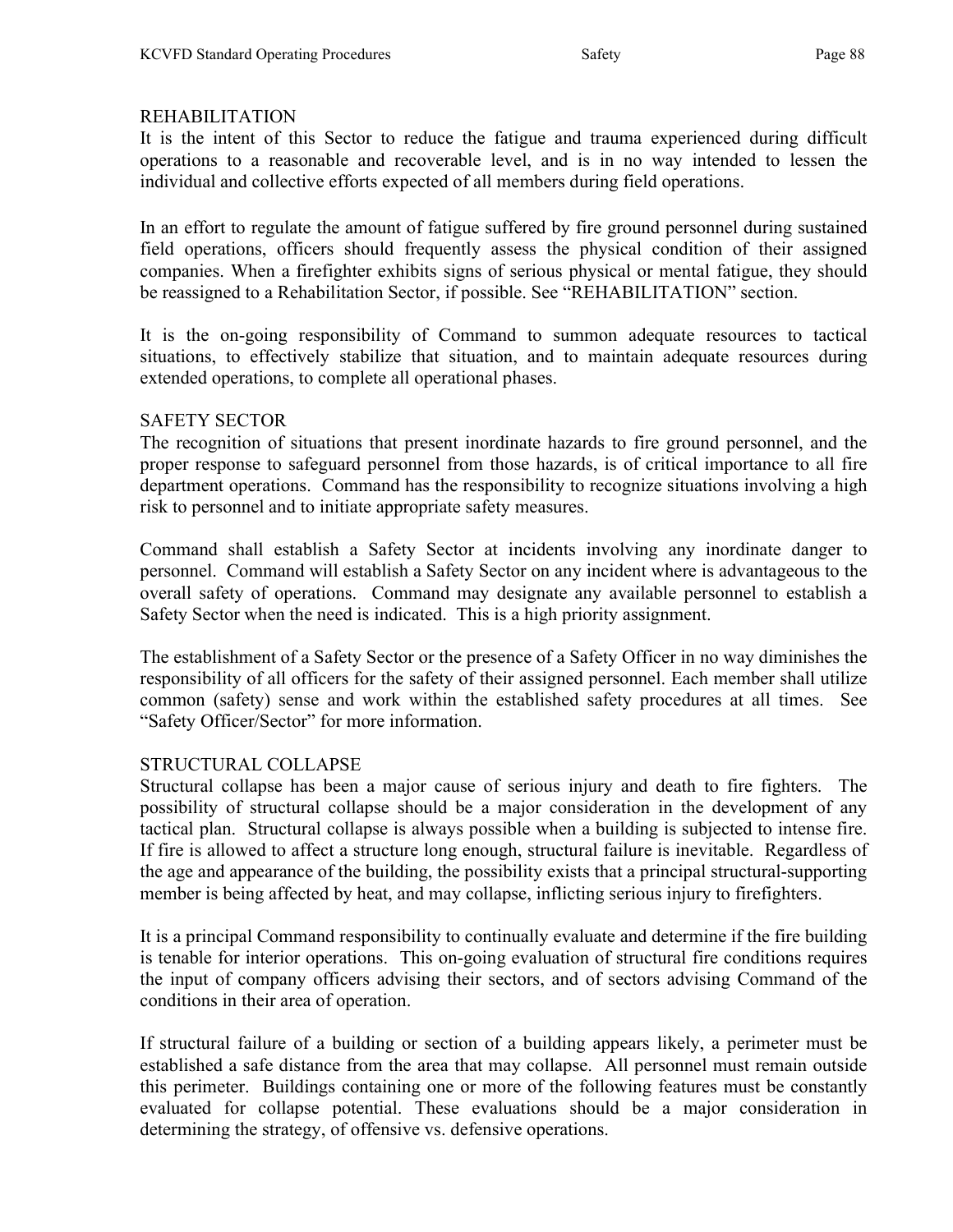# REHABILITATION

It is the intent of this Sector to reduce the fatigue and trauma experienced during difficult operations to a reasonable and recoverable level, and is in no way intended to lessen the individual and collective efforts expected of all members during field operations.

In an effort to regulate the amount of fatigue suffered by fire ground personnel during sustained field operations, officers should frequently assess the physical condition of their assigned companies. When a firefighter exhibits signs of serious physical or mental fatigue, they should be reassigned to a Rehabilitation Sector, if possible. See "REHABILITATION" section.

It is the on-going responsibility of Command to summon adequate resources to tactical situations, to effectively stabilize that situation, and to maintain adequate resources during extended operations, to complete all operational phases.

# SAFETY SECTOR

The recognition of situations that present inordinate hazards to fire ground personnel, and the proper response to safeguard personnel from those hazards, is of critical importance to all fire department operations. Command has the responsibility to recognize situations involving a high risk to personnel and to initiate appropriate safety measures.

Command shall establish a Safety Sector at incidents involving any inordinate danger to personnel. Command will establish a Safety Sector on any incident where is advantageous to the overall safety of operations. Command may designate any available personnel to establish a Safety Sector when the need is indicated. This is a high priority assignment.

The establishment of a Safety Sector or the presence of a Safety Officer in no way diminishes the responsibility of all officers for the safety of their assigned personnel. Each member shall utilize common (safety) sense and work within the established safety procedures at all times. See "Safety Officer/Sector" for more information.

# STRUCTURAL COLLAPSE

Structural collapse has been a major cause of serious injury and death to fire fighters. The possibility of structural collapse should be a major consideration in the development of any tactical plan. Structural collapse is always possible when a building is subjected to intense fire. If fire is allowed to affect a structure long enough, structural failure is inevitable. Regardless of the age and appearance of the building, the possibility exists that a principal structural-supporting member is being affected by heat, and may collapse, inflicting serious injury to firefighters.

It is a principal Command responsibility to continually evaluate and determine if the fire building is tenable for interior operations. This on-going evaluation of structural fire conditions requires the input of company officers advising their sectors, and of sectors advising Command of the conditions in their area of operation.

If structural failure of a building or section of a building appears likely, a perimeter must be established a safe distance from the area that may collapse. All personnel must remain outside this perimeter. Buildings containing one or more of the following features must be constantly evaluated for collapse potential. These evaluations should be a major consideration in determining the strategy, of offensive vs. defensive operations.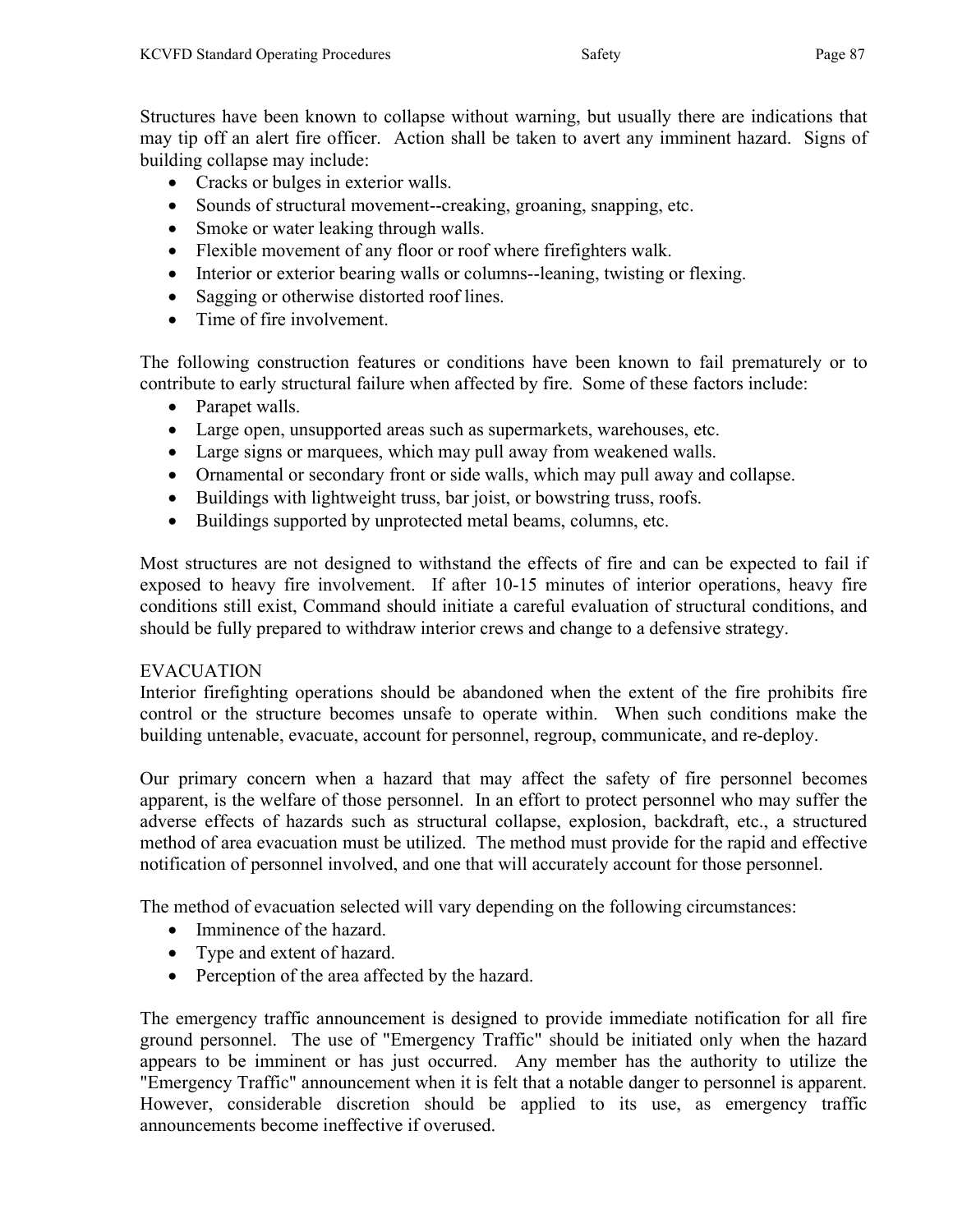Structures have been known to collapse without warning, but usually there are indications that may tip off an alert fire officer. Action shall be taken to avert any imminent hazard. Signs of building collapse may include:

- Cracks or bulges in exterior walls.
- Sounds of structural movement--creaking, groaning, snapping, etc.
- Smoke or water leaking through walls.
- Flexible movement of any floor or roof where firefighters walk.
- Interior or exterior bearing walls or columns--leaning, twisting or flexing.
- Sagging or otherwise distorted roof lines.
- Time of fire involvement.

The following construction features or conditions have been known to fail prematurely or to contribute to early structural failure when affected by fire. Some of these factors include:

- Parapet walls.
- Large open, unsupported areas such as supermarkets, warehouses, etc.
- Large signs or marquees, which may pull away from weakened walls.
- Ornamental or secondary front or side walls, which may pull away and collapse.
- Buildings with lightweight truss, bar joist, or bowstring truss, roofs.
- Buildings supported by unprotected metal beams, columns, etc.

Most structures are not designed to withstand the effects of fire and can be expected to fail if exposed to heavy fire involvement. If after 10-15 minutes of interior operations, heavy fire conditions still exist, Command should initiate a careful evaluation of structural conditions, and should be fully prepared to withdraw interior crews and change to a defensive strategy.

# **EVACUATION**

Interior firefighting operations should be abandoned when the extent of the fire prohibits fire control or the structure becomes unsafe to operate within. When such conditions make the building untenable, evacuate, account for personnel, regroup, communicate, and re-deploy.

Our primary concern when a hazard that may affect the safety of fire personnel becomes apparent, is the welfare of those personnel. In an effort to protect personnel who may suffer the adverse effects of hazards such as structural collapse, explosion, backdraft, etc., a structured method of area evacuation must be utilized. The method must provide for the rapid and effective notification of personnel involved, and one that will accurately account for those personnel.

The method of evacuation selected will vary depending on the following circumstances:

- Imminence of the hazard.
- Type and extent of hazard.
- Perception of the area affected by the hazard.

The emergency traffic announcement is designed to provide immediate notification for all fire ground personnel. The use of "Emergency Traffic" should be initiated only when the hazard appears to be imminent or has just occurred. Any member has the authority to utilize the "Emergency Traffic" announcement when it is felt that a notable danger to personnel is apparent. However, considerable discretion should be applied to its use, as emergency traffic announcements become ineffective if overused.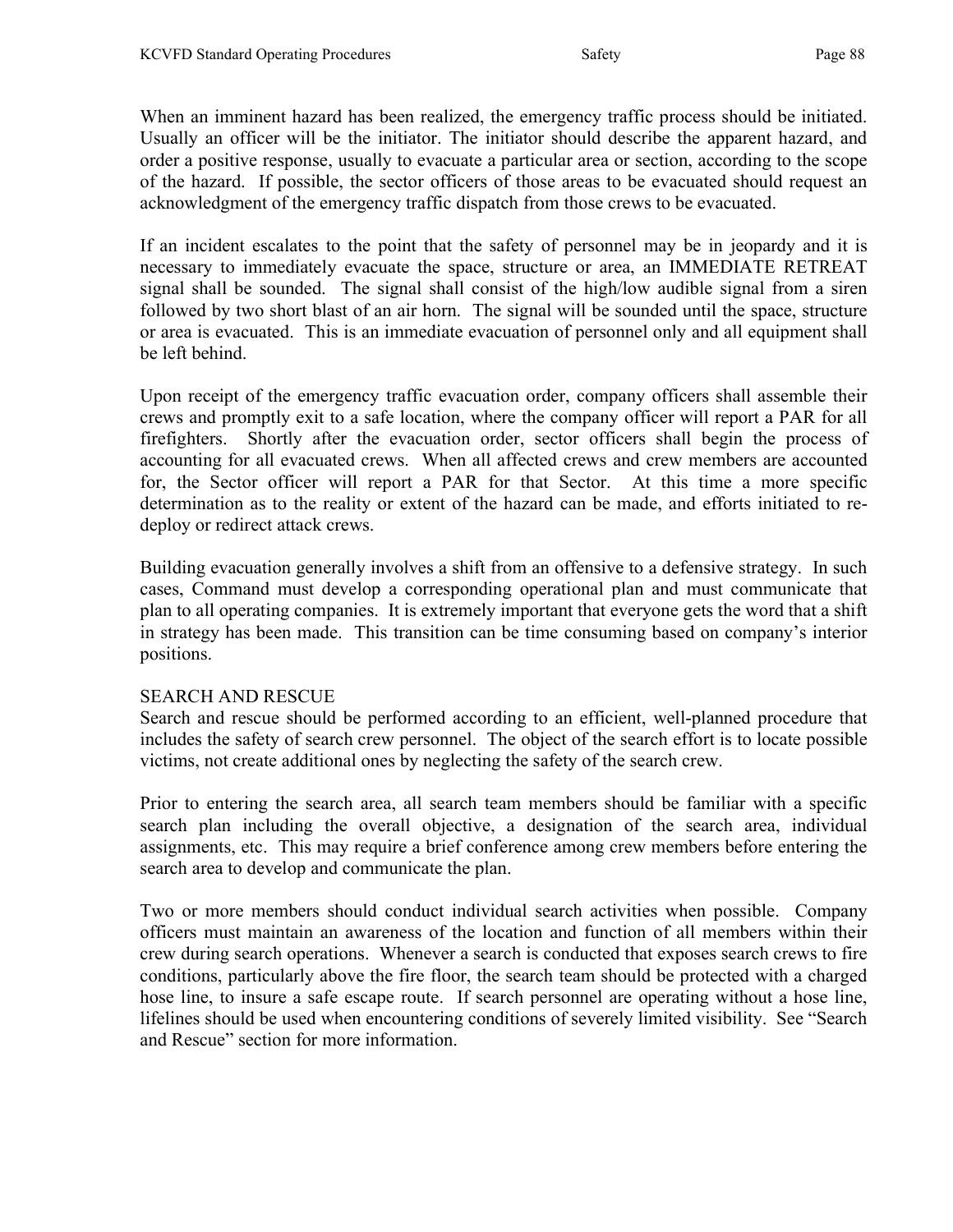When an imminent hazard has been realized, the emergency traffic process should be initiated. Usually an officer will be the initiator. The initiator should describe the apparent hazard, and order a positive response, usually to evacuate a particular area or section, according to the scope of the hazard. If possible, the sector officers of those areas to be evacuated should request an acknowledgment of the emergency traffic dispatch from those crews to be evacuated.

If an incident escalates to the point that the safety of personnel may be in jeopardy and it is necessary to immediately evacuate the space, structure or area, an IMMEDIATE RETREAT signal shall be sounded. The signal shall consist of the high/low audible signal from a siren followed by two short blast of an air horn. The signal will be sounded until the space, structure or area is evacuated. This is an immediate evacuation of personnel only and all equipment shall be left behind.

Upon receipt of the emergency traffic evacuation order, company officers shall assemble their crews and promptly exit to a safe location, where the company officer will report a PAR for all firefighters. Shortly after the evacuation order, sector officers shall begin the process of accounting for all evacuated crews. When all affected crews and crew members are accounted for, the Sector officer will report a PAR for that Sector. At this time a more specific determination as to the reality or extent of the hazard can be made, and efforts initiated to redeploy or redirect attack crews.

Building evacuation generally involves a shift from an offensive to a defensive strategy. In such cases, Command must develop a corresponding operational plan and must communicate that plan to all operating companies. It is extremely important that everyone gets the word that a shift in strategy has been made. This transition can be time consuming based on company's interior positions.

#### SEARCH AND RESCUE

Search and rescue should be performed according to an efficient, well-planned procedure that includes the safety of search crew personnel. The object of the search effort is to locate possible victims, not create additional ones by neglecting the safety of the search crew.

Prior to entering the search area, all search team members should be familiar with a specific search plan including the overall objective, a designation of the search area, individual assignments, etc. This may require a brief conference among crew members before entering the search area to develop and communicate the plan.

Two or more members should conduct individual search activities when possible. Company officers must maintain an awareness of the location and function of all members within their crew during search operations. Whenever a search is conducted that exposes search crews to fire conditions, particularly above the fire floor, the search team should be protected with a charged hose line, to insure a safe escape route. If search personnel are operating without a hose line, lifelines should be used when encountering conditions of severely limited visibility. See "Search and Rescue" section for more information.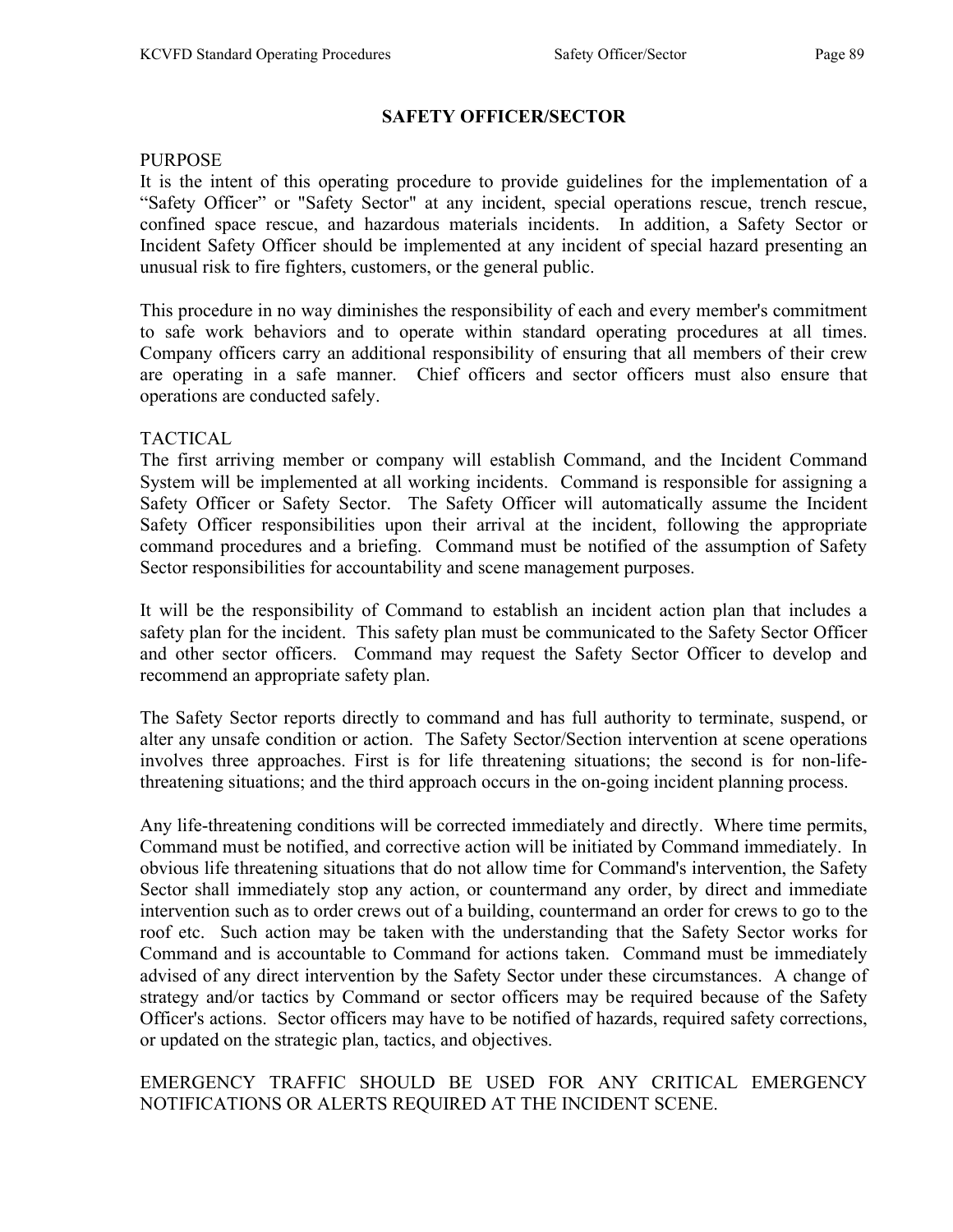# SAFETY OFFICER/SECTOR

#### **PURPOSE**

It is the intent of this operating procedure to provide guidelines for the implementation of a "Safety Officer" or "Safety Sector" at any incident, special operations rescue, trench rescue, confined space rescue, and hazardous materials incidents. In addition, a Safety Sector or Incident Safety Officer should be implemented at any incident of special hazard presenting an unusual risk to fire fighters, customers, or the general public.

This procedure in no way diminishes the responsibility of each and every member's commitment to safe work behaviors and to operate within standard operating procedures at all times. Company officers carry an additional responsibility of ensuring that all members of their crew are operating in a safe manner. Chief officers and sector officers must also ensure that operations are conducted safely.

# TACTICAL

The first arriving member or company will establish Command, and the Incident Command System will be implemented at all working incidents. Command is responsible for assigning a Safety Officer or Safety Sector. The Safety Officer will automatically assume the Incident Safety Officer responsibilities upon their arrival at the incident, following the appropriate command procedures and a briefing. Command must be notified of the assumption of Safety Sector responsibilities for accountability and scene management purposes.

It will be the responsibility of Command to establish an incident action plan that includes a safety plan for the incident. This safety plan must be communicated to the Safety Sector Officer and other sector officers. Command may request the Safety Sector Officer to develop and recommend an appropriate safety plan.

The Safety Sector reports directly to command and has full authority to terminate, suspend, or alter any unsafe condition or action. The Safety Sector/Section intervention at scene operations involves three approaches. First is for life threatening situations; the second is for non-lifethreatening situations; and the third approach occurs in the on-going incident planning process.

Any life-threatening conditions will be corrected immediately and directly. Where time permits, Command must be notified, and corrective action will be initiated by Command immediately. In obvious life threatening situations that do not allow time for Command's intervention, the Safety Sector shall immediately stop any action, or countermand any order, by direct and immediate intervention such as to order crews out of a building, countermand an order for crews to go to the roof etc. Such action may be taken with the understanding that the Safety Sector works for Command and is accountable to Command for actions taken. Command must be immediately advised of any direct intervention by the Safety Sector under these circumstances. A change of strategy and/or tactics by Command or sector officers may be required because of the Safety Officer's actions. Sector officers may have to be notified of hazards, required safety corrections, or updated on the strategic plan, tactics, and objectives.

# EMERGENCY TRAFFIC SHOULD BE USED FOR ANY CRITICAL EMERGENCY NOTIFICATIONS OR ALERTS REQUIRED AT THE INCIDENT SCENE.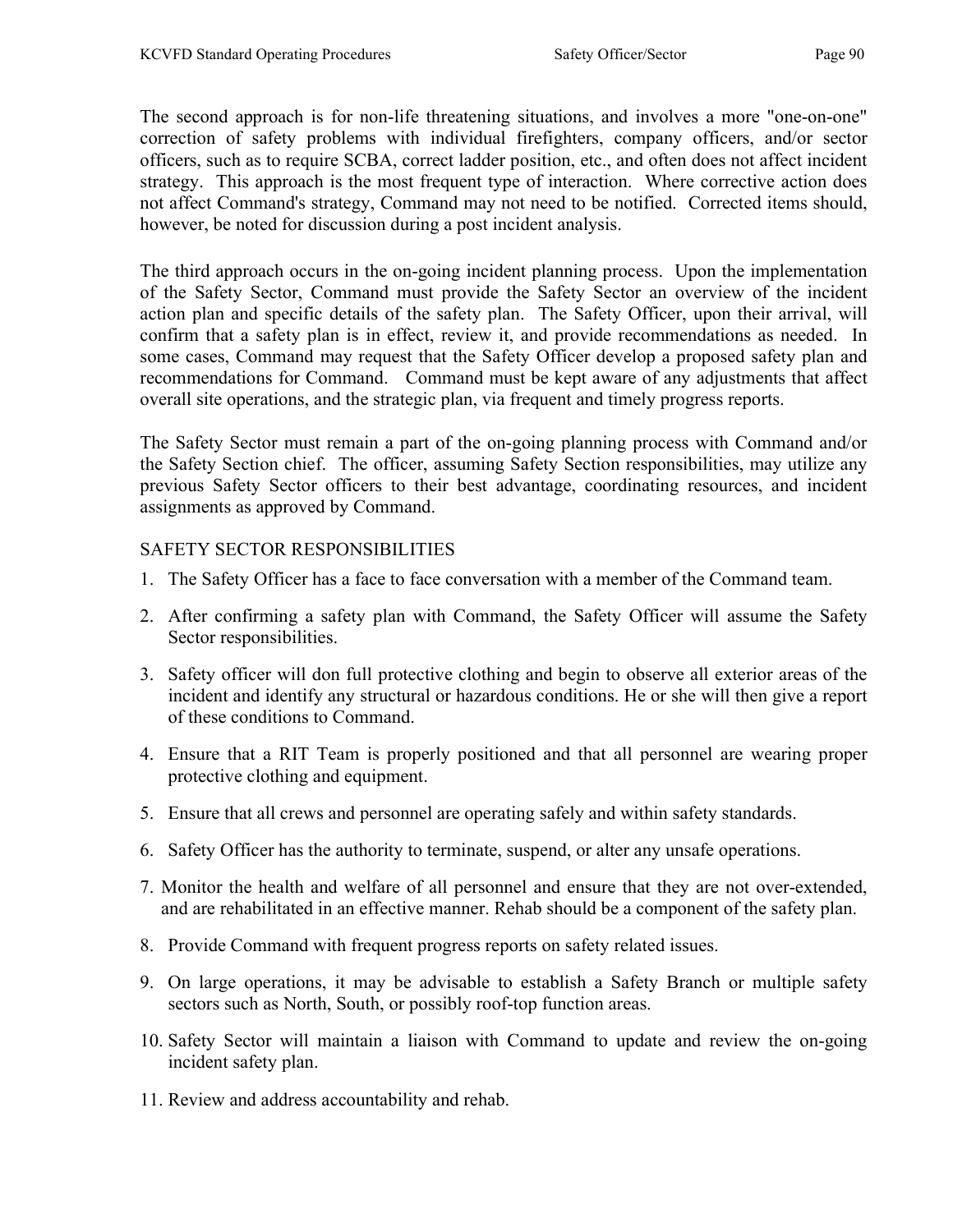The second approach is for non-life threatening situations, and involves a more "one-on-one" correction of safety problems with individual firefighters, company officers, and/or sector officers, such as to require SCBA, correct ladder position, etc., and often does not affect incident strategy. This approach is the most frequent type of interaction. Where corrective action does not affect Command's strategy, Command may not need to be notified. Corrected items should, however, be noted for discussion during a post incident analysis.

The third approach occurs in the on-going incident planning process. Upon the implementation of the Safety Sector, Command must provide the Safety Sector an overview of the incident action plan and specific details of the safety plan. The Safety Officer, upon their arrival, will confirm that a safety plan is in effect, review it, and provide recommendations as needed. In some cases, Command may request that the Safety Officer develop a proposed safety plan and recommendations for Command. Command must be kept aware of any adjustments that affect overall site operations, and the strategic plan, via frequent and timely progress reports.

The Safety Sector must remain a part of the on-going planning process with Command and/or the Safety Section chief. The officer, assuming Safety Section responsibilities, may utilize any previous Safety Sector officers to their best advantage, coordinating resources, and incident assignments as approved by Command.

#### SAFETY SECTOR RESPONSIBILITIES

- 1. The Safety Officer has a face to face conversation with a member of the Command team.
- 2. After confirming a safety plan with Command, the Safety Officer will assume the Safety Sector responsibilities.
- 3. Safety officer will don full protective clothing and begin to observe all exterior areas of the incident and identify any structural or hazardous conditions. He or she will then give a report of these conditions to Command.
- 4. Ensure that a RIT Team is properly positioned and that all personnel are wearing proper protective clothing and equipment.
- 5. Ensure that all crews and personnel are operating safely and within safety standards.
- 6. Safety Officer has the authority to terminate, suspend, or alter any unsafe operations.
- 7. Monitor the health and welfare of all personnel and ensure that they are not over-extended, and are rehabilitated in an effective manner. Rehab should be a component of the safety plan.
- 8. Provide Command with frequent progress reports on safety related issues.
- 9. On large operations, it may be advisable to establish a Safety Branch or multiple safety sectors such as North, South, or possibly roof-top function areas.
- 10. Safety Sector will maintain a liaison with Command to update and review the on-going incident safety plan.
- 11. Review and address accountability and rehab.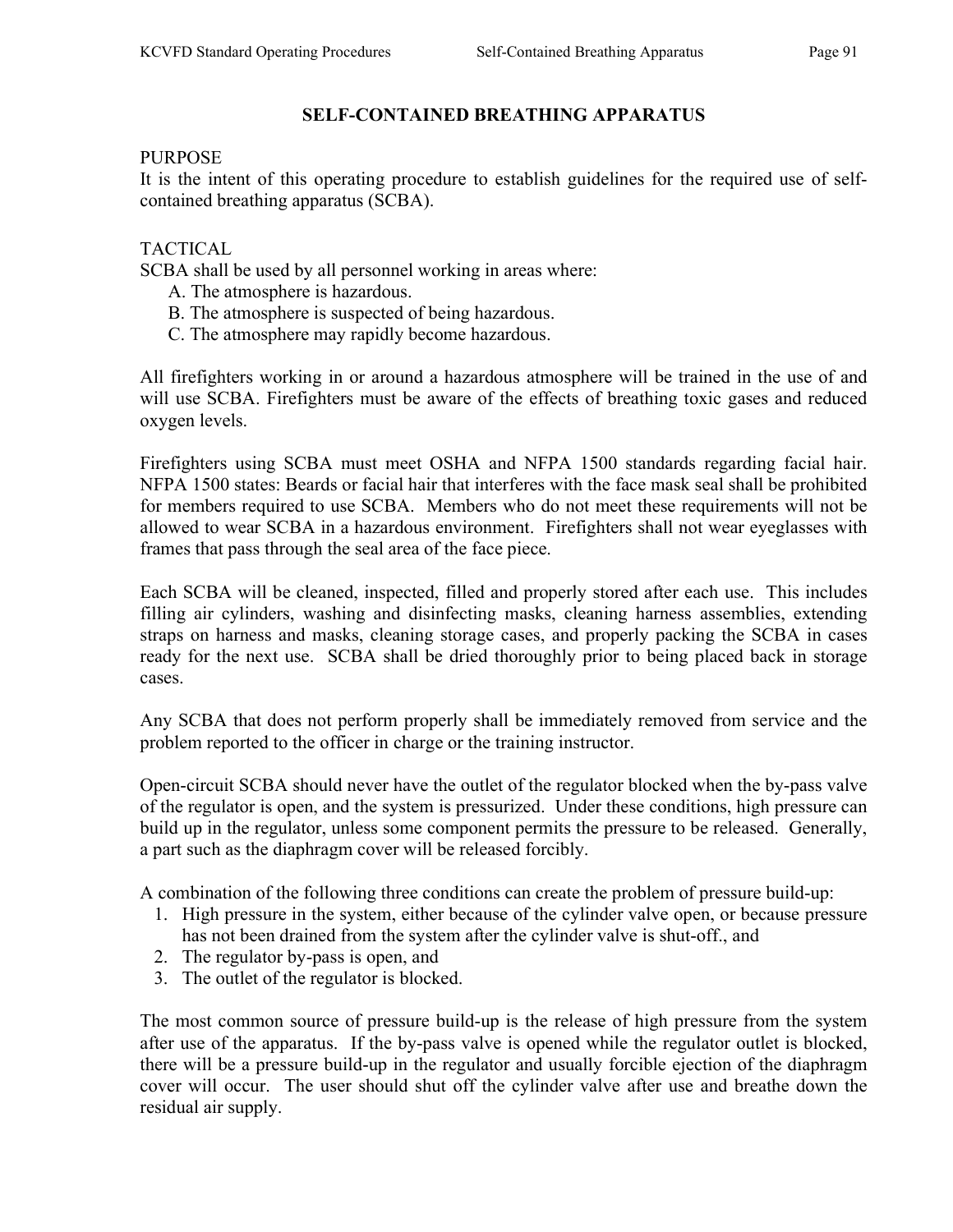#### **PURPOSE**

It is the intent of this operating procedure to establish guidelines for the required use of selfcontained breathing apparatus (SCBA).

# TACTICAL

SCBA shall be used by all personnel working in areas where:

- A. The atmosphere is hazardous.
- B. The atmosphere is suspected of being hazardous.
- C. The atmosphere may rapidly become hazardous.

All firefighters working in or around a hazardous atmosphere will be trained in the use of and will use SCBA. Firefighters must be aware of the effects of breathing toxic gases and reduced oxygen levels.

Firefighters using SCBA must meet OSHA and NFPA 1500 standards regarding facial hair. NFPA 1500 states: Beards or facial hair that interferes with the face mask seal shall be prohibited for members required to use SCBA. Members who do not meet these requirements will not be allowed to wear SCBA in a hazardous environment. Firefighters shall not wear eyeglasses with frames that pass through the seal area of the face piece.

Each SCBA will be cleaned, inspected, filled and properly stored after each use. This includes filling air cylinders, washing and disinfecting masks, cleaning harness assemblies, extending straps on harness and masks, cleaning storage cases, and properly packing the SCBA in cases ready for the next use. SCBA shall be dried thoroughly prior to being placed back in storage cases.

Any SCBA that does not perform properly shall be immediately removed from service and the problem reported to the officer in charge or the training instructor.

Open-circuit SCBA should never have the outlet of the regulator blocked when the by-pass valve of the regulator is open, and the system is pressurized. Under these conditions, high pressure can build up in the regulator, unless some component permits the pressure to be released. Generally, a part such as the diaphragm cover will be released forcibly.

A combination of the following three conditions can create the problem of pressure build-up:

- 1. High pressure in the system, either because of the cylinder valve open, or because pressure has not been drained from the system after the cylinder valve is shut-off., and
- 2. The regulator by-pass is open, and
- 3. The outlet of the regulator is blocked.

The most common source of pressure build-up is the release of high pressure from the system after use of the apparatus. If the by-pass valve is opened while the regulator outlet is blocked, there will be a pressure build-up in the regulator and usually forcible ejection of the diaphragm cover will occur. The user should shut off the cylinder valve after use and breathe down the residual air supply.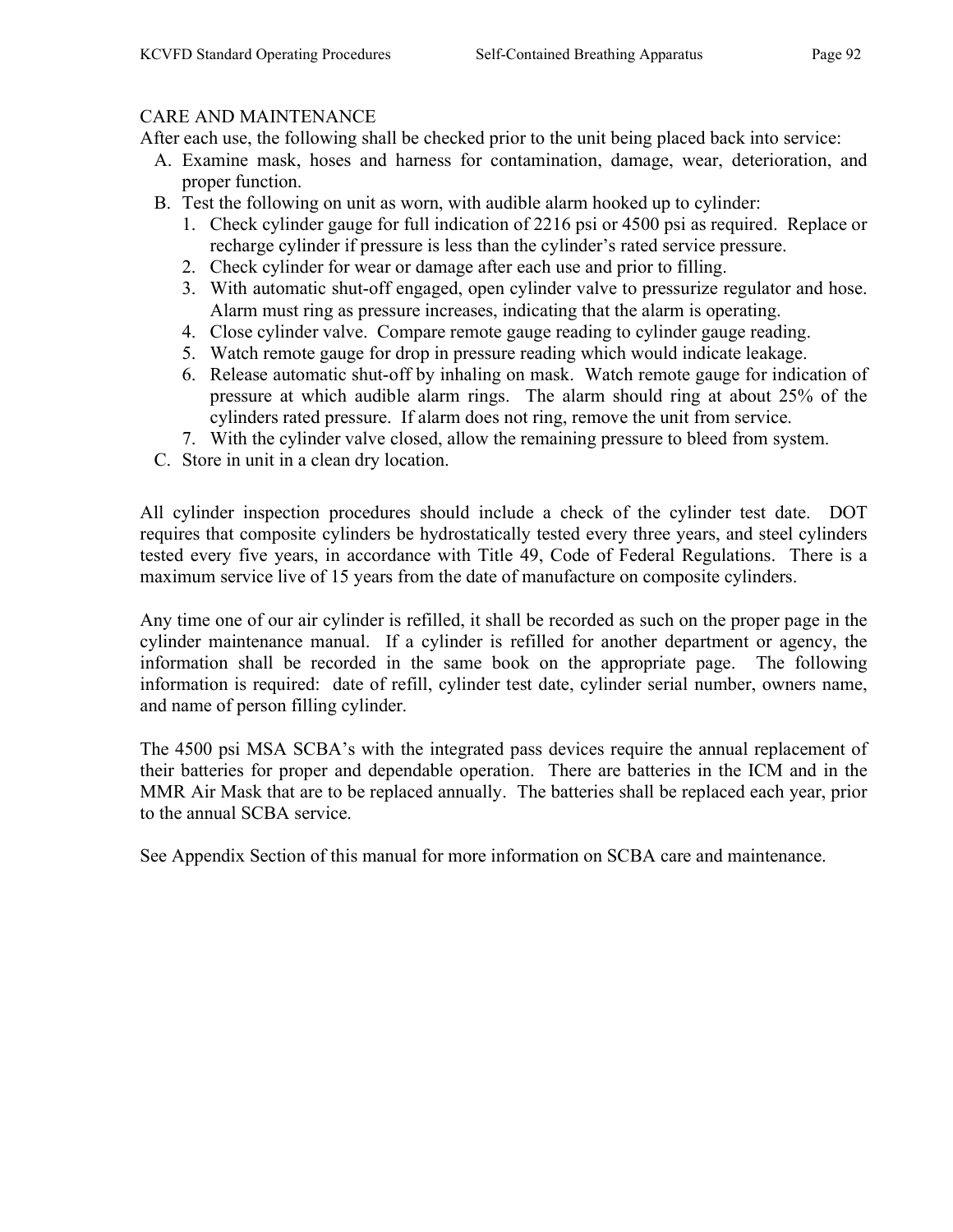#### CARE AND MAINTENANCE

After each use, the following shall be checked prior to the unit being placed back into service:

- A. Examine mask, hoses and harness for contamination, damage, wear, deterioration, and proper function.
- B. Test the following on unit as worn, with audible alarm hooked up to cylinder:
	- 1. Check cylinder gauge for full indication of 2216 psi or 4500 psi as required. Replace or recharge cylinder if pressure is less than the cylinder's rated service pressure.
	- 2. Check cylinder for wear or damage after each use and prior to filling.
	- 3. With automatic shut-off engaged, open cylinder valve to pressurize regulator and hose. Alarm must ring as pressure increases, indicating that the alarm is operating.
	- 4. Close cylinder valve. Compare remote gauge reading to cylinder gauge reading.
	- 5. Watch remote gauge for drop in pressure reading which would indicate leakage.
	- 6. Release automatic shut-off by inhaling on mask. Watch remote gauge for indication of pressure at which audible alarm rings. The alarm should ring at about 25% of the cylinders rated pressure. If alarm does not ring, remove the unit from service.
	- 7. With the cylinder valve closed, allow the remaining pressure to bleed from system.
- C. Store in unit in a clean dry location.

All cylinder inspection procedures should include a check of the cylinder test date. DOT requires that composite cylinders be hydrostatically tested every three years, and steel cylinders tested every five years, in accordance with Title 49, Code of Federal Regulations. There is a maximum service live of 15 years from the date of manufacture on composite cylinders.

Any time one of our air cylinder is refilled, it shall be recorded as such on the proper page in the cylinder maintenance manual. If a cylinder is refilled for another department or agency, the information shall be recorded in the same book on the appropriate page. The following information is required: date of refill, cylinder test date, cylinder serial number, owners name, and name of person filling cylinder.

The 4500 psi MSA SCBA's with the integrated pass devices require the annual replacement of their batteries for proper and dependable operation. There are batteries in the ICM and in the MMR Air Mask that are to be replaced annually. The batteries shall be replaced each year, prior to the annual SCBA service.

See Appendix Section of this manual for more information on SCBA care and maintenance.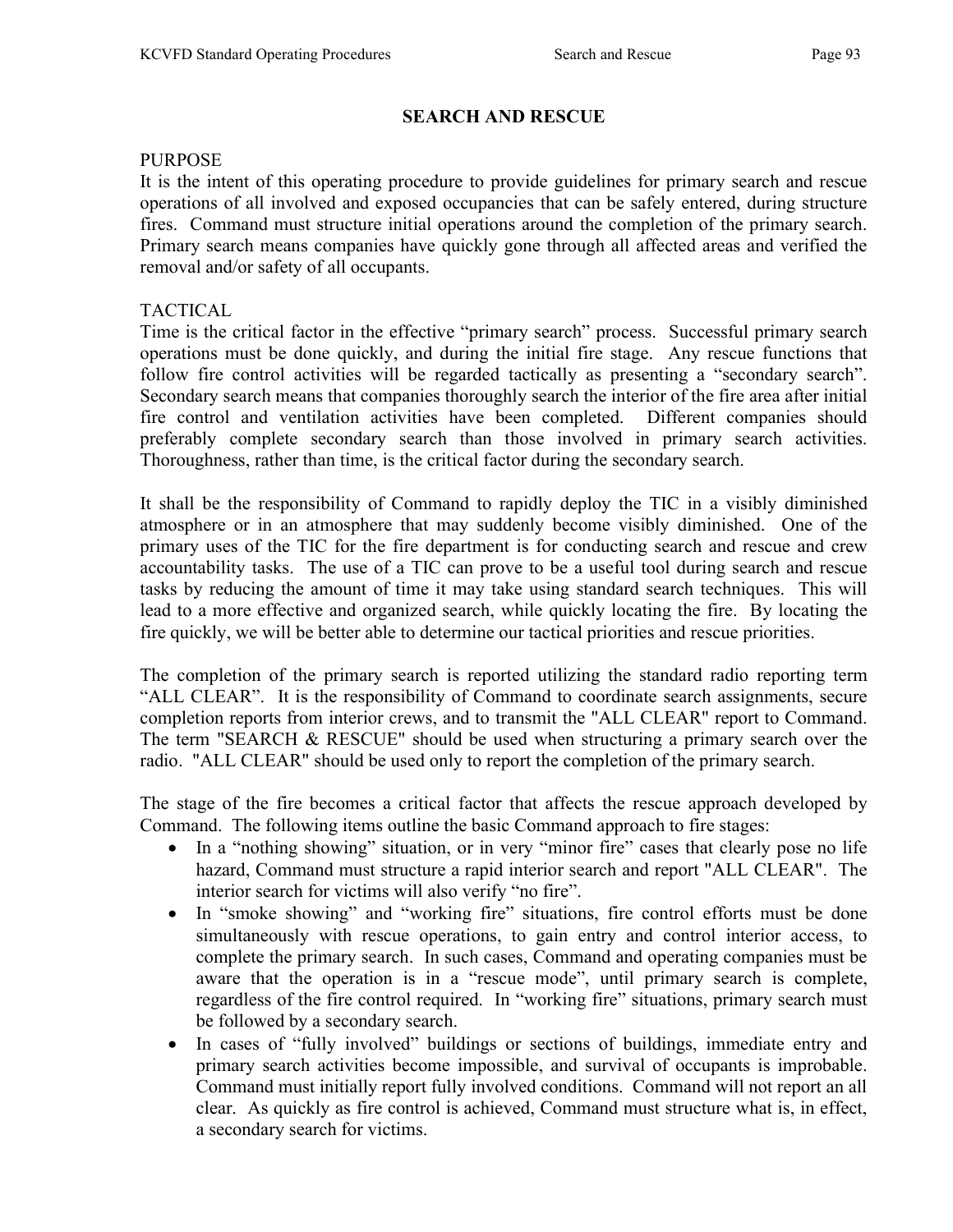# SEARCH AND RESCUE

#### PURPOSE

It is the intent of this operating procedure to provide guidelines for primary search and rescue operations of all involved and exposed occupancies that can be safely entered, during structure fires. Command must structure initial operations around the completion of the primary search. Primary search means companies have quickly gone through all affected areas and verified the removal and/or safety of all occupants.

### TACTICAL

Time is the critical factor in the effective "primary search" process. Successful primary search operations must be done quickly, and during the initial fire stage. Any rescue functions that follow fire control activities will be regarded tactically as presenting a "secondary search". Secondary search means that companies thoroughly search the interior of the fire area after initial fire control and ventilation activities have been completed. Different companies should preferably complete secondary search than those involved in primary search activities. Thoroughness, rather than time, is the critical factor during the secondary search.

It shall be the responsibility of Command to rapidly deploy the TIC in a visibly diminished atmosphere or in an atmosphere that may suddenly become visibly diminished. One of the primary uses of the TIC for the fire department is for conducting search and rescue and crew accountability tasks. The use of a TIC can prove to be a useful tool during search and rescue tasks by reducing the amount of time it may take using standard search techniques. This will lead to a more effective and organized search, while quickly locating the fire. By locating the fire quickly, we will be better able to determine our tactical priorities and rescue priorities.

The completion of the primary search is reported utilizing the standard radio reporting term "ALL CLEAR". It is the responsibility of Command to coordinate search assignments, secure completion reports from interior crews, and to transmit the "ALL CLEAR" report to Command. The term "SEARCH & RESCUE" should be used when structuring a primary search over the radio. "ALL CLEAR" should be used only to report the completion of the primary search.

The stage of the fire becomes a critical factor that affects the rescue approach developed by Command. The following items outline the basic Command approach to fire stages:

- In a "nothing showing" situation, or in very "minor fire" cases that clearly pose no life hazard, Command must structure a rapid interior search and report "ALL CLEAR". The interior search for victims will also verify "no fire".
- In "smoke showing" and "working fire" situations, fire control efforts must be done simultaneously with rescue operations, to gain entry and control interior access, to complete the primary search. In such cases, Command and operating companies must be aware that the operation is in a "rescue mode", until primary search is complete, regardless of the fire control required. In "working fire" situations, primary search must be followed by a secondary search.
- In cases of "fully involved" buildings or sections of buildings, immediate entry and primary search activities become impossible, and survival of occupants is improbable. Command must initially report fully involved conditions. Command will not report an all clear. As quickly as fire control is achieved, Command must structure what is, in effect, a secondary search for victims.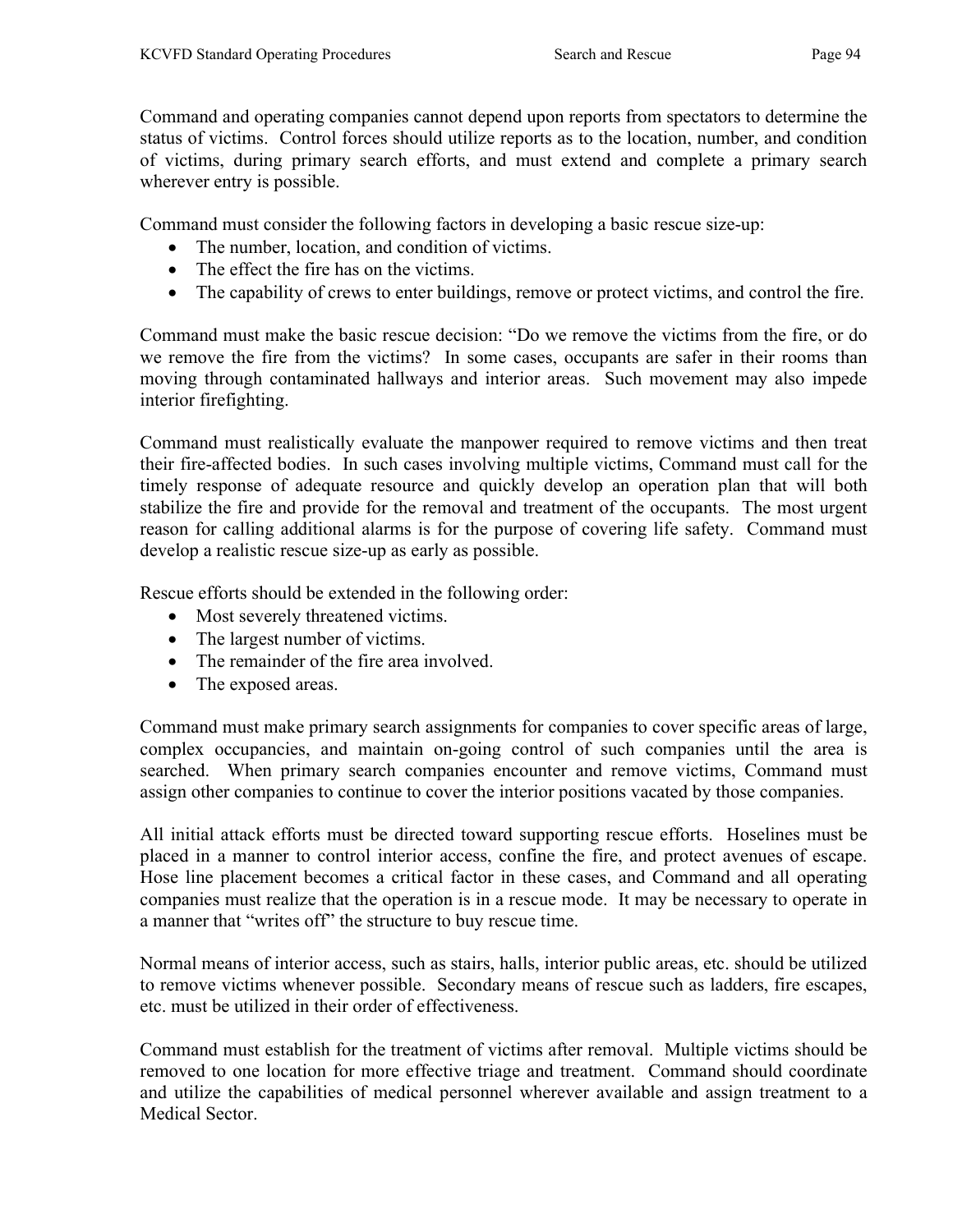Command and operating companies cannot depend upon reports from spectators to determine the status of victims. Control forces should utilize reports as to the location, number, and condition of victims, during primary search efforts, and must extend and complete a primary search wherever entry is possible.

Command must consider the following factors in developing a basic rescue size-up:

- The number, location, and condition of victims.
- The effect the fire has on the victims.
- The capability of crews to enter buildings, remove or protect victims, and control the fire.

Command must make the basic rescue decision: "Do we remove the victims from the fire, or do we remove the fire from the victims? In some cases, occupants are safer in their rooms than moving through contaminated hallways and interior areas. Such movement may also impede interior firefighting.

Command must realistically evaluate the manpower required to remove victims and then treat their fire-affected bodies. In such cases involving multiple victims, Command must call for the timely response of adequate resource and quickly develop an operation plan that will both stabilize the fire and provide for the removal and treatment of the occupants. The most urgent reason for calling additional alarms is for the purpose of covering life safety. Command must develop a realistic rescue size-up as early as possible.

Rescue efforts should be extended in the following order:

- Most severely threatened victims.
- The largest number of victims.
- The remainder of the fire area involved.
- The exposed areas.

Command must make primary search assignments for companies to cover specific areas of large, complex occupancies, and maintain on-going control of such companies until the area is searched. When primary search companies encounter and remove victims, Command must assign other companies to continue to cover the interior positions vacated by those companies.

All initial attack efforts must be directed toward supporting rescue efforts. Hoselines must be placed in a manner to control interior access, confine the fire, and protect avenues of escape. Hose line placement becomes a critical factor in these cases, and Command and all operating companies must realize that the operation is in a rescue mode. It may be necessary to operate in a manner that "writes off" the structure to buy rescue time.

Normal means of interior access, such as stairs, halls, interior public areas, etc. should be utilized to remove victims whenever possible. Secondary means of rescue such as ladders, fire escapes, etc. must be utilized in their order of effectiveness.

Command must establish for the treatment of victims after removal. Multiple victims should be removed to one location for more effective triage and treatment. Command should coordinate and utilize the capabilities of medical personnel wherever available and assign treatment to a Medical Sector.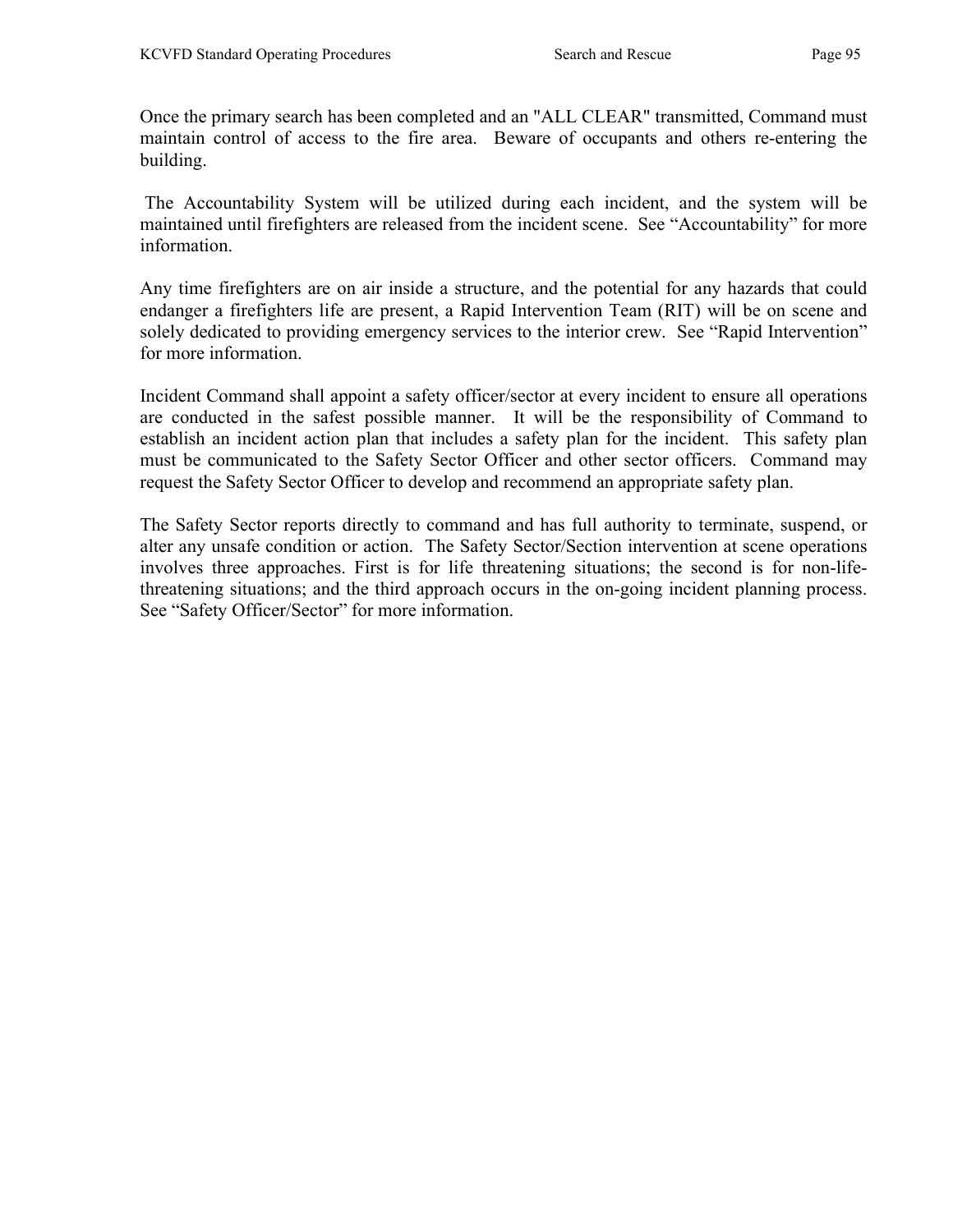Once the primary search has been completed and an "ALL CLEAR" transmitted, Command must maintain control of access to the fire area. Beware of occupants and others re-entering the building.

 The Accountability System will be utilized during each incident, and the system will be maintained until firefighters are released from the incident scene. See "Accountability" for more information.

Any time firefighters are on air inside a structure, and the potential for any hazards that could endanger a firefighters life are present, a Rapid Intervention Team (RIT) will be on scene and solely dedicated to providing emergency services to the interior crew. See "Rapid Intervention" for more information.

Incident Command shall appoint a safety officer/sector at every incident to ensure all operations are conducted in the safest possible manner. It will be the responsibility of Command to establish an incident action plan that includes a safety plan for the incident. This safety plan must be communicated to the Safety Sector Officer and other sector officers. Command may request the Safety Sector Officer to develop and recommend an appropriate safety plan.

The Safety Sector reports directly to command and has full authority to terminate, suspend, or alter any unsafe condition or action. The Safety Sector/Section intervention at scene operations involves three approaches. First is for life threatening situations; the second is for non-lifethreatening situations; and the third approach occurs in the on-going incident planning process. See "Safety Officer/Sector" for more information.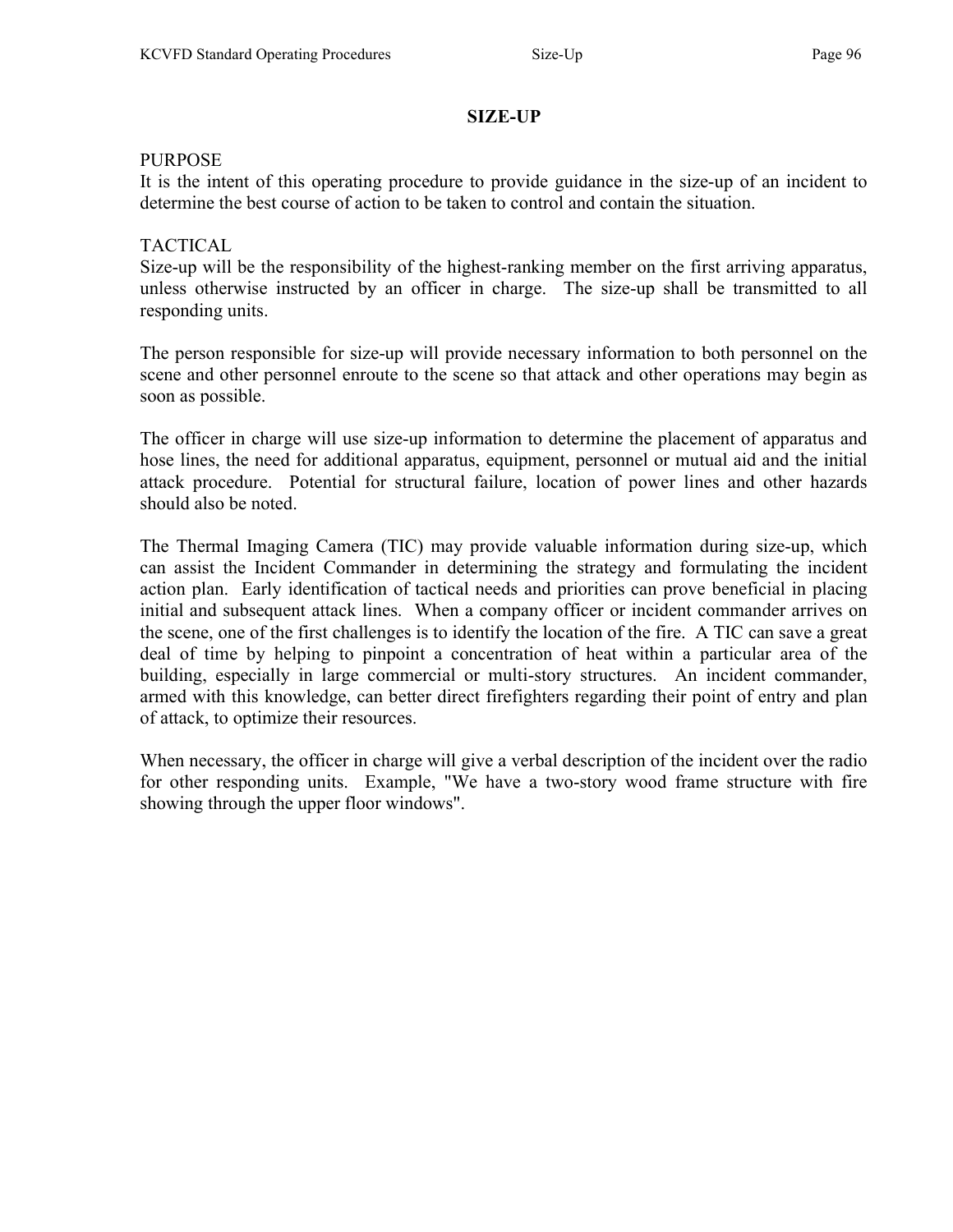# SIZE-UP

#### PURPOSE

It is the intent of this operating procedure to provide guidance in the size-up of an incident to determine the best course of action to be taken to control and contain the situation.

### TACTICAL

Size-up will be the responsibility of the highest-ranking member on the first arriving apparatus, unless otherwise instructed by an officer in charge. The size-up shall be transmitted to all responding units.

The person responsible for size-up will provide necessary information to both personnel on the scene and other personnel enroute to the scene so that attack and other operations may begin as soon as possible.

The officer in charge will use size-up information to determine the placement of apparatus and hose lines, the need for additional apparatus, equipment, personnel or mutual aid and the initial attack procedure. Potential for structural failure, location of power lines and other hazards should also be noted.

The Thermal Imaging Camera (TIC) may provide valuable information during size-up, which can assist the Incident Commander in determining the strategy and formulating the incident action plan. Early identification of tactical needs and priorities can prove beneficial in placing initial and subsequent attack lines. When a company officer or incident commander arrives on the scene, one of the first challenges is to identify the location of the fire. A TIC can save a great deal of time by helping to pinpoint a concentration of heat within a particular area of the building, especially in large commercial or multi-story structures. An incident commander, armed with this knowledge, can better direct firefighters regarding their point of entry and plan of attack, to optimize their resources.

When necessary, the officer in charge will give a verbal description of the incident over the radio for other responding units. Example, "We have a two-story wood frame structure with fire showing through the upper floor windows".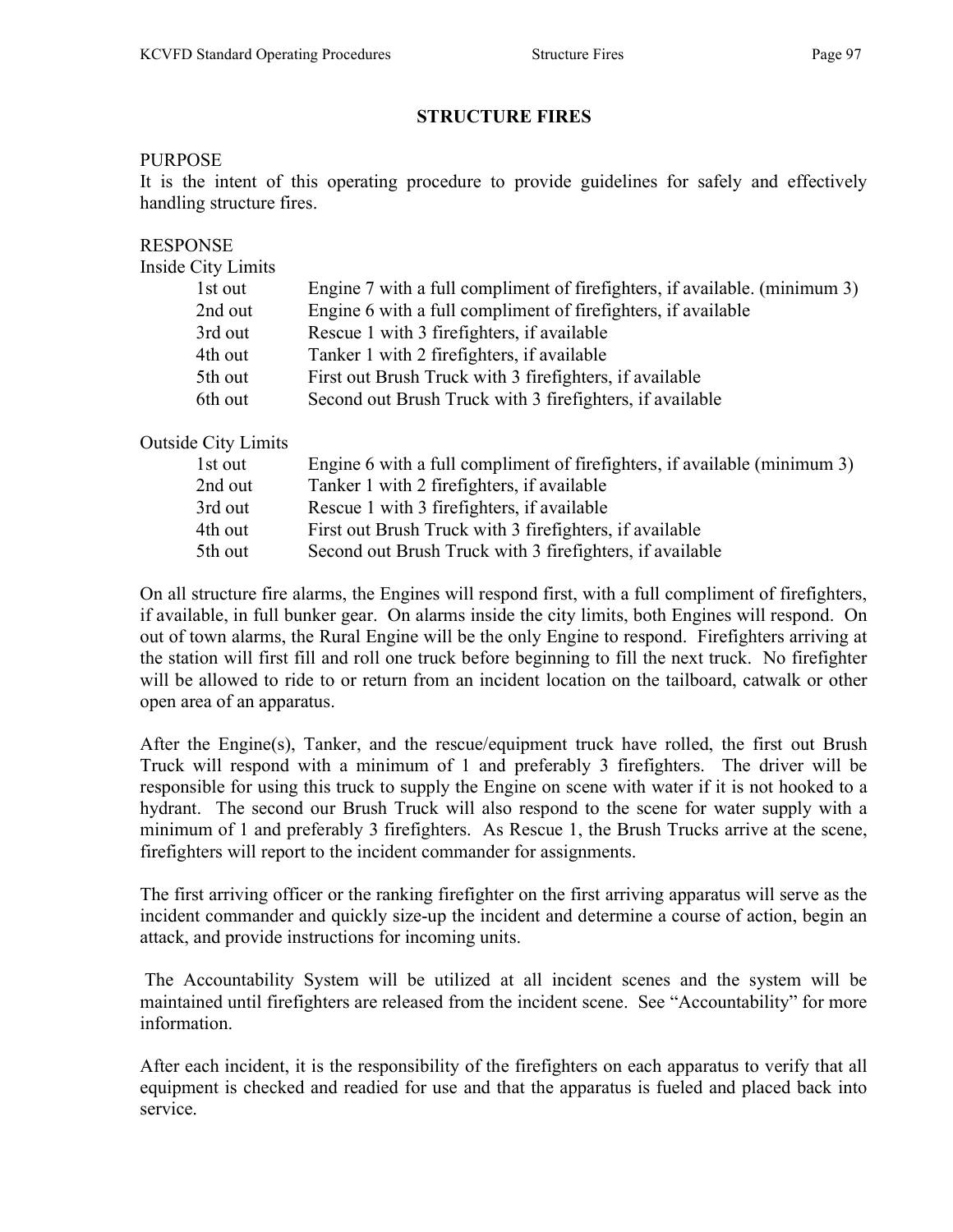# STRUCTURE FIRES

### PURPOSE

It is the intent of this operating procedure to provide guidelines for safely and effectively handling structure fires.

### RESPONSE

Inside City Limits

| 1st out | Engine 7 with a full compliment of firefighters, if available. (minimum 3) |
|---------|----------------------------------------------------------------------------|
| 2nd out | Engine 6 with a full compliment of firefighters, if available              |
| 3rd out | Rescue 1 with 3 firefighters, if available                                 |
| 4th out | Tanker 1 with 2 firefighters, if available                                 |
| 5th out | First out Brush Truck with 3 firefighters, if available                    |
| 6th out | Second out Brush Truck with 3 firefighters, if available                   |

Outside City Limits

| 1st out | Engine 6 with a full compliment of firefighters, if available (minimum 3) |
|---------|---------------------------------------------------------------------------|
| 2nd out | Tanker 1 with 2 firefighters, if available                                |
| 3rd out | Rescue 1 with 3 firefighters, if available                                |
| 4th out | First out Brush Truck with 3 firefighters, if available                   |
| 5th out | Second out Brush Truck with 3 firefighters, if available                  |
|         |                                                                           |

On all structure fire alarms, the Engines will respond first, with a full compliment of firefighters, if available, in full bunker gear. On alarms inside the city limits, both Engines will respond. On out of town alarms, the Rural Engine will be the only Engine to respond. Firefighters arriving at the station will first fill and roll one truck before beginning to fill the next truck. No firefighter will be allowed to ride to or return from an incident location on the tailboard, catwalk or other open area of an apparatus.

After the Engine(s), Tanker, and the rescue/equipment truck have rolled, the first out Brush Truck will respond with a minimum of 1 and preferably 3 firefighters. The driver will be responsible for using this truck to supply the Engine on scene with water if it is not hooked to a hydrant. The second our Brush Truck will also respond to the scene for water supply with a minimum of 1 and preferably 3 firefighters. As Rescue 1, the Brush Trucks arrive at the scene, firefighters will report to the incident commander for assignments.

The first arriving officer or the ranking firefighter on the first arriving apparatus will serve as the incident commander and quickly size-up the incident and determine a course of action, begin an attack, and provide instructions for incoming units.

 The Accountability System will be utilized at all incident scenes and the system will be maintained until firefighters are released from the incident scene. See "Accountability" for more information.

After each incident, it is the responsibility of the firefighters on each apparatus to verify that all equipment is checked and readied for use and that the apparatus is fueled and placed back into service.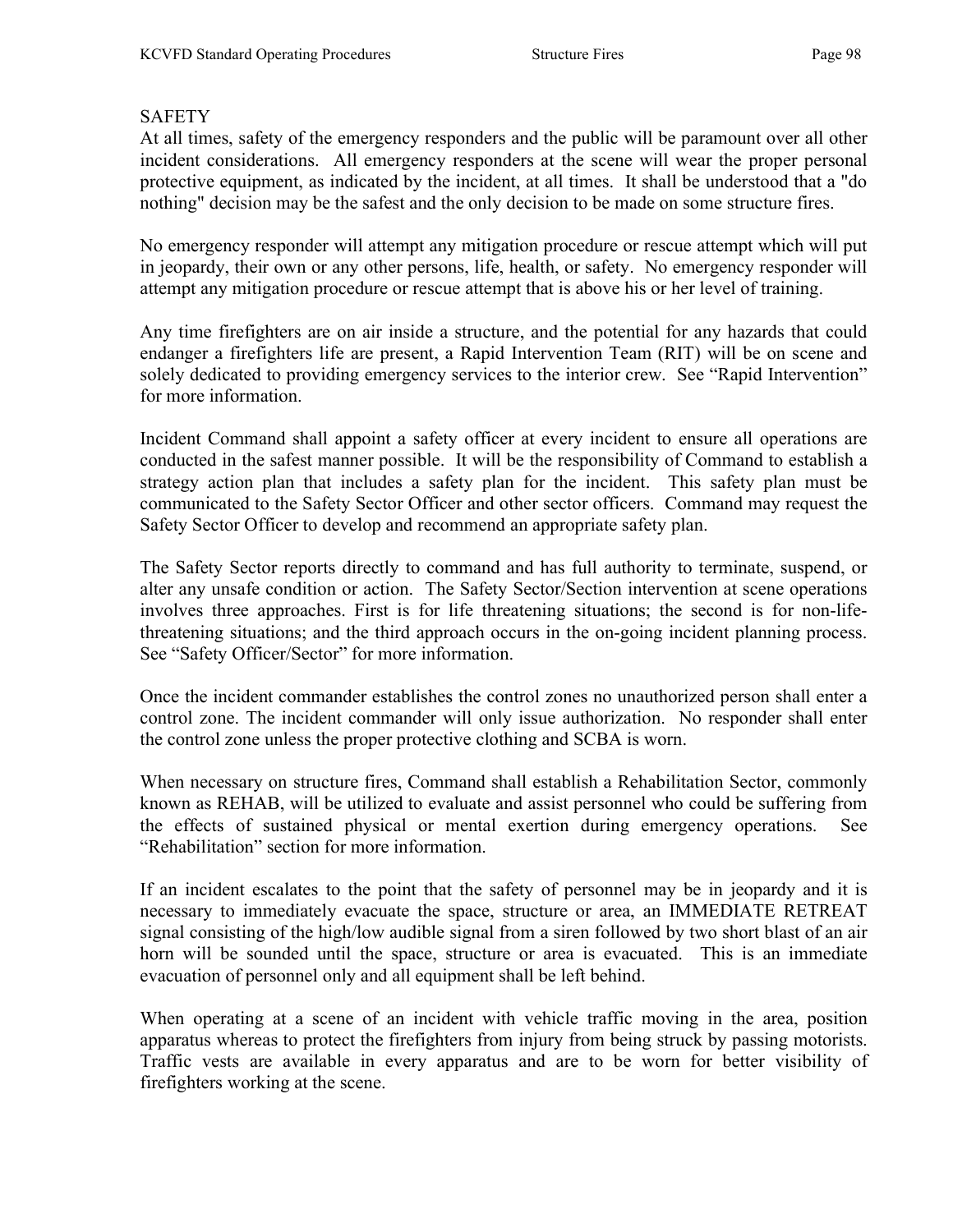# SAFETY

At all times, safety of the emergency responders and the public will be paramount over all other incident considerations. All emergency responders at the scene will wear the proper personal protective equipment, as indicated by the incident, at all times. It shall be understood that a "do nothing" decision may be the safest and the only decision to be made on some structure fires.

No emergency responder will attempt any mitigation procedure or rescue attempt which will put in jeopardy, their own or any other persons, life, health, or safety. No emergency responder will attempt any mitigation procedure or rescue attempt that is above his or her level of training.

Any time firefighters are on air inside a structure, and the potential for any hazards that could endanger a firefighters life are present, a Rapid Intervention Team (RIT) will be on scene and solely dedicated to providing emergency services to the interior crew. See "Rapid Intervention" for more information.

Incident Command shall appoint a safety officer at every incident to ensure all operations are conducted in the safest manner possible. It will be the responsibility of Command to establish a strategy action plan that includes a safety plan for the incident. This safety plan must be communicated to the Safety Sector Officer and other sector officers. Command may request the Safety Sector Officer to develop and recommend an appropriate safety plan.

The Safety Sector reports directly to command and has full authority to terminate, suspend, or alter any unsafe condition or action. The Safety Sector/Section intervention at scene operations involves three approaches. First is for life threatening situations; the second is for non-lifethreatening situations; and the third approach occurs in the on-going incident planning process. See "Safety Officer/Sector" for more information.

Once the incident commander establishes the control zones no unauthorized person shall enter a control zone. The incident commander will only issue authorization. No responder shall enter the control zone unless the proper protective clothing and SCBA is worn.

When necessary on structure fires, Command shall establish a Rehabilitation Sector, commonly known as REHAB, will be utilized to evaluate and assist personnel who could be suffering from the effects of sustained physical or mental exertion during emergency operations. See "Rehabilitation" section for more information.

If an incident escalates to the point that the safety of personnel may be in jeopardy and it is necessary to immediately evacuate the space, structure or area, an IMMEDIATE RETREAT signal consisting of the high/low audible signal from a siren followed by two short blast of an air horn will be sounded until the space, structure or area is evacuated. This is an immediate evacuation of personnel only and all equipment shall be left behind.

When operating at a scene of an incident with vehicle traffic moving in the area, position apparatus whereas to protect the firefighters from injury from being struck by passing motorists. Traffic vests are available in every apparatus and are to be worn for better visibility of firefighters working at the scene.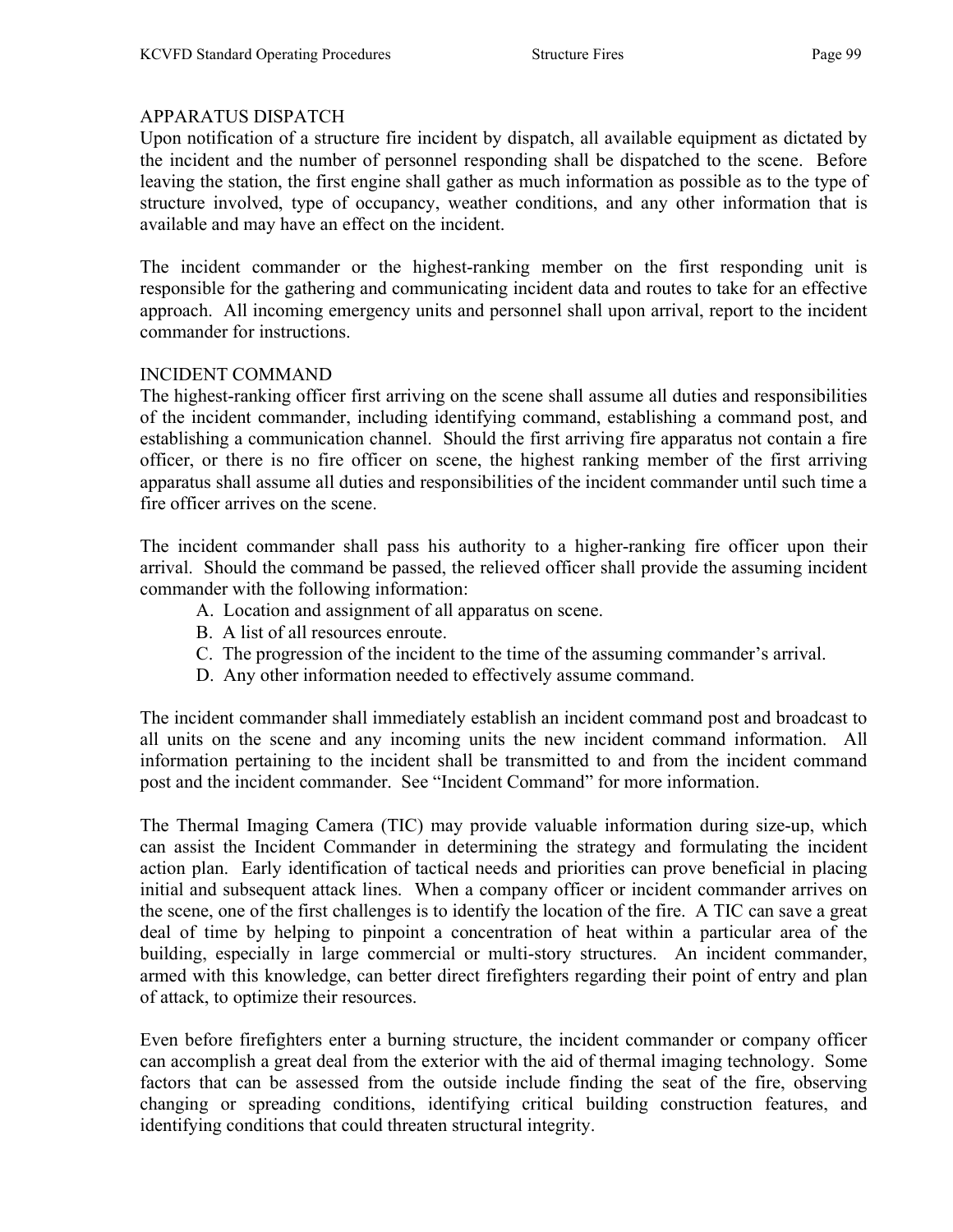# APPARATUS DISPATCH

Upon notification of a structure fire incident by dispatch, all available equipment as dictated by the incident and the number of personnel responding shall be dispatched to the scene. Before leaving the station, the first engine shall gather as much information as possible as to the type of structure involved, type of occupancy, weather conditions, and any other information that is available and may have an effect on the incident.

The incident commander or the highest-ranking member on the first responding unit is responsible for the gathering and communicating incident data and routes to take for an effective approach. All incoming emergency units and personnel shall upon arrival, report to the incident commander for instructions.

# INCIDENT COMMAND

The highest-ranking officer first arriving on the scene shall assume all duties and responsibilities of the incident commander, including identifying command, establishing a command post, and establishing a communication channel. Should the first arriving fire apparatus not contain a fire officer, or there is no fire officer on scene, the highest ranking member of the first arriving apparatus shall assume all duties and responsibilities of the incident commander until such time a fire officer arrives on the scene.

The incident commander shall pass his authority to a higher-ranking fire officer upon their arrival. Should the command be passed, the relieved officer shall provide the assuming incident commander with the following information:

- A. Location and assignment of all apparatus on scene.
- B. A list of all resources enroute.
- C. The progression of the incident to the time of the assuming commander's arrival.
- D. Any other information needed to effectively assume command.

The incident commander shall immediately establish an incident command post and broadcast to all units on the scene and any incoming units the new incident command information. All information pertaining to the incident shall be transmitted to and from the incident command post and the incident commander. See "Incident Command" for more information.

The Thermal Imaging Camera (TIC) may provide valuable information during size-up, which can assist the Incident Commander in determining the strategy and formulating the incident action plan. Early identification of tactical needs and priorities can prove beneficial in placing initial and subsequent attack lines. When a company officer or incident commander arrives on the scene, one of the first challenges is to identify the location of the fire. A TIC can save a great deal of time by helping to pinpoint a concentration of heat within a particular area of the building, especially in large commercial or multi-story structures. An incident commander, armed with this knowledge, can better direct firefighters regarding their point of entry and plan of attack, to optimize their resources.

Even before firefighters enter a burning structure, the incident commander or company officer can accomplish a great deal from the exterior with the aid of thermal imaging technology. Some factors that can be assessed from the outside include finding the seat of the fire, observing changing or spreading conditions, identifying critical building construction features, and identifying conditions that could threaten structural integrity.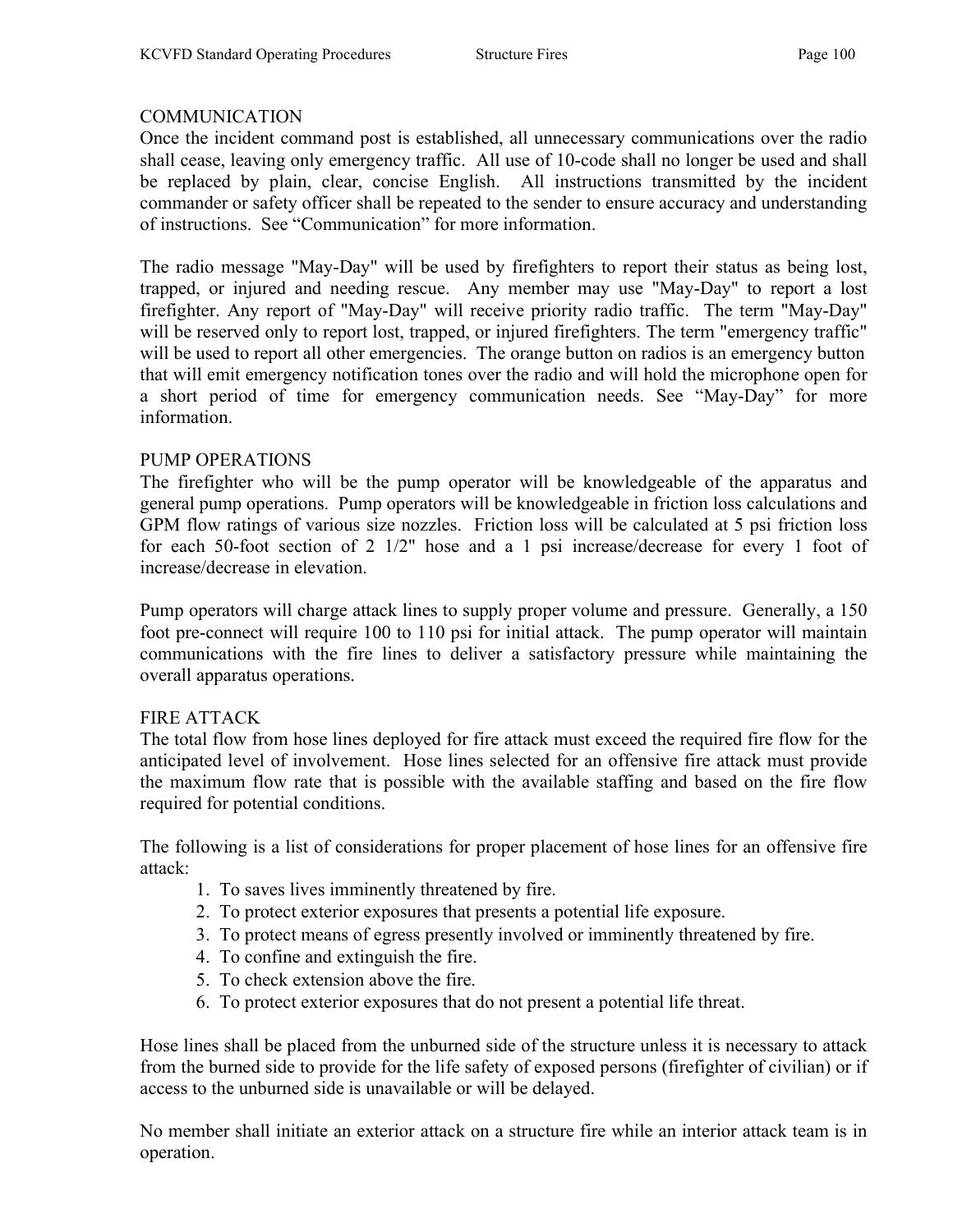# **COMMUNICATION**

Once the incident command post is established, all unnecessary communications over the radio shall cease, leaving only emergency traffic. All use of 10-code shall no longer be used and shall be replaced by plain, clear, concise English. All instructions transmitted by the incident commander or safety officer shall be repeated to the sender to ensure accuracy and understanding of instructions. See "Communication" for more information.

The radio message "May-Day" will be used by firefighters to report their status as being lost, trapped, or injured and needing rescue. Any member may use "May-Day" to report a lost firefighter. Any report of "May-Day" will receive priority radio traffic. The term "May-Day" will be reserved only to report lost, trapped, or injured firefighters. The term "emergency traffic" will be used to report all other emergencies. The orange button on radios is an emergency button that will emit emergency notification tones over the radio and will hold the microphone open for a short period of time for emergency communication needs. See "May-Day" for more information.

#### PUMP OPERATIONS

The firefighter who will be the pump operator will be knowledgeable of the apparatus and general pump operations. Pump operators will be knowledgeable in friction loss calculations and GPM flow ratings of various size nozzles. Friction loss will be calculated at 5 psi friction loss for each 50-foot section of 2 1/2" hose and a 1 psi increase/decrease for every 1 foot of increase/decrease in elevation.

Pump operators will charge attack lines to supply proper volume and pressure. Generally, a 150 foot pre-connect will require 100 to 110 psi for initial attack. The pump operator will maintain communications with the fire lines to deliver a satisfactory pressure while maintaining the overall apparatus operations.

#### FIRE ATTACK

The total flow from hose lines deployed for fire attack must exceed the required fire flow for the anticipated level of involvement. Hose lines selected for an offensive fire attack must provide the maximum flow rate that is possible with the available staffing and based on the fire flow required for potential conditions.

The following is a list of considerations for proper placement of hose lines for an offensive fire attack:

- 1. To saves lives imminently threatened by fire.
- 2. To protect exterior exposures that presents a potential life exposure.
- 3. To protect means of egress presently involved or imminently threatened by fire.
- 4. To confine and extinguish the fire.
- 5. To check extension above the fire.
- 6. To protect exterior exposures that do not present a potential life threat.

Hose lines shall be placed from the unburned side of the structure unless it is necessary to attack from the burned side to provide for the life safety of exposed persons (firefighter of civilian) or if access to the unburned side is unavailable or will be delayed.

No member shall initiate an exterior attack on a structure fire while an interior attack team is in operation.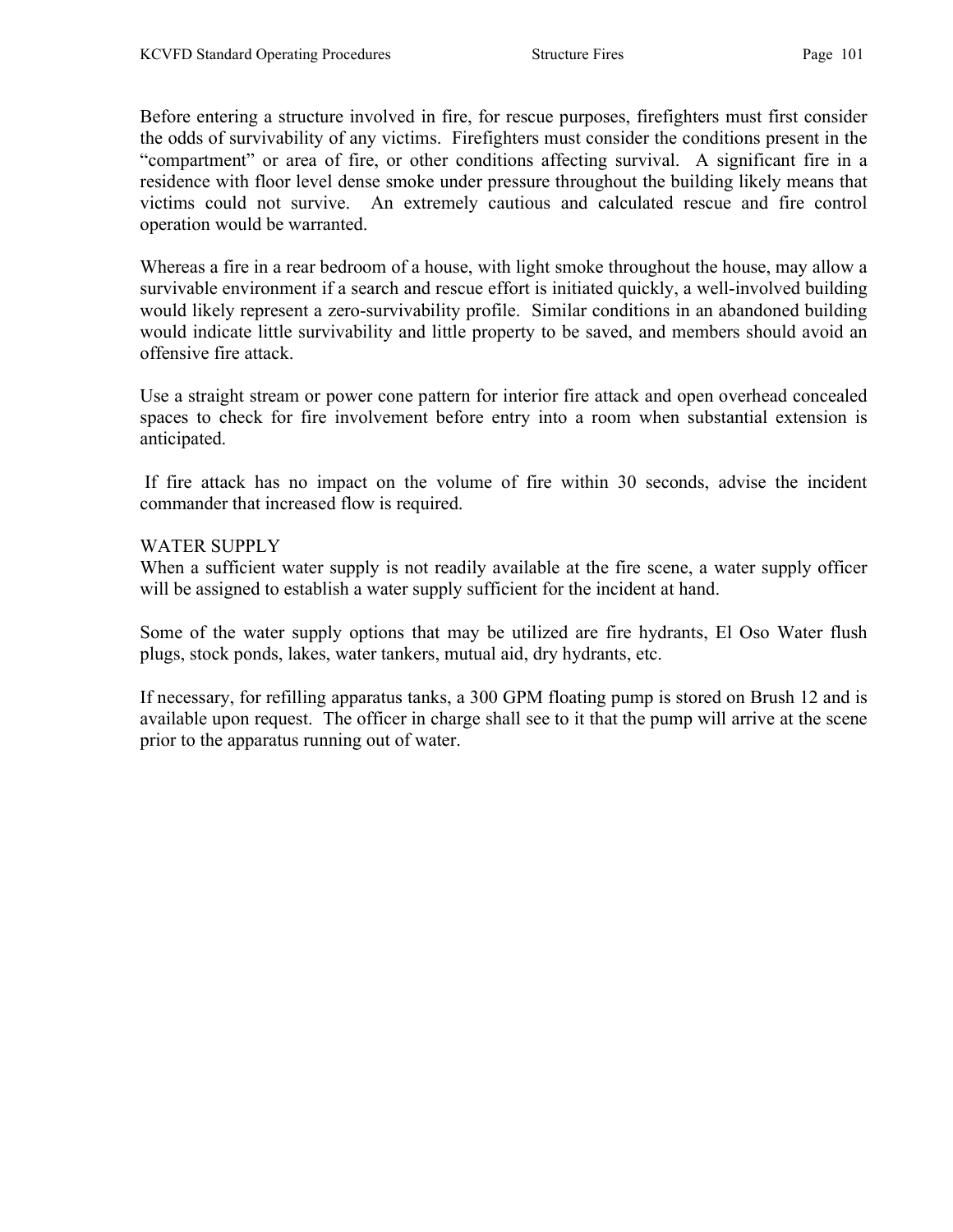Before entering a structure involved in fire, for rescue purposes, firefighters must first consider the odds of survivability of any victims. Firefighters must consider the conditions present in the "compartment" or area of fire, or other conditions affecting survival. A significant fire in a residence with floor level dense smoke under pressure throughout the building likely means that victims could not survive. An extremely cautious and calculated rescue and fire control operation would be warranted.

Whereas a fire in a rear bedroom of a house, with light smoke throughout the house, may allow a survivable environment if a search and rescue effort is initiated quickly, a well-involved building would likely represent a zero-survivability profile. Similar conditions in an abandoned building would indicate little survivability and little property to be saved, and members should avoid an offensive fire attack.

Use a straight stream or power cone pattern for interior fire attack and open overhead concealed spaces to check for fire involvement before entry into a room when substantial extension is anticipated.

 If fire attack has no impact on the volume of fire within 30 seconds, advise the incident commander that increased flow is required.

#### WATER SUPPLY

When a sufficient water supply is not readily available at the fire scene, a water supply officer will be assigned to establish a water supply sufficient for the incident at hand.

Some of the water supply options that may be utilized are fire hydrants, El Oso Water flush plugs, stock ponds, lakes, water tankers, mutual aid, dry hydrants, etc.

If necessary, for refilling apparatus tanks, a 300 GPM floating pump is stored on Brush 12 and is available upon request. The officer in charge shall see to it that the pump will arrive at the scene prior to the apparatus running out of water.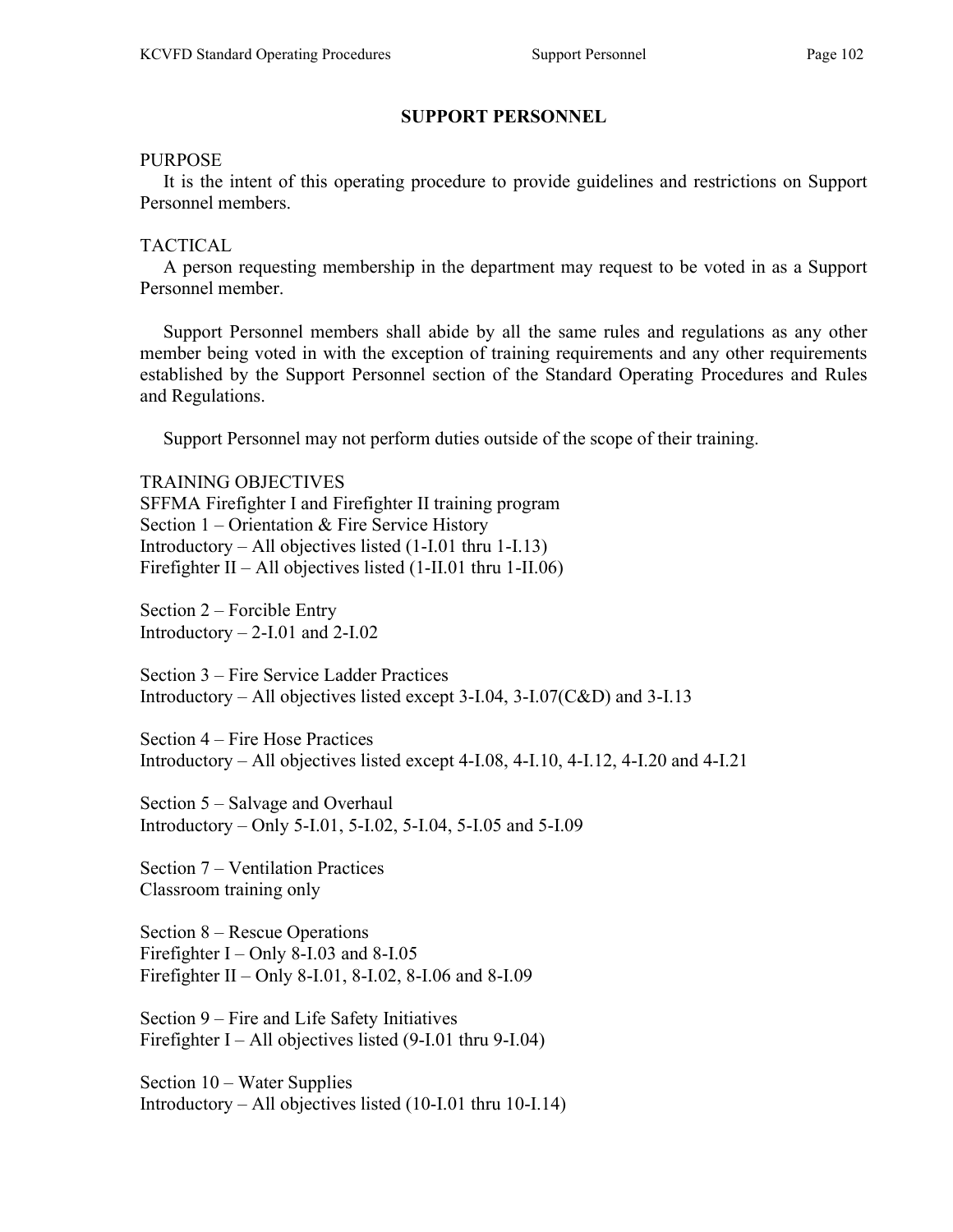### SUPPORT PERSONNEL

#### PURPOSE

 It is the intent of this operating procedure to provide guidelines and restrictions on Support Personnel members.

#### TACTICAL

 A person requesting membership in the department may request to be voted in as a Support Personnel member.

 Support Personnel members shall abide by all the same rules and regulations as any other member being voted in with the exception of training requirements and any other requirements established by the Support Personnel section of the Standard Operating Procedures and Rules and Regulations.

Support Personnel may not perform duties outside of the scope of their training.

TRAINING OBJECTIVES SFFMA Firefighter I and Firefighter II training program Section 1 – Orientation & Fire Service History Introductory – All objectives listed (1-I.01 thru 1-I.13) Firefighter II – All objectives listed (1-II.01 thru 1-II.06)

Section 2 – Forcible Entry Introductory  $-2$ -I.01 and 2-I.02

Section 3 – Fire Service Ladder Practices Introductory – All objectives listed except 3-I.04, 3-I.07(C&D) and 3-I.13

Section 4 – Fire Hose Practices Introductory – All objectives listed except 4-I.08, 4-I.10, 4-I.12, 4-I.20 and 4-I.21

Section 5 – Salvage and Overhaul Introductory – Only 5-I.01, 5-I.02, 5-I.04, 5-I.05 and 5-I.09

Section 7 – Ventilation Practices Classroom training only

Section 8 – Rescue Operations Firefighter I – Only 8-I.03 and 8-I.05 Firefighter II – Only 8-I.01, 8-I.02, 8-I.06 and 8-I.09

Section 9 – Fire and Life Safety Initiatives Firefighter I – All objectives listed  $(9-I.01$  thru 9-I.04)

Section 10 – Water Supplies Introductory – All objectives listed (10-I.01 thru 10-I.14)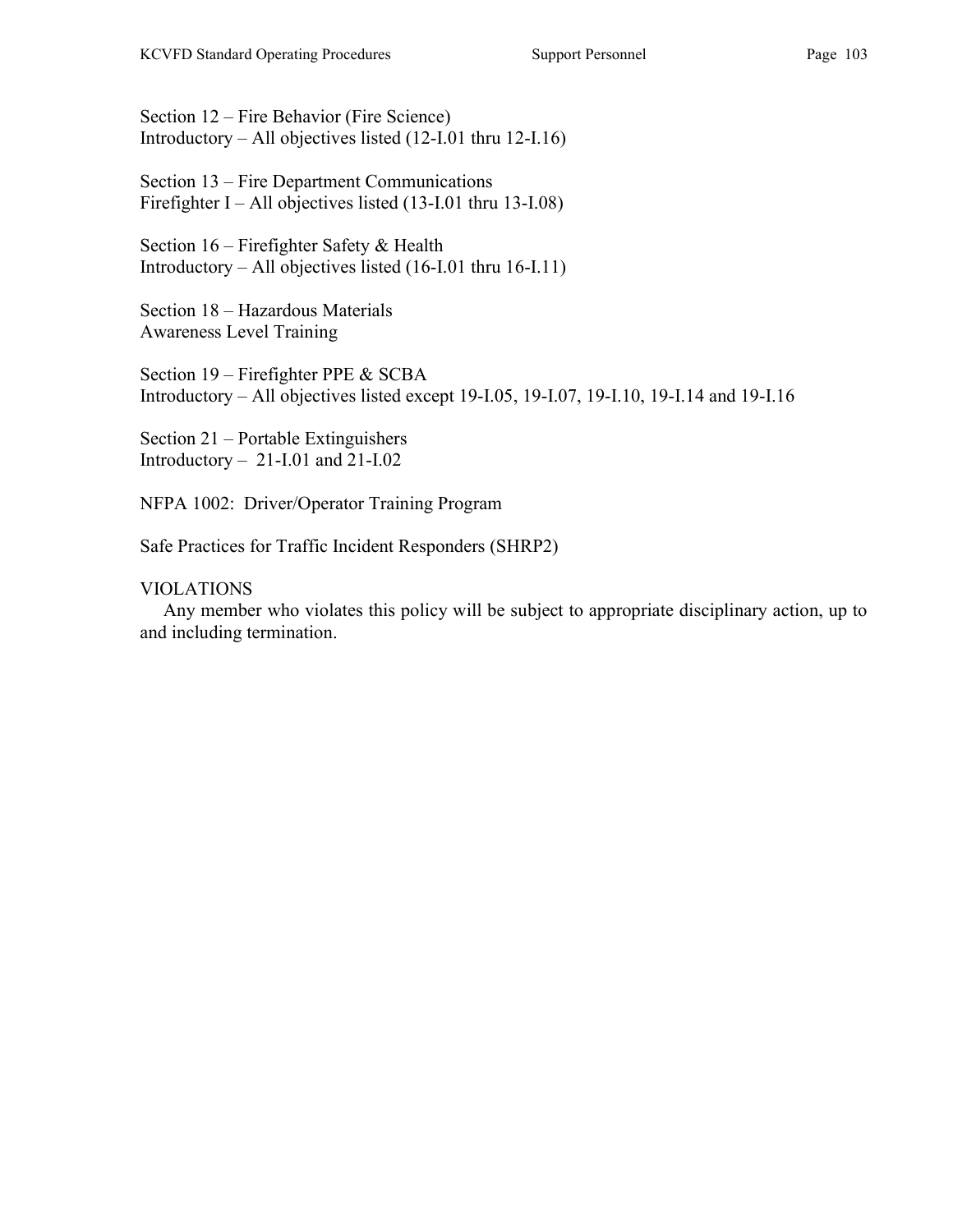Section 12 – Fire Behavior (Fire Science) Introductory – All objectives listed (12-I.01 thru 12-I.16)

Section 13 – Fire Department Communications Firefighter I – All objectives listed (13-I.01 thru 13-I.08)

Section 16 – Firefighter Safety & Health Introductory – All objectives listed (16-I.01 thru 16-I.11)

Section 18 – Hazardous Materials Awareness Level Training

Section 19 – Firefighter PPE & SCBA Introductory – All objectives listed except 19-I.05, 19-I.07, 19-I.10, 19-I.14 and 19-I.16

Section 21 – Portable Extinguishers Introductory – 21-I.01 and 21-I.02

NFPA 1002: Driver/Operator Training Program

Safe Practices for Traffic Incident Responders (SHRP2)

VIOLATIONS

 Any member who violates this policy will be subject to appropriate disciplinary action, up to and including termination.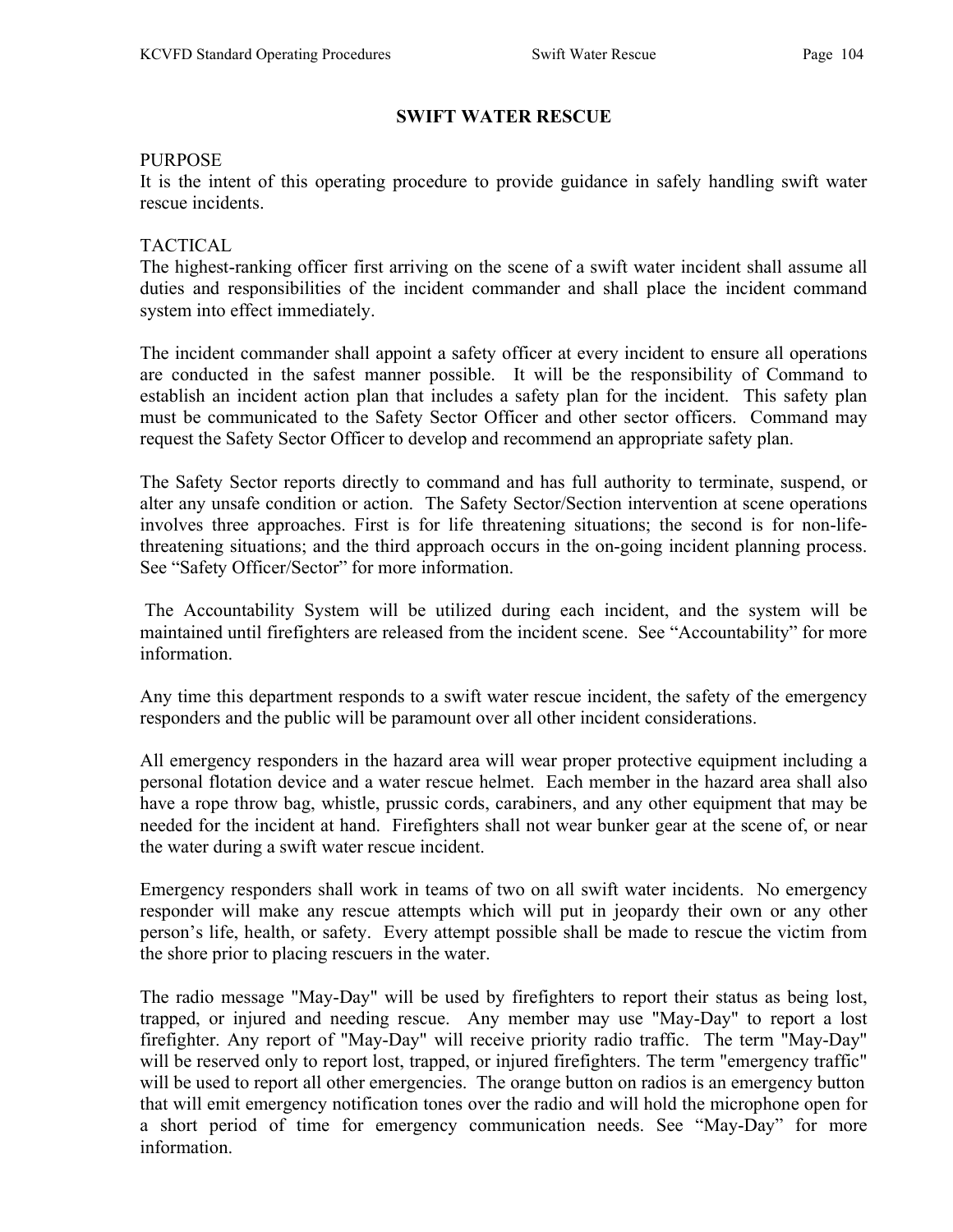# SWIFT WATER RESCUE

#### PURPOSE

It is the intent of this operating procedure to provide guidance in safely handling swift water rescue incidents.

### TACTICAL

The highest-ranking officer first arriving on the scene of a swift water incident shall assume all duties and responsibilities of the incident commander and shall place the incident command system into effect immediately.

The incident commander shall appoint a safety officer at every incident to ensure all operations are conducted in the safest manner possible. It will be the responsibility of Command to establish an incident action plan that includes a safety plan for the incident. This safety plan must be communicated to the Safety Sector Officer and other sector officers. Command may request the Safety Sector Officer to develop and recommend an appropriate safety plan.

The Safety Sector reports directly to command and has full authority to terminate, suspend, or alter any unsafe condition or action. The Safety Sector/Section intervention at scene operations involves three approaches. First is for life threatening situations; the second is for non-lifethreatening situations; and the third approach occurs in the on-going incident planning process. See "Safety Officer/Sector" for more information.

 The Accountability System will be utilized during each incident, and the system will be maintained until firefighters are released from the incident scene. See "Accountability" for more information.

Any time this department responds to a swift water rescue incident, the safety of the emergency responders and the public will be paramount over all other incident considerations.

All emergency responders in the hazard area will wear proper protective equipment including a personal flotation device and a water rescue helmet. Each member in the hazard area shall also have a rope throw bag, whistle, prussic cords, carabiners, and any other equipment that may be needed for the incident at hand. Firefighters shall not wear bunker gear at the scene of, or near the water during a swift water rescue incident.

Emergency responders shall work in teams of two on all swift water incidents. No emergency responder will make any rescue attempts which will put in jeopardy their own or any other person's life, health, or safety. Every attempt possible shall be made to rescue the victim from the shore prior to placing rescuers in the water.

The radio message "May-Day" will be used by firefighters to report their status as being lost, trapped, or injured and needing rescue. Any member may use "May-Day" to report a lost firefighter. Any report of "May-Day" will receive priority radio traffic. The term "May-Day" will be reserved only to report lost, trapped, or injured firefighters. The term "emergency traffic" will be used to report all other emergencies. The orange button on radios is an emergency button that will emit emergency notification tones over the radio and will hold the microphone open for a short period of time for emergency communication needs. See "May-Day" for more information.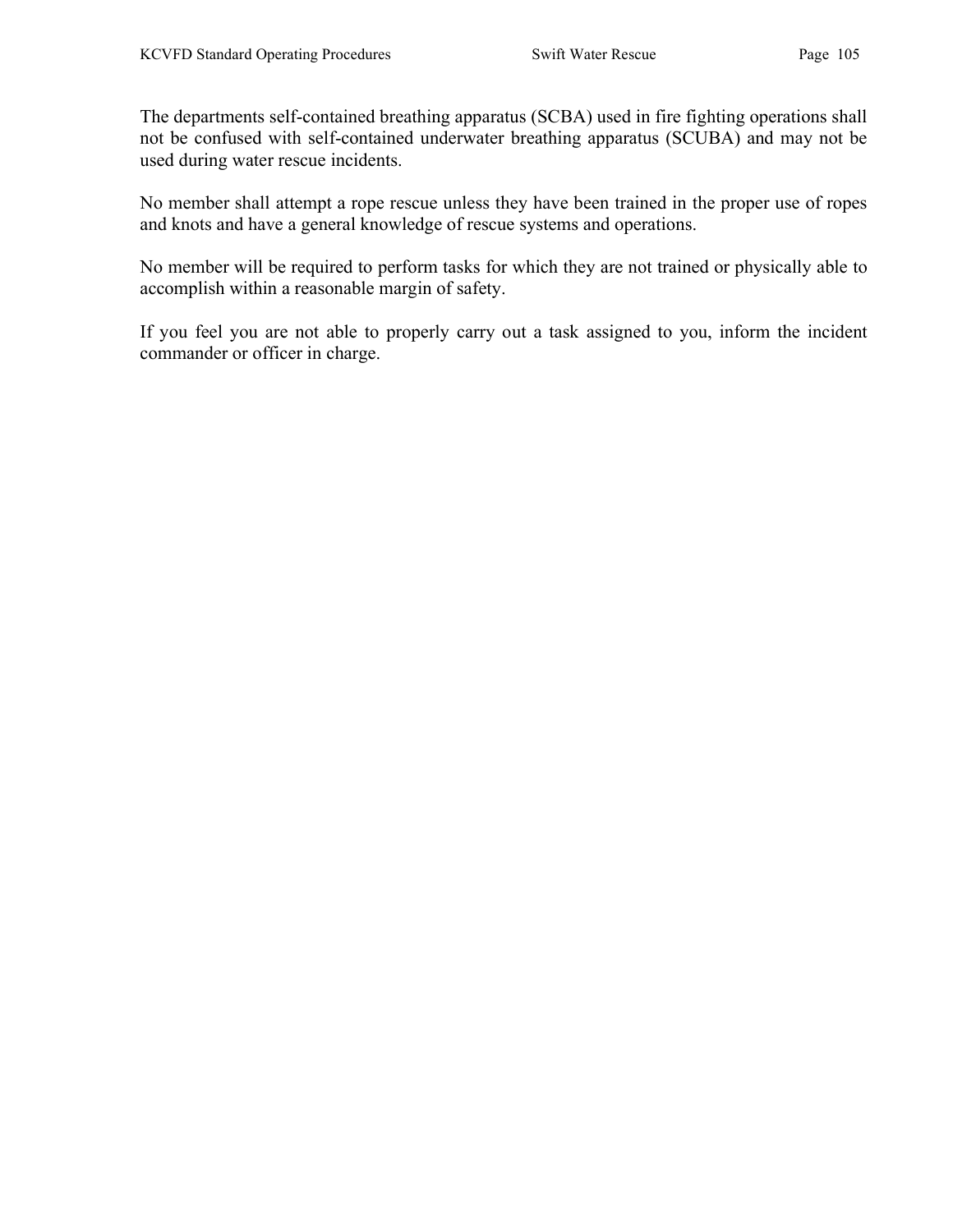The departments self-contained breathing apparatus (SCBA) used in fire fighting operations shall not be confused with self-contained underwater breathing apparatus (SCUBA) and may not be used during water rescue incidents.

No member shall attempt a rope rescue unless they have been trained in the proper use of ropes and knots and have a general knowledge of rescue systems and operations.

No member will be required to perform tasks for which they are not trained or physically able to accomplish within a reasonable margin of safety.

If you feel you are not able to properly carry out a task assigned to you, inform the incident commander or officer in charge.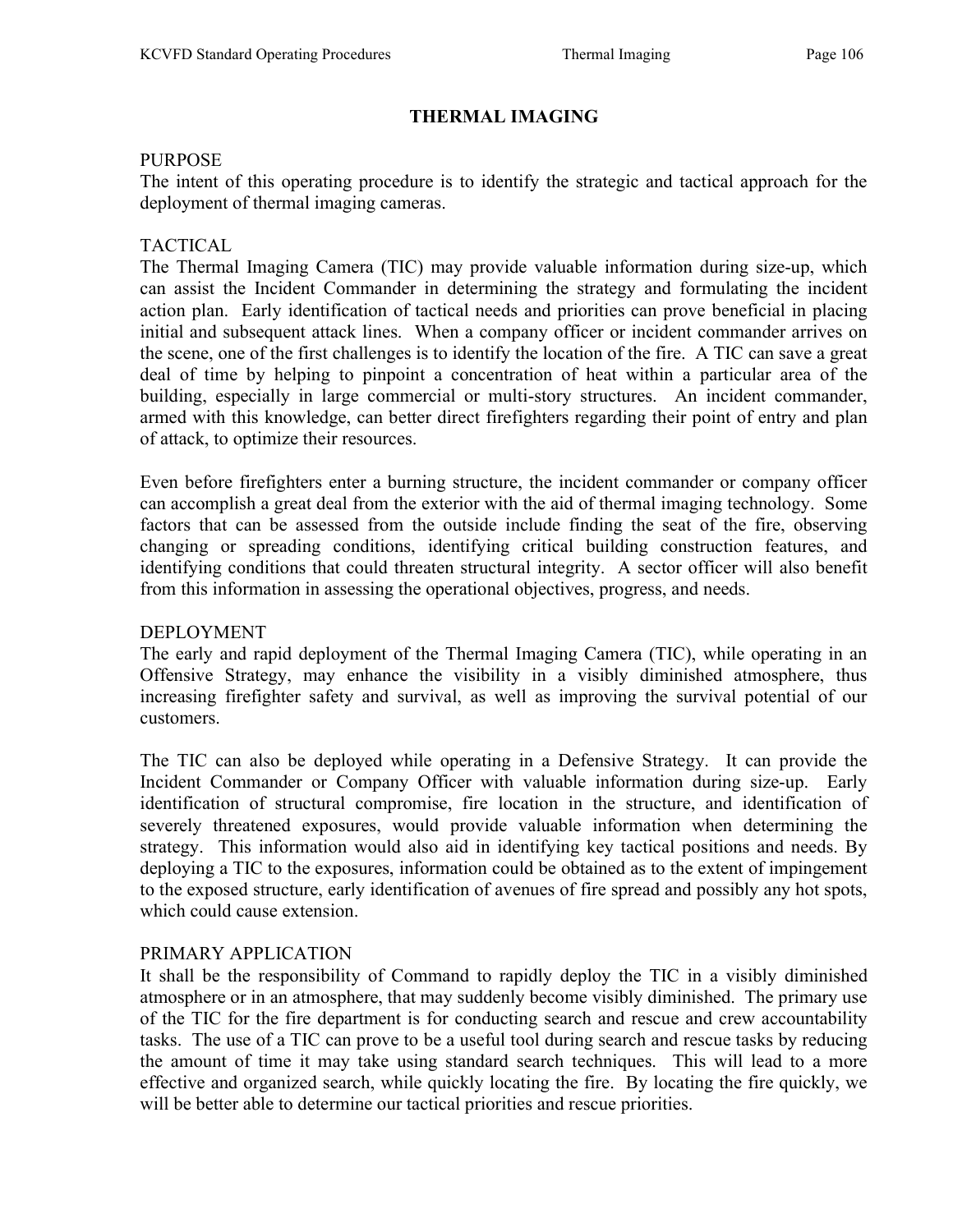# THERMAL IMAGING

#### PURPOSE

The intent of this operating procedure is to identify the strategic and tactical approach for the deployment of thermal imaging cameras.

# TACTICAL

The Thermal Imaging Camera (TIC) may provide valuable information during size-up, which can assist the Incident Commander in determining the strategy and formulating the incident action plan. Early identification of tactical needs and priorities can prove beneficial in placing initial and subsequent attack lines. When a company officer or incident commander arrives on the scene, one of the first challenges is to identify the location of the fire. A TIC can save a great deal of time by helping to pinpoint a concentration of heat within a particular area of the building, especially in large commercial or multi-story structures. An incident commander, armed with this knowledge, can better direct firefighters regarding their point of entry and plan of attack, to optimize their resources.

Even before firefighters enter a burning structure, the incident commander or company officer can accomplish a great deal from the exterior with the aid of thermal imaging technology. Some factors that can be assessed from the outside include finding the seat of the fire, observing changing or spreading conditions, identifying critical building construction features, and identifying conditions that could threaten structural integrity. A sector officer will also benefit from this information in assessing the operational objectives, progress, and needs.

#### DEPLOYMENT

The early and rapid deployment of the Thermal Imaging Camera (TIC), while operating in an Offensive Strategy, may enhance the visibility in a visibly diminished atmosphere, thus increasing firefighter safety and survival, as well as improving the survival potential of our customers.

The TIC can also be deployed while operating in a Defensive Strategy. It can provide the Incident Commander or Company Officer with valuable information during size-up. Early identification of structural compromise, fire location in the structure, and identification of severely threatened exposures, would provide valuable information when determining the strategy. This information would also aid in identifying key tactical positions and needs. By deploying a TIC to the exposures, information could be obtained as to the extent of impingement to the exposed structure, early identification of avenues of fire spread and possibly any hot spots, which could cause extension.

#### PRIMARY APPLICATION

It shall be the responsibility of Command to rapidly deploy the TIC in a visibly diminished atmosphere or in an atmosphere, that may suddenly become visibly diminished. The primary use of the TIC for the fire department is for conducting search and rescue and crew accountability tasks. The use of a TIC can prove to be a useful tool during search and rescue tasks by reducing the amount of time it may take using standard search techniques. This will lead to a more effective and organized search, while quickly locating the fire. By locating the fire quickly, we will be better able to determine our tactical priorities and rescue priorities.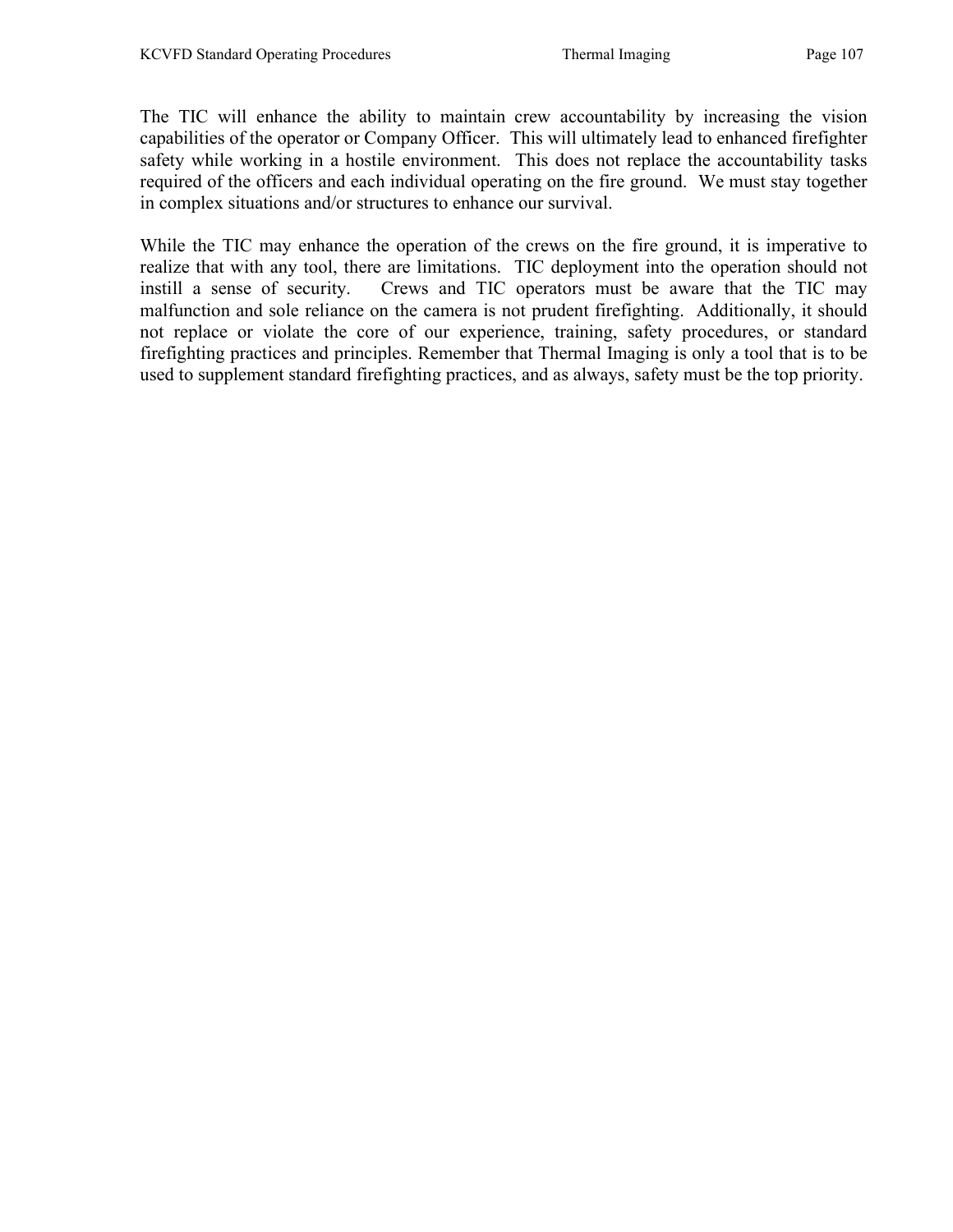The TIC will enhance the ability to maintain crew accountability by increasing the vision capabilities of the operator or Company Officer. This will ultimately lead to enhanced firefighter safety while working in a hostile environment. This does not replace the accountability tasks required of the officers and each individual operating on the fire ground. We must stay together in complex situations and/or structures to enhance our survival.

While the TIC may enhance the operation of the crews on the fire ground, it is imperative to realize that with any tool, there are limitations. TIC deployment into the operation should not instill a sense of security. Crews and TIC operators must be aware that the TIC may malfunction and sole reliance on the camera is not prudent firefighting. Additionally, it should not replace or violate the core of our experience, training, safety procedures, or standard firefighting practices and principles. Remember that Thermal Imaging is only a tool that is to be used to supplement standard firefighting practices, and as always, safety must be the top priority.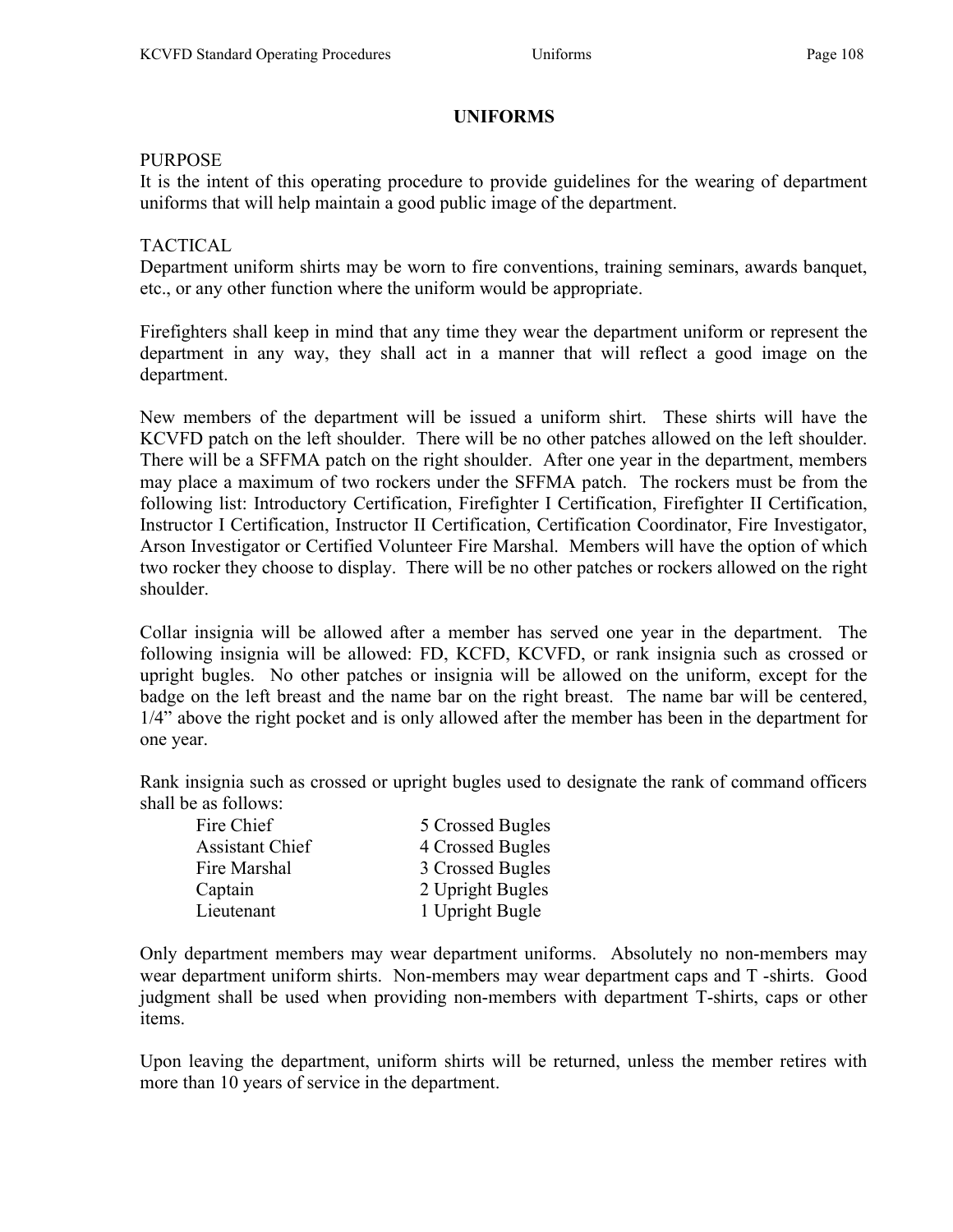# UNIFORMS

### PURPOSE

It is the intent of this operating procedure to provide guidelines for the wearing of department uniforms that will help maintain a good public image of the department.

# TACTICAL

Department uniform shirts may be worn to fire conventions, training seminars, awards banquet, etc., or any other function where the uniform would be appropriate.

Firefighters shall keep in mind that any time they wear the department uniform or represent the department in any way, they shall act in a manner that will reflect a good image on the department.

New members of the department will be issued a uniform shirt. These shirts will have the KCVFD patch on the left shoulder. There will be no other patches allowed on the left shoulder. There will be a SFFMA patch on the right shoulder. After one year in the department, members may place a maximum of two rockers under the SFFMA patch. The rockers must be from the following list: Introductory Certification, Firefighter I Certification, Firefighter II Certification, Instructor I Certification, Instructor II Certification, Certification Coordinator, Fire Investigator, Arson Investigator or Certified Volunteer Fire Marshal. Members will have the option of which two rocker they choose to display. There will be no other patches or rockers allowed on the right shoulder.

Collar insignia will be allowed after a member has served one year in the department. The following insignia will be allowed: FD, KCFD, KCVFD, or rank insignia such as crossed or upright bugles. No other patches or insignia will be allowed on the uniform, except for the badge on the left breast and the name bar on the right breast. The name bar will be centered, 1/4" above the right pocket and is only allowed after the member has been in the department for one year.

Rank insignia such as crossed or upright bugles used to designate the rank of command officers shall be as follows:

| Fire Chief             | 5 Crossed Bugles |
|------------------------|------------------|
| <b>Assistant Chief</b> | 4 Crossed Bugles |
| Fire Marshal           | 3 Crossed Bugles |
| Captain                | 2 Upright Bugles |
| Lieutenant             | 1 Upright Bugle  |

Only department members may wear department uniforms. Absolutely no non-members may wear department uniform shirts. Non-members may wear department caps and T -shirts. Good judgment shall be used when providing non-members with department T-shirts, caps or other items.

Upon leaving the department, uniform shirts will be returned, unless the member retires with more than 10 years of service in the department.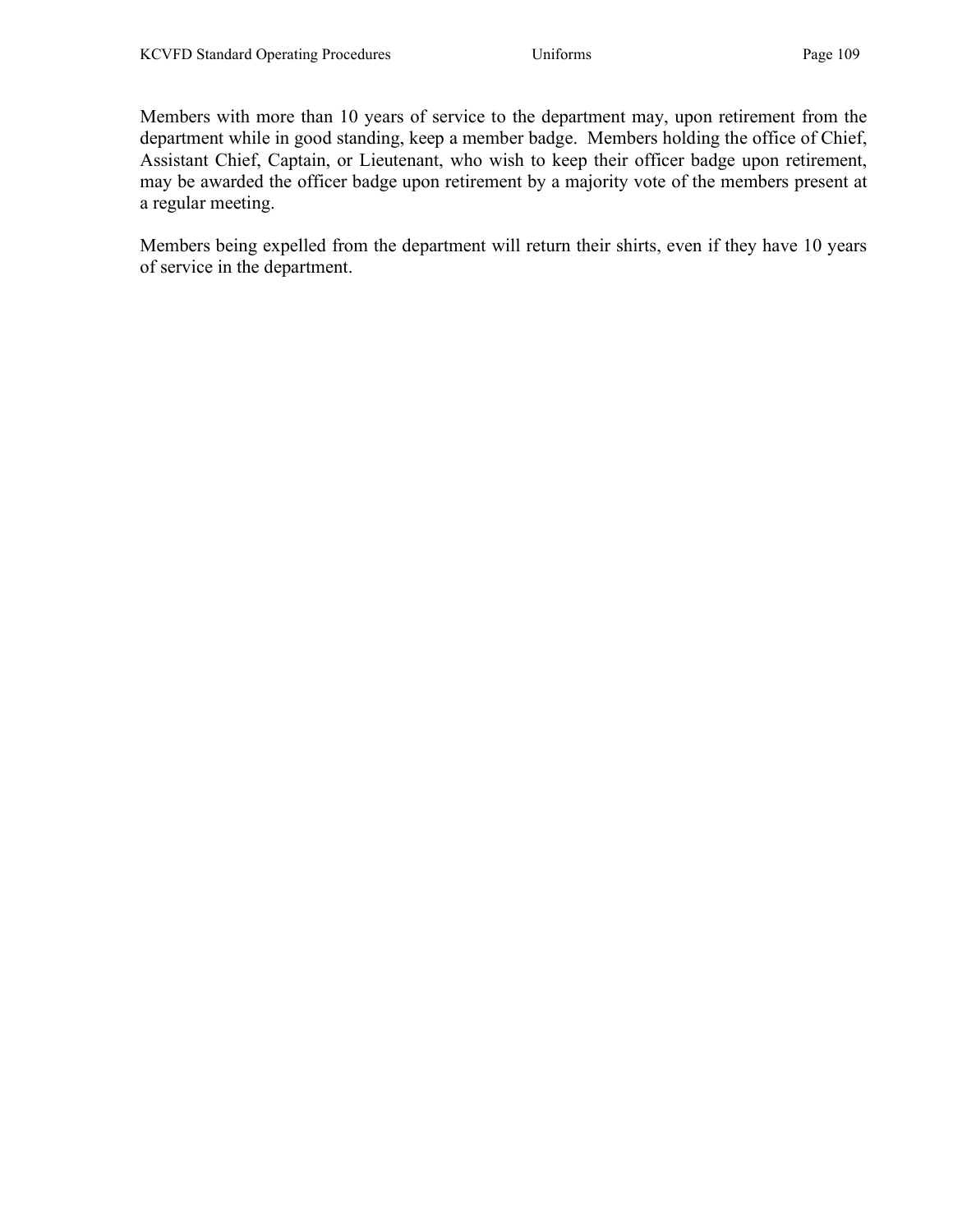Members with more than 10 years of service to the department may, upon retirement from the department while in good standing, keep a member badge. Members holding the office of Chief, Assistant Chief, Captain, or Lieutenant, who wish to keep their officer badge upon retirement, may be awarded the officer badge upon retirement by a majority vote of the members present at a regular meeting.

Members being expelled from the department will return their shirts, even if they have 10 years of service in the department.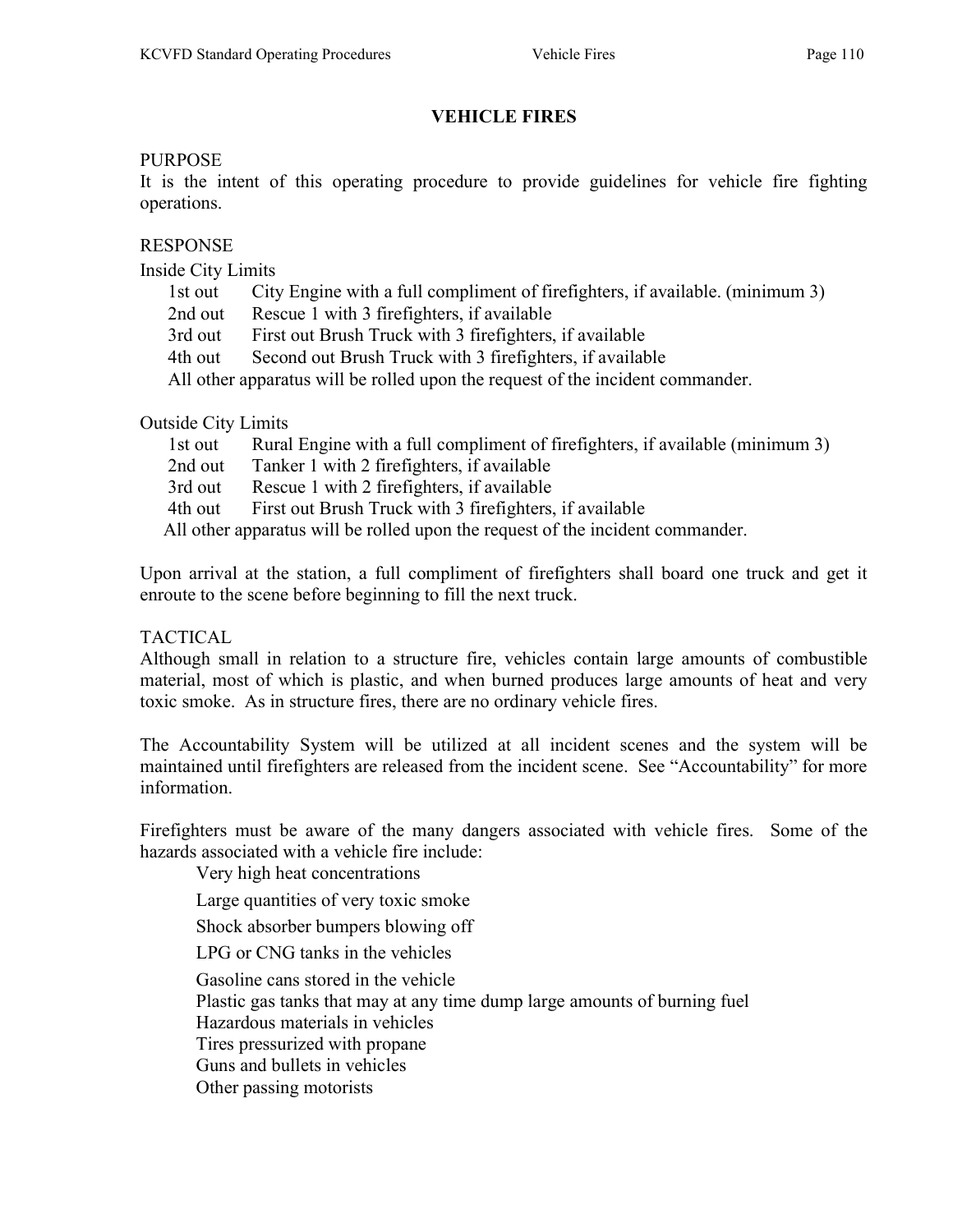# VEHICLE FIRES

#### PURPOSE

It is the intent of this operating procedure to provide guidelines for vehicle fire fighting operations.

## RESPONSE

Inside City Limits

| $m$ side $C_{H}$ ity Limius                                                    |         |                                                                               |
|--------------------------------------------------------------------------------|---------|-------------------------------------------------------------------------------|
|                                                                                | 1st out | City Engine with a full compliment of firefighters, if available. (minimum 3) |
|                                                                                | 2nd out | Rescue 1 with 3 firefighters, if available                                    |
|                                                                                | 3rd out | First out Brush Truck with 3 firefighters, if available                       |
|                                                                                | 4th out | Second out Brush Truck with 3 firefighters, if available                      |
| All other apparatus will be rolled upon the request of the incident commander. |         |                                                                               |
|                                                                                |         |                                                                               |

#### Outside City Limits

| lst out                                                                        | Rural Engine with a full compliment of firefighters, if available (minimum 3) |  |
|--------------------------------------------------------------------------------|-------------------------------------------------------------------------------|--|
| 2nd out                                                                        | Tanker 1 with 2 firefighters, if available                                    |  |
| 3rd out                                                                        | Rescue 1 with 2 firefighters, if available                                    |  |
| 4th out                                                                        | First out Brush Truck with 3 firefighters, if available                       |  |
| All other apparatus will be rolled upon the request of the incident commander. |                                                                               |  |

Upon arrival at the station, a full compliment of firefighters shall board one truck and get it enroute to the scene before beginning to fill the next truck.

## TACTICAL

Although small in relation to a structure fire, vehicles contain large amounts of combustible material, most of which is plastic, and when burned produces large amounts of heat and very toxic smoke. As in structure fires, there are no ordinary vehicle fires.

The Accountability System will be utilized at all incident scenes and the system will be maintained until firefighters are released from the incident scene. See "Accountability" for more information.

Firefighters must be aware of the many dangers associated with vehicle fires. Some of the hazards associated with a vehicle fire include:

Very high heat concentrations

Large quantities of very toxic smoke

Shock absorber bumpers blowing off

LPG or CNG tanks in the vehicles

Gasoline cans stored in the vehicle

Plastic gas tanks that may at any time dump large amounts of burning fuel

Hazardous materials in vehicles

Tires pressurized with propane

Guns and bullets in vehicles

Other passing motorists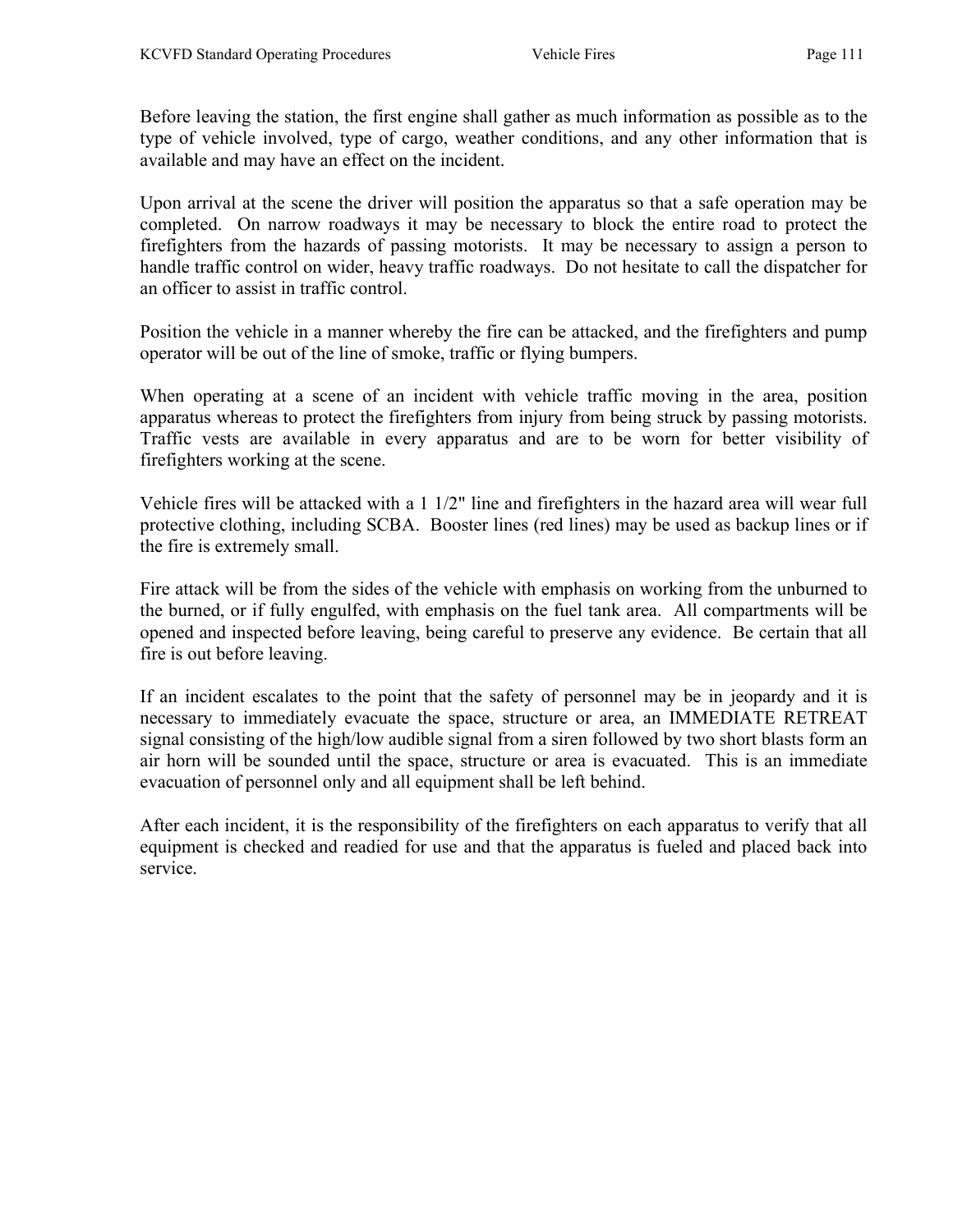Before leaving the station, the first engine shall gather as much information as possible as to the type of vehicle involved, type of cargo, weather conditions, and any other information that is available and may have an effect on the incident.

Upon arrival at the scene the driver will position the apparatus so that a safe operation may be completed. On narrow roadways it may be necessary to block the entire road to protect the firefighters from the hazards of passing motorists. It may be necessary to assign a person to handle traffic control on wider, heavy traffic roadways. Do not hesitate to call the dispatcher for an officer to assist in traffic control.

Position the vehicle in a manner whereby the fire can be attacked, and the firefighters and pump operator will be out of the line of smoke, traffic or flying bumpers.

When operating at a scene of an incident with vehicle traffic moving in the area, position apparatus whereas to protect the firefighters from injury from being struck by passing motorists. Traffic vests are available in every apparatus and are to be worn for better visibility of firefighters working at the scene.

Vehicle fires will be attacked with a 1 1/2" line and firefighters in the hazard area will wear full protective clothing, including SCBA. Booster lines (red lines) may be used as backup lines or if the fire is extremely small.

Fire attack will be from the sides of the vehicle with emphasis on working from the unburned to the burned, or if fully engulfed, with emphasis on the fuel tank area. All compartments will be opened and inspected before leaving, being careful to preserve any evidence. Be certain that all fire is out before leaving.

If an incident escalates to the point that the safety of personnel may be in jeopardy and it is necessary to immediately evacuate the space, structure or area, an IMMEDIATE RETREAT signal consisting of the high/low audible signal from a siren followed by two short blasts form an air horn will be sounded until the space, structure or area is evacuated. This is an immediate evacuation of personnel only and all equipment shall be left behind.

After each incident, it is the responsibility of the firefighters on each apparatus to verify that all equipment is checked and readied for use and that the apparatus is fueled and placed back into service.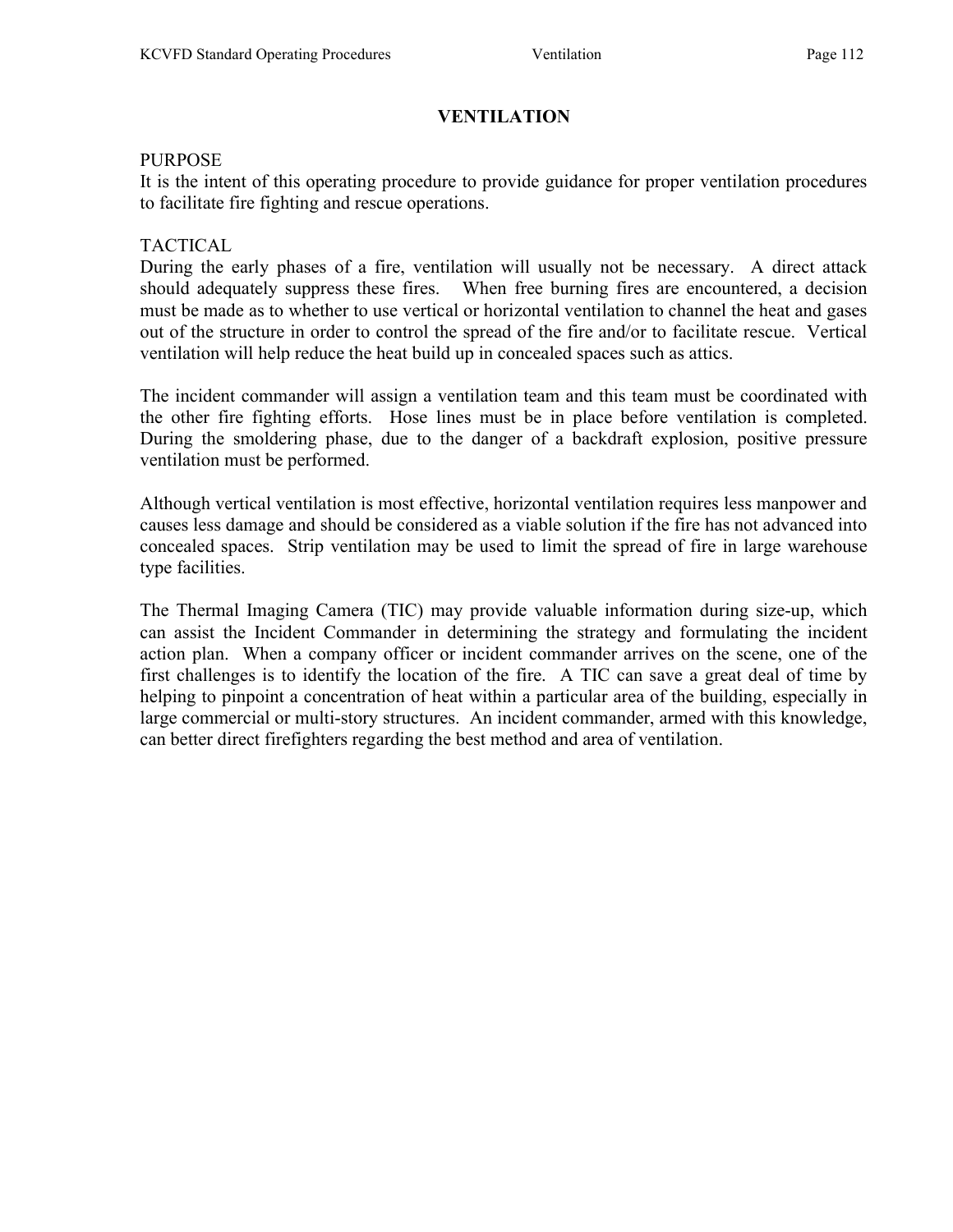# VENTILATION

## PURPOSE

It is the intent of this operating procedure to provide guidance for proper ventilation procedures to facilitate fire fighting and rescue operations.

## TACTICAL

During the early phases of a fire, ventilation will usually not be necessary. A direct attack should adequately suppress these fires. When free burning fires are encountered, a decision must be made as to whether to use vertical or horizontal ventilation to channel the heat and gases out of the structure in order to control the spread of the fire and/or to facilitate rescue. Vertical ventilation will help reduce the heat build up in concealed spaces such as attics.

The incident commander will assign a ventilation team and this team must be coordinated with the other fire fighting efforts. Hose lines must be in place before ventilation is completed. During the smoldering phase, due to the danger of a backdraft explosion, positive pressure ventilation must be performed.

Although vertical ventilation is most effective, horizontal ventilation requires less manpower and causes less damage and should be considered as a viable solution if the fire has not advanced into concealed spaces. Strip ventilation may be used to limit the spread of fire in large warehouse type facilities.

The Thermal Imaging Camera (TIC) may provide valuable information during size-up, which can assist the Incident Commander in determining the strategy and formulating the incident action plan. When a company officer or incident commander arrives on the scene, one of the first challenges is to identify the location of the fire. A TIC can save a great deal of time by helping to pinpoint a concentration of heat within a particular area of the building, especially in large commercial or multi-story structures. An incident commander, armed with this knowledge, can better direct firefighters regarding the best method and area of ventilation.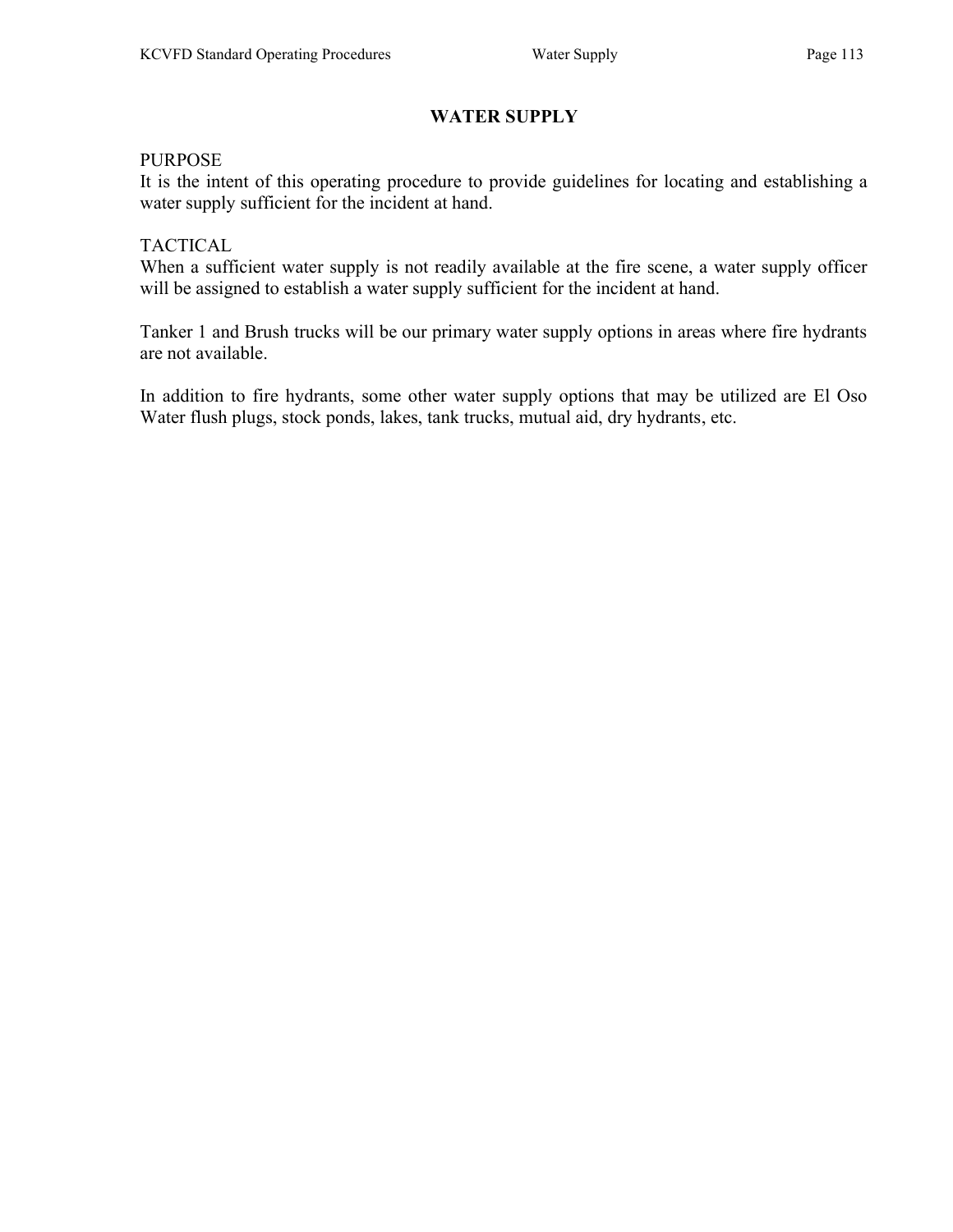# WATER SUPPLY

## PURPOSE

It is the intent of this operating procedure to provide guidelines for locating and establishing a water supply sufficient for the incident at hand.

## **TACTICAL**

When a sufficient water supply is not readily available at the fire scene, a water supply officer will be assigned to establish a water supply sufficient for the incident at hand.

Tanker 1 and Brush trucks will be our primary water supply options in areas where fire hydrants are not available.

In addition to fire hydrants, some other water supply options that may be utilized are El Oso Water flush plugs, stock ponds, lakes, tank trucks, mutual aid, dry hydrants, etc.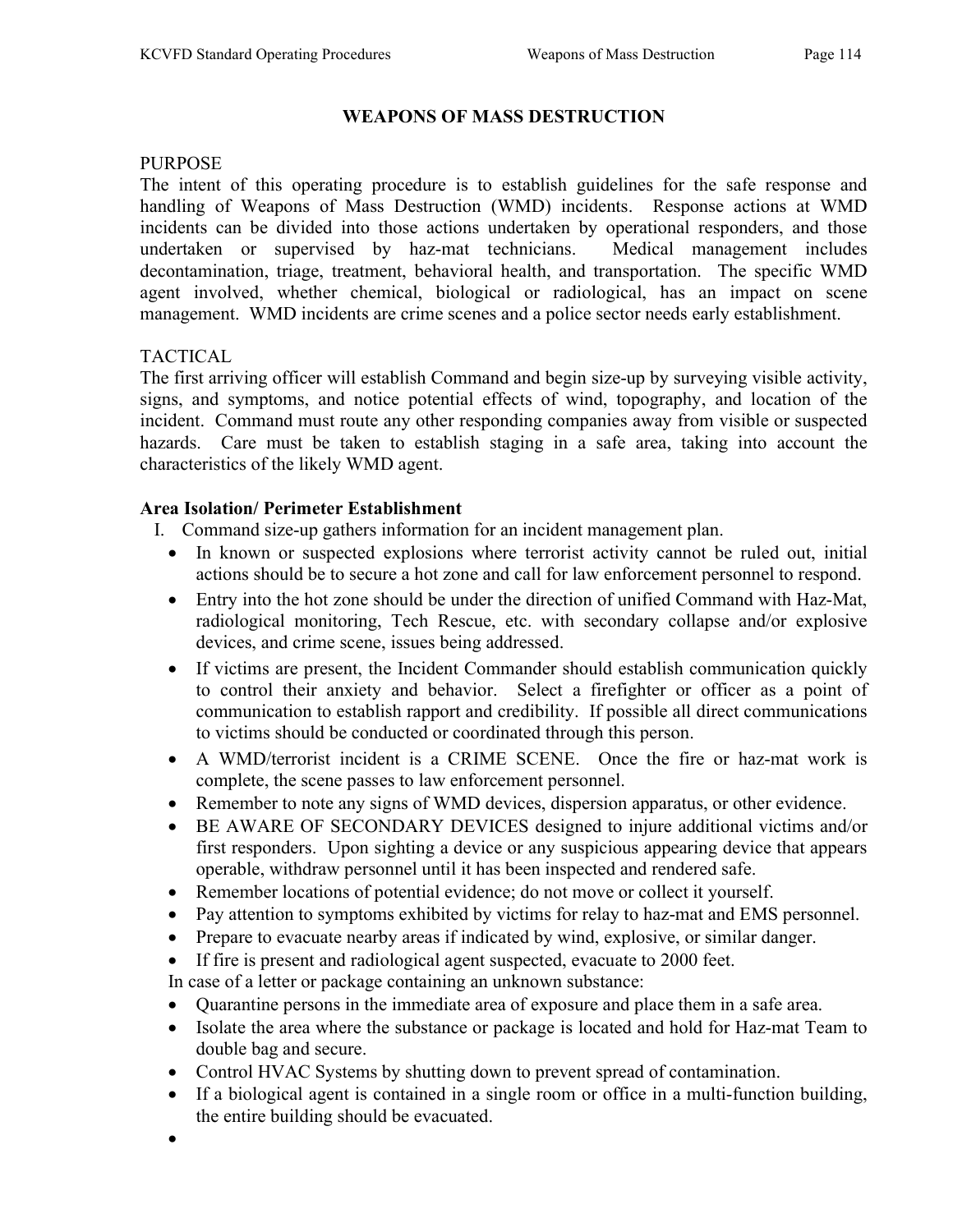## WEAPONS OF MASS DESTRUCTION

#### PURPOSE

The intent of this operating procedure is to establish guidelines for the safe response and handling of Weapons of Mass Destruction (WMD) incidents. Response actions at WMD incidents can be divided into those actions undertaken by operational responders, and those undertaken or supervised by haz-mat technicians. Medical management includes decontamination, triage, treatment, behavioral health, and transportation. The specific WMD agent involved, whether chemical, biological or radiological, has an impact on scene management. WMD incidents are crime scenes and a police sector needs early establishment.

## TACTICAL

The first arriving officer will establish Command and begin size-up by surveying visible activity, signs, and symptoms, and notice potential effects of wind, topography, and location of the incident. Command must route any other responding companies away from visible or suspected hazards. Care must be taken to establish staging in a safe area, taking into account the characteristics of the likely WMD agent.

## Area Isolation/ Perimeter Establishment

- I. Command size-up gathers information for an incident management plan.
	- In known or suspected explosions where terrorist activity cannot be ruled out, initial actions should be to secure a hot zone and call for law enforcement personnel to respond.
	- Entry into the hot zone should be under the direction of unified Command with Haz-Mat, radiological monitoring, Tech Rescue, etc. with secondary collapse and/or explosive devices, and crime scene, issues being addressed.
	- If victims are present, the Incident Commander should establish communication quickly to control their anxiety and behavior. Select a firefighter or officer as a point of communication to establish rapport and credibility. If possible all direct communications to victims should be conducted or coordinated through this person.
	- A WMD/terrorist incident is a CRIME SCENE. Once the fire or haz-mat work is complete, the scene passes to law enforcement personnel.
	- Remember to note any signs of WMD devices, dispersion apparatus, or other evidence.
	- BE AWARE OF SECONDARY DEVICES designed to injure additional victims and/or first responders. Upon sighting a device or any suspicious appearing device that appears operable, withdraw personnel until it has been inspected and rendered safe.
	- Remember locations of potential evidence; do not move or collect it yourself.
	- Pay attention to symptoms exhibited by victims for relay to haz-mat and EMS personnel.
	- Prepare to evacuate nearby areas if indicated by wind, explosive, or similar danger.
	- If fire is present and radiological agent suspected, evacuate to 2000 feet.

In case of a letter or package containing an unknown substance:

- Quarantine persons in the immediate area of exposure and place them in a safe area.
- Isolate the area where the substance or package is located and hold for Haz-mat Team to double bag and secure.
- Control HVAC Systems by shutting down to prevent spread of contamination.
- If a biological agent is contained in a single room or office in a multi-function building, the entire building should be evacuated.
- $\bullet$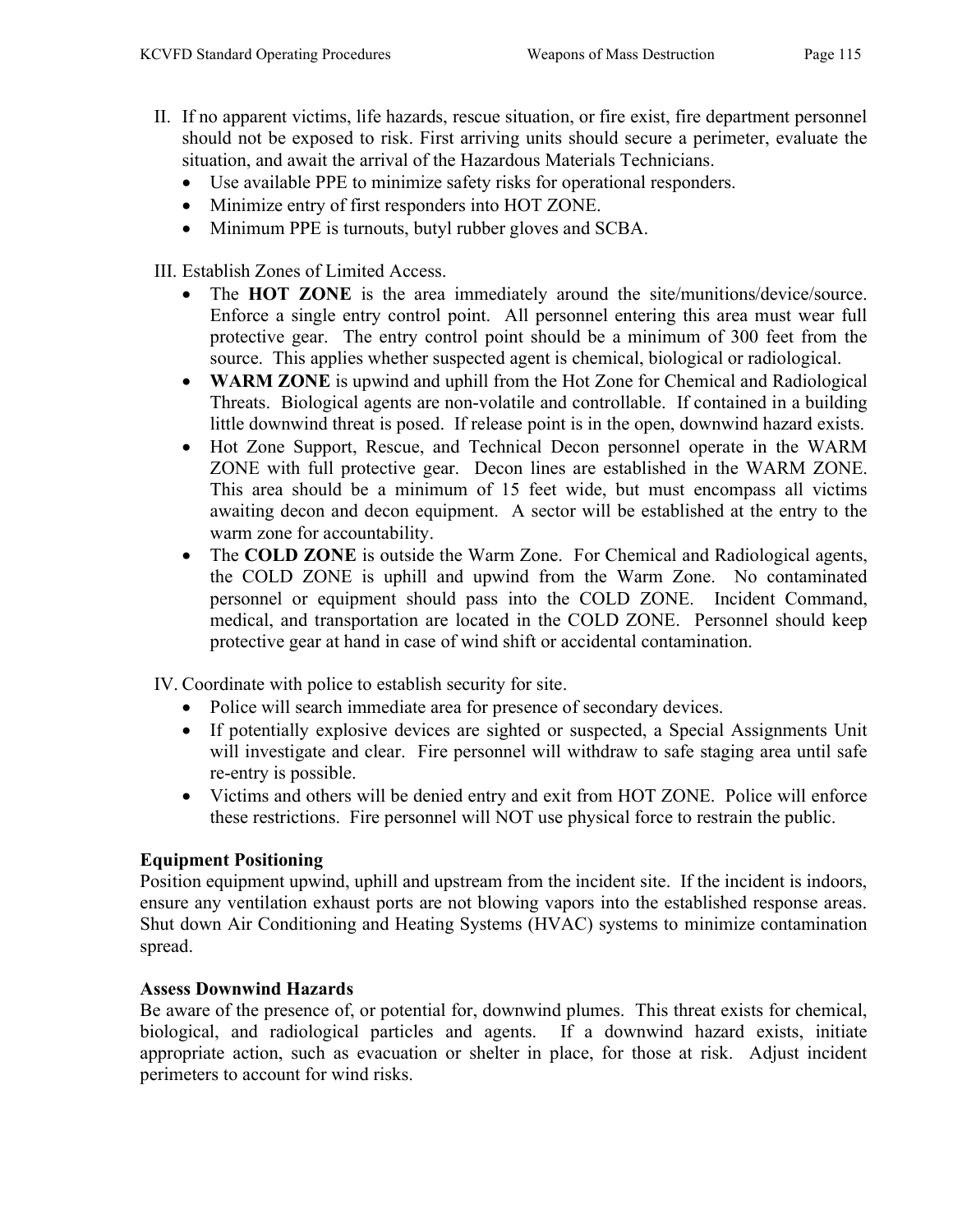- II. If no apparent victims, life hazards, rescue situation, or fire exist, fire department personnel should not be exposed to risk. First arriving units should secure a perimeter, evaluate the situation, and await the arrival of the Hazardous Materials Technicians.
	- Use available PPE to minimize safety risks for operational responders.
	- Minimize entry of first responders into HOT ZONE.
	- Minimum PPE is turnouts, butyl rubber gloves and SCBA.

III. Establish Zones of Limited Access.

- The HOT ZONE is the area immediately around the site/munitions/device/source. Enforce a single entry control point. All personnel entering this area must wear full protective gear. The entry control point should be a minimum of 300 feet from the source. This applies whether suspected agent is chemical, biological or radiological.
- WARM ZONE is upwind and uphill from the Hot Zone for Chemical and Radiological Threats. Biological agents are non-volatile and controllable. If contained in a building little downwind threat is posed. If release point is in the open, downwind hazard exists.
- Hot Zone Support, Rescue, and Technical Decon personnel operate in the WARM ZONE with full protective gear. Decon lines are established in the WARM ZONE. This area should be a minimum of 15 feet wide, but must encompass all victims awaiting decon and decon equipment. A sector will be established at the entry to the warm zone for accountability.
- The COLD ZONE is outside the Warm Zone. For Chemical and Radiological agents, the COLD ZONE is uphill and upwind from the Warm Zone. No contaminated personnel or equipment should pass into the COLD ZONE. Incident Command, medical, and transportation are located in the COLD ZONE. Personnel should keep protective gear at hand in case of wind shift or accidental contamination.

IV. Coordinate with police to establish security for site.

- Police will search immediate area for presence of secondary devices.
- If potentially explosive devices are sighted or suspected, a Special Assignments Unit will investigate and clear. Fire personnel will withdraw to safe staging area until safe re-entry is possible.
- Victims and others will be denied entry and exit from HOT ZONE. Police will enforce these restrictions. Fire personnel will NOT use physical force to restrain the public.

## Equipment Positioning

Position equipment upwind, uphill and upstream from the incident site. If the incident is indoors, ensure any ventilation exhaust ports are not blowing vapors into the established response areas. Shut down Air Conditioning and Heating Systems (HVAC) systems to minimize contamination spread.

## Assess Downwind Hazards

Be aware of the presence of, or potential for, downwind plumes. This threat exists for chemical, biological, and radiological particles and agents. If a downwind hazard exists, initiate appropriate action, such as evacuation or shelter in place, for those at risk. Adjust incident perimeters to account for wind risks.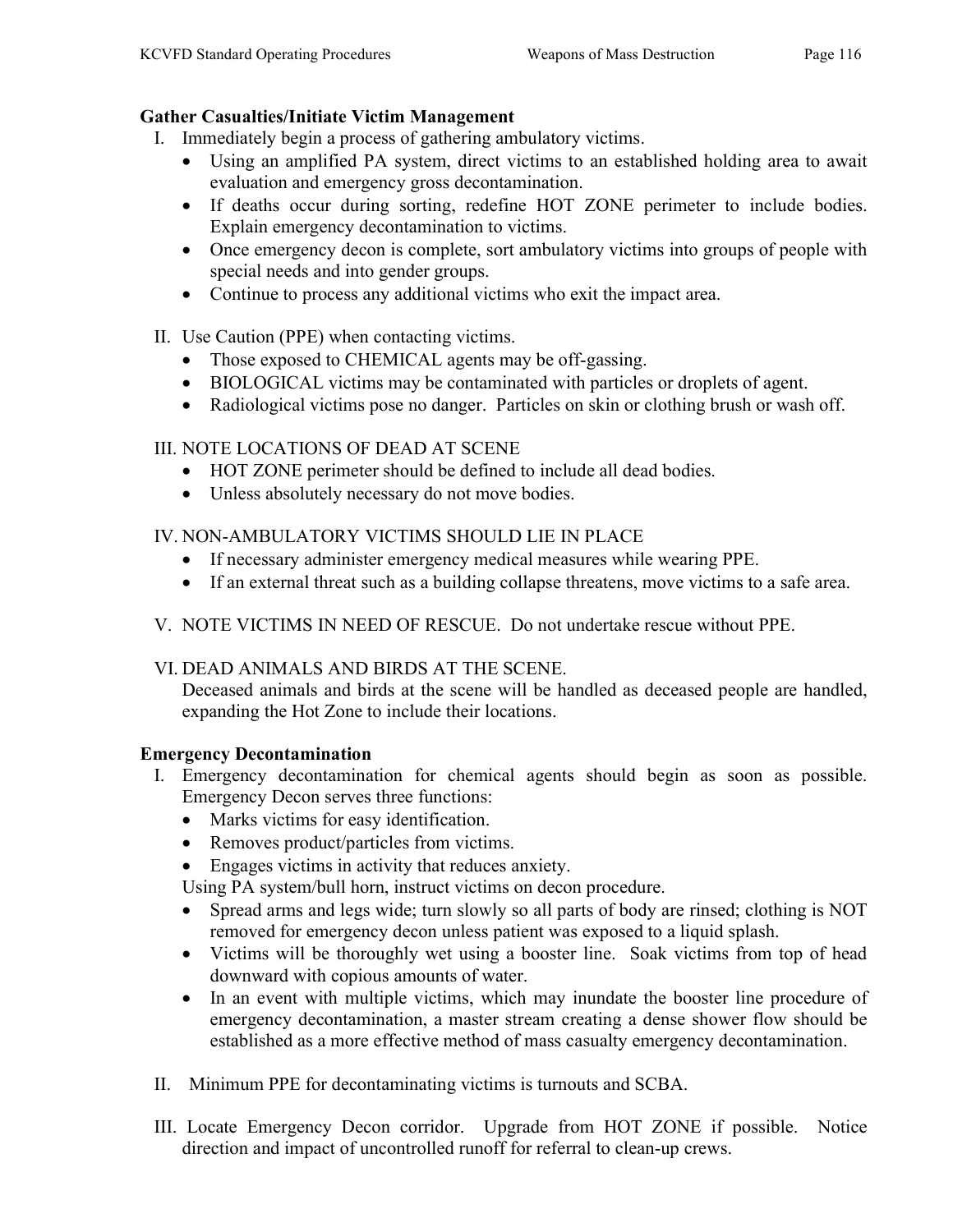## Gather Casualties/Initiate Victim Management

- I. Immediately begin a process of gathering ambulatory victims.
	- Using an amplified PA system, direct victims to an established holding area to await evaluation and emergency gross decontamination.
	- If deaths occur during sorting, redefine HOT ZONE perimeter to include bodies. Explain emergency decontamination to victims.
	- Once emergency decon is complete, sort ambulatory victims into groups of people with special needs and into gender groups.
	- Continue to process any additional victims who exit the impact area.
- II. Use Caution (PPE) when contacting victims.
	- Those exposed to CHEMICAL agents may be off-gassing.
	- BIOLOGICAL victims may be contaminated with particles or droplets of agent.
	- Radiological victims pose no danger. Particles on skin or clothing brush or wash off.

## III. NOTE LOCATIONS OF DEAD AT SCENE

- HOT ZONE perimeter should be defined to include all dead bodies.
- Unless absolutely necessary do not move bodies.

## IV. NON-AMBULATORY VICTIMS SHOULD LIE IN PLACE

- If necessary administer emergency medical measures while wearing PPE.
- If an external threat such as a building collapse threatens, move victims to a safe area.
- V. NOTE VICTIMS IN NEED OF RESCUE. Do not undertake rescue without PPE.

## VI. DEAD ANIMALS AND BIRDS AT THE SCENE.

Deceased animals and birds at the scene will be handled as deceased people are handled, expanding the Hot Zone to include their locations.

## Emergency Decontamination

- I. Emergency decontamination for chemical agents should begin as soon as possible. Emergency Decon serves three functions:
	- Marks victims for easy identification.
	- Removes product/particles from victims.
	- Engages victims in activity that reduces anxiety.

Using PA system/bull horn, instruct victims on decon procedure.

- Spread arms and legs wide; turn slowly so all parts of body are rinsed; clothing is NOT removed for emergency decon unless patient was exposed to a liquid splash.
- Victims will be thoroughly wet using a booster line. Soak victims from top of head downward with copious amounts of water.
- In an event with multiple victims, which may inundate the booster line procedure of emergency decontamination, a master stream creating a dense shower flow should be established as a more effective method of mass casualty emergency decontamination.
- II. Minimum PPE for decontaminating victims is turnouts and SCBA.
- III. Locate Emergency Decon corridor. Upgrade from HOT ZONE if possible. Notice direction and impact of uncontrolled runoff for referral to clean-up crews.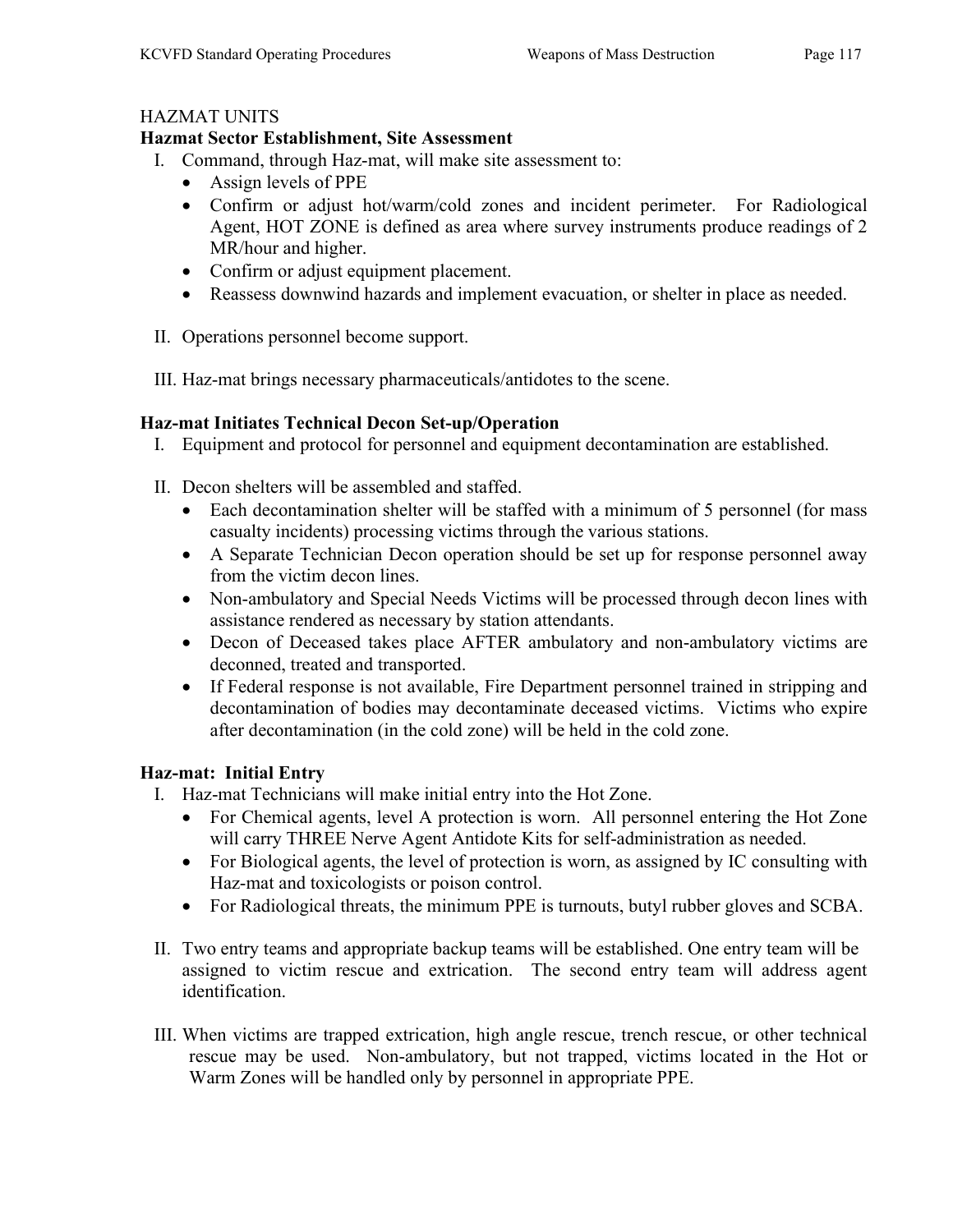## HAZMAT UNITS

## Hazmat Sector Establishment, Site Assessment

- I. Command, through Haz-mat, will make site assessment to:
	- Assign levels of PPE
	- Confirm or adjust hot/warm/cold zones and incident perimeter. For Radiological Agent, HOT ZONE is defined as area where survey instruments produce readings of 2 MR/hour and higher.
	- Confirm or adjust equipment placement.
	- Reassess downwind hazards and implement evacuation, or shelter in place as needed.
- II. Operations personnel become support.
- III. Haz-mat brings necessary pharmaceuticals/antidotes to the scene.

## Haz-mat Initiates Technical Decon Set-up/Operation

- I. Equipment and protocol for personnel and equipment decontamination are established.
- II. Decon shelters will be assembled and staffed.
	- Each decontamination shelter will be staffed with a minimum of 5 personnel (for mass casualty incidents) processing victims through the various stations.
	- A Separate Technician Decon operation should be set up for response personnel away from the victim decon lines.
	- Non-ambulatory and Special Needs Victims will be processed through decon lines with assistance rendered as necessary by station attendants.
	- Decon of Deceased takes place AFTER ambulatory and non-ambulatory victims are deconned, treated and transported.
	- If Federal response is not available, Fire Department personnel trained in stripping and decontamination of bodies may decontaminate deceased victims. Victims who expire after decontamination (in the cold zone) will be held in the cold zone.

## Haz-mat: Initial Entry

- I. Haz-mat Technicians will make initial entry into the Hot Zone.
	- For Chemical agents, level A protection is worn. All personnel entering the Hot Zone will carry THREE Nerve Agent Antidote Kits for self-administration as needed.
	- For Biological agents, the level of protection is worn, as assigned by IC consulting with Haz-mat and toxicologists or poison control.
	- For Radiological threats, the minimum PPE is turnouts, butyl rubber gloves and SCBA.
- II. Two entry teams and appropriate backup teams will be established. One entry team will be assigned to victim rescue and extrication. The second entry team will address agent identification.
- III. When victims are trapped extrication, high angle rescue, trench rescue, or other technical rescue may be used. Non-ambulatory, but not trapped, victims located in the Hot or Warm Zones will be handled only by personnel in appropriate PPE.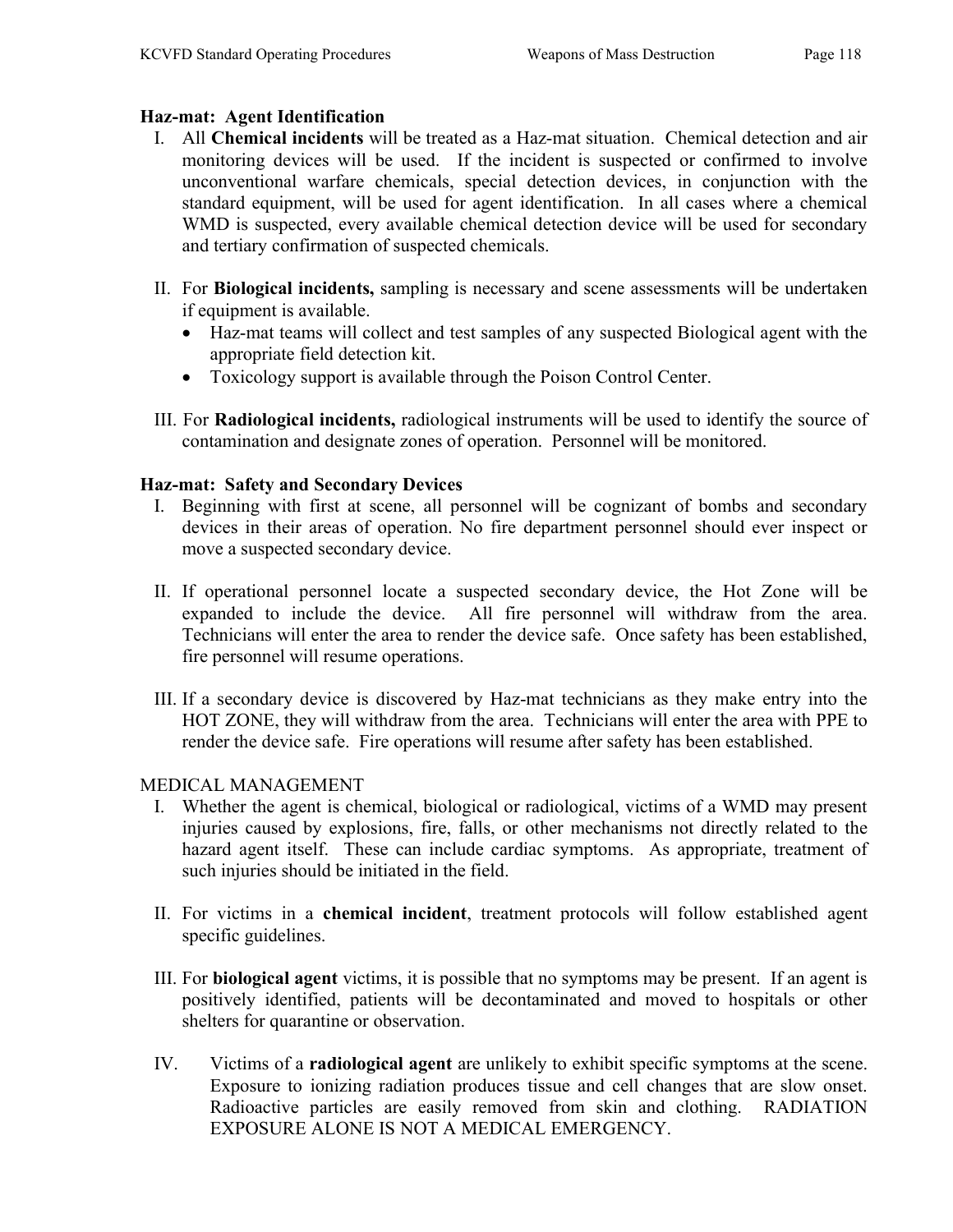## Haz-mat: Agent Identification

- I. All Chemical incidents will be treated as a Haz-mat situation. Chemical detection and air monitoring devices will be used. If the incident is suspected or confirmed to involve unconventional warfare chemicals, special detection devices, in conjunction with the standard equipment, will be used for agent identification. In all cases where a chemical WMD is suspected, every available chemical detection device will be used for secondary and tertiary confirmation of suspected chemicals.
- II. For Biological incidents, sampling is necessary and scene assessments will be undertaken if equipment is available.
	- Haz-mat teams will collect and test samples of any suspected Biological agent with the appropriate field detection kit.
	- Toxicology support is available through the Poison Control Center.
- III. For Radiological incidents, radiological instruments will be used to identify the source of contamination and designate zones of operation. Personnel will be monitored.

## Haz-mat: Safety and Secondary Devices

- I. Beginning with first at scene, all personnel will be cognizant of bombs and secondary devices in their areas of operation. No fire department personnel should ever inspect or move a suspected secondary device.
- II. If operational personnel locate a suspected secondary device, the Hot Zone will be expanded to include the device. All fire personnel will withdraw from the area. Technicians will enter the area to render the device safe. Once safety has been established, fire personnel will resume operations.
- III. If a secondary device is discovered by Haz-mat technicians as they make entry into the HOT ZONE, they will withdraw from the area. Technicians will enter the area with PPE to render the device safe. Fire operations will resume after safety has been established.

## MEDICAL MANAGEMENT

- I. Whether the agent is chemical, biological or radiological, victims of a WMD may present injuries caused by explosions, fire, falls, or other mechanisms not directly related to the hazard agent itself. These can include cardiac symptoms. As appropriate, treatment of such injuries should be initiated in the field.
- II. For victims in a chemical incident, treatment protocols will follow established agent specific guidelines.
- III. For biological agent victims, it is possible that no symptoms may be present. If an agent is positively identified, patients will be decontaminated and moved to hospitals or other shelters for quarantine or observation.
- IV. Victims of a radiological agent are unlikely to exhibit specific symptoms at the scene. Exposure to ionizing radiation produces tissue and cell changes that are slow onset. Radioactive particles are easily removed from skin and clothing. RADIATION EXPOSURE ALONE IS NOT A MEDICAL EMERGENCY.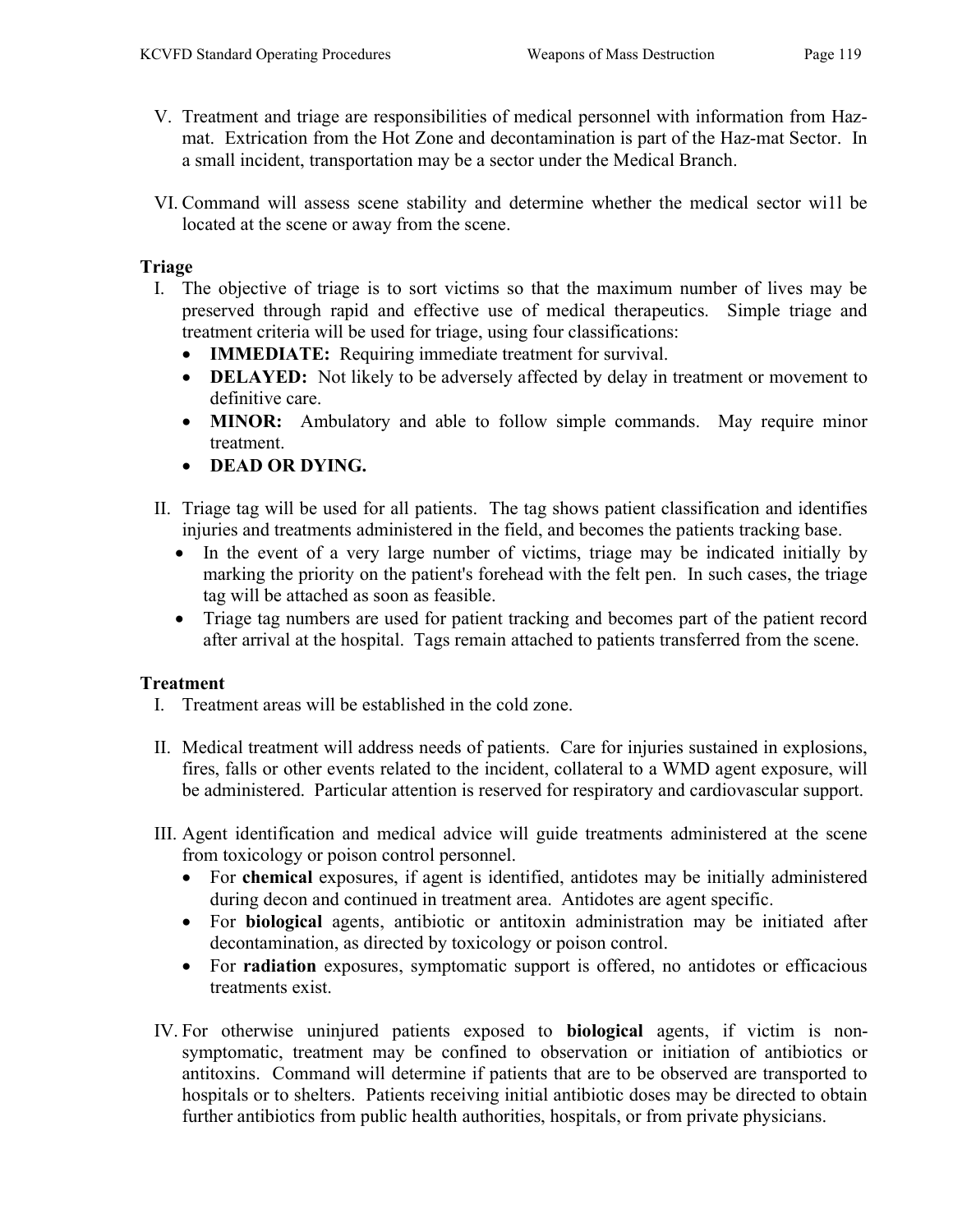- V. Treatment and triage are responsibilities of medical personnel with information from Hazmat. Extrication from the Hot Zone and decontamination is part of the Haz-mat Sector. In a small incident, transportation may be a sector under the Medical Branch.
- VI. Command will assess scene stability and determine whether the medical sector wi1l be located at the scene or away from the scene.

## Triage

- I. The objective of triage is to sort victims so that the maximum number of lives may be preserved through rapid and effective use of medical therapeutics. Simple triage and treatment criteria will be used for triage, using four classifications:
	- **IMMEDIATE:** Requiring immediate treatment for survival.
	- **DELAYED:** Not likely to be adversely affected by delay in treatment or movement to definitive care.
	- MINOR: Ambulatory and able to follow simple commands. May require minor treatment.
	- DEAD OR DYING.
- II. Triage tag will be used for all patients. The tag shows patient classification and identifies injuries and treatments administered in the field, and becomes the patients tracking base.
	- In the event of a very large number of victims, triage may be indicated initially by marking the priority on the patient's forehead with the felt pen. In such cases, the triage tag will be attached as soon as feasible.
	- Triage tag numbers are used for patient tracking and becomes part of the patient record after arrival at the hospital. Tags remain attached to patients transferred from the scene.

## Treatment

- I. Treatment areas will be established in the cold zone.
- II. Medical treatment will address needs of patients. Care for injuries sustained in explosions, fires, falls or other events related to the incident, collateral to a WMD agent exposure, will be administered. Particular attention is reserved for respiratory and cardiovascular support.
- III. Agent identification and medical advice will guide treatments administered at the scene from toxicology or poison control personnel.
	- For chemical exposures, if agent is identified, antidotes may be initially administered during decon and continued in treatment area. Antidotes are agent specific.
	- For biological agents, antibiotic or antitoxin administration may be initiated after decontamination, as directed by toxicology or poison control.
	- For radiation exposures, symptomatic support is offered, no antidotes or efficacious treatments exist.
- IV. For otherwise uninjured patients exposed to biological agents, if victim is nonsymptomatic, treatment may be confined to observation or initiation of antibiotics or antitoxins. Command will determine if patients that are to be observed are transported to hospitals or to shelters. Patients receiving initial antibiotic doses may be directed to obtain further antibiotics from public health authorities, hospitals, or from private physicians.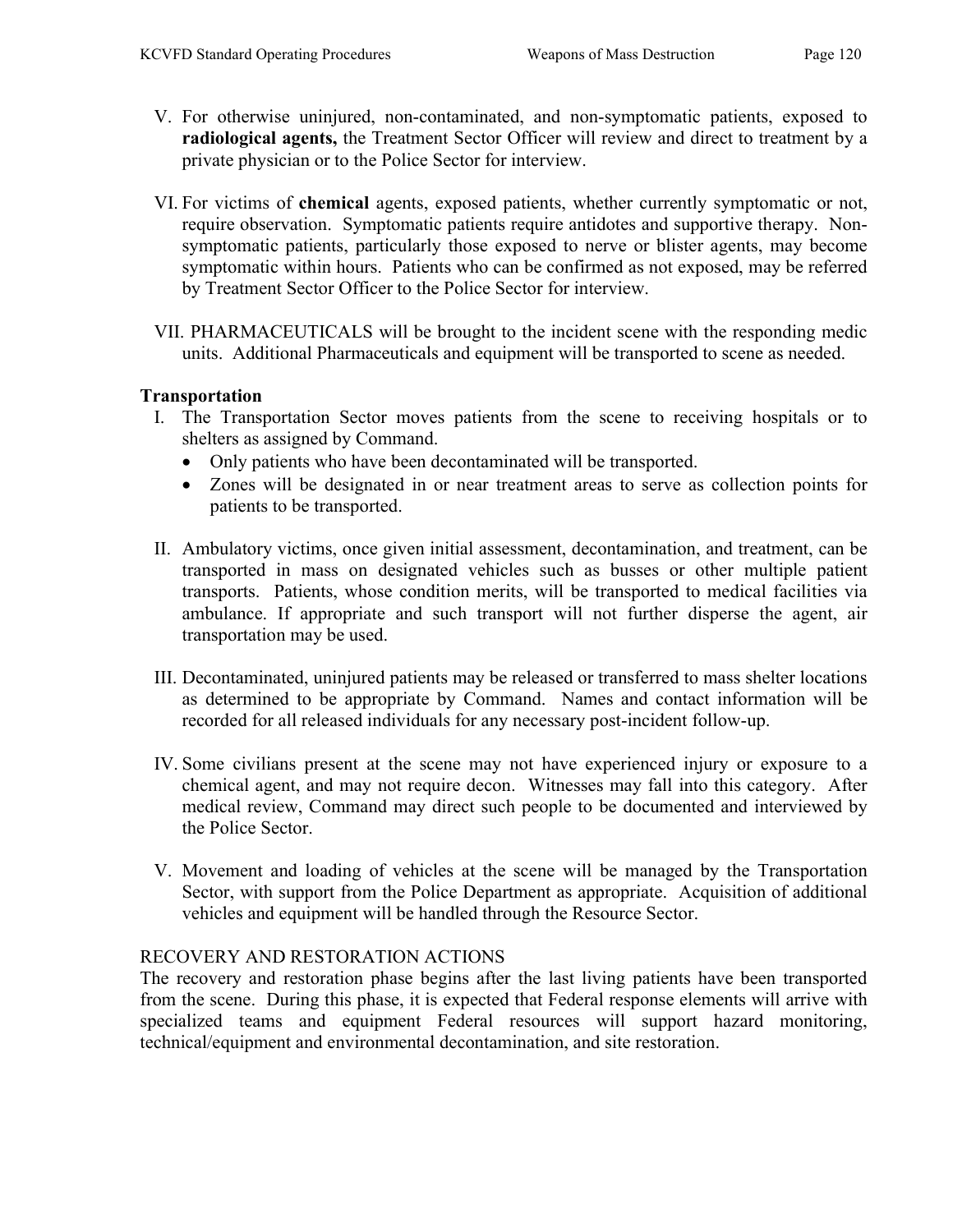- V. For otherwise uninjured, non-contaminated, and non-symptomatic patients, exposed to radiological agents, the Treatment Sector Officer will review and direct to treatment by a private physician or to the Police Sector for interview.
- VI. For victims of chemical agents, exposed patients, whether currently symptomatic or not, require observation. Symptomatic patients require antidotes and supportive therapy. Nonsymptomatic patients, particularly those exposed to nerve or blister agents, may become symptomatic within hours. Patients who can be confirmed as not exposed, may be referred by Treatment Sector Officer to the Police Sector for interview.
- VII. PHARMACEUTICALS will be brought to the incident scene with the responding medic units. Additional Pharmaceuticals and equipment will be transported to scene as needed.

#### Transportation

- I. The Transportation Sector moves patients from the scene to receiving hospitals or to shelters as assigned by Command.
	- Only patients who have been decontaminated will be transported.
	- Zones will be designated in or near treatment areas to serve as collection points for patients to be transported.
- II. Ambulatory victims, once given initial assessment, decontamination, and treatment, can be transported in mass on designated vehicles such as busses or other multiple patient transports. Patients, whose condition merits, will be transported to medical facilities via ambulance. If appropriate and such transport will not further disperse the agent, air transportation may be used.
- III. Decontaminated, uninjured patients may be released or transferred to mass shelter locations as determined to be appropriate by Command. Names and contact information will be recorded for all released individuals for any necessary post-incident follow-up.
- IV. Some civilians present at the scene may not have experienced injury or exposure to a chemical agent, and may not require decon. Witnesses may fall into this category. After medical review, Command may direct such people to be documented and interviewed by the Police Sector.
- V. Movement and loading of vehicles at the scene will be managed by the Transportation Sector, with support from the Police Department as appropriate. Acquisition of additional vehicles and equipment will be handled through the Resource Sector.

## RECOVERY AND RESTORATION ACTIONS

The recovery and restoration phase begins after the last living patients have been transported from the scene. During this phase, it is expected that Federal response elements will arrive with specialized teams and equipment Federal resources will support hazard monitoring, technical/equipment and environmental decontamination, and site restoration.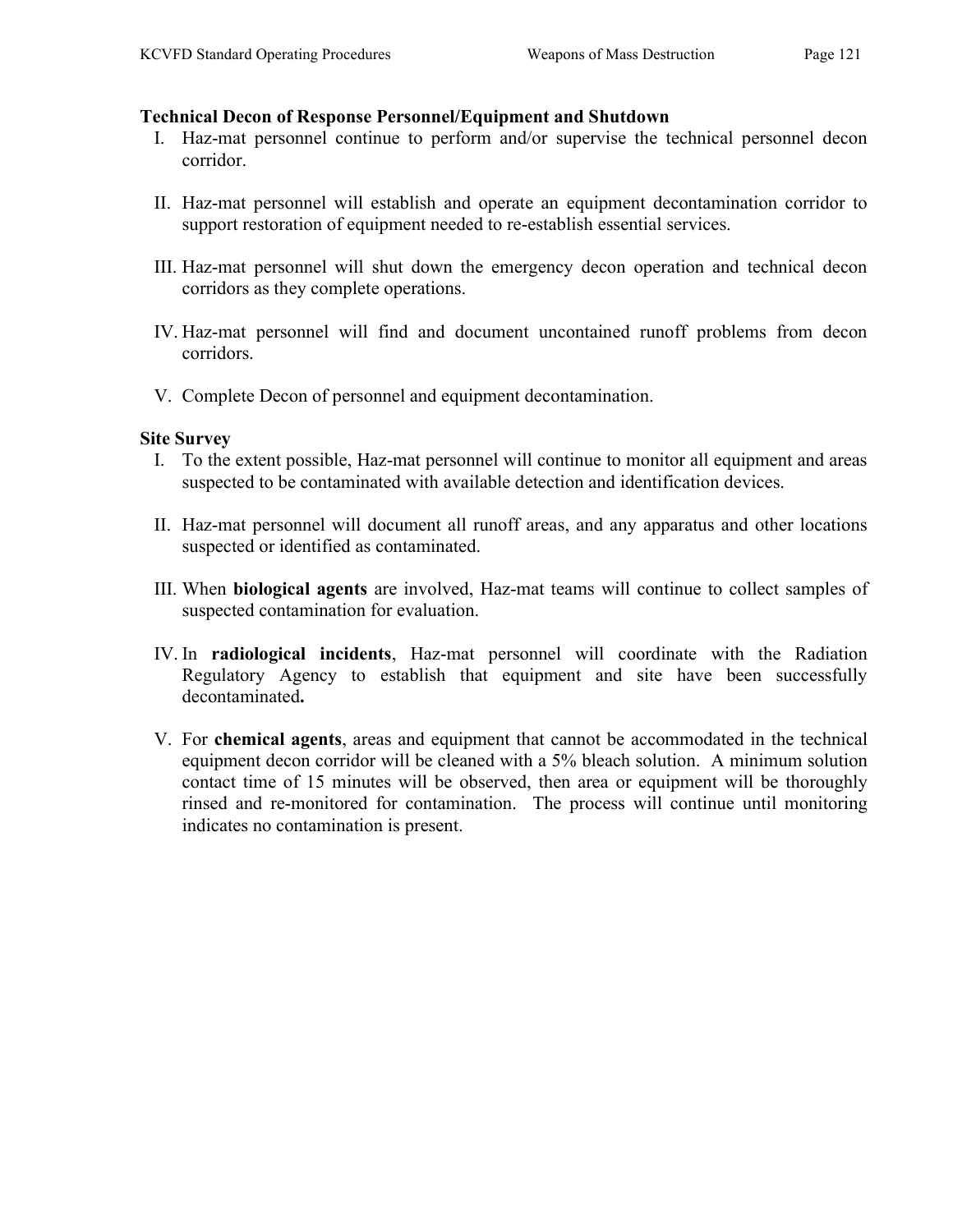#### Technical Decon of Response Personnel/Equipment and Shutdown

- I. Haz-mat personnel continue to perform and/or supervise the technical personnel decon corridor.
- II. Haz-mat personnel will establish and operate an equipment decontamination corridor to support restoration of equipment needed to re-establish essential services.
- III. Haz-mat personnel will shut down the emergency decon operation and technical decon corridors as they complete operations.
- IV. Haz-mat personnel will find and document uncontained runoff problems from decon corridors.
- V. Complete Decon of personnel and equipment decontamination.

#### Site Survey

- I. To the extent possible, Haz-mat personnel will continue to monitor all equipment and areas suspected to be contaminated with available detection and identification devices.
- II. Haz-mat personnel will document all runoff areas, and any apparatus and other locations suspected or identified as contaminated.
- III. When biological agents are involved, Haz-mat teams will continue to collect samples of suspected contamination for evaluation.
- IV. In radiological incidents, Haz-mat personnel will coordinate with the Radiation Regulatory Agency to establish that equipment and site have been successfully decontaminated.
- V. For chemical agents, areas and equipment that cannot be accommodated in the technical equipment decon corridor will be cleaned with a 5% bleach solution. A minimum solution contact time of 15 minutes will be observed, then area or equipment will be thoroughly rinsed and re-monitored for contamination. The process will continue until monitoring indicates no contamination is present.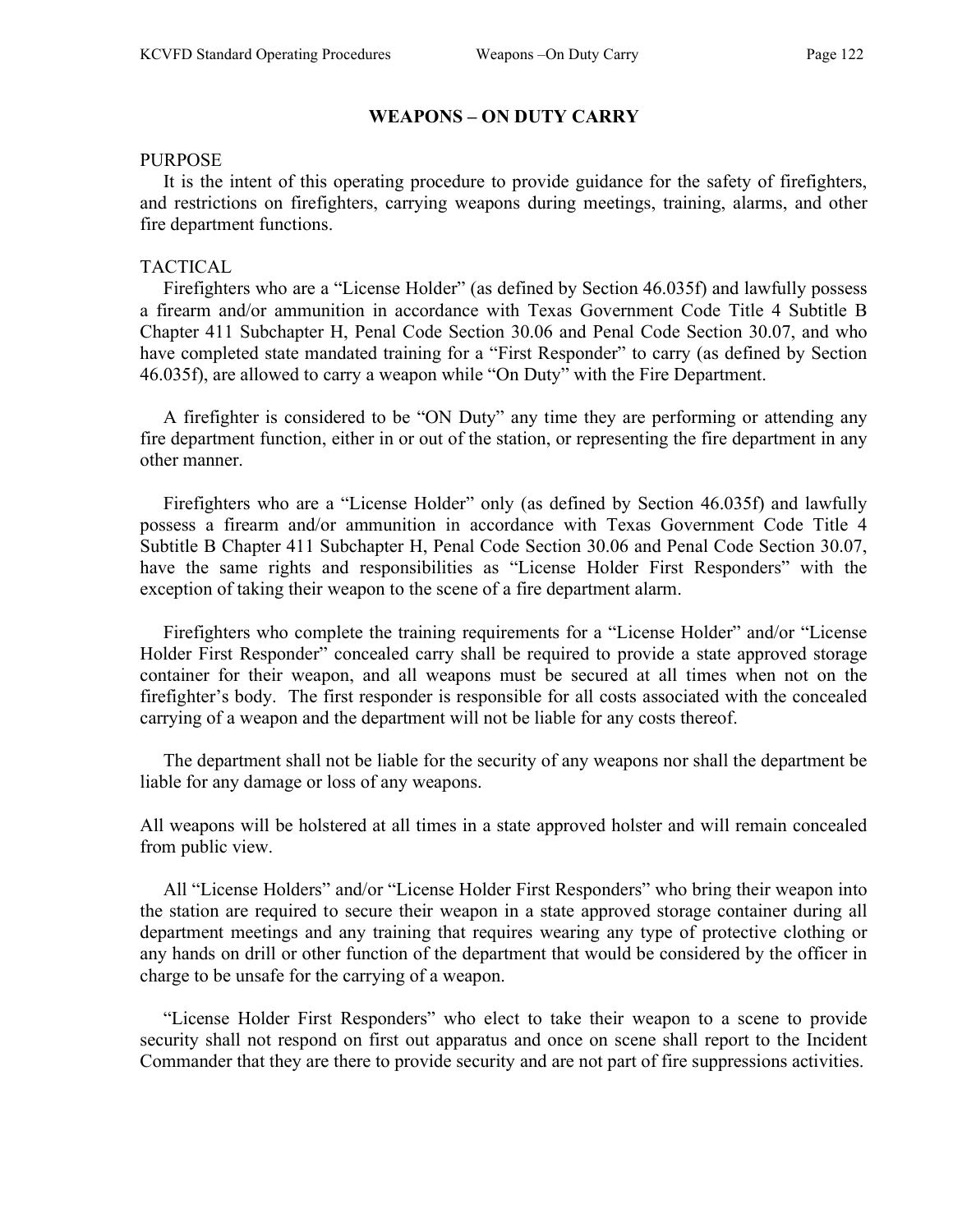#### WEAPONS – ON DUTY CARRY

#### PURPOSE

 It is the intent of this operating procedure to provide guidance for the safety of firefighters, and restrictions on firefighters, carrying weapons during meetings, training, alarms, and other fire department functions.

#### TACTICAL

 Firefighters who are a "License Holder" (as defined by Section 46.035f) and lawfully possess a firearm and/or ammunition in accordance with Texas Government Code Title 4 Subtitle B Chapter 411 Subchapter H, Penal Code Section 30.06 and Penal Code Section 30.07, and who have completed state mandated training for a "First Responder" to carry (as defined by Section 46.035f), are allowed to carry a weapon while "On Duty" with the Fire Department.

 A firefighter is considered to be "ON Duty" any time they are performing or attending any fire department function, either in or out of the station, or representing the fire department in any other manner.

 Firefighters who are a "License Holder" only (as defined by Section 46.035f) and lawfully possess a firearm and/or ammunition in accordance with Texas Government Code Title 4 Subtitle B Chapter 411 Subchapter H, Penal Code Section 30.06 and Penal Code Section 30.07, have the same rights and responsibilities as "License Holder First Responders" with the exception of taking their weapon to the scene of a fire department alarm.

 Firefighters who complete the training requirements for a "License Holder" and/or "License Holder First Responder" concealed carry shall be required to provide a state approved storage container for their weapon, and all weapons must be secured at all times when not on the firefighter's body. The first responder is responsible for all costs associated with the concealed carrying of a weapon and the department will not be liable for any costs thereof.

 The department shall not be liable for the security of any weapons nor shall the department be liable for any damage or loss of any weapons.

All weapons will be holstered at all times in a state approved holster and will remain concealed from public view.

 All "License Holders" and/or "License Holder First Responders" who bring their weapon into the station are required to secure their weapon in a state approved storage container during all department meetings and any training that requires wearing any type of protective clothing or any hands on drill or other function of the department that would be considered by the officer in charge to be unsafe for the carrying of a weapon.

 "License Holder First Responders" who elect to take their weapon to a scene to provide security shall not respond on first out apparatus and once on scene shall report to the Incident Commander that they are there to provide security and are not part of fire suppressions activities.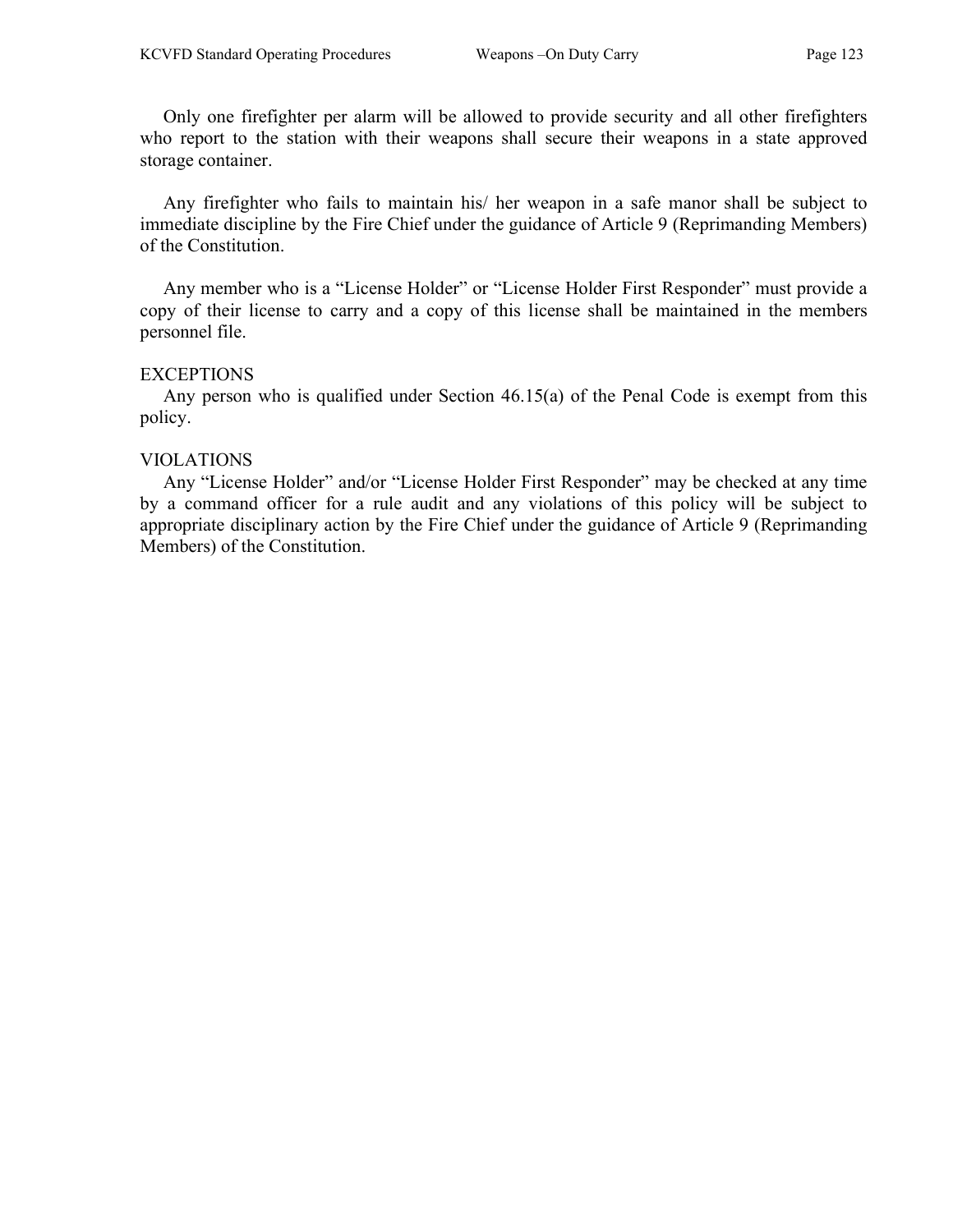Only one firefighter per alarm will be allowed to provide security and all other firefighters who report to the station with their weapons shall secure their weapons in a state approved storage container.

 Any firefighter who fails to maintain his/ her weapon in a safe manor shall be subject to immediate discipline by the Fire Chief under the guidance of Article 9 (Reprimanding Members) of the Constitution.

 Any member who is a "License Holder" or "License Holder First Responder" must provide a copy of their license to carry and a copy of this license shall be maintained in the members personnel file.

#### **EXCEPTIONS**

 Any person who is qualified under Section 46.15(a) of the Penal Code is exempt from this policy.

#### VIOLATIONS

 Any "License Holder" and/or "License Holder First Responder" may be checked at any time by a command officer for a rule audit and any violations of this policy will be subject to appropriate disciplinary action by the Fire Chief under the guidance of Article 9 (Reprimanding Members) of the Constitution.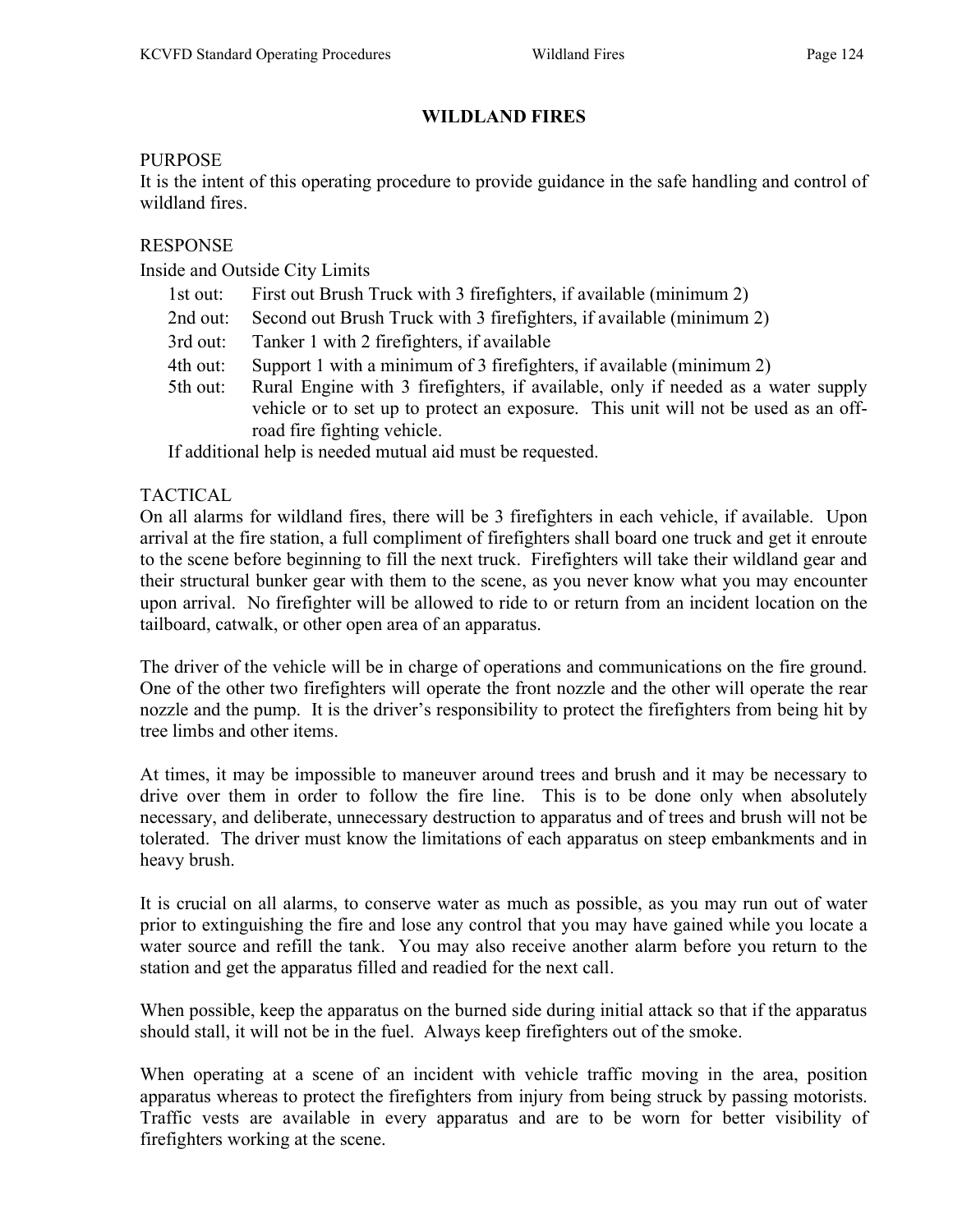# WILDLAND FIRES

## PURPOSE

It is the intent of this operating procedure to provide guidance in the safe handling and control of wildland fires.

## RESPONSE

Inside and Outside City Limits

- 1st out: First out Brush Truck with 3 firefighters, if available (minimum 2)
- 2nd out: Second out Brush Truck with 3 firefighters, if available (minimum 2)
- 3rd out: Tanker 1 with 2 firefighters, if available
- 4th out: Support 1 with a minimum of 3 firefighters, if available (minimum 2)
- 5th out: Rural Engine with 3 firefighters, if available, only if needed as a water supply vehicle or to set up to protect an exposure. This unit will not be used as an offroad fire fighting vehicle.

If additional help is needed mutual aid must be requested.

## TACTICAL

On all alarms for wildland fires, there will be 3 firefighters in each vehicle, if available. Upon arrival at the fire station, a full compliment of firefighters shall board one truck and get it enroute to the scene before beginning to fill the next truck. Firefighters will take their wildland gear and their structural bunker gear with them to the scene, as you never know what you may encounter upon arrival. No firefighter will be allowed to ride to or return from an incident location on the tailboard, catwalk, or other open area of an apparatus.

The driver of the vehicle will be in charge of operations and communications on the fire ground. One of the other two firefighters will operate the front nozzle and the other will operate the rear nozzle and the pump. It is the driver's responsibility to protect the firefighters from being hit by tree limbs and other items.

At times, it may be impossible to maneuver around trees and brush and it may be necessary to drive over them in order to follow the fire line. This is to be done only when absolutely necessary, and deliberate, unnecessary destruction to apparatus and of trees and brush will not be tolerated. The driver must know the limitations of each apparatus on steep embankments and in heavy brush.

It is crucial on all alarms, to conserve water as much as possible, as you may run out of water prior to extinguishing the fire and lose any control that you may have gained while you locate a water source and refill the tank. You may also receive another alarm before you return to the station and get the apparatus filled and readied for the next call.

When possible, keep the apparatus on the burned side during initial attack so that if the apparatus should stall, it will not be in the fuel. Always keep firefighters out of the smoke.

When operating at a scene of an incident with vehicle traffic moving in the area, position apparatus whereas to protect the firefighters from injury from being struck by passing motorists. Traffic vests are available in every apparatus and are to be worn for better visibility of firefighters working at the scene.